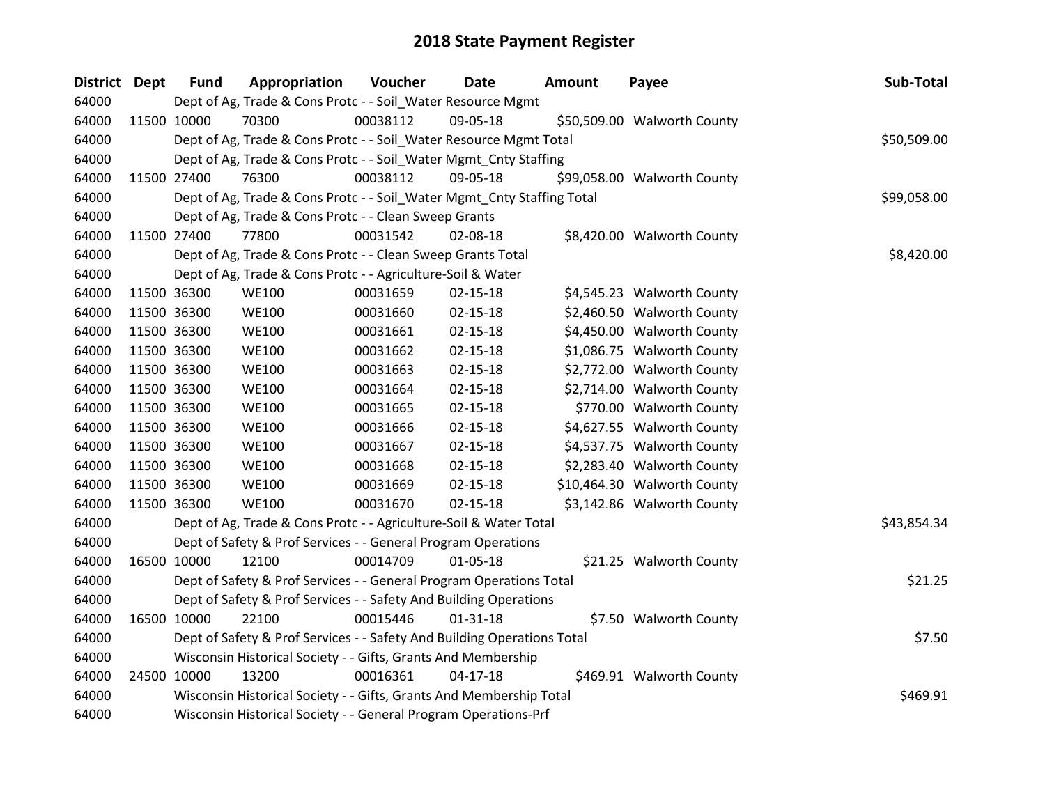| District Dept | <b>Fund</b> | Appropriation                                                           | Voucher  | <b>Date</b>    | Amount | Payee                       | Sub-Total   |
|---------------|-------------|-------------------------------------------------------------------------|----------|----------------|--------|-----------------------------|-------------|
| 64000         |             | Dept of Ag, Trade & Cons Protc - - Soil_Water Resource Mgmt             |          |                |        |                             |             |
| 64000         | 11500 10000 | 70300                                                                   | 00038112 | 09-05-18       |        | \$50,509.00 Walworth County |             |
| 64000         |             | Dept of Ag, Trade & Cons Protc - - Soil_Water Resource Mgmt Total       |          |                |        |                             | \$50,509.00 |
| 64000         |             | Dept of Ag, Trade & Cons Protc - - Soil_Water Mgmt_Cnty Staffing        |          |                |        |                             |             |
| 64000         | 11500 27400 | 76300                                                                   | 00038112 | 09-05-18       |        | \$99,058.00 Walworth County |             |
| 64000         |             | Dept of Ag, Trade & Cons Protc - - Soil_Water Mgmt_Cnty Staffing Total  |          |                |        |                             | \$99,058.00 |
| 64000         |             | Dept of Ag, Trade & Cons Protc - - Clean Sweep Grants                   |          |                |        |                             |             |
| 64000         | 11500 27400 | 77800                                                                   | 00031542 | 02-08-18       |        | \$8,420.00 Walworth County  |             |
| 64000         |             | Dept of Ag, Trade & Cons Protc - - Clean Sweep Grants Total             |          |                |        |                             | \$8,420.00  |
| 64000         |             | Dept of Ag, Trade & Cons Protc - - Agriculture-Soil & Water             |          |                |        |                             |             |
| 64000         | 11500 36300 | <b>WE100</b>                                                            | 00031659 | 02-15-18       |        | \$4,545.23 Walworth County  |             |
| 64000         | 11500 36300 | <b>WE100</b>                                                            | 00031660 | $02 - 15 - 18$ |        | \$2,460.50 Walworth County  |             |
| 64000         | 11500 36300 | <b>WE100</b>                                                            | 00031661 | 02-15-18       |        | \$4,450.00 Walworth County  |             |
| 64000         | 11500 36300 | <b>WE100</b>                                                            | 00031662 | $02 - 15 - 18$ |        | \$1,086.75 Walworth County  |             |
| 64000         | 11500 36300 | <b>WE100</b>                                                            | 00031663 | $02 - 15 - 18$ |        | \$2,772.00 Walworth County  |             |
| 64000         | 11500 36300 | <b>WE100</b>                                                            | 00031664 | $02 - 15 - 18$ |        | \$2,714.00 Walworth County  |             |
| 64000         | 11500 36300 | <b>WE100</b>                                                            | 00031665 | $02 - 15 - 18$ |        | \$770.00 Walworth County    |             |
| 64000         | 11500 36300 | <b>WE100</b>                                                            | 00031666 | $02 - 15 - 18$ |        | \$4,627.55 Walworth County  |             |
| 64000         | 11500 36300 | <b>WE100</b>                                                            | 00031667 | $02 - 15 - 18$ |        | \$4,537.75 Walworth County  |             |
| 64000         | 11500 36300 | <b>WE100</b>                                                            | 00031668 | $02 - 15 - 18$ |        | \$2,283.40 Walworth County  |             |
| 64000         | 11500 36300 | <b>WE100</b>                                                            | 00031669 | $02 - 15 - 18$ |        | \$10,464.30 Walworth County |             |
| 64000         | 11500 36300 | <b>WE100</b>                                                            | 00031670 | $02 - 15 - 18$ |        | \$3,142.86 Walworth County  |             |
| 64000         |             | Dept of Ag, Trade & Cons Protc - - Agriculture-Soil & Water Total       |          |                |        |                             | \$43,854.34 |
| 64000         |             | Dept of Safety & Prof Services - - General Program Operations           |          |                |        |                             |             |
| 64000         | 16500 10000 | 12100                                                                   | 00014709 | $01 - 05 - 18$ |        | \$21.25 Walworth County     |             |
| 64000         |             | Dept of Safety & Prof Services - - General Program Operations Total     |          |                |        |                             | \$21.25     |
| 64000         |             | Dept of Safety & Prof Services - - Safety And Building Operations       |          |                |        |                             |             |
| 64000         | 16500 10000 | 22100                                                                   | 00015446 | $01 - 31 - 18$ |        | \$7.50 Walworth County      |             |
| 64000         |             | Dept of Safety & Prof Services - - Safety And Building Operations Total |          |                |        |                             | \$7.50      |
| 64000         |             | Wisconsin Historical Society - - Gifts, Grants And Membership           |          |                |        |                             |             |
| 64000         | 24500 10000 | 13200                                                                   | 00016361 | $04-17-18$     |        | \$469.91 Walworth County    |             |
| 64000         |             | Wisconsin Historical Society - - Gifts, Grants And Membership Total     |          |                |        |                             | \$469.91    |
| 64000         |             | Wisconsin Historical Society - - General Program Operations-Prf         |          |                |        |                             |             |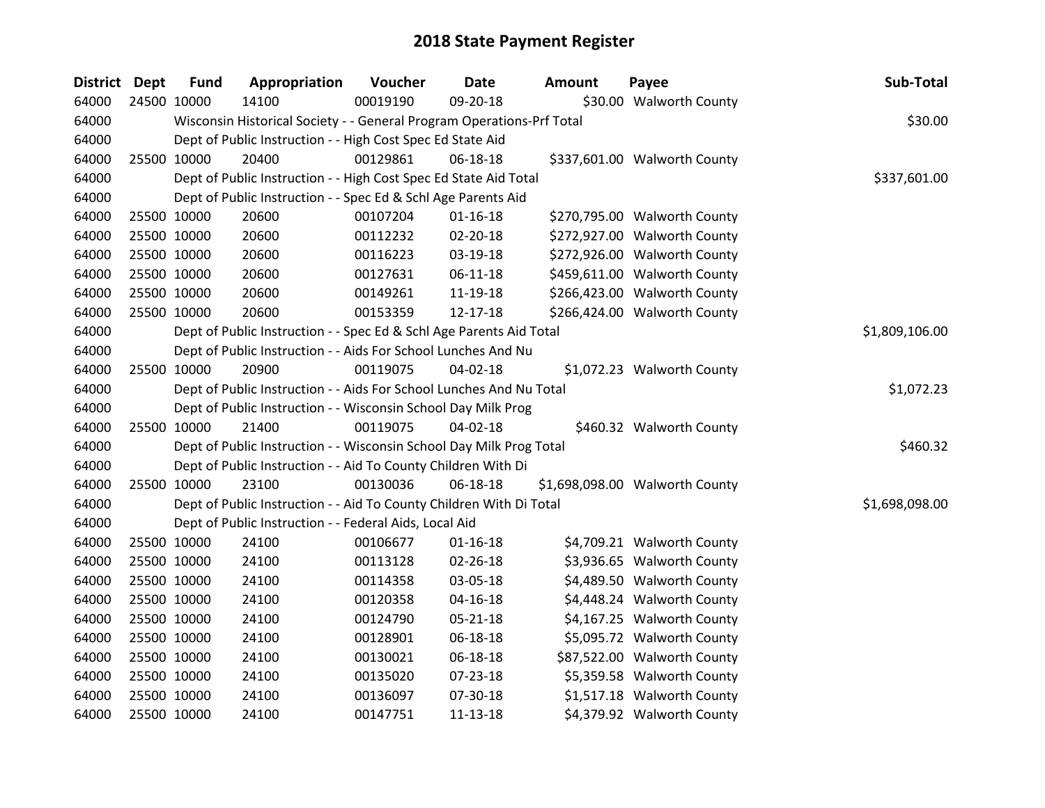| District Dept | <b>Fund</b> | Appropriation                                                         | Voucher  | Date           | <b>Amount</b> | Payee                          | Sub-Total      |
|---------------|-------------|-----------------------------------------------------------------------|----------|----------------|---------------|--------------------------------|----------------|
| 64000         | 24500 10000 | 14100                                                                 | 00019190 | 09-20-18       |               | \$30.00 Walworth County        |                |
| 64000         |             | Wisconsin Historical Society - - General Program Operations-Prf Total |          |                |               |                                | \$30.00        |
| 64000         |             | Dept of Public Instruction - - High Cost Spec Ed State Aid            |          |                |               |                                |                |
| 64000         | 25500 10000 | 20400                                                                 | 00129861 | 06-18-18       |               | \$337,601.00 Walworth County   |                |
| 64000         |             | Dept of Public Instruction - - High Cost Spec Ed State Aid Total      |          |                |               |                                | \$337,601.00   |
| 64000         |             | Dept of Public Instruction - - Spec Ed & Schl Age Parents Aid         |          |                |               |                                |                |
| 64000         | 25500 10000 | 20600                                                                 | 00107204 | $01 - 16 - 18$ |               | \$270,795.00 Walworth County   |                |
| 64000         | 25500 10000 | 20600                                                                 | 00112232 | 02-20-18       |               | \$272,927.00 Walworth County   |                |
| 64000         | 25500 10000 | 20600                                                                 | 00116223 | 03-19-18       |               | \$272,926.00 Walworth County   |                |
| 64000         | 25500 10000 | 20600                                                                 | 00127631 | $06 - 11 - 18$ |               | \$459,611.00 Walworth County   |                |
| 64000         | 25500 10000 | 20600                                                                 | 00149261 | 11-19-18       |               | \$266,423.00 Walworth County   |                |
| 64000         | 25500 10000 | 20600                                                                 | 00153359 | 12-17-18       |               | \$266,424.00 Walworth County   |                |
| 64000         |             | Dept of Public Instruction - - Spec Ed & Schl Age Parents Aid Total   |          |                |               |                                | \$1,809,106.00 |
| 64000         |             | Dept of Public Instruction - - Aids For School Lunches And Nu         |          |                |               |                                |                |
| 64000         | 25500 10000 | 20900                                                                 | 00119075 | $04 - 02 - 18$ |               | \$1,072.23 Walworth County     |                |
| 64000         |             | Dept of Public Instruction - - Aids For School Lunches And Nu Total   |          |                |               |                                | \$1,072.23     |
| 64000         |             | Dept of Public Instruction - - Wisconsin School Day Milk Prog         |          |                |               |                                |                |
| 64000         | 25500 10000 | 21400                                                                 | 00119075 | $04 - 02 - 18$ |               | \$460.32 Walworth County       |                |
| 64000         |             | Dept of Public Instruction - - Wisconsin School Day Milk Prog Total   |          |                |               |                                | \$460.32       |
| 64000         |             | Dept of Public Instruction - - Aid To County Children With Di         |          |                |               |                                |                |
| 64000         | 25500 10000 | 23100                                                                 | 00130036 | 06-18-18       |               | \$1,698,098.00 Walworth County |                |
| 64000         |             | Dept of Public Instruction - - Aid To County Children With Di Total   |          |                |               |                                | \$1,698,098.00 |
| 64000         |             | Dept of Public Instruction - - Federal Aids, Local Aid                |          |                |               |                                |                |
| 64000         | 25500 10000 | 24100                                                                 | 00106677 | $01 - 16 - 18$ |               | \$4,709.21 Walworth County     |                |
| 64000         | 25500 10000 | 24100                                                                 | 00113128 | 02-26-18       |               | \$3,936.65 Walworth County     |                |
| 64000         | 25500 10000 | 24100                                                                 | 00114358 | 03-05-18       |               | \$4,489.50 Walworth County     |                |
| 64000         | 25500 10000 | 24100                                                                 | 00120358 | 04-16-18       |               | \$4,448.24 Walworth County     |                |
| 64000         | 25500 10000 | 24100                                                                 | 00124790 | $05 - 21 - 18$ |               | \$4,167.25 Walworth County     |                |
| 64000         | 25500 10000 | 24100                                                                 | 00128901 | 06-18-18       |               | \$5,095.72 Walworth County     |                |
| 64000         | 25500 10000 | 24100                                                                 | 00130021 | 06-18-18       |               | \$87,522.00 Walworth County    |                |
| 64000         | 25500 10000 | 24100                                                                 | 00135020 | 07-23-18       |               | \$5,359.58 Walworth County     |                |
| 64000         | 25500 10000 | 24100                                                                 | 00136097 | 07-30-18       |               | \$1,517.18 Walworth County     |                |
| 64000         | 25500 10000 | 24100                                                                 | 00147751 | 11-13-18       |               | \$4,379.92 Walworth County     |                |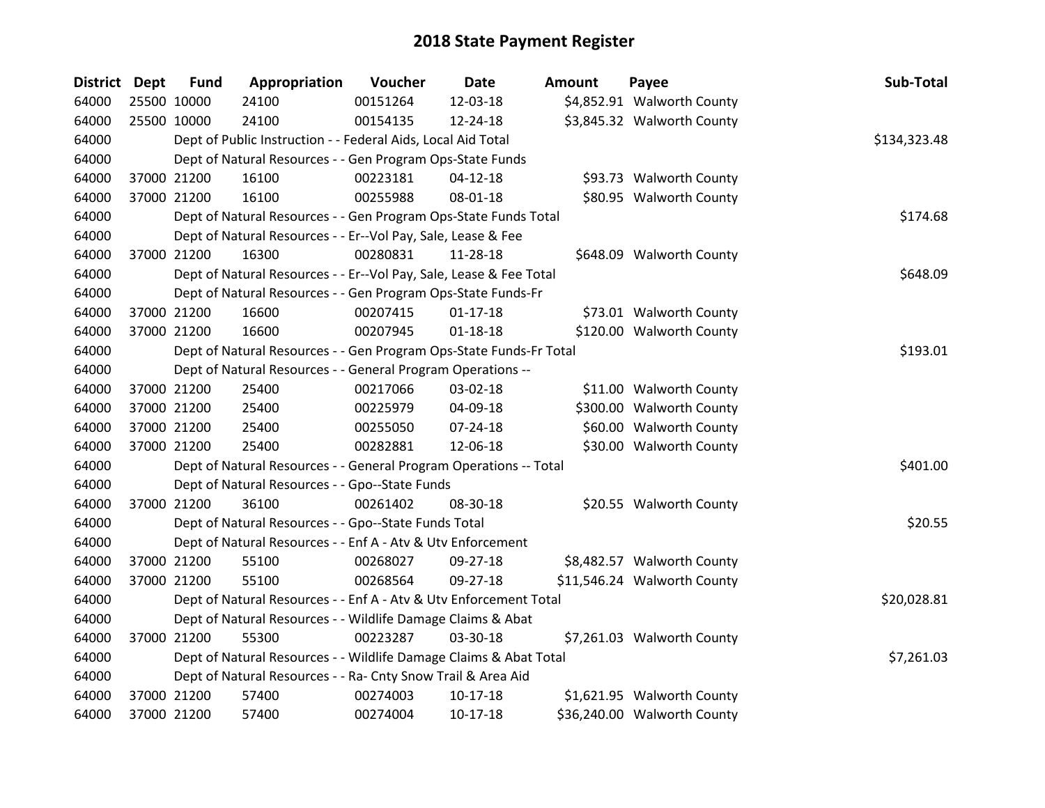| District Dept | <b>Fund</b> | Appropriation                                                      | Voucher  | <b>Date</b>    | <b>Amount</b> | Payee                       | Sub-Total    |
|---------------|-------------|--------------------------------------------------------------------|----------|----------------|---------------|-----------------------------|--------------|
| 64000         | 25500 10000 | 24100                                                              | 00151264 | 12-03-18       |               | \$4,852.91 Walworth County  |              |
| 64000         | 25500 10000 | 24100                                                              | 00154135 | 12-24-18       |               | \$3,845.32 Walworth County  |              |
| 64000         |             | Dept of Public Instruction - - Federal Aids, Local Aid Total       |          |                |               |                             | \$134,323.48 |
| 64000         |             | Dept of Natural Resources - - Gen Program Ops-State Funds          |          |                |               |                             |              |
| 64000         | 37000 21200 | 16100                                                              | 00223181 | $04 - 12 - 18$ |               | \$93.73 Walworth County     |              |
| 64000         | 37000 21200 | 16100                                                              | 00255988 | 08-01-18       |               | \$80.95 Walworth County     |              |
| 64000         |             | Dept of Natural Resources - - Gen Program Ops-State Funds Total    |          |                |               |                             | \$174.68     |
| 64000         |             | Dept of Natural Resources - - Er--Vol Pay, Sale, Lease & Fee       |          |                |               |                             |              |
| 64000         | 37000 21200 | 16300                                                              | 00280831 | 11-28-18       |               | \$648.09 Walworth County    |              |
| 64000         |             | Dept of Natural Resources - - Er--Vol Pay, Sale, Lease & Fee Total |          |                |               |                             | \$648.09     |
| 64000         |             | Dept of Natural Resources - - Gen Program Ops-State Funds-Fr       |          |                |               |                             |              |
| 64000         | 37000 21200 | 16600                                                              | 00207415 | $01 - 17 - 18$ |               | \$73.01 Walworth County     |              |
| 64000         | 37000 21200 | 16600                                                              | 00207945 | $01 - 18 - 18$ |               | \$120.00 Walworth County    |              |
| 64000         |             | Dept of Natural Resources - - Gen Program Ops-State Funds-Fr Total |          |                |               |                             | \$193.01     |
| 64000         |             | Dept of Natural Resources - - General Program Operations --        |          |                |               |                             |              |
| 64000         | 37000 21200 | 25400                                                              | 00217066 | 03-02-18       |               | \$11.00 Walworth County     |              |
| 64000         | 37000 21200 | 25400                                                              | 00225979 | 04-09-18       |               | \$300.00 Walworth County    |              |
| 64000         | 37000 21200 | 25400                                                              | 00255050 | $07 - 24 - 18$ |               | \$60.00 Walworth County     |              |
| 64000         | 37000 21200 | 25400                                                              | 00282881 | 12-06-18       |               | \$30.00 Walworth County     |              |
| 64000         |             | Dept of Natural Resources - - General Program Operations -- Total  |          |                |               |                             | \$401.00     |
| 64000         |             | Dept of Natural Resources - - Gpo--State Funds                     |          |                |               |                             |              |
| 64000         | 37000 21200 | 36100                                                              | 00261402 | 08-30-18       |               | \$20.55 Walworth County     |              |
| 64000         |             | Dept of Natural Resources - - Gpo--State Funds Total               |          |                |               |                             | \$20.55      |
| 64000         |             | Dept of Natural Resources - - Enf A - Atv & Utv Enforcement        |          |                |               |                             |              |
| 64000         | 37000 21200 | 55100                                                              | 00268027 | 09-27-18       |               | \$8,482.57 Walworth County  |              |
| 64000         | 37000 21200 | 55100                                                              | 00268564 | 09-27-18       |               | \$11,546.24 Walworth County |              |
| 64000         |             | Dept of Natural Resources - - Enf A - Atv & Utv Enforcement Total  |          |                |               |                             | \$20,028.81  |
| 64000         |             | Dept of Natural Resources - - Wildlife Damage Claims & Abat        |          |                |               |                             |              |
| 64000         | 37000 21200 | 55300                                                              | 00223287 | 03-30-18       |               | \$7,261.03 Walworth County  |              |
| 64000         |             | Dept of Natural Resources - - Wildlife Damage Claims & Abat Total  |          |                |               |                             | \$7,261.03   |
| 64000         |             | Dept of Natural Resources - - Ra- Cnty Snow Trail & Area Aid       |          |                |               |                             |              |
| 64000         | 37000 21200 | 57400                                                              | 00274003 | $10-17-18$     |               | \$1,621.95 Walworth County  |              |
| 64000         | 37000 21200 | 57400                                                              | 00274004 | 10-17-18       |               | \$36,240.00 Walworth County |              |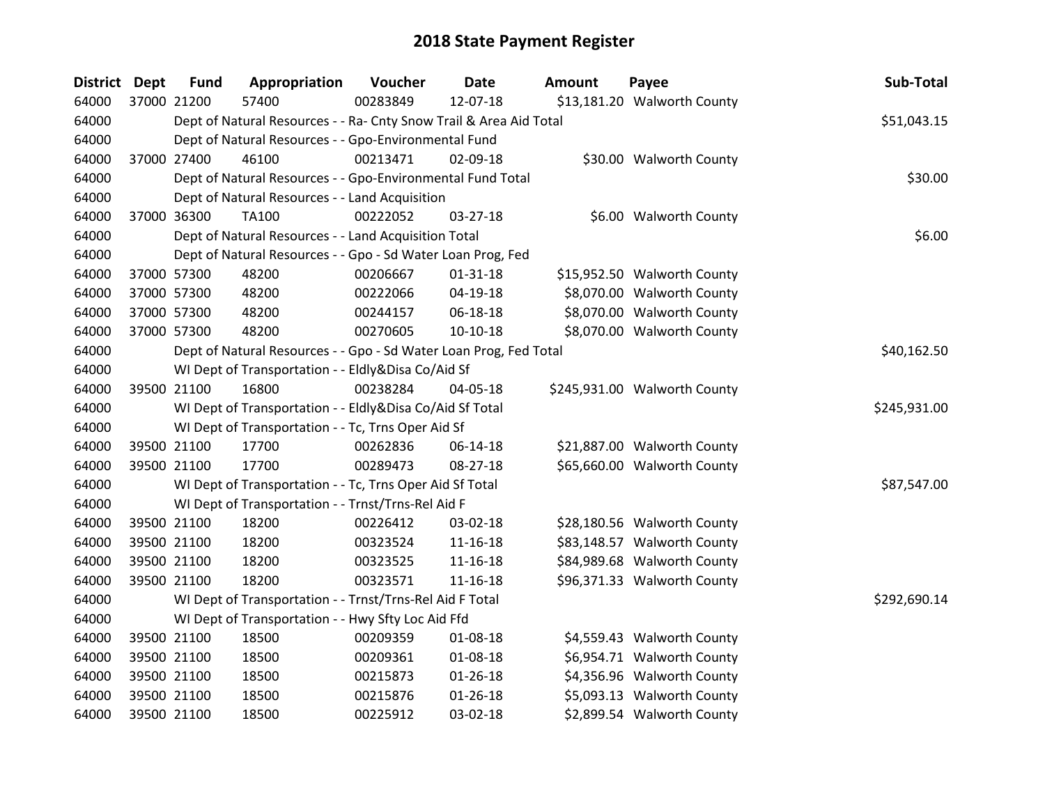| District Dept | <b>Fund</b> | Appropriation                                                      | Voucher  | <b>Date</b>    | <b>Amount</b> | Payee                        | Sub-Total    |
|---------------|-------------|--------------------------------------------------------------------|----------|----------------|---------------|------------------------------|--------------|
| 64000         | 37000 21200 | 57400                                                              | 00283849 | 12-07-18       |               | \$13,181.20 Walworth County  |              |
| 64000         |             | Dept of Natural Resources - - Ra- Cnty Snow Trail & Area Aid Total |          |                |               |                              | \$51,043.15  |
| 64000         |             | Dept of Natural Resources - - Gpo-Environmental Fund               |          |                |               |                              |              |
| 64000         | 37000 27400 | 46100                                                              | 00213471 | 02-09-18       |               | \$30.00 Walworth County      |              |
| 64000         |             | Dept of Natural Resources - - Gpo-Environmental Fund Total         |          |                |               |                              | \$30.00      |
| 64000         |             | Dept of Natural Resources - - Land Acquisition                     |          |                |               |                              |              |
| 64000         | 37000 36300 | TA100                                                              | 00222052 | 03-27-18       |               | \$6.00 Walworth County       |              |
| 64000         |             | Dept of Natural Resources - - Land Acquisition Total               |          |                |               |                              | \$6.00       |
| 64000         |             | Dept of Natural Resources - - Gpo - Sd Water Loan Prog, Fed        |          |                |               |                              |              |
| 64000         | 37000 57300 | 48200                                                              | 00206667 | $01 - 31 - 18$ |               | \$15,952.50 Walworth County  |              |
| 64000         | 37000 57300 | 48200                                                              | 00222066 | 04-19-18       |               | \$8,070.00 Walworth County   |              |
| 64000         | 37000 57300 | 48200                                                              | 00244157 | 06-18-18       |               | \$8,070.00 Walworth County   |              |
| 64000         | 37000 57300 | 48200                                                              | 00270605 | $10-10-18$     |               | \$8,070.00 Walworth County   |              |
| 64000         |             | Dept of Natural Resources - - Gpo - Sd Water Loan Prog, Fed Total  |          |                |               |                              | \$40,162.50  |
| 64000         |             | WI Dept of Transportation - - Eldly&Disa Co/Aid Sf                 |          |                |               |                              |              |
| 64000         | 39500 21100 | 16800                                                              | 00238284 | 04-05-18       |               | \$245,931.00 Walworth County |              |
| 64000         |             | WI Dept of Transportation - - Eldly&Disa Co/Aid Sf Total           |          |                |               |                              | \$245,931.00 |
| 64000         |             | WI Dept of Transportation - - Tc, Trns Oper Aid Sf                 |          |                |               |                              |              |
| 64000         | 39500 21100 | 17700                                                              | 00262836 | 06-14-18       |               | \$21,887.00 Walworth County  |              |
| 64000         | 39500 21100 | 17700                                                              | 00289473 | 08-27-18       |               | \$65,660.00 Walworth County  |              |
| 64000         |             | WI Dept of Transportation - - Tc, Trns Oper Aid Sf Total           |          |                |               |                              | \$87,547.00  |
| 64000         |             | WI Dept of Transportation - - Trnst/Trns-Rel Aid F                 |          |                |               |                              |              |
| 64000         | 39500 21100 | 18200                                                              | 00226412 | 03-02-18       |               | \$28,180.56 Walworth County  |              |
| 64000         | 39500 21100 | 18200                                                              | 00323524 | $11 - 16 - 18$ |               | \$83,148.57 Walworth County  |              |
| 64000         | 39500 21100 | 18200                                                              | 00323525 | $11 - 16 - 18$ |               | \$84,989.68 Walworth County  |              |
| 64000         | 39500 21100 | 18200                                                              | 00323571 | 11-16-18       |               | \$96,371.33 Walworth County  |              |
| 64000         |             | WI Dept of Transportation - - Trnst/Trns-Rel Aid F Total           |          |                |               |                              | \$292,690.14 |
| 64000         |             | WI Dept of Transportation - - Hwy Sfty Loc Aid Ffd                 |          |                |               |                              |              |
| 64000         | 39500 21100 | 18500                                                              | 00209359 | 01-08-18       |               | \$4,559.43 Walworth County   |              |
| 64000         | 39500 21100 | 18500                                                              | 00209361 | 01-08-18       |               | \$6,954.71 Walworth County   |              |
| 64000         | 39500 21100 | 18500                                                              | 00215873 | $01 - 26 - 18$ |               | \$4,356.96 Walworth County   |              |
| 64000         | 39500 21100 | 18500                                                              | 00215876 | $01 - 26 - 18$ |               | \$5,093.13 Walworth County   |              |
| 64000         | 39500 21100 | 18500                                                              | 00225912 | 03-02-18       |               | \$2,899.54 Walworth County   |              |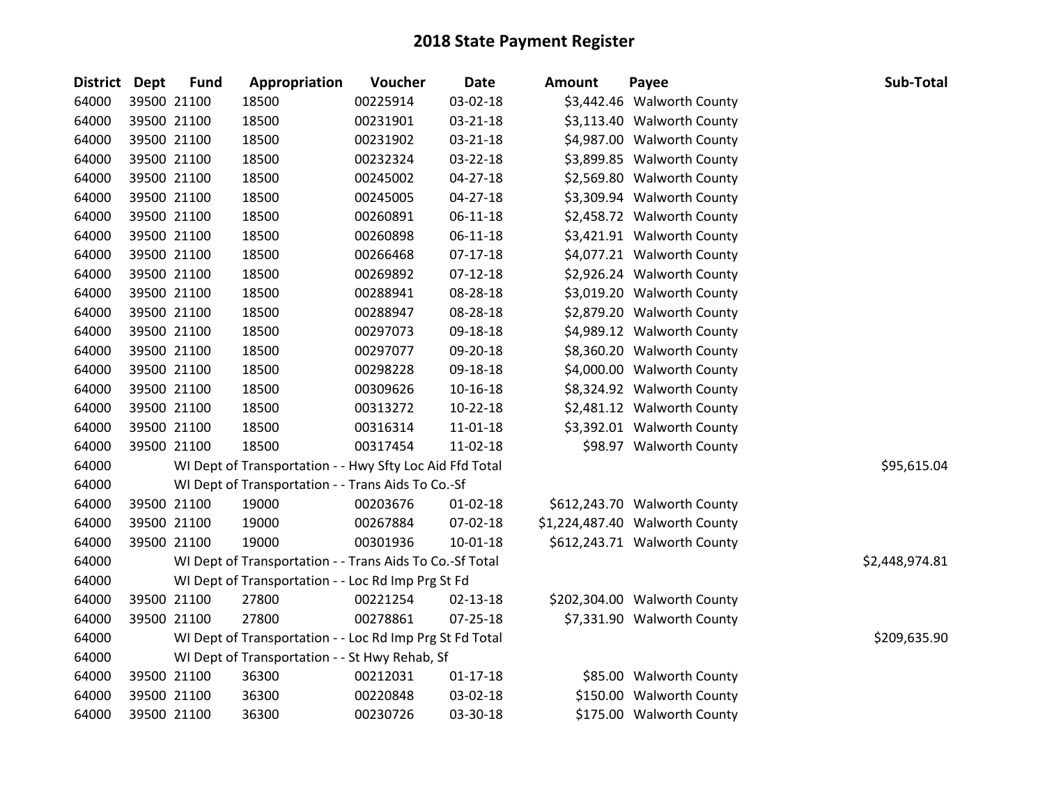| District Dept | <b>Fund</b> | Appropriation                                            | Voucher  | <b>Date</b>    | Amount | Payee                          | Sub-Total      |
|---------------|-------------|----------------------------------------------------------|----------|----------------|--------|--------------------------------|----------------|
| 64000         | 39500 21100 | 18500                                                    | 00225914 | 03-02-18       |        | \$3,442.46 Walworth County     |                |
| 64000         | 39500 21100 | 18500                                                    | 00231901 | 03-21-18       |        | \$3,113.40 Walworth County     |                |
| 64000         | 39500 21100 | 18500                                                    | 00231902 | 03-21-18       |        | \$4,987.00 Walworth County     |                |
| 64000         | 39500 21100 | 18500                                                    | 00232324 | 03-22-18       |        | \$3,899.85 Walworth County     |                |
| 64000         | 39500 21100 | 18500                                                    | 00245002 | 04-27-18       |        | \$2,569.80 Walworth County     |                |
| 64000         | 39500 21100 | 18500                                                    | 00245005 | 04-27-18       |        | \$3,309.94 Walworth County     |                |
| 64000         | 39500 21100 | 18500                                                    | 00260891 | $06-11-18$     |        | \$2,458.72 Walworth County     |                |
| 64000         | 39500 21100 | 18500                                                    | 00260898 | 06-11-18       |        | \$3,421.91 Walworth County     |                |
| 64000         | 39500 21100 | 18500                                                    | 00266468 | $07-17-18$     |        | \$4,077.21 Walworth County     |                |
| 64000         | 39500 21100 | 18500                                                    | 00269892 | $07-12-18$     |        | \$2,926.24 Walworth County     |                |
| 64000         | 39500 21100 | 18500                                                    | 00288941 | 08-28-18       |        | \$3,019.20 Walworth County     |                |
| 64000         | 39500 21100 | 18500                                                    | 00288947 | 08-28-18       |        | \$2,879.20 Walworth County     |                |
| 64000         | 39500 21100 | 18500                                                    | 00297073 | 09-18-18       |        | \$4,989.12 Walworth County     |                |
| 64000         | 39500 21100 | 18500                                                    | 00297077 | 09-20-18       |        | \$8,360.20 Walworth County     |                |
| 64000         | 39500 21100 | 18500                                                    | 00298228 | 09-18-18       |        | \$4,000.00 Walworth County     |                |
| 64000         | 39500 21100 | 18500                                                    | 00309626 | $10 - 16 - 18$ |        | \$8,324.92 Walworth County     |                |
| 64000         | 39500 21100 | 18500                                                    | 00313272 | $10-22-18$     |        | \$2,481.12 Walworth County     |                |
| 64000         | 39500 21100 | 18500                                                    | 00316314 | 11-01-18       |        | \$3,392.01 Walworth County     |                |
| 64000         | 39500 21100 | 18500                                                    | 00317454 | 11-02-18       |        | \$98.97 Walworth County        |                |
| 64000         |             | WI Dept of Transportation - - Hwy Sfty Loc Aid Ffd Total |          |                |        |                                | \$95,615.04    |
| 64000         |             | WI Dept of Transportation - - Trans Aids To Co.-Sf       |          |                |        |                                |                |
| 64000         | 39500 21100 | 19000                                                    | 00203676 | $01 - 02 - 18$ |        | \$612,243.70 Walworth County   |                |
| 64000         | 39500 21100 | 19000                                                    | 00267884 | 07-02-18       |        | \$1,224,487.40 Walworth County |                |
| 64000         | 39500 21100 | 19000                                                    | 00301936 | $10-01-18$     |        | \$612,243.71 Walworth County   |                |
| 64000         |             | WI Dept of Transportation - - Trans Aids To Co.-Sf Total |          |                |        |                                | \$2,448,974.81 |
| 64000         |             | WI Dept of Transportation - - Loc Rd Imp Prg St Fd       |          |                |        |                                |                |
| 64000         | 39500 21100 | 27800                                                    | 00221254 | 02-13-18       |        | \$202,304.00 Walworth County   |                |
| 64000         | 39500 21100 | 27800                                                    | 00278861 | $07 - 25 - 18$ |        | \$7,331.90 Walworth County     |                |
| 64000         |             | WI Dept of Transportation - - Loc Rd Imp Prg St Fd Total |          |                |        |                                | \$209,635.90   |
| 64000         |             | WI Dept of Transportation - - St Hwy Rehab, Sf           |          |                |        |                                |                |
| 64000         | 39500 21100 | 36300                                                    | 00212031 | $01 - 17 - 18$ |        | \$85.00 Walworth County        |                |
| 64000         | 39500 21100 | 36300                                                    | 00220848 | 03-02-18       |        | \$150.00 Walworth County       |                |
| 64000         | 39500 21100 | 36300                                                    | 00230726 | 03-30-18       |        | \$175.00 Walworth County       |                |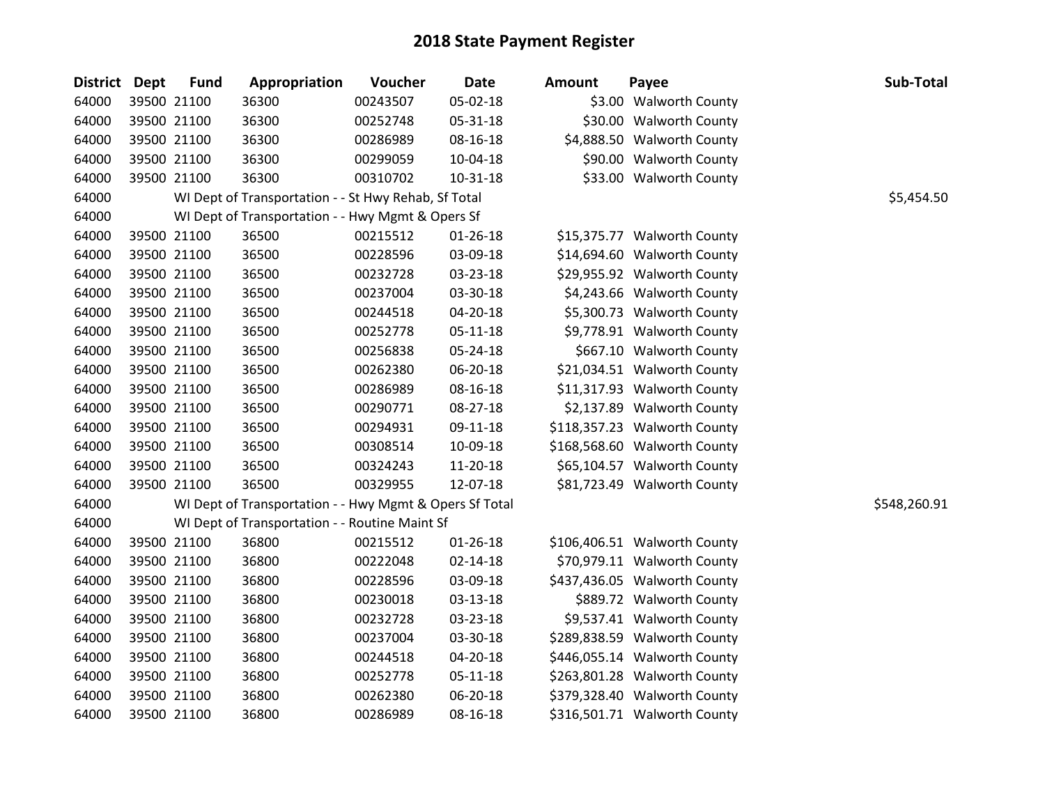| District Dept | <b>Fund</b> | Appropriation                                           | Voucher  | <b>Date</b>    | <b>Amount</b> | Payee                        | Sub-Total    |
|---------------|-------------|---------------------------------------------------------|----------|----------------|---------------|------------------------------|--------------|
| 64000         | 39500 21100 | 36300                                                   | 00243507 | 05-02-18       |               | \$3.00 Walworth County       |              |
| 64000         | 39500 21100 | 36300                                                   | 00252748 | 05-31-18       |               | \$30.00 Walworth County      |              |
| 64000         | 39500 21100 | 36300                                                   | 00286989 | 08-16-18       |               | \$4,888.50 Walworth County   |              |
| 64000         | 39500 21100 | 36300                                                   | 00299059 | 10-04-18       |               | \$90.00 Walworth County      |              |
| 64000         | 39500 21100 | 36300                                                   | 00310702 | 10-31-18       |               | \$33.00 Walworth County      |              |
| 64000         |             | WI Dept of Transportation - - St Hwy Rehab, Sf Total    |          |                |               |                              | \$5,454.50   |
| 64000         |             | WI Dept of Transportation - - Hwy Mgmt & Opers Sf       |          |                |               |                              |              |
| 64000         | 39500 21100 | 36500                                                   | 00215512 | $01 - 26 - 18$ |               | \$15,375.77 Walworth County  |              |
| 64000         | 39500 21100 | 36500                                                   | 00228596 | 03-09-18       |               | \$14,694.60 Walworth County  |              |
| 64000         | 39500 21100 | 36500                                                   | 00232728 | 03-23-18       |               | \$29,955.92 Walworth County  |              |
| 64000         | 39500 21100 | 36500                                                   | 00237004 | 03-30-18       |               | \$4,243.66 Walworth County   |              |
| 64000         | 39500 21100 | 36500                                                   | 00244518 | 04-20-18       |               | \$5,300.73 Walworth County   |              |
| 64000         | 39500 21100 | 36500                                                   | 00252778 | $05 - 11 - 18$ |               | \$9,778.91 Walworth County   |              |
| 64000         | 39500 21100 | 36500                                                   | 00256838 | 05-24-18       |               | \$667.10 Walworth County     |              |
| 64000         | 39500 21100 | 36500                                                   | 00262380 | 06-20-18       |               | \$21,034.51 Walworth County  |              |
| 64000         | 39500 21100 | 36500                                                   | 00286989 | 08-16-18       |               | \$11,317.93 Walworth County  |              |
| 64000         | 39500 21100 | 36500                                                   | 00290771 | 08-27-18       |               | \$2,137.89 Walworth County   |              |
| 64000         | 39500 21100 | 36500                                                   | 00294931 | 09-11-18       |               | \$118,357.23 Walworth County |              |
| 64000         | 39500 21100 | 36500                                                   | 00308514 | 10-09-18       |               | \$168,568.60 Walworth County |              |
| 64000         | 39500 21100 | 36500                                                   | 00324243 | 11-20-18       |               | \$65,104.57 Walworth County  |              |
| 64000         | 39500 21100 | 36500                                                   | 00329955 | 12-07-18       |               | \$81,723.49 Walworth County  |              |
| 64000         |             | WI Dept of Transportation - - Hwy Mgmt & Opers Sf Total |          |                |               |                              | \$548,260.91 |
| 64000         |             | WI Dept of Transportation - - Routine Maint Sf          |          |                |               |                              |              |
| 64000         | 39500 21100 | 36800                                                   | 00215512 | 01-26-18       |               | \$106,406.51 Walworth County |              |
| 64000         | 39500 21100 | 36800                                                   | 00222048 | 02-14-18       |               | \$70,979.11 Walworth County  |              |
| 64000         | 39500 21100 | 36800                                                   | 00228596 | 03-09-18       |               | \$437,436.05 Walworth County |              |
| 64000         | 39500 21100 | 36800                                                   | 00230018 | 03-13-18       |               | \$889.72 Walworth County     |              |
| 64000         | 39500 21100 | 36800                                                   | 00232728 | 03-23-18       |               | \$9,537.41 Walworth County   |              |
| 64000         | 39500 21100 | 36800                                                   | 00237004 | 03-30-18       |               | \$289,838.59 Walworth County |              |
| 64000         | 39500 21100 | 36800                                                   | 00244518 | 04-20-18       |               | \$446,055.14 Walworth County |              |
| 64000         | 39500 21100 | 36800                                                   | 00252778 | 05-11-18       |               | \$263,801.28 Walworth County |              |
| 64000         | 39500 21100 | 36800                                                   | 00262380 | 06-20-18       |               | \$379,328.40 Walworth County |              |
| 64000         | 39500 21100 | 36800                                                   | 00286989 | 08-16-18       |               | \$316,501.71 Walworth County |              |

| uu          | і аусс                      |
|-------------|-----------------------------|
|             | \$3.00 Walworth County      |
|             | \$30.00 Walworth County     |
|             | \$4,888.50 Walworth County  |
|             | \$90.00 Walworth County     |
|             | \$33.00 Walworth County     |
|             |                             |
|             |                             |
|             | \$15,375.77 Walworth County |
|             | \$14,694.60 Walworth County |
|             | \$29,955.92 Walworth County |
| \$4,243.66  | <b>Walworth County</b>      |
| \$5,300.73  | <b>Walworth County</b>      |
| \$9,778.91  | <b>Walworth County</b>      |
| \$667.10    | <b>Walworth County</b>      |
| \$21,034.51 | <b>Walworth County</b>      |
| \$11,317.93 | <b>Walworth County</b>      |
| \$2,137.89  | <b>Walworth County</b>      |
| 118,357.23  | <b>Walworth County</b>      |
| 168,568.60  | <b>Walworth County</b>      |
| \$65,104.57 | <b>Walworth County</b>      |
| \$81,723.49 | <b>Walworth County</b>      |
|             |                             |
|             |                             |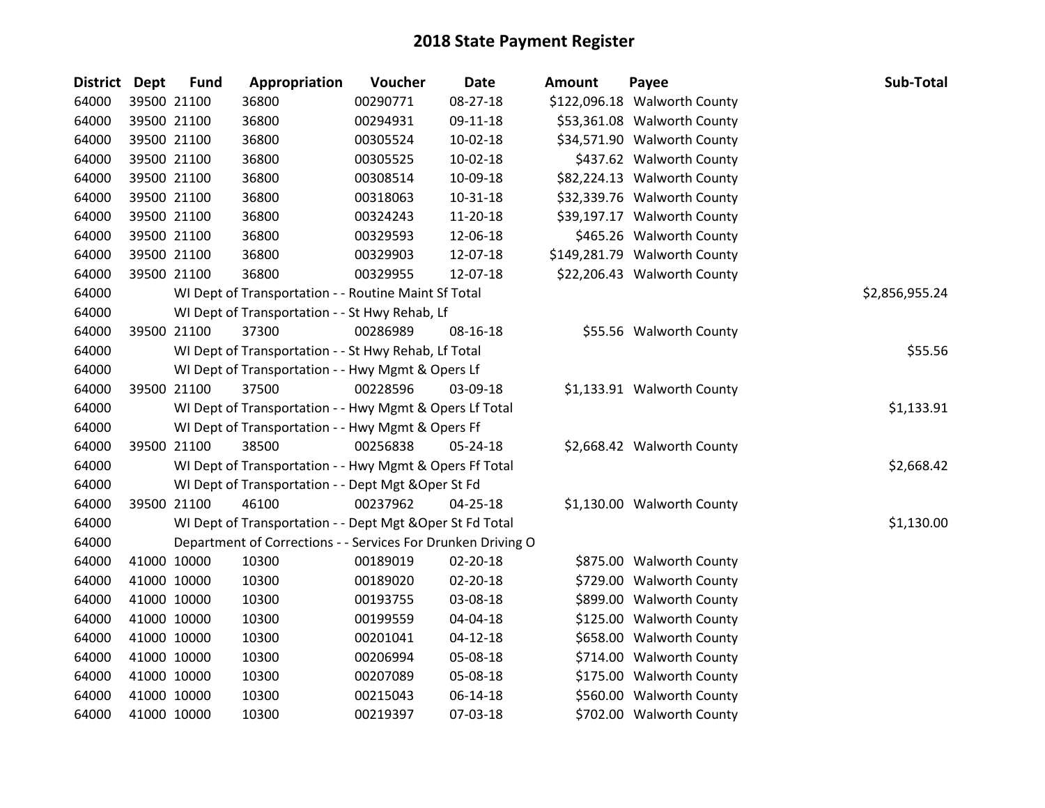| District Dept | <b>Fund</b> | Appropriation                                                | Voucher  | <b>Date</b>    | <b>Amount</b> | Payee                        | Sub-Total      |
|---------------|-------------|--------------------------------------------------------------|----------|----------------|---------------|------------------------------|----------------|
| 64000         | 39500 21100 | 36800                                                        | 00290771 | 08-27-18       |               | \$122,096.18 Walworth County |                |
| 64000         | 39500 21100 | 36800                                                        | 00294931 | 09-11-18       |               | \$53,361.08 Walworth County  |                |
| 64000         | 39500 21100 | 36800                                                        | 00305524 | 10-02-18       |               | \$34,571.90 Walworth County  |                |
| 64000         | 39500 21100 | 36800                                                        | 00305525 | $10-02-18$     |               | \$437.62 Walworth County     |                |
| 64000         | 39500 21100 | 36800                                                        | 00308514 | 10-09-18       |               | \$82,224.13 Walworth County  |                |
| 64000         | 39500 21100 | 36800                                                        | 00318063 | $10 - 31 - 18$ |               | \$32,339.76 Walworth County  |                |
| 64000         | 39500 21100 | 36800                                                        | 00324243 | 11-20-18       |               | \$39,197.17 Walworth County  |                |
| 64000         | 39500 21100 | 36800                                                        | 00329593 | 12-06-18       |               | \$465.26 Walworth County     |                |
| 64000         | 39500 21100 | 36800                                                        | 00329903 | 12-07-18       |               | \$149,281.79 Walworth County |                |
| 64000         | 39500 21100 | 36800                                                        | 00329955 | 12-07-18       |               | \$22,206.43 Walworth County  |                |
| 64000         |             | WI Dept of Transportation - - Routine Maint Sf Total         |          |                |               |                              | \$2,856,955.24 |
| 64000         |             | WI Dept of Transportation - - St Hwy Rehab, Lf               |          |                |               |                              |                |
| 64000         | 39500 21100 | 37300                                                        | 00286989 | 08-16-18       |               | \$55.56 Walworth County      |                |
| 64000         |             | WI Dept of Transportation - - St Hwy Rehab, Lf Total         |          |                |               |                              | \$55.56        |
| 64000         |             | WI Dept of Transportation - - Hwy Mgmt & Opers Lf            |          |                |               |                              |                |
| 64000         | 39500 21100 | 37500                                                        | 00228596 | 03-09-18       |               | \$1,133.91 Walworth County   |                |
| 64000         |             | WI Dept of Transportation - - Hwy Mgmt & Opers Lf Total      |          |                |               |                              | \$1,133.91     |
| 64000         |             | WI Dept of Transportation - - Hwy Mgmt & Opers Ff            |          |                |               |                              |                |
| 64000         | 39500 21100 | 38500                                                        | 00256838 | 05-24-18       |               | \$2,668.42 Walworth County   |                |
| 64000         |             | WI Dept of Transportation - - Hwy Mgmt & Opers Ff Total      |          |                |               |                              | \$2,668.42     |
| 64000         |             | WI Dept of Transportation - - Dept Mgt & Oper St Fd          |          |                |               |                              |                |
| 64000         | 39500 21100 | 46100                                                        | 00237962 | 04-25-18       |               | \$1,130.00 Walworth County   |                |
| 64000         |             | WI Dept of Transportation - - Dept Mgt & Oper St Fd Total    |          |                |               |                              | \$1,130.00     |
| 64000         |             | Department of Corrections - - Services For Drunken Driving O |          |                |               |                              |                |
| 64000         | 41000 10000 | 10300                                                        | 00189019 | 02-20-18       |               | \$875.00 Walworth County     |                |
| 64000         | 41000 10000 | 10300                                                        | 00189020 | 02-20-18       |               | \$729.00 Walworth County     |                |
| 64000         | 41000 10000 | 10300                                                        | 00193755 | 03-08-18       |               | \$899.00 Walworth County     |                |
| 64000         | 41000 10000 | 10300                                                        | 00199559 | 04-04-18       |               | \$125.00 Walworth County     |                |
| 64000         | 41000 10000 | 10300                                                        | 00201041 | $04 - 12 - 18$ |               | \$658.00 Walworth County     |                |
| 64000         | 41000 10000 | 10300                                                        | 00206994 | 05-08-18       |               | \$714.00 Walworth County     |                |
| 64000         | 41000 10000 | 10300                                                        | 00207089 | 05-08-18       |               | \$175.00 Walworth County     |                |
| 64000         | 41000 10000 | 10300                                                        | 00215043 | 06-14-18       |               | \$560.00 Walworth County     |                |
| 64000         | 41000 10000 | 10300                                                        | 00219397 | 07-03-18       |               | \$702.00 Walworth County     |                |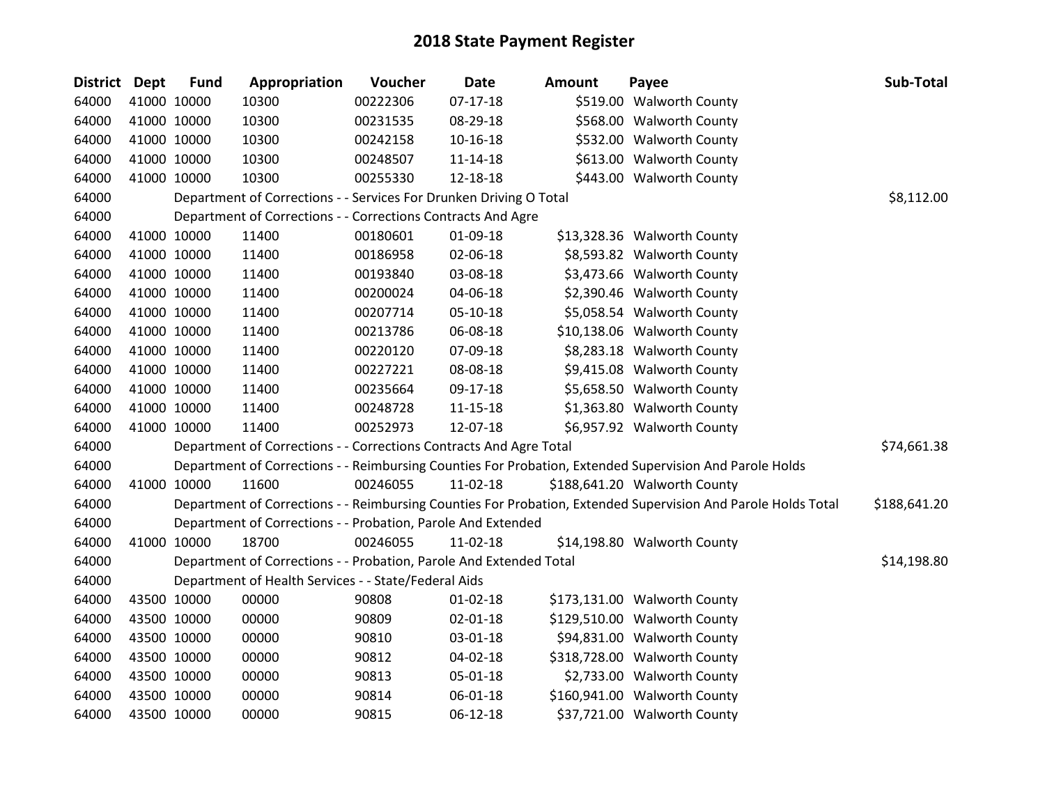| District Dept |             | <b>Fund</b> | Appropriation                                                      | Voucher  | <b>Date</b>    | <b>Amount</b> | Payee                                                                                                         | Sub-Total    |
|---------------|-------------|-------------|--------------------------------------------------------------------|----------|----------------|---------------|---------------------------------------------------------------------------------------------------------------|--------------|
| 64000         |             | 41000 10000 | 10300                                                              | 00222306 | $07-17-18$     |               | \$519.00 Walworth County                                                                                      |              |
| 64000         |             | 41000 10000 | 10300                                                              | 00231535 | 08-29-18       |               | \$568.00 Walworth County                                                                                      |              |
| 64000         |             | 41000 10000 | 10300                                                              | 00242158 | $10-16-18$     |               | \$532.00 Walworth County                                                                                      |              |
| 64000         |             | 41000 10000 | 10300                                                              | 00248507 | $11 - 14 - 18$ |               | \$613.00 Walworth County                                                                                      |              |
| 64000         |             | 41000 10000 | 10300                                                              | 00255330 | 12-18-18       |               | \$443.00 Walworth County                                                                                      |              |
| 64000         |             |             | Department of Corrections - - Services For Drunken Driving O Total |          |                |               |                                                                                                               | \$8,112.00   |
| 64000         |             |             | Department of Corrections - - Corrections Contracts And Agre       |          |                |               |                                                                                                               |              |
| 64000         |             | 41000 10000 | 11400                                                              | 00180601 | 01-09-18       |               | \$13,328.36 Walworth County                                                                                   |              |
| 64000         |             | 41000 10000 | 11400                                                              | 00186958 | 02-06-18       |               | \$8,593.82 Walworth County                                                                                    |              |
| 64000         |             | 41000 10000 | 11400                                                              | 00193840 | 03-08-18       |               | \$3,473.66 Walworth County                                                                                    |              |
| 64000         |             | 41000 10000 | 11400                                                              | 00200024 | 04-06-18       |               | \$2,390.46 Walworth County                                                                                    |              |
| 64000         |             | 41000 10000 | 11400                                                              | 00207714 | 05-10-18       |               | \$5,058.54 Walworth County                                                                                    |              |
| 64000         |             | 41000 10000 | 11400                                                              | 00213786 | 06-08-18       |               | \$10,138.06 Walworth County                                                                                   |              |
| 64000         |             | 41000 10000 | 11400                                                              | 00220120 | 07-09-18       |               | \$8,283.18 Walworth County                                                                                    |              |
| 64000         |             | 41000 10000 | 11400                                                              | 00227221 | 08-08-18       |               | \$9,415.08 Walworth County                                                                                    |              |
| 64000         |             | 41000 10000 | 11400                                                              | 00235664 | 09-17-18       |               | \$5,658.50 Walworth County                                                                                    |              |
| 64000         |             | 41000 10000 | 11400                                                              | 00248728 | $11 - 15 - 18$ |               | \$1,363.80 Walworth County                                                                                    |              |
| 64000         |             | 41000 10000 | 11400                                                              | 00252973 | 12-07-18       |               | \$6,957.92 Walworth County                                                                                    |              |
| 64000         |             |             | Department of Corrections - - Corrections Contracts And Agre Total |          |                |               |                                                                                                               | \$74,661.38  |
| 64000         |             |             |                                                                    |          |                |               | Department of Corrections - - Reimbursing Counties For Probation, Extended Supervision And Parole Holds       |              |
| 64000         |             | 41000 10000 | 11600                                                              | 00246055 | 11-02-18       |               | \$188,641.20 Walworth County                                                                                  |              |
| 64000         |             |             |                                                                    |          |                |               | Department of Corrections - - Reimbursing Counties For Probation, Extended Supervision And Parole Holds Total | \$188,641.20 |
| 64000         |             |             | Department of Corrections - - Probation, Parole And Extended       |          |                |               |                                                                                                               |              |
| 64000         |             | 41000 10000 | 18700                                                              | 00246055 | 11-02-18       |               | \$14,198.80 Walworth County                                                                                   |              |
| 64000         |             |             | Department of Corrections - - Probation, Parole And Extended Total |          |                |               |                                                                                                               | \$14,198.80  |
| 64000         |             |             | Department of Health Services - - State/Federal Aids               |          |                |               |                                                                                                               |              |
| 64000         |             | 43500 10000 | 00000                                                              | 90808    | $01 - 02 - 18$ |               | \$173,131.00 Walworth County                                                                                  |              |
| 64000         |             | 43500 10000 | 00000                                                              | 90809    | $02 - 01 - 18$ |               | \$129,510.00 Walworth County                                                                                  |              |
| 64000         |             | 43500 10000 | 00000                                                              | 90810    | 03-01-18       |               | \$94,831.00 Walworth County                                                                                   |              |
| 64000         |             | 43500 10000 | 00000                                                              | 90812    | 04-02-18       |               | \$318,728.00 Walworth County                                                                                  |              |
| 64000         |             | 43500 10000 | 00000                                                              | 90813    | 05-01-18       |               | \$2,733.00 Walworth County                                                                                    |              |
| 64000         |             | 43500 10000 | 00000                                                              | 90814    | 06-01-18       |               | \$160,941.00 Walworth County                                                                                  |              |
| 64000         | 43500 10000 |             | 00000                                                              | 90815    | $06-12-18$     |               | \$37,721.00 Walworth County                                                                                   |              |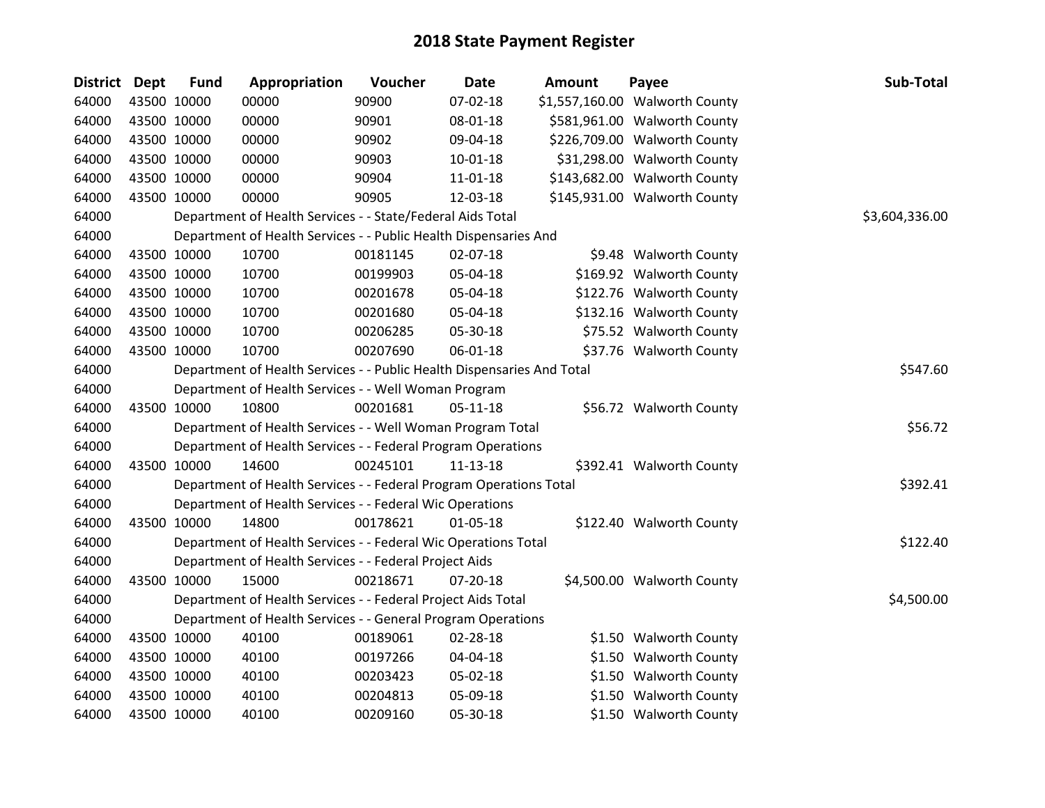| District Dept |             | <b>Fund</b> | Appropriation                                                          | Voucher  | <b>Date</b> | Amount | Payee                          | Sub-Total      |
|---------------|-------------|-------------|------------------------------------------------------------------------|----------|-------------|--------|--------------------------------|----------------|
| 64000         |             | 43500 10000 | 00000                                                                  | 90900    | 07-02-18    |        | \$1,557,160.00 Walworth County |                |
| 64000         |             | 43500 10000 | 00000                                                                  | 90901    | 08-01-18    |        | \$581,961.00 Walworth County   |                |
| 64000         |             | 43500 10000 | 00000                                                                  | 90902    | 09-04-18    |        | \$226,709.00 Walworth County   |                |
| 64000         |             | 43500 10000 | 00000                                                                  | 90903    | 10-01-18    |        | \$31,298.00 Walworth County    |                |
| 64000         |             | 43500 10000 | 00000                                                                  | 90904    | 11-01-18    |        | \$143,682.00 Walworth County   |                |
| 64000         |             | 43500 10000 | 00000                                                                  | 90905    | 12-03-18    |        | \$145,931.00 Walworth County   |                |
| 64000         |             |             | Department of Health Services - - State/Federal Aids Total             |          |             |        |                                | \$3,604,336.00 |
| 64000         |             |             | Department of Health Services - - Public Health Dispensaries And       |          |             |        |                                |                |
| 64000         |             | 43500 10000 | 10700                                                                  | 00181145 | 02-07-18    |        | \$9.48 Walworth County         |                |
| 64000         |             | 43500 10000 | 10700                                                                  | 00199903 | 05-04-18    |        | \$169.92 Walworth County       |                |
| 64000         |             | 43500 10000 | 10700                                                                  | 00201678 | 05-04-18    |        | \$122.76 Walworth County       |                |
| 64000         |             | 43500 10000 | 10700                                                                  | 00201680 | 05-04-18    |        | \$132.16 Walworth County       |                |
| 64000         |             | 43500 10000 | 10700                                                                  | 00206285 | 05-30-18    |        | \$75.52 Walworth County        |                |
| 64000         |             | 43500 10000 | 10700                                                                  | 00207690 | 06-01-18    |        | \$37.76 Walworth County        |                |
| 64000         |             |             | Department of Health Services - - Public Health Dispensaries And Total |          |             |        |                                | \$547.60       |
| 64000         |             |             | Department of Health Services - - Well Woman Program                   |          |             |        |                                |                |
| 64000         |             | 43500 10000 | 10800                                                                  | 00201681 | $05-11-18$  |        | \$56.72 Walworth County        |                |
| 64000         |             |             | Department of Health Services - - Well Woman Program Total             |          |             |        |                                | \$56.72        |
| 64000         |             |             | Department of Health Services - - Federal Program Operations           |          |             |        |                                |                |
| 64000         |             | 43500 10000 | 14600                                                                  | 00245101 | 11-13-18    |        | \$392.41 Walworth County       |                |
| 64000         |             |             | Department of Health Services - - Federal Program Operations Total     |          |             |        |                                | \$392.41       |
| 64000         |             |             | Department of Health Services - - Federal Wic Operations               |          |             |        |                                |                |
| 64000         |             | 43500 10000 | 14800                                                                  | 00178621 | 01-05-18    |        | \$122.40 Walworth County       |                |
| 64000         |             |             | Department of Health Services - - Federal Wic Operations Total         |          |             |        |                                | \$122.40       |
| 64000         |             |             | Department of Health Services - - Federal Project Aids                 |          |             |        |                                |                |
| 64000         |             | 43500 10000 | 15000                                                                  | 00218671 | 07-20-18    |        | \$4,500.00 Walworth County     |                |
| 64000         |             |             | Department of Health Services - - Federal Project Aids Total           |          |             |        |                                | \$4,500.00     |
| 64000         |             |             | Department of Health Services - - General Program Operations           |          |             |        |                                |                |
| 64000         |             | 43500 10000 | 40100                                                                  | 00189061 | 02-28-18    |        | \$1.50 Walworth County         |                |
| 64000         |             | 43500 10000 | 40100                                                                  | 00197266 | 04-04-18    |        | \$1.50 Walworth County         |                |
| 64000         |             | 43500 10000 | 40100                                                                  | 00203423 | 05-02-18    |        | \$1.50 Walworth County         |                |
| 64000         |             | 43500 10000 | 40100                                                                  | 00204813 | 05-09-18    |        | \$1.50 Walworth County         |                |
| 64000         | 43500 10000 |             | 40100                                                                  | 00209160 | 05-30-18    |        | \$1.50 Walworth County         |                |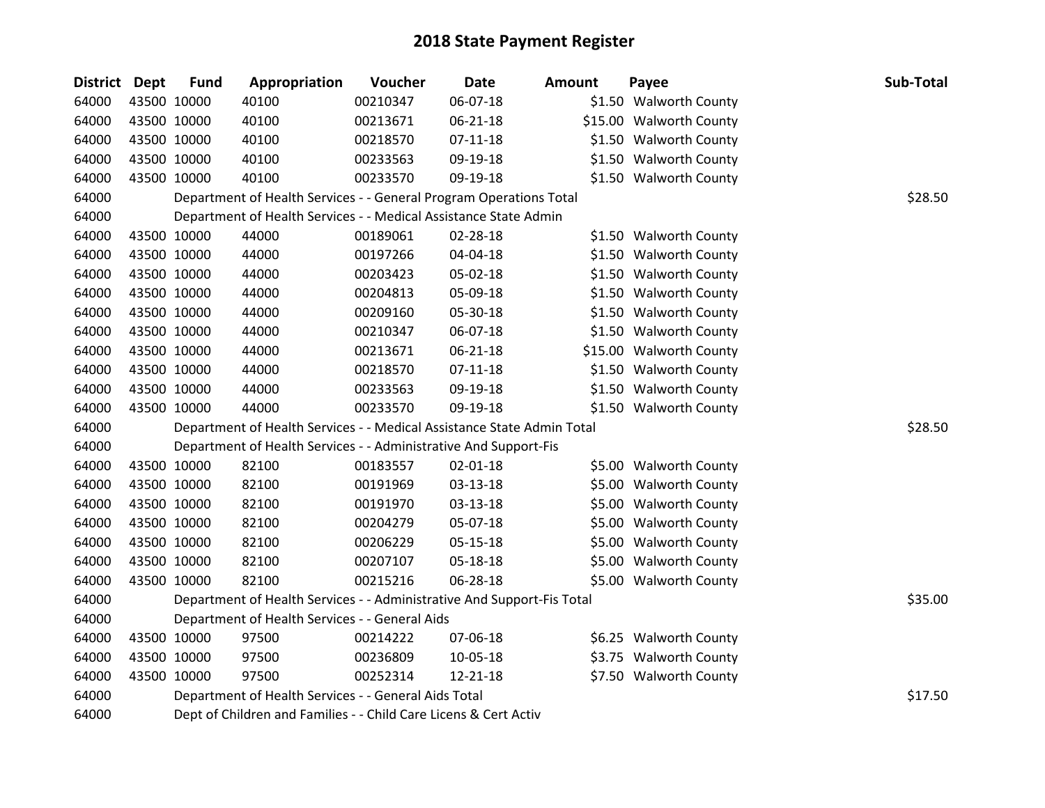| <b>District Dept</b> | <b>Fund</b> | Appropriation                                                          | Voucher  | <b>Date</b>    | Amount | Payee                   | Sub-Total |
|----------------------|-------------|------------------------------------------------------------------------|----------|----------------|--------|-------------------------|-----------|
| 64000                | 43500 10000 | 40100                                                                  | 00210347 | 06-07-18       |        | \$1.50 Walworth County  |           |
| 64000                | 43500 10000 | 40100                                                                  | 00213671 | $06 - 21 - 18$ |        | \$15.00 Walworth County |           |
| 64000                | 43500 10000 | 40100                                                                  | 00218570 | $07 - 11 - 18$ |        | \$1.50 Walworth County  |           |
| 64000                | 43500 10000 | 40100                                                                  | 00233563 | 09-19-18       |        | \$1.50 Walworth County  |           |
| 64000                | 43500 10000 | 40100                                                                  | 00233570 | 09-19-18       |        | \$1.50 Walworth County  |           |
| 64000                |             | Department of Health Services - - General Program Operations Total     |          |                |        |                         | \$28.50   |
| 64000                |             | Department of Health Services - - Medical Assistance State Admin       |          |                |        |                         |           |
| 64000                | 43500 10000 | 44000                                                                  | 00189061 | 02-28-18       |        | \$1.50 Walworth County  |           |
| 64000                | 43500 10000 | 44000                                                                  | 00197266 | 04-04-18       |        | \$1.50 Walworth County  |           |
| 64000                | 43500 10000 | 44000                                                                  | 00203423 | 05-02-18       |        | \$1.50 Walworth County  |           |
| 64000                | 43500 10000 | 44000                                                                  | 00204813 | 05-09-18       |        | \$1.50 Walworth County  |           |
| 64000                | 43500 10000 | 44000                                                                  | 00209160 | 05-30-18       |        | \$1.50 Walworth County  |           |
| 64000                | 43500 10000 | 44000                                                                  | 00210347 | 06-07-18       |        | \$1.50 Walworth County  |           |
| 64000                | 43500 10000 | 44000                                                                  | 00213671 | 06-21-18       |        | \$15.00 Walworth County |           |
| 64000                | 43500 10000 | 44000                                                                  | 00218570 | $07 - 11 - 18$ |        | \$1.50 Walworth County  |           |
| 64000                | 43500 10000 | 44000                                                                  | 00233563 | 09-19-18       |        | \$1.50 Walworth County  |           |
| 64000                | 43500 10000 | 44000                                                                  | 00233570 | 09-19-18       |        | \$1.50 Walworth County  |           |
| 64000                |             | Department of Health Services - - Medical Assistance State Admin Total |          |                |        |                         | \$28.50   |
| 64000                |             | Department of Health Services - - Administrative And Support-Fis       |          |                |        |                         |           |
| 64000                | 43500 10000 | 82100                                                                  | 00183557 | 02-01-18       |        | \$5.00 Walworth County  |           |
| 64000                | 43500 10000 | 82100                                                                  | 00191969 | 03-13-18       |        | \$5.00 Walworth County  |           |
| 64000                | 43500 10000 | 82100                                                                  | 00191970 | 03-13-18       |        | \$5.00 Walworth County  |           |
| 64000                | 43500 10000 | 82100                                                                  | 00204279 | 05-07-18       |        | \$5.00 Walworth County  |           |
| 64000                | 43500 10000 | 82100                                                                  | 00206229 | 05-15-18       |        | \$5.00 Walworth County  |           |
| 64000                | 43500 10000 | 82100                                                                  | 00207107 | 05-18-18       |        | \$5.00 Walworth County  |           |
| 64000                | 43500 10000 | 82100                                                                  | 00215216 | 06-28-18       |        | \$5.00 Walworth County  |           |
| 64000                |             | Department of Health Services - - Administrative And Support-Fis Total |          |                |        |                         | \$35.00   |
| 64000                |             | Department of Health Services - - General Aids                         |          |                |        |                         |           |
| 64000                | 43500 10000 | 97500                                                                  | 00214222 | 07-06-18       |        | \$6.25 Walworth County  |           |
| 64000                | 43500 10000 | 97500                                                                  | 00236809 | 10-05-18       |        | \$3.75 Walworth County  |           |
| 64000                | 43500 10000 | 97500                                                                  | 00252314 | 12-21-18       |        | \$7.50 Walworth County  |           |
| 64000                |             | Department of Health Services - - General Aids Total                   |          |                |        |                         | \$17.50   |
| 64000                |             | Dept of Children and Families - - Child Care Licens & Cert Activ       |          |                |        |                         |           |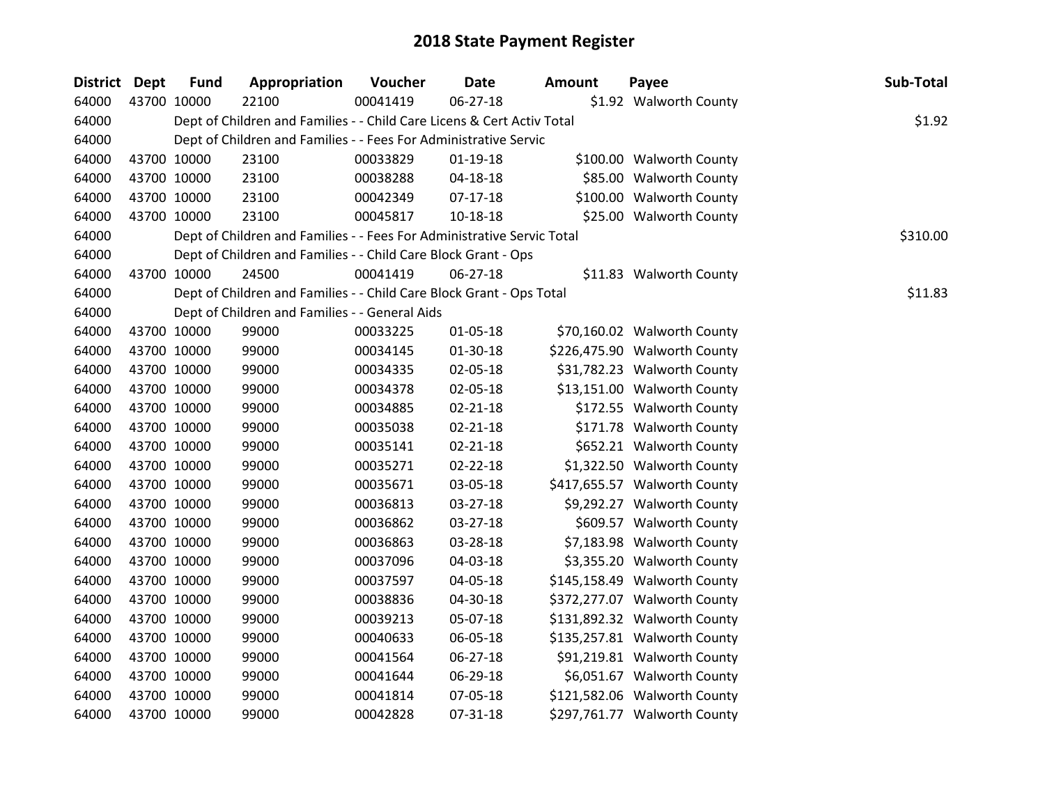| <b>District Dept</b> |             | <b>Fund</b> | Appropriation                                                          | Voucher  | Date           | <b>Amount</b> | Payee                        | Sub-Total |
|----------------------|-------------|-------------|------------------------------------------------------------------------|----------|----------------|---------------|------------------------------|-----------|
| 64000                | 43700 10000 |             | 22100                                                                  | 00041419 | 06-27-18       |               | \$1.92 Walworth County       |           |
| 64000                |             |             | Dept of Children and Families - - Child Care Licens & Cert Activ Total |          |                |               |                              | \$1.92    |
| 64000                |             |             | Dept of Children and Families - - Fees For Administrative Servic       |          |                |               |                              |           |
| 64000                |             | 43700 10000 | 23100                                                                  | 00033829 | $01-19-18$     |               | \$100.00 Walworth County     |           |
| 64000                |             | 43700 10000 | 23100                                                                  | 00038288 | 04-18-18       |               | \$85.00 Walworth County      |           |
| 64000                | 43700 10000 |             | 23100                                                                  | 00042349 | $07 - 17 - 18$ |               | \$100.00 Walworth County     |           |
| 64000                | 43700 10000 |             | 23100                                                                  | 00045817 | $10 - 18 - 18$ |               | \$25.00 Walworth County      |           |
| 64000                |             |             | Dept of Children and Families - - Fees For Administrative Servic Total |          |                |               |                              | \$310.00  |
| 64000                |             |             | Dept of Children and Families - - Child Care Block Grant - Ops         |          |                |               |                              |           |
| 64000                |             | 43700 10000 | 24500                                                                  | 00041419 | 06-27-18       |               | \$11.83 Walworth County      |           |
| 64000                |             |             | Dept of Children and Families - - Child Care Block Grant - Ops Total   |          |                |               |                              | \$11.83   |
| 64000                |             |             | Dept of Children and Families - - General Aids                         |          |                |               |                              |           |
| 64000                |             | 43700 10000 | 99000                                                                  | 00033225 | $01 - 05 - 18$ |               | \$70,160.02 Walworth County  |           |
| 64000                | 43700 10000 |             | 99000                                                                  | 00034145 | 01-30-18       |               | \$226,475.90 Walworth County |           |
| 64000                | 43700 10000 |             | 99000                                                                  | 00034335 | 02-05-18       |               | \$31,782.23 Walworth County  |           |
| 64000                | 43700 10000 |             | 99000                                                                  | 00034378 | 02-05-18       |               | \$13,151.00 Walworth County  |           |
| 64000                |             | 43700 10000 | 99000                                                                  | 00034885 | 02-21-18       |               | \$172.55 Walworth County     |           |
| 64000                |             | 43700 10000 | 99000                                                                  | 00035038 | $02 - 21 - 18$ |               | \$171.78 Walworth County     |           |
| 64000                | 43700 10000 |             | 99000                                                                  | 00035141 | $02 - 21 - 18$ |               | \$652.21 Walworth County     |           |
| 64000                | 43700 10000 |             | 99000                                                                  | 00035271 | 02-22-18       |               | \$1,322.50 Walworth County   |           |
| 64000                | 43700 10000 |             | 99000                                                                  | 00035671 | 03-05-18       |               | \$417,655.57 Walworth County |           |
| 64000                |             | 43700 10000 | 99000                                                                  | 00036813 | 03-27-18       |               | \$9,292.27 Walworth County   |           |
| 64000                |             | 43700 10000 | 99000                                                                  | 00036862 | 03-27-18       |               | \$609.57 Walworth County     |           |
| 64000                | 43700 10000 |             | 99000                                                                  | 00036863 | 03-28-18       |               | \$7,183.98 Walworth County   |           |
| 64000                | 43700 10000 |             | 99000                                                                  | 00037096 | 04-03-18       |               | \$3,355.20 Walworth County   |           |
| 64000                | 43700 10000 |             | 99000                                                                  | 00037597 | 04-05-18       |               | \$145,158.49 Walworth County |           |
| 64000                |             | 43700 10000 | 99000                                                                  | 00038836 | 04-30-18       |               | \$372,277.07 Walworth County |           |
| 64000                | 43700 10000 |             | 99000                                                                  | 00039213 | 05-07-18       |               | \$131,892.32 Walworth County |           |
| 64000                | 43700 10000 |             | 99000                                                                  | 00040633 | 06-05-18       |               | \$135,257.81 Walworth County |           |
| 64000                | 43700 10000 |             | 99000                                                                  | 00041564 | 06-27-18       |               | \$91,219.81 Walworth County  |           |
| 64000                | 43700 10000 |             | 99000                                                                  | 00041644 | 06-29-18       |               | \$6,051.67 Walworth County   |           |
| 64000                | 43700 10000 |             | 99000                                                                  | 00041814 | 07-05-18       |               | \$121,582.06 Walworth County |           |
| 64000                | 43700 10000 |             | 99000                                                                  | 00042828 | 07-31-18       |               | \$297,761.77 Walworth County |           |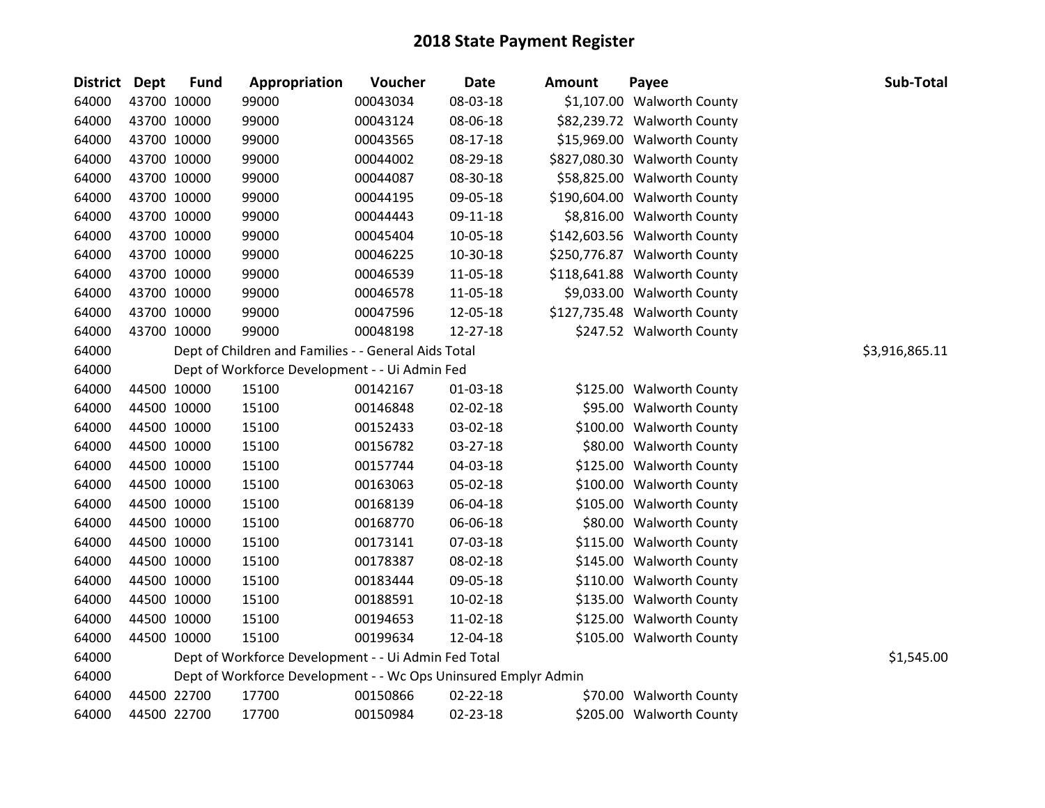| District Dept |             | <b>Fund</b> | Appropriation                                                   | Voucher  | <b>Date</b> | <b>Amount</b> | Payee                        | Sub-Total      |
|---------------|-------------|-------------|-----------------------------------------------------------------|----------|-------------|---------------|------------------------------|----------------|
| 64000         | 43700 10000 |             | 99000                                                           | 00043034 | 08-03-18    |               | \$1,107.00 Walworth County   |                |
| 64000         | 43700 10000 |             | 99000                                                           | 00043124 | 08-06-18    |               | \$82,239.72 Walworth County  |                |
| 64000         |             | 43700 10000 | 99000                                                           | 00043565 | 08-17-18    |               | \$15,969.00 Walworth County  |                |
| 64000         | 43700 10000 |             | 99000                                                           | 00044002 | 08-29-18    |               | \$827,080.30 Walworth County |                |
| 64000         | 43700 10000 |             | 99000                                                           | 00044087 | 08-30-18    |               | \$58,825.00 Walworth County  |                |
| 64000         | 43700 10000 |             | 99000                                                           | 00044195 | 09-05-18    |               | \$190,604.00 Walworth County |                |
| 64000         |             | 43700 10000 | 99000                                                           | 00044443 | 09-11-18    |               | \$8,816.00 Walworth County   |                |
| 64000         |             | 43700 10000 | 99000                                                           | 00045404 | 10-05-18    |               | \$142,603.56 Walworth County |                |
| 64000         | 43700 10000 |             | 99000                                                           | 00046225 | 10-30-18    |               | \$250,776.87 Walworth County |                |
| 64000         |             | 43700 10000 | 99000                                                           | 00046539 | 11-05-18    |               | \$118,641.88 Walworth County |                |
| 64000         |             | 43700 10000 | 99000                                                           | 00046578 | 11-05-18    |               | \$9,033.00 Walworth County   |                |
| 64000         |             | 43700 10000 | 99000                                                           | 00047596 | 12-05-18    |               | \$127,735.48 Walworth County |                |
| 64000         | 43700 10000 |             | 99000                                                           | 00048198 | 12-27-18    |               | \$247.52 Walworth County     |                |
| 64000         |             |             | Dept of Children and Families - - General Aids Total            |          |             |               |                              | \$3,916,865.11 |
| 64000         |             |             | Dept of Workforce Development - - Ui Admin Fed                  |          |             |               |                              |                |
| 64000         |             | 44500 10000 | 15100                                                           | 00142167 | 01-03-18    |               | \$125.00 Walworth County     |                |
| 64000         |             | 44500 10000 | 15100                                                           | 00146848 | 02-02-18    |               | \$95.00 Walworth County      |                |
| 64000         |             | 44500 10000 | 15100                                                           | 00152433 | 03-02-18    |               | \$100.00 Walworth County     |                |
| 64000         |             | 44500 10000 | 15100                                                           | 00156782 | 03-27-18    |               | \$80.00 Walworth County      |                |
| 64000         |             | 44500 10000 | 15100                                                           | 00157744 | 04-03-18    |               | \$125.00 Walworth County     |                |
| 64000         |             | 44500 10000 | 15100                                                           | 00163063 | 05-02-18    |               | \$100.00 Walworth County     |                |
| 64000         |             | 44500 10000 | 15100                                                           | 00168139 | 06-04-18    |               | \$105.00 Walworth County     |                |
| 64000         |             | 44500 10000 | 15100                                                           | 00168770 | 06-06-18    |               | \$80.00 Walworth County      |                |
| 64000         | 44500 10000 |             | 15100                                                           | 00173141 | 07-03-18    |               | \$115.00 Walworth County     |                |
| 64000         | 44500 10000 |             | 15100                                                           | 00178387 | 08-02-18    |               | \$145.00 Walworth County     |                |
| 64000         |             | 44500 10000 | 15100                                                           | 00183444 | 09-05-18    |               | \$110.00 Walworth County     |                |
| 64000         |             | 44500 10000 | 15100                                                           | 00188591 | 10-02-18    |               | \$135.00 Walworth County     |                |
| 64000         |             | 44500 10000 | 15100                                                           | 00194653 | 11-02-18    |               | \$125.00 Walworth County     |                |
| 64000         | 44500 10000 |             | 15100                                                           | 00199634 | 12-04-18    |               | \$105.00 Walworth County     |                |
| 64000         |             |             | Dept of Workforce Development - - Ui Admin Fed Total            |          |             |               |                              | \$1,545.00     |
| 64000         |             |             | Dept of Workforce Development - - Wc Ops Uninsured Emplyr Admin |          |             |               |                              |                |
| 64000         | 44500 22700 |             | 17700                                                           | 00150866 | 02-22-18    |               | \$70.00 Walworth County      |                |
| 64000         | 44500 22700 |             | 17700                                                           | 00150984 | 02-23-18    |               | \$205.00 Walworth County     |                |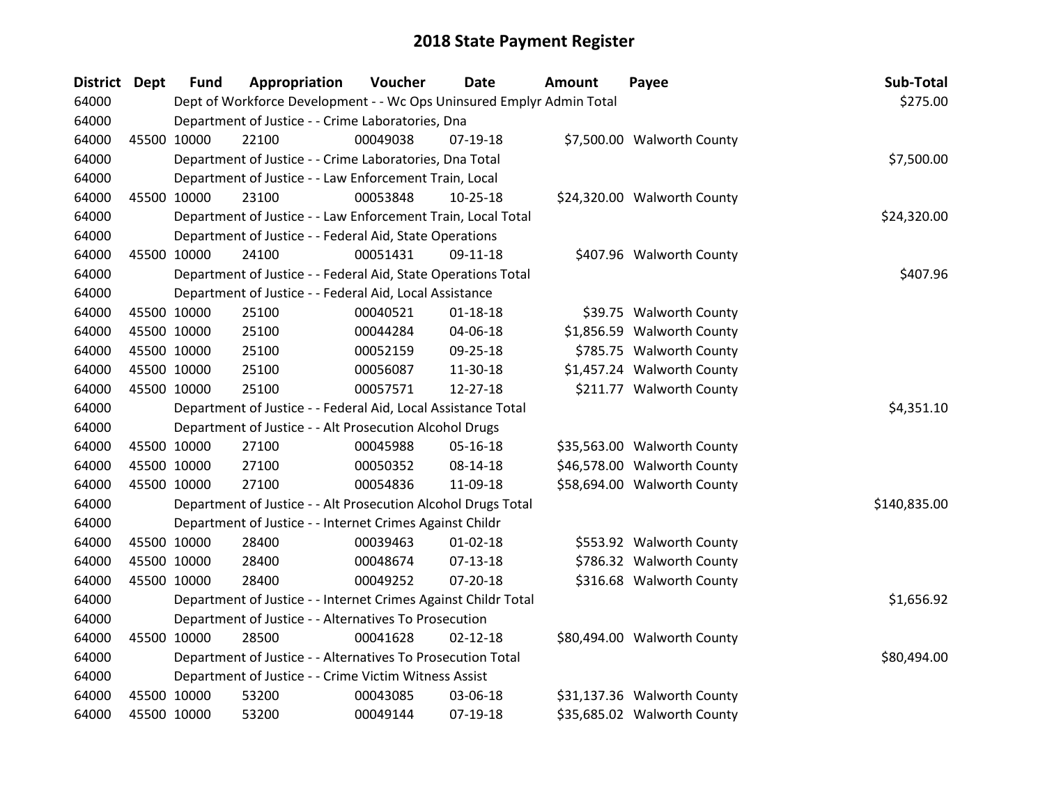| District Dept |             | <b>Fund</b>                                           | Appropriation                                                         | Voucher     | <b>Date</b>    | <b>Amount</b> | Payee                       | Sub-Total    |
|---------------|-------------|-------------------------------------------------------|-----------------------------------------------------------------------|-------------|----------------|---------------|-----------------------------|--------------|
| 64000         |             |                                                       | Dept of Workforce Development - - Wc Ops Uninsured Emplyr Admin Total |             |                |               |                             | \$275.00     |
| 64000         |             |                                                       | Department of Justice - - Crime Laboratories, Dna                     |             |                |               |                             |              |
| 64000         |             | 45500 10000                                           | 22100                                                                 | 00049038    | 07-19-18       |               | \$7,500.00 Walworth County  |              |
| 64000         |             |                                                       | Department of Justice - - Crime Laboratories, Dna Total               |             |                |               |                             | \$7,500.00   |
| 64000         |             |                                                       | Department of Justice - - Law Enforcement Train, Local                |             |                |               |                             |              |
| 64000         |             | 45500 10000                                           | 23100                                                                 | 00053848    | $10-25-18$     |               | \$24,320.00 Walworth County |              |
| 64000         |             |                                                       | Department of Justice - - Law Enforcement Train, Local Total          | \$24,320.00 |                |               |                             |              |
| 64000         |             |                                                       | Department of Justice - - Federal Aid, State Operations               |             |                |               |                             |              |
| 64000         | 45500 10000 |                                                       | 24100                                                                 | 00051431    | 09-11-18       |               | \$407.96 Walworth County    |              |
| 64000         |             |                                                       | Department of Justice - - Federal Aid, State Operations Total         |             |                |               |                             | \$407.96     |
| 64000         |             |                                                       | Department of Justice - - Federal Aid, Local Assistance               |             |                |               |                             |              |
| 64000         |             | 45500 10000                                           | 25100                                                                 | 00040521    | $01 - 18 - 18$ |               | \$39.75 Walworth County     |              |
| 64000         |             | 45500 10000                                           | 25100                                                                 | 00044284    | 04-06-18       |               | \$1,856.59 Walworth County  |              |
| 64000         | 45500 10000 |                                                       | 25100                                                                 | 00052159    | 09-25-18       |               | \$785.75 Walworth County    |              |
| 64000         |             | 45500 10000                                           | 25100                                                                 | 00056087    | 11-30-18       |               | \$1,457.24 Walworth County  |              |
| 64000         |             | 45500 10000                                           | 25100                                                                 | 00057571    | 12-27-18       |               | \$211.77 Walworth County    |              |
| 64000         |             |                                                       | Department of Justice - - Federal Aid, Local Assistance Total         |             |                |               |                             | \$4,351.10   |
| 64000         |             |                                                       | Department of Justice - - Alt Prosecution Alcohol Drugs               |             |                |               |                             |              |
| 64000         |             | 45500 10000                                           | 27100                                                                 | 00045988    | 05-16-18       |               | \$35,563.00 Walworth County |              |
| 64000         |             | 45500 10000                                           | 27100                                                                 | 00050352    | 08-14-18       |               | \$46,578.00 Walworth County |              |
| 64000         |             | 45500 10000                                           | 27100                                                                 | 00054836    | 11-09-18       |               | \$58,694.00 Walworth County |              |
| 64000         |             |                                                       | Department of Justice - - Alt Prosecution Alcohol Drugs Total         |             |                |               |                             | \$140,835.00 |
| 64000         |             |                                                       | Department of Justice - - Internet Crimes Against Childr              |             |                |               |                             |              |
| 64000         |             | 45500 10000                                           | 28400                                                                 | 00039463    | $01 - 02 - 18$ |               | \$553.92 Walworth County    |              |
| 64000         |             | 45500 10000                                           | 28400                                                                 | 00048674    | $07-13-18$     |               | \$786.32 Walworth County    |              |
| 64000         |             | 45500 10000                                           | 28400                                                                 | 00049252    | 07-20-18       |               | \$316.68 Walworth County    |              |
| 64000         |             |                                                       | Department of Justice - - Internet Crimes Against Childr Total        |             |                |               |                             | \$1,656.92   |
| 64000         |             | Department of Justice - - Alternatives To Prosecution |                                                                       |             |                |               |                             |              |
| 64000         |             | 45500 10000                                           | 28500                                                                 | 00041628    | $02 - 12 - 18$ |               | \$80,494.00 Walworth County |              |
| 64000         |             |                                                       | Department of Justice - - Alternatives To Prosecution Total           |             |                |               |                             | \$80,494.00  |
| 64000         |             |                                                       | Department of Justice - - Crime Victim Witness Assist                 |             |                |               |                             |              |
| 64000         |             | 45500 10000                                           | 53200                                                                 | 00043085    | 03-06-18       |               | \$31,137.36 Walworth County |              |
| 64000         | 45500 10000 |                                                       | 53200                                                                 | 00049144    | $07-19-18$     |               | \$35,685.02 Walworth County |              |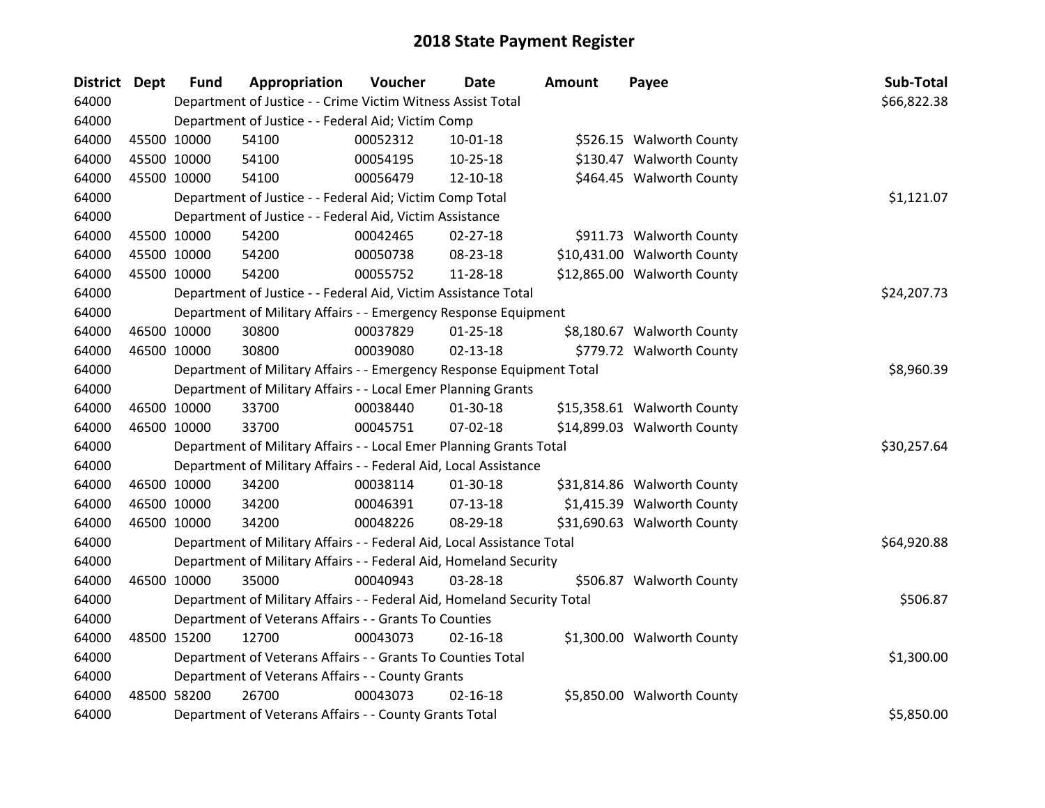| <b>District Dept</b> | <b>Fund</b> | Appropriation                                                           | Voucher    | <b>Date</b>    | <b>Amount</b> | Payee                       | Sub-Total   |
|----------------------|-------------|-------------------------------------------------------------------------|------------|----------------|---------------|-----------------------------|-------------|
| 64000                |             | Department of Justice - - Crime Victim Witness Assist Total             |            |                |               |                             | \$66,822.38 |
| 64000                |             | Department of Justice - - Federal Aid; Victim Comp                      |            |                |               |                             |             |
| 64000                | 45500 10000 | 54100                                                                   | 00052312   | 10-01-18       |               | \$526.15 Walworth County    |             |
| 64000                | 45500 10000 | 54100                                                                   | 00054195   | 10-25-18       |               | \$130.47 Walworth County    |             |
| 64000                | 45500 10000 | 54100                                                                   | 00056479   | 12-10-18       |               | \$464.45 Walworth County    |             |
| 64000                |             | Department of Justice - - Federal Aid; Victim Comp Total                |            |                |               |                             | \$1,121.07  |
| 64000                |             | Department of Justice - - Federal Aid, Victim Assistance                |            |                |               |                             |             |
| 64000                | 45500 10000 | 54200                                                                   | 00042465   | $02 - 27 - 18$ |               | \$911.73 Walworth County    |             |
| 64000                | 45500 10000 | 54200                                                                   | 00050738   | 08-23-18       |               | \$10,431.00 Walworth County |             |
| 64000                | 45500 10000 | 54200                                                                   | 00055752   | 11-28-18       |               | \$12,865.00 Walworth County |             |
| 64000                |             | Department of Justice - - Federal Aid, Victim Assistance Total          |            |                |               |                             | \$24,207.73 |
| 64000                |             | Department of Military Affairs - - Emergency Response Equipment         |            |                |               |                             |             |
| 64000                | 46500 10000 | 30800                                                                   | 00037829   | $01 - 25 - 18$ |               | \$8,180.67 Walworth County  |             |
| 64000                | 46500 10000 | 30800                                                                   | 00039080   | $02 - 13 - 18$ |               | \$779.72 Walworth County    |             |
| 64000                |             | Department of Military Affairs - - Emergency Response Equipment Total   | \$8,960.39 |                |               |                             |             |
| 64000                |             | Department of Military Affairs - - Local Emer Planning Grants           |            |                |               |                             |             |
| 64000                | 46500 10000 | 33700                                                                   | 00038440   | 01-30-18       |               | \$15,358.61 Walworth County |             |
| 64000                | 46500 10000 | 33700                                                                   | 00045751   | 07-02-18       |               | \$14,899.03 Walworth County |             |
| 64000                |             | Department of Military Affairs - - Local Emer Planning Grants Total     |            |                |               |                             | \$30,257.64 |
| 64000                |             | Department of Military Affairs - - Federal Aid, Local Assistance        |            |                |               |                             |             |
| 64000                | 46500 10000 | 34200                                                                   | 00038114   | $01 - 30 - 18$ |               | \$31,814.86 Walworth County |             |
| 64000                | 46500 10000 | 34200                                                                   | 00046391   | $07-13-18$     |               | \$1,415.39 Walworth County  |             |
| 64000                | 46500 10000 | 34200                                                                   | 00048226   | 08-29-18       |               | \$31,690.63 Walworth County |             |
| 64000                |             | Department of Military Affairs - - Federal Aid, Local Assistance Total  |            |                |               |                             | \$64,920.88 |
| 64000                |             | Department of Military Affairs - - Federal Aid, Homeland Security       |            |                |               |                             |             |
| 64000                | 46500 10000 | 35000                                                                   | 00040943   | 03-28-18       |               | \$506.87 Walworth County    |             |
| 64000                |             | Department of Military Affairs - - Federal Aid, Homeland Security Total |            |                |               |                             | \$506.87    |
| 64000                |             | Department of Veterans Affairs - - Grants To Counties                   |            |                |               |                             |             |
| 64000                | 48500 15200 | 12700                                                                   | 00043073   | $02 - 16 - 18$ |               | \$1,300.00 Walworth County  |             |
| 64000                |             | Department of Veterans Affairs - - Grants To Counties Total             |            |                |               |                             | \$1,300.00  |
| 64000                |             | Department of Veterans Affairs - - County Grants                        |            |                |               |                             |             |
| 64000                | 48500 58200 | 26700                                                                   | 00043073   | $02 - 16 - 18$ |               | \$5,850.00 Walworth County  |             |
| 64000                |             | Department of Veterans Affairs - - County Grants Total                  |            |                |               |                             | \$5,850.00  |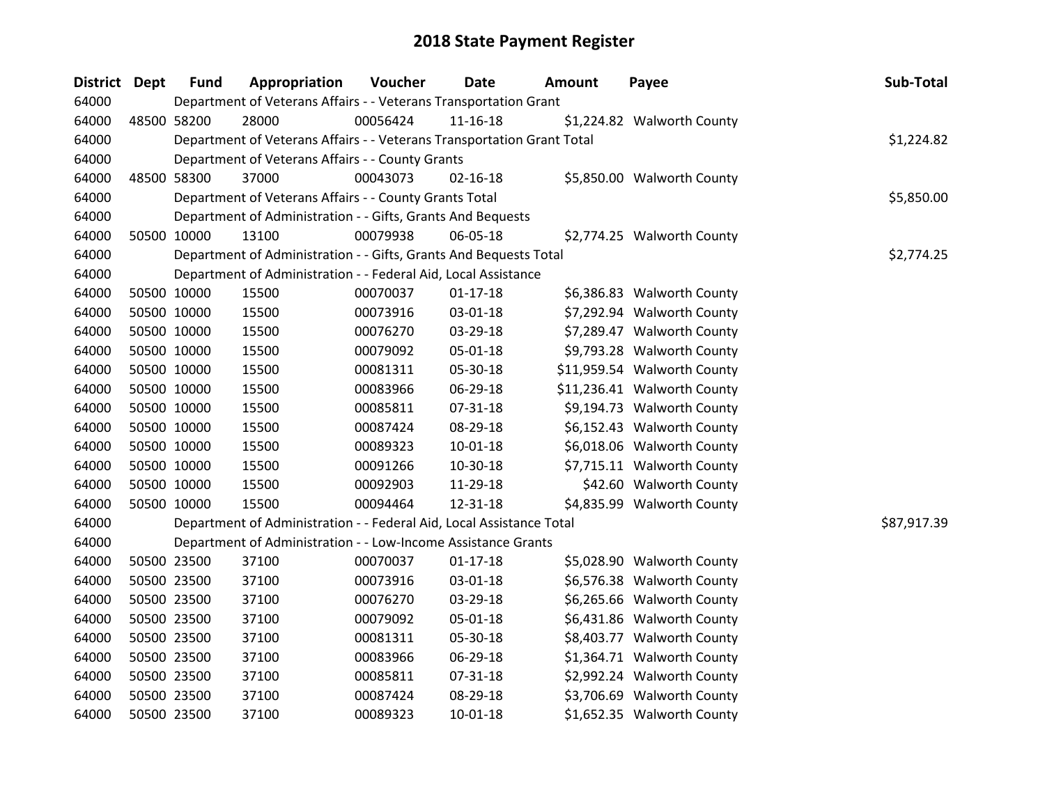| District Dept | <b>Fund</b> | Appropriation                                                          | Voucher  | <b>Date</b>    | <b>Amount</b> | Payee                       | Sub-Total   |
|---------------|-------------|------------------------------------------------------------------------|----------|----------------|---------------|-----------------------------|-------------|
| 64000         |             | Department of Veterans Affairs - - Veterans Transportation Grant       |          |                |               |                             |             |
| 64000         | 48500 58200 | 28000                                                                  | 00056424 | $11 - 16 - 18$ |               | \$1,224.82 Walworth County  |             |
| 64000         |             | Department of Veterans Affairs - - Veterans Transportation Grant Total |          |                |               |                             | \$1,224.82  |
| 64000         |             | Department of Veterans Affairs - - County Grants                       |          |                |               |                             |             |
| 64000         | 48500 58300 | 37000                                                                  | 00043073 | $02 - 16 - 18$ |               | \$5,850.00 Walworth County  |             |
| 64000         |             | Department of Veterans Affairs - - County Grants Total                 |          |                |               |                             | \$5,850.00  |
| 64000         |             | Department of Administration - - Gifts, Grants And Bequests            |          |                |               |                             |             |
| 64000         | 50500 10000 | 13100                                                                  | 00079938 | 06-05-18       |               | \$2,774.25 Walworth County  |             |
| 64000         |             | Department of Administration - - Gifts, Grants And Bequests Total      |          |                |               |                             | \$2,774.25  |
| 64000         |             | Department of Administration - - Federal Aid, Local Assistance         |          |                |               |                             |             |
| 64000         | 50500 10000 | 15500                                                                  | 00070037 | $01 - 17 - 18$ |               | \$6,386.83 Walworth County  |             |
| 64000         | 50500 10000 | 15500                                                                  | 00073916 | 03-01-18       |               | \$7,292.94 Walworth County  |             |
| 64000         | 50500 10000 | 15500                                                                  | 00076270 | 03-29-18       |               | \$7,289.47 Walworth County  |             |
| 64000         | 50500 10000 | 15500                                                                  | 00079092 | 05-01-18       |               | \$9,793.28 Walworth County  |             |
| 64000         | 50500 10000 | 15500                                                                  | 00081311 | 05-30-18       |               | \$11,959.54 Walworth County |             |
| 64000         | 50500 10000 | 15500                                                                  | 00083966 | 06-29-18       |               | \$11,236.41 Walworth County |             |
| 64000         | 50500 10000 | 15500                                                                  | 00085811 | 07-31-18       |               | \$9,194.73 Walworth County  |             |
| 64000         | 50500 10000 | 15500                                                                  | 00087424 | 08-29-18       |               | \$6,152.43 Walworth County  |             |
| 64000         | 50500 10000 | 15500                                                                  | 00089323 | $10 - 01 - 18$ |               | \$6,018.06 Walworth County  |             |
| 64000         | 50500 10000 | 15500                                                                  | 00091266 | 10-30-18       |               | \$7,715.11 Walworth County  |             |
| 64000         | 50500 10000 | 15500                                                                  | 00092903 | 11-29-18       |               | \$42.60 Walworth County     |             |
| 64000         | 50500 10000 | 15500                                                                  | 00094464 | 12-31-18       |               | \$4,835.99 Walworth County  |             |
| 64000         |             | Department of Administration - - Federal Aid, Local Assistance Total   |          |                |               |                             | \$87,917.39 |
| 64000         |             | Department of Administration - - Low-Income Assistance Grants          |          |                |               |                             |             |
| 64000         | 50500 23500 | 37100                                                                  | 00070037 | $01 - 17 - 18$ |               | \$5,028.90 Walworth County  |             |
| 64000         | 50500 23500 | 37100                                                                  | 00073916 | 03-01-18       |               | \$6,576.38 Walworth County  |             |
| 64000         | 50500 23500 | 37100                                                                  | 00076270 | 03-29-18       |               | \$6,265.66 Walworth County  |             |
| 64000         | 50500 23500 | 37100                                                                  | 00079092 | 05-01-18       |               | \$6,431.86 Walworth County  |             |
| 64000         | 50500 23500 | 37100                                                                  | 00081311 | 05-30-18       |               | \$8,403.77 Walworth County  |             |
| 64000         | 50500 23500 | 37100                                                                  | 00083966 | 06-29-18       |               | \$1,364.71 Walworth County  |             |
| 64000         | 50500 23500 | 37100                                                                  | 00085811 | 07-31-18       |               | \$2,992.24 Walworth County  |             |
| 64000         | 50500 23500 | 37100                                                                  | 00087424 | 08-29-18       |               | \$3,706.69 Walworth County  |             |
| 64000         | 50500 23500 | 37100                                                                  | 00089323 | 10-01-18       |               | \$1,652.35 Walworth County  |             |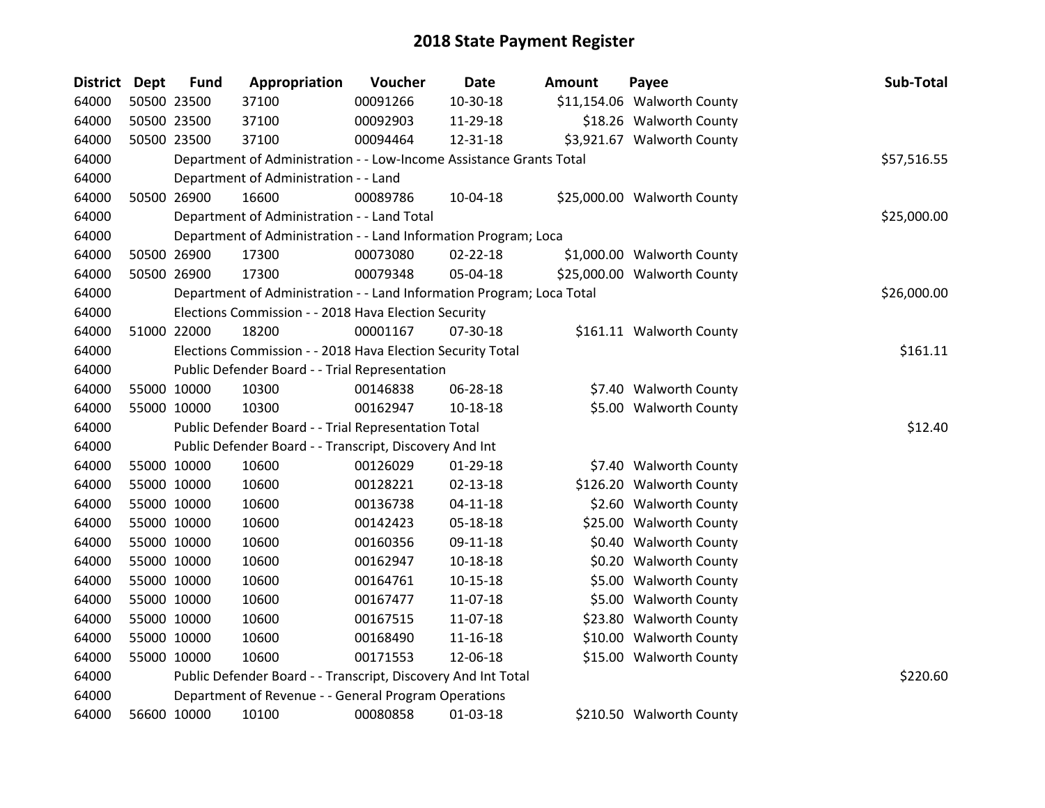| District Dept | <b>Fund</b> | Appropriation                                                         | Voucher  | Date           | <b>Amount</b> | Payee                       | Sub-Total   |
|---------------|-------------|-----------------------------------------------------------------------|----------|----------------|---------------|-----------------------------|-------------|
| 64000         | 50500 23500 | 37100                                                                 | 00091266 | $10 - 30 - 18$ |               | \$11,154.06 Walworth County |             |
| 64000         | 50500 23500 | 37100                                                                 | 00092903 | 11-29-18       |               | \$18.26 Walworth County     |             |
| 64000         | 50500 23500 | 37100                                                                 | 00094464 | 12-31-18       |               | \$3,921.67 Walworth County  |             |
| 64000         |             | Department of Administration - - Low-Income Assistance Grants Total   |          |                |               |                             | \$57,516.55 |
| 64000         |             | Department of Administration - - Land                                 |          |                |               |                             |             |
| 64000         | 50500 26900 | 16600                                                                 | 00089786 | 10-04-18       |               | \$25,000.00 Walworth County |             |
| 64000         |             | Department of Administration - - Land Total                           |          |                |               |                             | \$25,000.00 |
| 64000         |             | Department of Administration - - Land Information Program; Loca       |          |                |               |                             |             |
| 64000         | 50500 26900 | 17300                                                                 | 00073080 | $02 - 22 - 18$ |               | \$1,000.00 Walworth County  |             |
| 64000         | 50500 26900 | 17300                                                                 | 00079348 | 05-04-18       |               | \$25,000.00 Walworth County |             |
| 64000         |             | Department of Administration - - Land Information Program; Loca Total |          |                |               |                             | \$26,000.00 |
| 64000         |             | Elections Commission - - 2018 Hava Election Security                  |          |                |               |                             |             |
| 64000         | 51000 22000 | 18200                                                                 | 00001167 | 07-30-18       |               | \$161.11 Walworth County    |             |
| 64000         |             | Elections Commission - - 2018 Hava Election Security Total            |          |                |               |                             | \$161.11    |
| 64000         |             | Public Defender Board - - Trial Representation                        |          |                |               |                             |             |
| 64000         | 55000 10000 | 10300                                                                 | 00146838 | 06-28-18       |               | \$7.40 Walworth County      |             |
| 64000         | 55000 10000 | 10300                                                                 | 00162947 | 10-18-18       |               | \$5.00 Walworth County      |             |
| 64000         |             | Public Defender Board - - Trial Representation Total                  |          |                |               |                             | \$12.40     |
| 64000         |             | Public Defender Board - - Transcript, Discovery And Int               |          |                |               |                             |             |
| 64000         | 55000 10000 | 10600                                                                 | 00126029 | 01-29-18       |               | \$7.40 Walworth County      |             |
| 64000         | 55000 10000 | 10600                                                                 | 00128221 | $02 - 13 - 18$ |               | \$126.20 Walworth County    |             |
| 64000         | 55000 10000 | 10600                                                                 | 00136738 | $04 - 11 - 18$ |               | \$2.60 Walworth County      |             |
| 64000         | 55000 10000 | 10600                                                                 | 00142423 | 05-18-18       |               | \$25.00 Walworth County     |             |
| 64000         | 55000 10000 | 10600                                                                 | 00160356 | 09-11-18       |               | \$0.40 Walworth County      |             |
| 64000         | 55000 10000 | 10600                                                                 | 00162947 | $10 - 18 - 18$ |               | \$0.20 Walworth County      |             |
| 64000         | 55000 10000 | 10600                                                                 | 00164761 | $10 - 15 - 18$ |               | \$5.00 Walworth County      |             |
| 64000         | 55000 10000 | 10600                                                                 | 00167477 | 11-07-18       |               | \$5.00 Walworth County      |             |
| 64000         | 55000 10000 | 10600                                                                 | 00167515 | 11-07-18       |               | \$23.80 Walworth County     |             |
| 64000         | 55000 10000 | 10600                                                                 | 00168490 | $11 - 16 - 18$ |               | \$10.00 Walworth County     |             |
| 64000         | 55000 10000 | 10600                                                                 | 00171553 | 12-06-18       |               | \$15.00 Walworth County     |             |
| 64000         |             | Public Defender Board - - Transcript, Discovery And Int Total         |          |                |               |                             | \$220.60    |
| 64000         |             | Department of Revenue - - General Program Operations                  |          |                |               |                             |             |
| 64000         | 56600 10000 | 10100                                                                 | 00080858 | 01-03-18       |               | \$210.50 Walworth County    |             |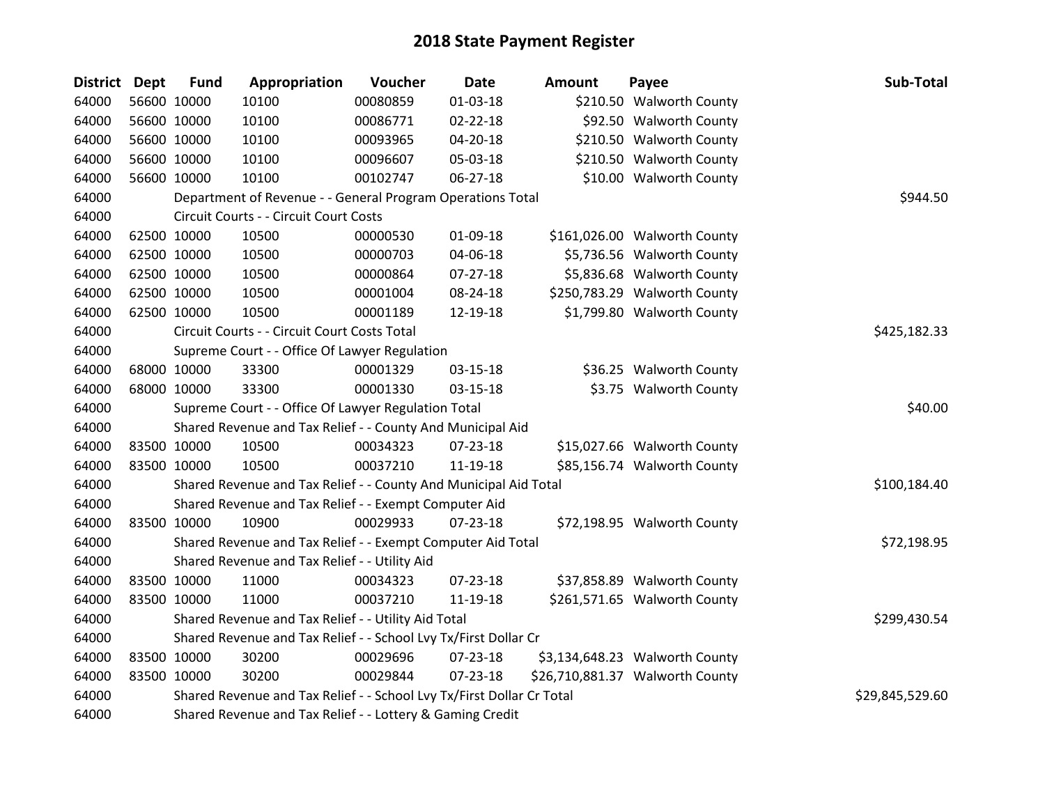| <b>District</b> | <b>Dept</b> | <b>Fund</b> | Appropriation                                                         | Voucher         | <b>Date</b>    | <b>Amount</b> | Payee                           | Sub-Total    |
|-----------------|-------------|-------------|-----------------------------------------------------------------------|-----------------|----------------|---------------|---------------------------------|--------------|
| 64000           |             | 56600 10000 | 10100                                                                 | 00080859        | 01-03-18       |               | \$210.50 Walworth County        |              |
| 64000           |             | 56600 10000 | 10100                                                                 | 00086771        | $02 - 22 - 18$ |               | \$92.50 Walworth County         |              |
| 64000           |             | 56600 10000 | 10100                                                                 | 00093965        | $04 - 20 - 18$ |               | \$210.50 Walworth County        |              |
| 64000           |             | 56600 10000 | 10100                                                                 | 00096607        | 05-03-18       |               | \$210.50 Walworth County        |              |
| 64000           |             | 56600 10000 | 10100                                                                 | 00102747        | $06 - 27 - 18$ |               | \$10.00 Walworth County         |              |
| 64000           |             |             | Department of Revenue - - General Program Operations Total            |                 |                |               |                                 | \$944.50     |
| 64000           |             |             | Circuit Courts - - Circuit Court Costs                                |                 |                |               |                                 |              |
| 64000           |             | 62500 10000 | 10500                                                                 | 00000530        | 01-09-18       |               | \$161,026.00 Walworth County    |              |
| 64000           |             | 62500 10000 | 10500                                                                 | 00000703        | 04-06-18       |               | \$5,736.56 Walworth County      |              |
| 64000           |             | 62500 10000 | 10500                                                                 | 00000864        | $07 - 27 - 18$ |               | \$5,836.68 Walworth County      |              |
| 64000           |             | 62500 10000 | 10500                                                                 | 00001004        | 08-24-18       |               | \$250,783.29 Walworth County    |              |
| 64000           |             | 62500 10000 | 10500                                                                 | 00001189        | 12-19-18       |               | \$1,799.80 Walworth County      |              |
| 64000           |             |             | Circuit Courts - - Circuit Court Costs Total                          |                 |                |               |                                 | \$425,182.33 |
| 64000           |             |             | Supreme Court - - Office Of Lawyer Regulation                         |                 |                |               |                                 |              |
| 64000           |             | 68000 10000 | 33300                                                                 | 00001329        | 03-15-18       |               | \$36.25 Walworth County         |              |
| 64000           |             | 68000 10000 | 33300                                                                 | 00001330        | $03 - 15 - 18$ |               | \$3.75 Walworth County          |              |
| 64000           |             |             | Supreme Court - - Office Of Lawyer Regulation Total                   | \$40.00         |                |               |                                 |              |
| 64000           |             |             | Shared Revenue and Tax Relief - - County And Municipal Aid            |                 |                |               |                                 |              |
| 64000           |             | 83500 10000 | 10500                                                                 | 00034323        | 07-23-18       |               | \$15,027.66 Walworth County     |              |
| 64000           |             | 83500 10000 | 10500                                                                 | 00037210        | 11-19-18       |               | \$85,156.74 Walworth County     |              |
| 64000           |             |             | Shared Revenue and Tax Relief - - County And Municipal Aid Total      |                 |                |               |                                 | \$100,184.40 |
| 64000           |             |             | Shared Revenue and Tax Relief - - Exempt Computer Aid                 |                 |                |               |                                 |              |
| 64000           |             | 83500 10000 | 10900                                                                 | 00029933        | 07-23-18       |               | \$72,198.95 Walworth County     |              |
| 64000           |             |             | Shared Revenue and Tax Relief - - Exempt Computer Aid Total           |                 |                |               |                                 | \$72,198.95  |
| 64000           |             |             | Shared Revenue and Tax Relief - - Utility Aid                         |                 |                |               |                                 |              |
| 64000           |             | 83500 10000 | 11000                                                                 | 00034323        | 07-23-18       |               | \$37,858.89 Walworth County     |              |
| 64000           |             | 83500 10000 | 11000                                                                 | 00037210        | 11-19-18       |               | \$261,571.65 Walworth County    |              |
| 64000           |             |             | Shared Revenue and Tax Relief - - Utility Aid Total                   |                 |                |               |                                 | \$299,430.54 |
| 64000           |             |             | Shared Revenue and Tax Relief - - School Lvy Tx/First Dollar Cr       |                 |                |               |                                 |              |
| 64000           |             | 83500 10000 | 30200                                                                 | 00029696        | 07-23-18       |               | \$3,134,648.23 Walworth County  |              |
| 64000           |             | 83500 10000 | 30200                                                                 | 00029844        | $07 - 23 - 18$ |               | \$26,710,881.37 Walworth County |              |
| 64000           |             |             | Shared Revenue and Tax Relief - - School Lvy Tx/First Dollar Cr Total | \$29,845,529.60 |                |               |                                 |              |
| 64000           |             |             | Shared Revenue and Tax Relief - - Lottery & Gaming Credit             |                 |                |               |                                 |              |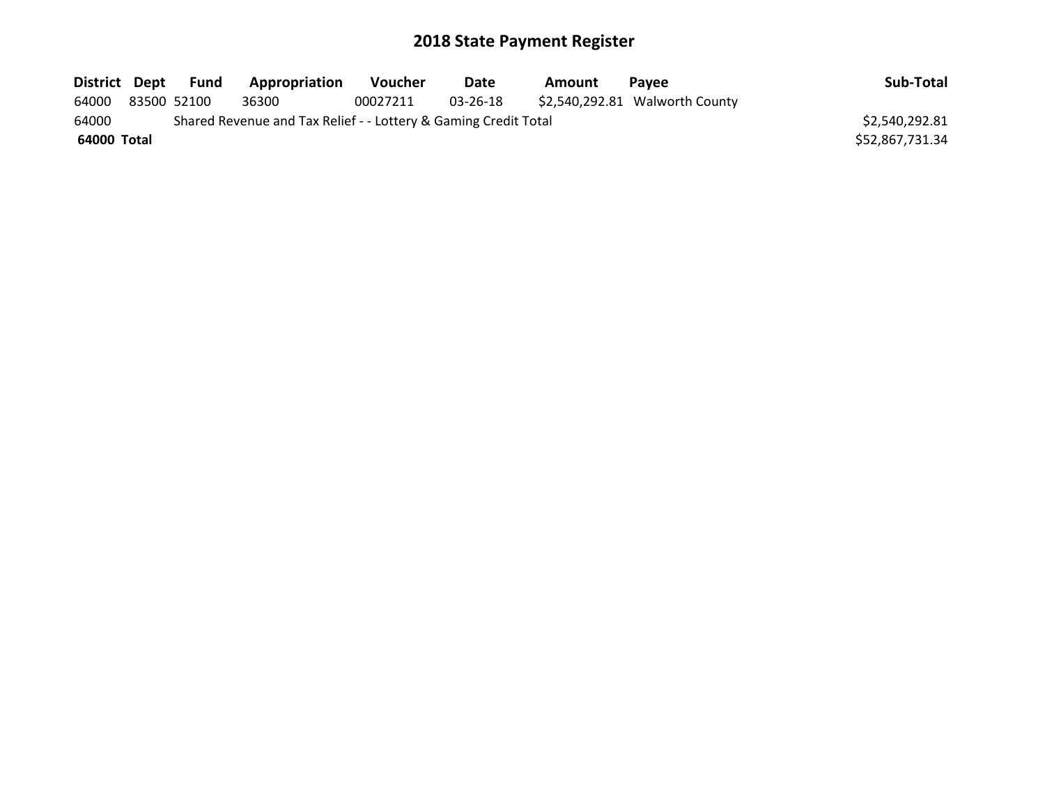| District Dept |             | Fund | <b>Appropriation</b>                                            | <b>Voucher</b> | Date     | Amount | <b>Pavee</b>                   | Sub-Total       |
|---------------|-------------|------|-----------------------------------------------------------------|----------------|----------|--------|--------------------------------|-----------------|
| 64000         | 83500 52100 |      | 36300                                                           | 00027211       | 03-26-18 |        | \$2,540,292.81 Walworth County |                 |
| 64000         |             |      | Shared Revenue and Tax Relief - - Lottery & Gaming Credit Total |                |          |        |                                | \$2,540,292.81  |
| 64000 Total   |             |      |                                                                 |                |          |        |                                | \$52,867,731.34 |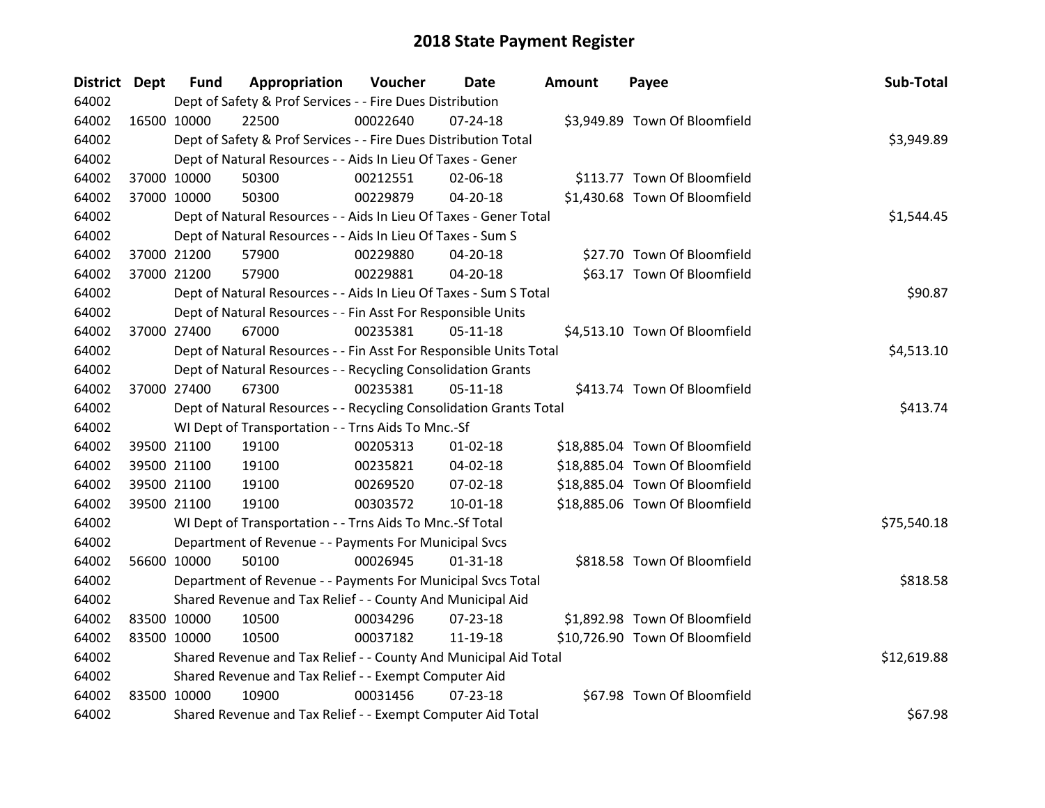| District Dept |             | <b>Fund</b> | Appropriation                                                      | Voucher  | <b>Date</b>    | <b>Amount</b> | Payee                          | Sub-Total   |
|---------------|-------------|-------------|--------------------------------------------------------------------|----------|----------------|---------------|--------------------------------|-------------|
| 64002         |             |             | Dept of Safety & Prof Services - - Fire Dues Distribution          |          |                |               |                                |             |
| 64002         | 16500 10000 |             | 22500                                                              | 00022640 | $07 - 24 - 18$ |               | \$3,949.89 Town Of Bloomfield  |             |
| 64002         |             |             | Dept of Safety & Prof Services - - Fire Dues Distribution Total    |          |                |               |                                | \$3,949.89  |
| 64002         |             |             | Dept of Natural Resources - - Aids In Lieu Of Taxes - Gener        |          |                |               |                                |             |
| 64002         |             | 37000 10000 | 50300                                                              | 00212551 | 02-06-18       |               | \$113.77 Town Of Bloomfield    |             |
| 64002         |             | 37000 10000 | 50300                                                              | 00229879 | 04-20-18       |               | \$1,430.68 Town Of Bloomfield  |             |
| 64002         |             |             | Dept of Natural Resources - - Aids In Lieu Of Taxes - Gener Total  |          |                |               |                                | \$1,544.45  |
| 64002         |             |             | Dept of Natural Resources - - Aids In Lieu Of Taxes - Sum S        |          |                |               |                                |             |
| 64002         | 37000 21200 |             | 57900                                                              | 00229880 | 04-20-18       |               | \$27.70 Town Of Bloomfield     |             |
| 64002         |             | 37000 21200 | 57900                                                              | 00229881 | 04-20-18       |               | \$63.17 Town Of Bloomfield     |             |
| 64002         |             |             | Dept of Natural Resources - - Aids In Lieu Of Taxes - Sum S Total  |          |                |               |                                | \$90.87     |
| 64002         |             |             | Dept of Natural Resources - - Fin Asst For Responsible Units       |          |                |               |                                |             |
| 64002         |             | 37000 27400 | 67000                                                              | 00235381 | $05 - 11 - 18$ |               | \$4,513.10 Town Of Bloomfield  |             |
| 64002         |             |             | Dept of Natural Resources - - Fin Asst For Responsible Units Total |          |                |               |                                | \$4,513.10  |
| 64002         |             |             | Dept of Natural Resources - - Recycling Consolidation Grants       |          |                |               |                                |             |
| 64002         |             | 37000 27400 | 67300                                                              | 00235381 | $05-11-18$     |               | \$413.74 Town Of Bloomfield    |             |
| 64002         |             |             | Dept of Natural Resources - - Recycling Consolidation Grants Total |          |                |               |                                | \$413.74    |
| 64002         |             |             | WI Dept of Transportation - - Trns Aids To Mnc.-Sf                 |          |                |               |                                |             |
| 64002         |             | 39500 21100 | 19100                                                              | 00205313 | $01 - 02 - 18$ |               | \$18,885.04 Town Of Bloomfield |             |
| 64002         |             | 39500 21100 | 19100                                                              | 00235821 | 04-02-18       |               | \$18,885.04 Town Of Bloomfield |             |
| 64002         |             | 39500 21100 | 19100                                                              | 00269520 | 07-02-18       |               | \$18,885.04 Town Of Bloomfield |             |
| 64002         |             | 39500 21100 | 19100                                                              | 00303572 | $10 - 01 - 18$ |               | \$18,885.06 Town Of Bloomfield |             |
| 64002         |             |             | WI Dept of Transportation - - Trns Aids To Mnc.-Sf Total           |          |                |               |                                | \$75,540.18 |
| 64002         |             |             | Department of Revenue - - Payments For Municipal Svcs              |          |                |               |                                |             |
| 64002         |             | 56600 10000 | 50100                                                              | 00026945 | $01 - 31 - 18$ |               | \$818.58 Town Of Bloomfield    |             |
| 64002         |             |             | Department of Revenue - - Payments For Municipal Svcs Total        |          |                |               |                                | \$818.58    |
| 64002         |             |             | Shared Revenue and Tax Relief - - County And Municipal Aid         |          |                |               |                                |             |
| 64002         | 83500 10000 |             | 10500                                                              | 00034296 | 07-23-18       |               | \$1,892.98 Town Of Bloomfield  |             |
| 64002         | 83500 10000 |             | 10500                                                              | 00037182 | 11-19-18       |               | \$10,726.90 Town Of Bloomfield |             |
| 64002         |             |             | Shared Revenue and Tax Relief - - County And Municipal Aid Total   |          |                |               |                                | \$12,619.88 |
| 64002         |             |             | Shared Revenue and Tax Relief - - Exempt Computer Aid              |          |                |               |                                |             |
| 64002         | 83500 10000 |             | 10900                                                              | 00031456 | $07 - 23 - 18$ |               | \$67.98 Town Of Bloomfield     |             |
| 64002         |             |             | Shared Revenue and Tax Relief - - Exempt Computer Aid Total        |          |                |               |                                | \$67.98     |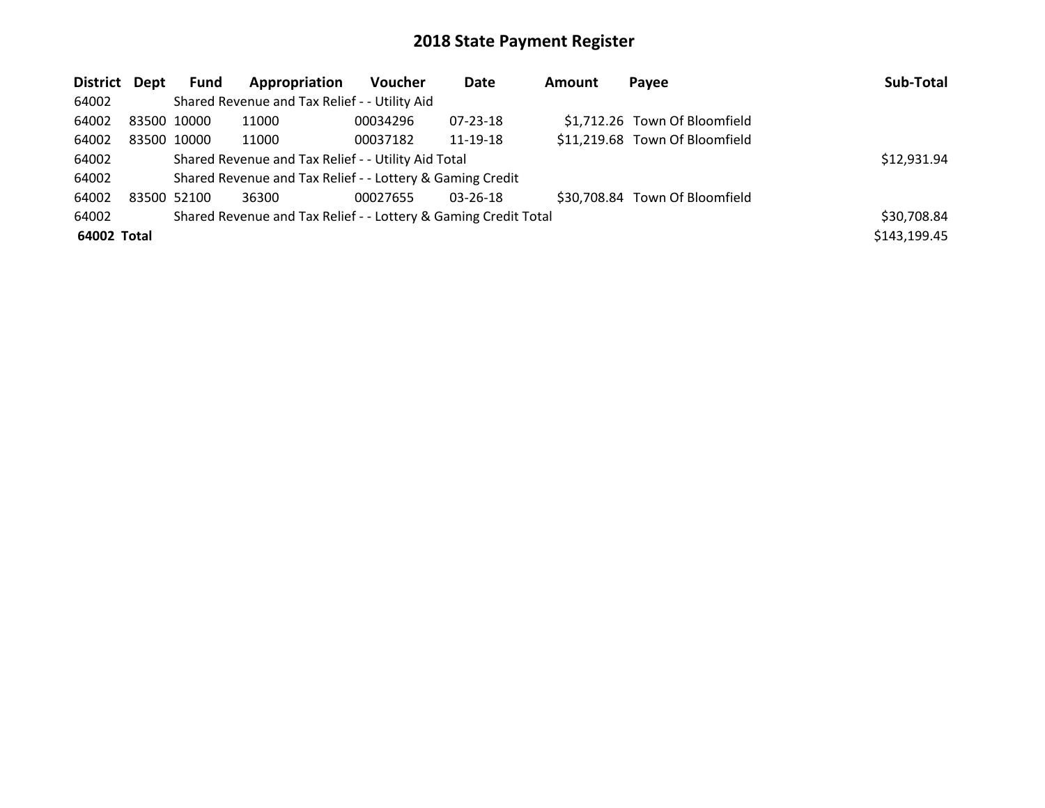| District Dept |             | <b>Fund</b> | Appropriation                                                   | <b>Voucher</b> | Date           | Amount | Payee                          | Sub-Total    |
|---------------|-------------|-------------|-----------------------------------------------------------------|----------------|----------------|--------|--------------------------------|--------------|
| 64002         |             |             | Shared Revenue and Tax Relief - - Utility Aid                   |                |                |        |                                |              |
| 64002         | 83500 10000 |             | 11000                                                           | 00034296       | 07-23-18       |        | \$1,712.26 Town Of Bloomfield  |              |
| 64002         | 83500 10000 |             | 11000                                                           | 00037182       | 11-19-18       |        | \$11,219.68 Town Of Bloomfield |              |
| 64002         |             | \$12,931.94 |                                                                 |                |                |        |                                |              |
| 64002         |             |             | Shared Revenue and Tax Relief - - Lottery & Gaming Credit       |                |                |        |                                |              |
| 64002         | 83500 52100 |             | 36300                                                           | 00027655       | $03 - 26 - 18$ |        | \$30,708.84 Town Of Bloomfield |              |
| 64002         |             |             | Shared Revenue and Tax Relief - - Lottery & Gaming Credit Total |                |                |        |                                | \$30,708.84  |
| 64002 Total   |             |             |                                                                 |                |                |        |                                | \$143,199.45 |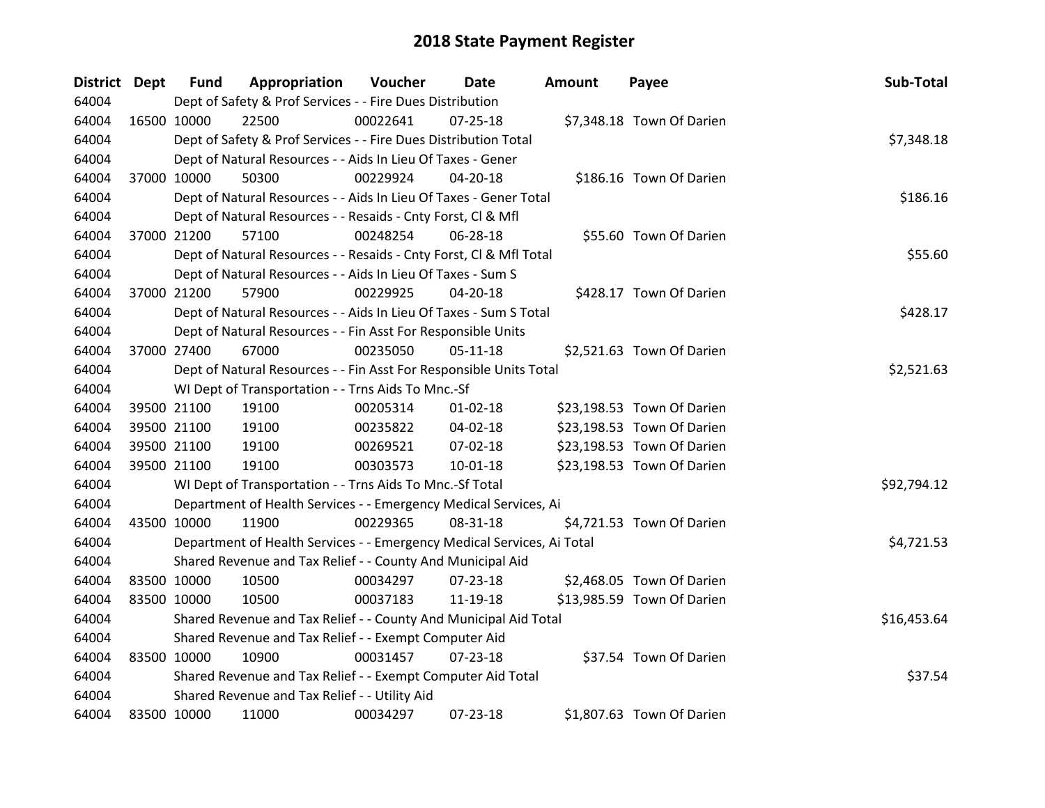| <b>District Dept</b> |             | <b>Fund</b> | Appropriation                                                          | Voucher    | <b>Date</b>    | <b>Amount</b> | Payee                      | Sub-Total   |
|----------------------|-------------|-------------|------------------------------------------------------------------------|------------|----------------|---------------|----------------------------|-------------|
| 64004                |             |             | Dept of Safety & Prof Services - - Fire Dues Distribution              |            |                |               |                            |             |
| 64004                |             | 16500 10000 | 22500                                                                  | 00022641   | $07 - 25 - 18$ |               | \$7,348.18 Town Of Darien  |             |
| 64004                |             |             | Dept of Safety & Prof Services - - Fire Dues Distribution Total        |            |                |               |                            | \$7,348.18  |
| 64004                |             |             | Dept of Natural Resources - - Aids In Lieu Of Taxes - Gener            |            |                |               |                            |             |
| 64004                |             | 37000 10000 | 50300                                                                  | 00229924   | $04 - 20 - 18$ |               | \$186.16 Town Of Darien    |             |
| 64004                |             |             | Dept of Natural Resources - - Aids In Lieu Of Taxes - Gener Total      |            |                |               |                            | \$186.16    |
| 64004                |             |             | Dept of Natural Resources - - Resaids - Cnty Forst, Cl & Mfl           |            |                |               |                            |             |
| 64004                |             | 37000 21200 | 57100                                                                  | 00248254   | 06-28-18       |               | \$55.60 Town Of Darien     |             |
| 64004                |             |             | Dept of Natural Resources - - Resaids - Cnty Forst, Cl & Mfl Total     |            |                |               |                            | \$55.60     |
| 64004                |             |             | Dept of Natural Resources - - Aids In Lieu Of Taxes - Sum S            |            |                |               |                            |             |
| 64004                |             | 37000 21200 | 57900                                                                  | 00229925   | $04 - 20 - 18$ |               | \$428.17 Town Of Darien    |             |
| 64004                |             |             | Dept of Natural Resources - - Aids In Lieu Of Taxes - Sum S Total      |            |                |               |                            | \$428.17    |
| 64004                |             |             | Dept of Natural Resources - - Fin Asst For Responsible Units           |            |                |               |                            |             |
| 64004                |             | 37000 27400 | 67000                                                                  | 00235050   | $05 - 11 - 18$ |               | \$2,521.63 Town Of Darien  |             |
| 64004                |             |             | Dept of Natural Resources - - Fin Asst For Responsible Units Total     | \$2,521.63 |                |               |                            |             |
| 64004                |             |             | WI Dept of Transportation - - Trns Aids To Mnc.-Sf                     |            |                |               |                            |             |
| 64004                |             | 39500 21100 | 19100                                                                  | 00205314   | $01 - 02 - 18$ |               | \$23,198.53 Town Of Darien |             |
| 64004                |             | 39500 21100 | 19100                                                                  | 00235822   | 04-02-18       |               | \$23,198.53 Town Of Darien |             |
| 64004                |             | 39500 21100 | 19100                                                                  | 00269521   | 07-02-18       |               | \$23,198.53 Town Of Darien |             |
| 64004                |             | 39500 21100 | 19100                                                                  | 00303573   | $10 - 01 - 18$ |               | \$23,198.53 Town Of Darien |             |
| 64004                |             |             | WI Dept of Transportation - - Trns Aids To Mnc.-Sf Total               |            |                |               |                            | \$92,794.12 |
| 64004                |             |             | Department of Health Services - - Emergency Medical Services, Ai       |            |                |               |                            |             |
| 64004                |             | 43500 10000 | 11900                                                                  | 00229365   | 08-31-18       |               | \$4,721.53 Town Of Darien  |             |
| 64004                |             |             | Department of Health Services - - Emergency Medical Services, Ai Total |            |                |               |                            | \$4,721.53  |
| 64004                |             |             | Shared Revenue and Tax Relief - - County And Municipal Aid             |            |                |               |                            |             |
| 64004                |             | 83500 10000 | 10500                                                                  | 00034297   | $07 - 23 - 18$ |               | \$2,468.05 Town Of Darien  |             |
| 64004                |             | 83500 10000 | 10500                                                                  | 00037183   | 11-19-18       |               | \$13,985.59 Town Of Darien |             |
| 64004                |             |             | Shared Revenue and Tax Relief - - County And Municipal Aid Total       |            |                |               |                            | \$16,453.64 |
| 64004                |             |             | Shared Revenue and Tax Relief - - Exempt Computer Aid                  |            |                |               |                            |             |
| 64004                |             | 83500 10000 | 10900                                                                  | 00031457   | $07 - 23 - 18$ |               | \$37.54 Town Of Darien     |             |
| 64004                |             |             | Shared Revenue and Tax Relief - - Exempt Computer Aid Total            |            |                |               |                            | \$37.54     |
| 64004                |             |             | Shared Revenue and Tax Relief - - Utility Aid                          |            |                |               |                            |             |
| 64004                | 83500 10000 |             | 11000                                                                  | 00034297   | 07-23-18       |               | \$1,807.63 Town Of Darien  |             |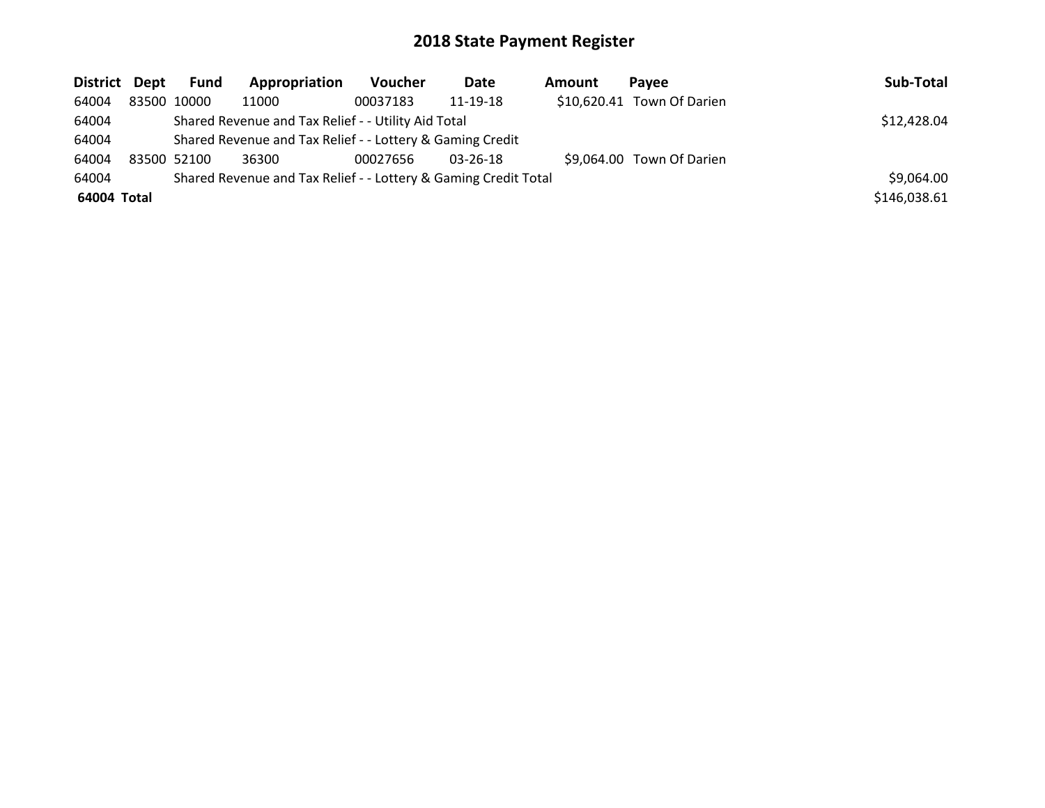| District Dept |             | Fund                                                            | Appropriation | <b>Voucher</b> | Date           | <b>Amount</b> | Pavee                      | Sub-Total    |
|---------------|-------------|-----------------------------------------------------------------|---------------|----------------|----------------|---------------|----------------------------|--------------|
| 64004         | 83500 10000 |                                                                 | 11000         | 00037183       | 11-19-18       |               | \$10,620.41 Town Of Darien |              |
| 64004         |             | \$12,428.04                                                     |               |                |                |               |                            |              |
| 64004         |             | Shared Revenue and Tax Relief - - Lottery & Gaming Credit       |               |                |                |               |                            |              |
| 64004         | 83500 52100 |                                                                 | 36300         | 00027656       | $03 - 26 - 18$ |               | \$9,064.00 Town Of Darien  |              |
| 64004         |             | Shared Revenue and Tax Relief - - Lottery & Gaming Credit Total |               |                |                |               |                            | \$9,064.00   |
| 64004 Total   |             |                                                                 |               |                |                |               |                            | \$146,038.61 |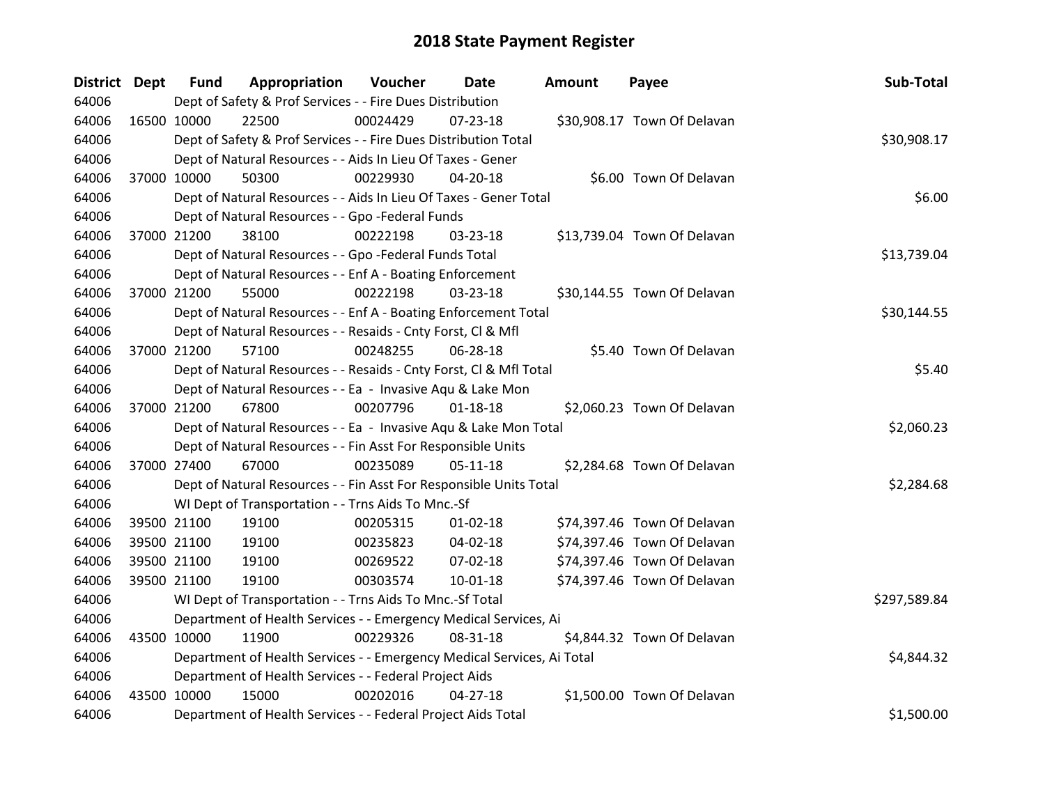| District Dept |             | <b>Fund</b> | Appropriation                                                          | Voucher  | <b>Date</b>    | <b>Amount</b> | Payee                       | Sub-Total    |
|---------------|-------------|-------------|------------------------------------------------------------------------|----------|----------------|---------------|-----------------------------|--------------|
| 64006         |             |             | Dept of Safety & Prof Services - - Fire Dues Distribution              |          |                |               |                             |              |
| 64006         | 16500 10000 |             | 22500                                                                  | 00024429 | 07-23-18       |               | \$30,908.17 Town Of Delavan |              |
| 64006         |             |             | Dept of Safety & Prof Services - - Fire Dues Distribution Total        |          |                |               |                             | \$30,908.17  |
| 64006         |             |             | Dept of Natural Resources - - Aids In Lieu Of Taxes - Gener            |          |                |               |                             |              |
| 64006         | 37000 10000 |             | 50300                                                                  | 00229930 | 04-20-18       |               | \$6.00 Town Of Delavan      |              |
| 64006         |             |             | Dept of Natural Resources - - Aids In Lieu Of Taxes - Gener Total      |          |                |               |                             | \$6.00       |
| 64006         |             |             | Dept of Natural Resources - - Gpo -Federal Funds                       |          |                |               |                             |              |
| 64006         |             | 37000 21200 | 38100                                                                  | 00222198 | 03-23-18       |               | \$13,739.04 Town Of Delavan |              |
| 64006         |             |             | Dept of Natural Resources - - Gpo -Federal Funds Total                 |          |                |               |                             | \$13,739.04  |
| 64006         |             |             | Dept of Natural Resources - - Enf A - Boating Enforcement              |          |                |               |                             |              |
| 64006         |             | 37000 21200 | 55000                                                                  | 00222198 | 03-23-18       |               | \$30,144.55 Town Of Delavan |              |
| 64006         |             |             | Dept of Natural Resources - - Enf A - Boating Enforcement Total        |          |                |               |                             | \$30,144.55  |
| 64006         |             |             | Dept of Natural Resources - - Resaids - Cnty Forst, Cl & Mfl           |          |                |               |                             |              |
| 64006         |             | 37000 21200 | 57100                                                                  | 00248255 | 06-28-18       |               | \$5.40 Town Of Delavan      |              |
| 64006         |             |             | Dept of Natural Resources - - Resaids - Cnty Forst, CI & Mfl Total     | \$5.40   |                |               |                             |              |
| 64006         |             |             | Dept of Natural Resources - - Ea - Invasive Aqu & Lake Mon             |          |                |               |                             |              |
| 64006         |             | 37000 21200 | 67800                                                                  | 00207796 | $01 - 18 - 18$ |               | \$2,060.23 Town Of Delavan  |              |
| 64006         |             |             | Dept of Natural Resources - - Ea - Invasive Aqu & Lake Mon Total       |          |                |               |                             | \$2,060.23   |
| 64006         |             |             | Dept of Natural Resources - - Fin Asst For Responsible Units           |          |                |               |                             |              |
| 64006         | 37000 27400 |             | 67000                                                                  | 00235089 | $05-11-18$     |               | \$2,284.68 Town Of Delavan  |              |
| 64006         |             |             | Dept of Natural Resources - - Fin Asst For Responsible Units Total     |          |                |               |                             | \$2,284.68   |
| 64006         |             |             | WI Dept of Transportation - - Trns Aids To Mnc.-Sf                     |          |                |               |                             |              |
| 64006         |             | 39500 21100 | 19100                                                                  | 00205315 | $01 - 02 - 18$ |               | \$74,397.46 Town Of Delavan |              |
| 64006         |             | 39500 21100 | 19100                                                                  | 00235823 | 04-02-18       |               | \$74,397.46 Town Of Delavan |              |
| 64006         |             | 39500 21100 | 19100                                                                  | 00269522 | 07-02-18       |               | \$74,397.46 Town Of Delavan |              |
| 64006         |             | 39500 21100 | 19100                                                                  | 00303574 | 10-01-18       |               | \$74,397.46 Town Of Delavan |              |
| 64006         |             |             | WI Dept of Transportation - - Trns Aids To Mnc.-Sf Total               |          |                |               |                             | \$297,589.84 |
| 64006         |             |             | Department of Health Services - - Emergency Medical Services, Ai       |          |                |               |                             |              |
| 64006         | 43500 10000 |             | 11900                                                                  | 00229326 | 08-31-18       |               | \$4,844.32 Town Of Delavan  |              |
| 64006         |             |             | Department of Health Services - - Emergency Medical Services, Ai Total |          |                |               |                             | \$4,844.32   |
| 64006         |             |             | Department of Health Services - - Federal Project Aids                 |          |                |               |                             |              |
| 64006         | 43500 10000 |             | 15000                                                                  | 00202016 | $04 - 27 - 18$ |               | \$1,500.00 Town Of Delavan  |              |
| 64006         |             |             | Department of Health Services - - Federal Project Aids Total           |          |                |               |                             | \$1,500.00   |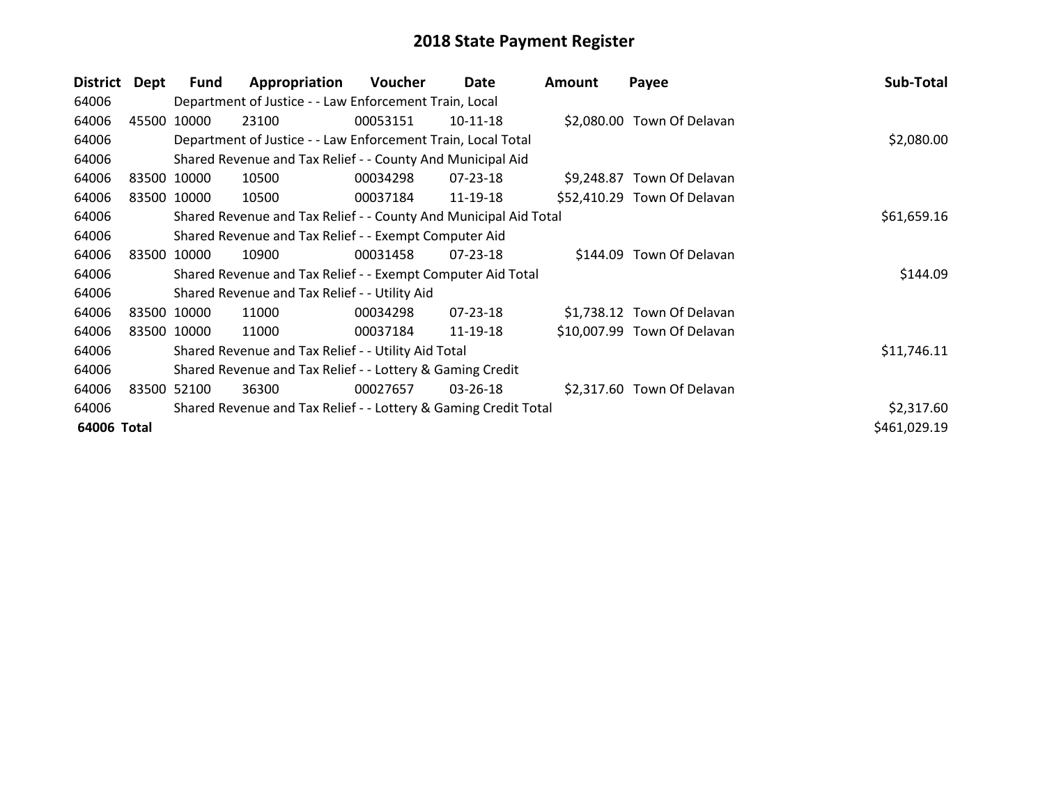| District    | Dept  | <b>Fund</b>                                                     | Appropriation                                                    | <b>Voucher</b> | Date           | <b>Amount</b> | Payee                       | Sub-Total    |
|-------------|-------|-----------------------------------------------------------------|------------------------------------------------------------------|----------------|----------------|---------------|-----------------------------|--------------|
| 64006       |       |                                                                 | Department of Justice - - Law Enforcement Train, Local           |                |                |               |                             |              |
| 64006       |       | 45500 10000                                                     | 23100                                                            | 00053151       | $10-11-18$     |               | \$2,080.00 Town Of Delavan  |              |
| 64006       |       |                                                                 | Department of Justice - - Law Enforcement Train, Local Total     |                | \$2,080.00     |               |                             |              |
| 64006       |       |                                                                 | Shared Revenue and Tax Relief - - County And Municipal Aid       |                |                |               |                             |              |
| 64006       |       | 83500 10000                                                     | 10500                                                            | 00034298       | 07-23-18       |               | \$9,248.87 Town Of Delavan  |              |
| 64006       |       | 83500 10000                                                     | 10500                                                            | 00037184       | 11-19-18       |               | \$52,410.29 Town Of Delavan |              |
| 64006       |       |                                                                 | Shared Revenue and Tax Relief - - County And Municipal Aid Total |                |                |               |                             | \$61,659.16  |
| 64006       |       |                                                                 | Shared Revenue and Tax Relief - - Exempt Computer Aid            |                |                |               |                             |              |
| 64006       |       | 83500 10000                                                     | 10900                                                            | 00031458       | 07-23-18       |               | \$144.09 Town Of Delavan    |              |
| 64006       |       |                                                                 | Shared Revenue and Tax Relief - - Exempt Computer Aid Total      |                |                |               |                             | \$144.09     |
| 64006       |       |                                                                 | Shared Revenue and Tax Relief - - Utility Aid                    |                |                |               |                             |              |
| 64006       |       | 83500 10000                                                     | 11000                                                            | 00034298       | $07 - 23 - 18$ |               | \$1,738.12 Town Of Delavan  |              |
| 64006       |       | 83500 10000                                                     | 11000                                                            | 00037184       | 11-19-18       |               | \$10,007.99 Town Of Delavan |              |
| 64006       |       |                                                                 | Shared Revenue and Tax Relief - - Utility Aid Total              |                |                |               |                             | \$11,746.11  |
| 64006       |       |                                                                 | Shared Revenue and Tax Relief - - Lottery & Gaming Credit        |                |                |               |                             |              |
| 64006       | 83500 | 52100                                                           | 36300                                                            | 00027657       | 03-26-18       |               | \$2,317.60 Town Of Delavan  |              |
| 64006       |       | Shared Revenue and Tax Relief - - Lottery & Gaming Credit Total |                                                                  |                |                |               |                             | \$2,317.60   |
| 64006 Total |       |                                                                 |                                                                  |                |                |               |                             | \$461,029.19 |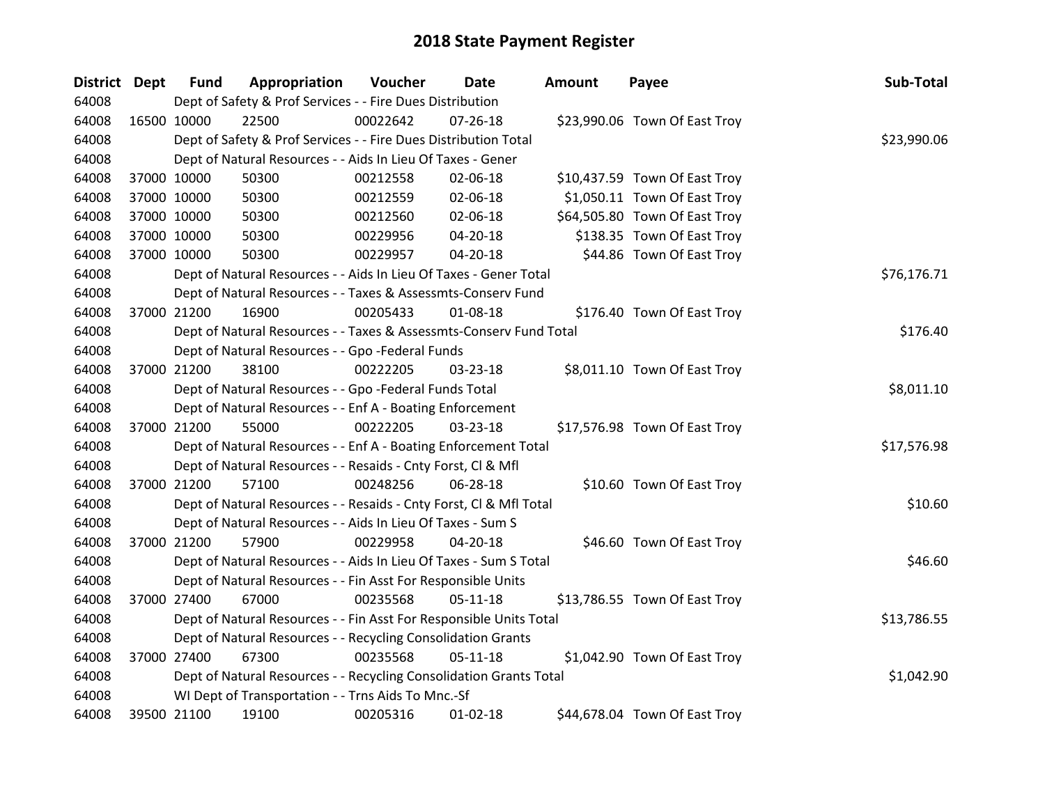| District Dept |             | <b>Fund</b> | Appropriation                                                      | Voucher  | <b>Date</b>    | <b>Amount</b> | Payee                         | Sub-Total   |
|---------------|-------------|-------------|--------------------------------------------------------------------|----------|----------------|---------------|-------------------------------|-------------|
| 64008         |             |             | Dept of Safety & Prof Services - - Fire Dues Distribution          |          |                |               |                               |             |
| 64008         | 16500 10000 |             | 22500                                                              | 00022642 | $07 - 26 - 18$ |               | \$23,990.06 Town Of East Troy |             |
| 64008         |             |             | Dept of Safety & Prof Services - - Fire Dues Distribution Total    |          |                |               |                               | \$23,990.06 |
| 64008         |             |             | Dept of Natural Resources - - Aids In Lieu Of Taxes - Gener        |          |                |               |                               |             |
| 64008         |             | 37000 10000 | 50300                                                              | 00212558 | 02-06-18       |               | \$10,437.59 Town Of East Troy |             |
| 64008         |             | 37000 10000 | 50300                                                              | 00212559 | 02-06-18       |               | \$1,050.11 Town Of East Troy  |             |
| 64008         |             | 37000 10000 | 50300                                                              | 00212560 | 02-06-18       |               | \$64,505.80 Town Of East Troy |             |
| 64008         |             | 37000 10000 | 50300                                                              | 00229956 | 04-20-18       |               | \$138.35 Town Of East Troy    |             |
| 64008         |             | 37000 10000 | 50300                                                              | 00229957 | 04-20-18       |               | \$44.86 Town Of East Troy     |             |
| 64008         |             |             | Dept of Natural Resources - - Aids In Lieu Of Taxes - Gener Total  |          |                |               |                               | \$76,176.71 |
| 64008         |             |             | Dept of Natural Resources - - Taxes & Assessmts-Conserv Fund       |          |                |               |                               |             |
| 64008         |             | 37000 21200 | 16900                                                              | 00205433 | 01-08-18       |               | \$176.40 Town Of East Troy    |             |
| 64008         |             |             | Dept of Natural Resources - - Taxes & Assessmts-Conserv Fund Total |          |                |               |                               | \$176.40    |
| 64008         |             |             | Dept of Natural Resources - - Gpo -Federal Funds                   |          |                |               |                               |             |
| 64008         |             | 37000 21200 | 38100                                                              | 00222205 | 03-23-18       |               | \$8,011.10 Town Of East Troy  |             |
| 64008         |             |             | Dept of Natural Resources - - Gpo -Federal Funds Total             |          |                |               |                               | \$8,011.10  |
| 64008         |             |             | Dept of Natural Resources - - Enf A - Boating Enforcement          |          |                |               |                               |             |
| 64008         |             | 37000 21200 | 55000                                                              | 00222205 | 03-23-18       |               | \$17,576.98 Town Of East Troy |             |
| 64008         |             |             | Dept of Natural Resources - - Enf A - Boating Enforcement Total    |          |                |               |                               | \$17,576.98 |
| 64008         |             |             | Dept of Natural Resources - - Resaids - Cnty Forst, CI & Mfl       |          |                |               |                               |             |
| 64008         |             | 37000 21200 | 57100                                                              | 00248256 | 06-28-18       |               | \$10.60 Town Of East Troy     |             |
| 64008         |             |             | Dept of Natural Resources - - Resaids - Cnty Forst, CI & Mfl Total |          |                |               |                               | \$10.60     |
| 64008         |             |             | Dept of Natural Resources - - Aids In Lieu Of Taxes - Sum S        |          |                |               |                               |             |
| 64008         |             | 37000 21200 | 57900                                                              | 00229958 | 04-20-18       |               | \$46.60 Town Of East Troy     |             |
| 64008         |             |             | Dept of Natural Resources - - Aids In Lieu Of Taxes - Sum S Total  |          |                |               |                               | \$46.60     |
| 64008         |             |             | Dept of Natural Resources - - Fin Asst For Responsible Units       |          |                |               |                               |             |
| 64008         |             | 37000 27400 | 67000                                                              | 00235568 | $05 - 11 - 18$ |               | \$13,786.55 Town Of East Troy |             |
| 64008         |             |             | Dept of Natural Resources - - Fin Asst For Responsible Units Total |          |                |               |                               | \$13,786.55 |
| 64008         |             |             | Dept of Natural Resources - - Recycling Consolidation Grants       |          |                |               |                               |             |
| 64008         |             | 37000 27400 | 67300                                                              | 00235568 | 05-11-18       |               | \$1,042.90 Town Of East Troy  |             |
| 64008         |             |             | Dept of Natural Resources - - Recycling Consolidation Grants Total |          |                |               |                               | \$1,042.90  |
| 64008         |             |             | WI Dept of Transportation - - Trns Aids To Mnc.-Sf                 |          |                |               |                               |             |
| 64008         |             | 39500 21100 | 19100                                                              | 00205316 | $01-02-18$     |               | \$44,678.04 Town Of East Troy |             |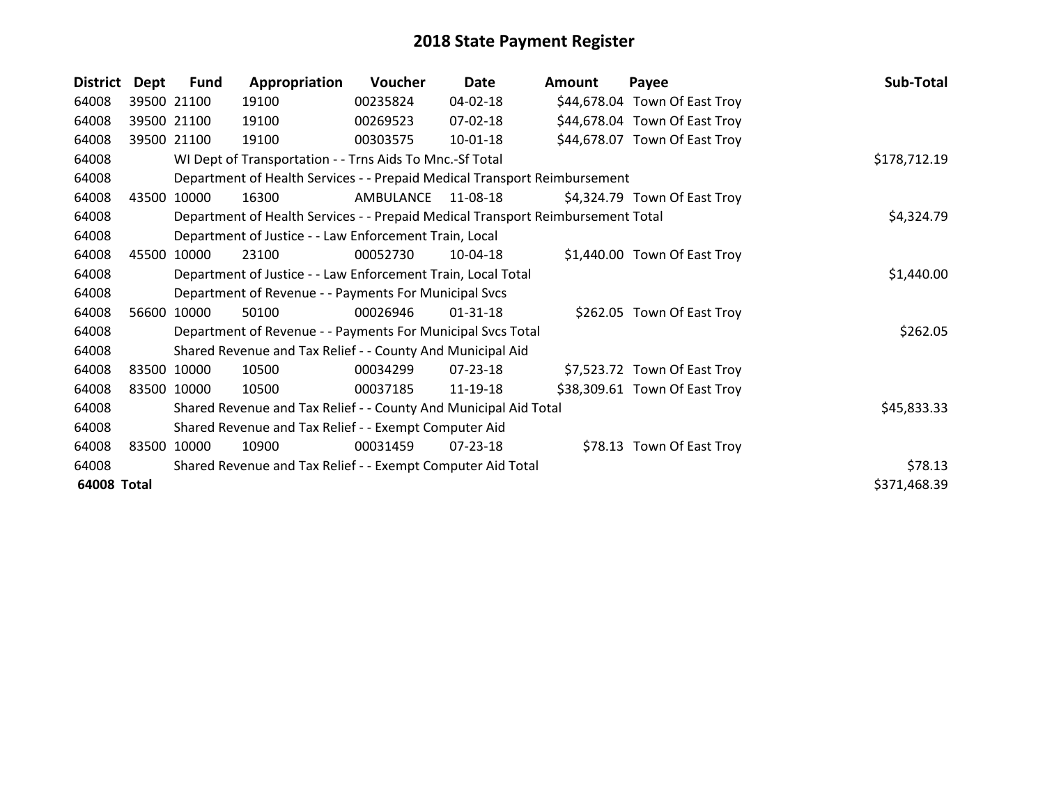| <b>District</b> | Dept  | <b>Fund</b> | Appropriation                                                                   | Voucher   | Date           | <b>Amount</b> | Payee                         | Sub-Total    |
|-----------------|-------|-------------|---------------------------------------------------------------------------------|-----------|----------------|---------------|-------------------------------|--------------|
| 64008           |       | 39500 21100 | 19100                                                                           | 00235824  | 04-02-18       |               | \$44,678.04 Town Of East Troy |              |
| 64008           |       | 39500 21100 | 19100                                                                           | 00269523  | $07 - 02 - 18$ |               | \$44,678.04 Town Of East Troy |              |
| 64008           |       | 39500 21100 | 19100                                                                           | 00303575  | $10 - 01 - 18$ |               | \$44,678.07 Town Of East Troy |              |
| 64008           |       |             | WI Dept of Transportation - - Trns Aids To Mnc.-Sf Total                        |           |                |               |                               | \$178,712.19 |
| 64008           |       |             | Department of Health Services - - Prepaid Medical Transport Reimbursement       |           |                |               |                               |              |
| 64008           | 43500 | 10000       | 16300                                                                           | AMBULANCE | 11-08-18       |               | \$4,324.79 Town Of East Troy  |              |
| 64008           |       |             | Department of Health Services - - Prepaid Medical Transport Reimbursement Total |           |                |               |                               | \$4,324.79   |
| 64008           |       |             | Department of Justice - - Law Enforcement Train, Local                          |           |                |               |                               |              |
| 64008           | 45500 | 10000       | 23100                                                                           | 00052730  | $10-04-18$     |               | \$1,440.00 Town Of East Troy  |              |
| 64008           |       |             | Department of Justice - - Law Enforcement Train, Local Total                    |           |                |               |                               | \$1,440.00   |
| 64008           |       |             | Department of Revenue - - Payments For Municipal Svcs                           |           |                |               |                               |              |
| 64008           | 56600 | 10000       | 50100                                                                           | 00026946  | $01 - 31 - 18$ |               | \$262.05 Town Of East Troy    |              |
| 64008           |       |             | Department of Revenue - - Payments For Municipal Svcs Total                     |           |                |               |                               | \$262.05     |
| 64008           |       |             | Shared Revenue and Tax Relief - - County And Municipal Aid                      |           |                |               |                               |              |
| 64008           | 83500 | 10000       | 10500                                                                           | 00034299  | $07 - 23 - 18$ |               | \$7,523.72 Town Of East Troy  |              |
| 64008           |       | 83500 10000 | 10500                                                                           | 00037185  | 11-19-18       |               | \$38,309.61 Town Of East Troy |              |
| 64008           |       |             | Shared Revenue and Tax Relief - - County And Municipal Aid Total                |           |                |               |                               | \$45,833.33  |
| 64008           |       |             | Shared Revenue and Tax Relief - - Exempt Computer Aid                           |           |                |               |                               |              |
| 64008           | 83500 | 10000       | 10900                                                                           | 00031459  | $07 - 23 - 18$ |               | \$78.13 Town Of East Troy     |              |
| 64008           |       |             | Shared Revenue and Tax Relief - - Exempt Computer Aid Total                     |           |                |               |                               | \$78.13      |
| 64008 Total     |       |             |                                                                                 |           |                |               |                               | \$371,468.39 |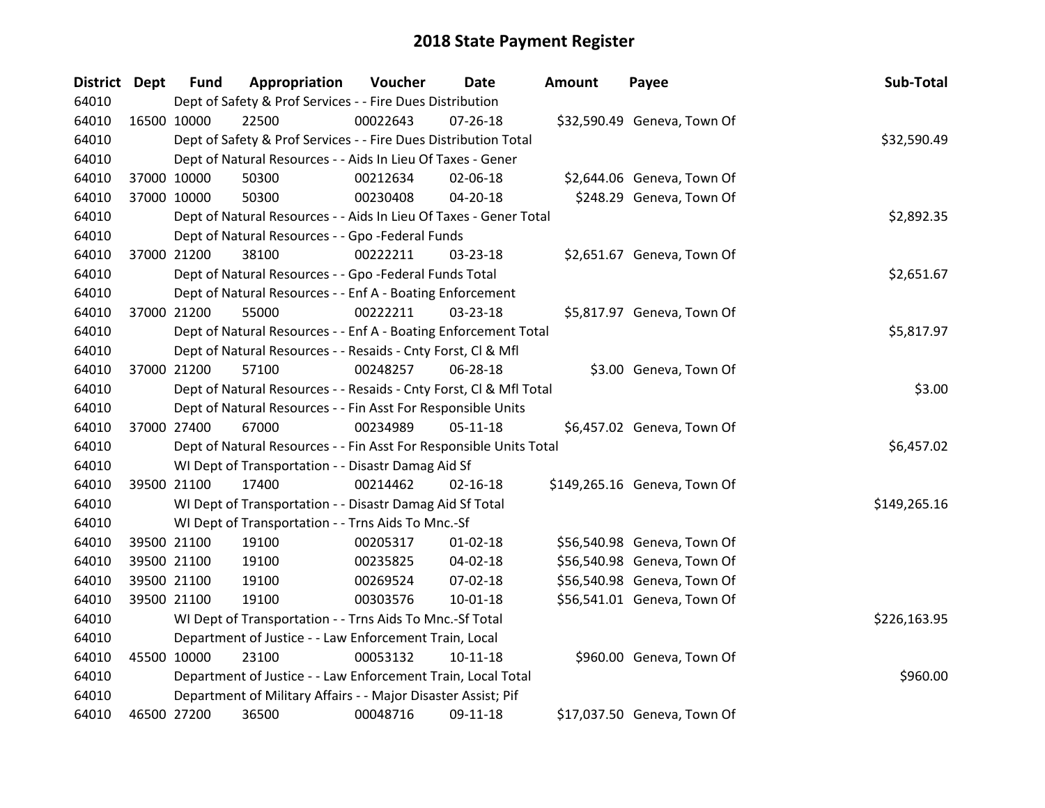| District Dept |             | <b>Fund</b> | Appropriation                                                      | Voucher  | Date           | <b>Amount</b> | Payee                        | Sub-Total    |
|---------------|-------------|-------------|--------------------------------------------------------------------|----------|----------------|---------------|------------------------------|--------------|
| 64010         |             |             | Dept of Safety & Prof Services - - Fire Dues Distribution          |          |                |               |                              |              |
| 64010         |             | 16500 10000 | 22500                                                              | 00022643 | $07 - 26 - 18$ |               | \$32,590.49 Geneva, Town Of  |              |
| 64010         |             |             | Dept of Safety & Prof Services - - Fire Dues Distribution Total    |          |                |               |                              | \$32,590.49  |
| 64010         |             |             | Dept of Natural Resources - - Aids In Lieu Of Taxes - Gener        |          |                |               |                              |              |
| 64010         |             | 37000 10000 | 50300                                                              | 00212634 | 02-06-18       |               | \$2,644.06 Geneva, Town Of   |              |
| 64010         |             | 37000 10000 | 50300                                                              | 00230408 | 04-20-18       |               | \$248.29 Geneva, Town Of     |              |
| 64010         |             |             | Dept of Natural Resources - - Aids In Lieu Of Taxes - Gener Total  |          |                |               |                              | \$2,892.35   |
| 64010         |             |             | Dept of Natural Resources - - Gpo - Federal Funds                  |          |                |               |                              |              |
| 64010         |             | 37000 21200 | 38100                                                              | 00222211 | 03-23-18       |               | \$2,651.67 Geneva, Town Of   |              |
| 64010         |             |             | Dept of Natural Resources - - Gpo -Federal Funds Total             |          |                |               |                              | \$2,651.67   |
| 64010         |             |             | Dept of Natural Resources - - Enf A - Boating Enforcement          |          |                |               |                              |              |
| 64010         |             | 37000 21200 | 55000                                                              | 00222211 | 03-23-18       |               | \$5,817.97 Geneva, Town Of   |              |
| 64010         |             |             | Dept of Natural Resources - - Enf A - Boating Enforcement Total    |          |                |               |                              | \$5,817.97   |
| 64010         |             |             | Dept of Natural Resources - - Resaids - Cnty Forst, CI & Mfl       |          |                |               |                              |              |
| 64010         |             | 37000 21200 | 57100                                                              | 00248257 | 06-28-18       |               | \$3.00 Geneva, Town Of       |              |
| 64010         |             |             | Dept of Natural Resources - - Resaids - Cnty Forst, CI & Mfl Total |          |                |               |                              | \$3.00       |
| 64010         |             |             | Dept of Natural Resources - - Fin Asst For Responsible Units       |          |                |               |                              |              |
| 64010         |             | 37000 27400 | 67000                                                              | 00234989 | $05 - 11 - 18$ |               | \$6,457.02 Geneva, Town Of   |              |
| 64010         |             |             | Dept of Natural Resources - - Fin Asst For Responsible Units Total |          |                |               |                              | \$6,457.02   |
| 64010         |             |             | WI Dept of Transportation - - Disastr Damag Aid Sf                 |          |                |               |                              |              |
| 64010         |             | 39500 21100 | 17400                                                              | 00214462 | $02 - 16 - 18$ |               | \$149,265.16 Geneva, Town Of |              |
| 64010         |             |             | WI Dept of Transportation - - Disastr Damag Aid Sf Total           |          |                |               |                              | \$149,265.16 |
| 64010         |             |             | WI Dept of Transportation - - Trns Aids To Mnc.-Sf                 |          |                |               |                              |              |
| 64010         |             | 39500 21100 | 19100                                                              | 00205317 | 01-02-18       |               | \$56,540.98 Geneva, Town Of  |              |
| 64010         |             | 39500 21100 | 19100                                                              | 00235825 | 04-02-18       |               | \$56,540.98 Geneva, Town Of  |              |
| 64010         |             | 39500 21100 | 19100                                                              | 00269524 | 07-02-18       |               | \$56,540.98 Geneva, Town Of  |              |
| 64010         |             | 39500 21100 | 19100                                                              | 00303576 | $10 - 01 - 18$ |               | \$56,541.01 Geneva, Town Of  |              |
| 64010         |             |             | WI Dept of Transportation - - Trns Aids To Mnc.-Sf Total           |          |                |               |                              | \$226,163.95 |
| 64010         |             |             | Department of Justice - - Law Enforcement Train, Local             |          |                |               |                              |              |
| 64010         |             | 45500 10000 | 23100                                                              | 00053132 | $10-11-18$     |               | \$960.00 Geneva, Town Of     |              |
| 64010         |             |             | Department of Justice - - Law Enforcement Train, Local Total       |          |                |               |                              | \$960.00     |
| 64010         |             |             | Department of Military Affairs - - Major Disaster Assist; Pif      |          |                |               |                              |              |
| 64010         | 46500 27200 |             | 36500                                                              | 00048716 | 09-11-18       |               | \$17,037.50 Geneva, Town Of  |              |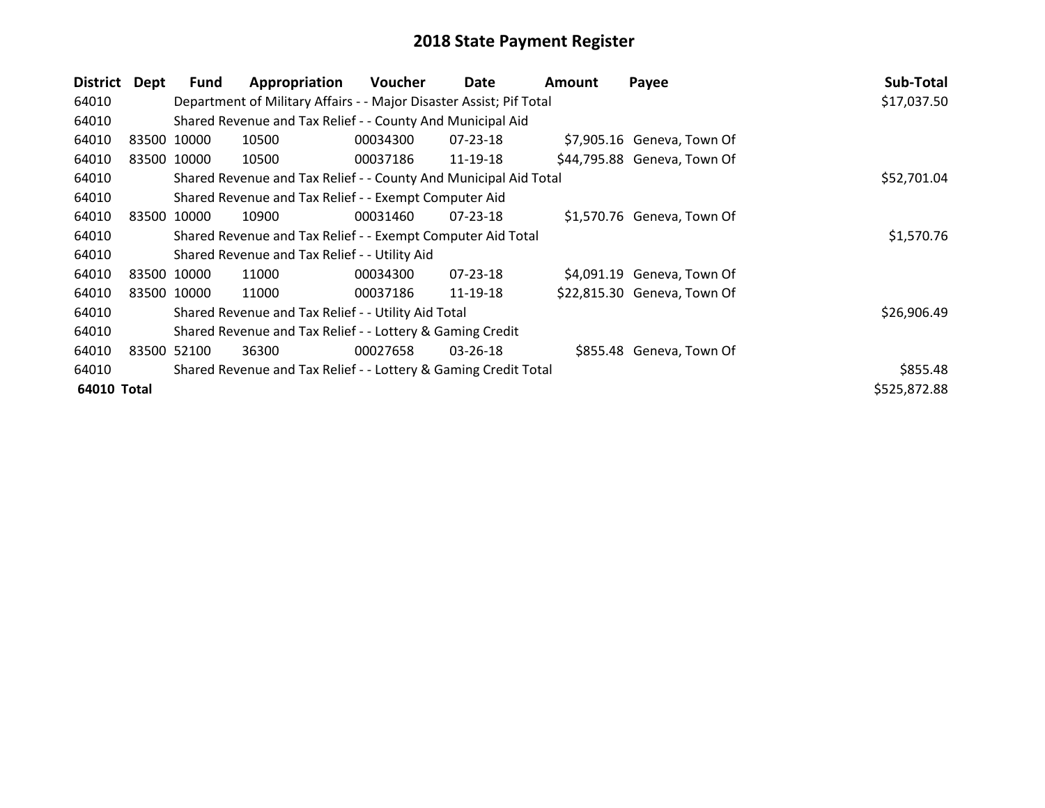| District Dept |                                                             | <b>Fund</b> | Appropriation                                                       | Voucher  | Date           | Amount | Payee                       | Sub-Total    |
|---------------|-------------------------------------------------------------|-------------|---------------------------------------------------------------------|----------|----------------|--------|-----------------------------|--------------|
| 64010         |                                                             |             | Department of Military Affairs - - Major Disaster Assist; Pif Total |          |                |        |                             | \$17,037.50  |
| 64010         |                                                             |             | Shared Revenue and Tax Relief - - County And Municipal Aid          |          |                |        |                             |              |
| 64010         |                                                             | 83500 10000 | 10500                                                               | 00034300 | 07-23-18       |        | \$7,905.16 Geneva, Town Of  |              |
| 64010         |                                                             | 83500 10000 | 10500                                                               | 00037186 | 11-19-18       |        | \$44,795.88 Geneva, Town Of |              |
| 64010         |                                                             |             | Shared Revenue and Tax Relief - - County And Municipal Aid Total    |          |                |        |                             | \$52,701.04  |
| 64010         |                                                             |             | Shared Revenue and Tax Relief - - Exempt Computer Aid               |          |                |        |                             |              |
| 64010         |                                                             | 83500 10000 | 10900                                                               | 00031460 | $07 - 23 - 18$ |        | \$1,570.76 Geneva, Town Of  |              |
| 64010         | Shared Revenue and Tax Relief - - Exempt Computer Aid Total |             |                                                                     |          |                |        |                             |              |
| 64010         |                                                             |             | Shared Revenue and Tax Relief - - Utility Aid                       |          |                |        |                             |              |
| 64010         |                                                             | 83500 10000 | 11000                                                               | 00034300 | $07 - 23 - 18$ |        | \$4,091.19 Geneva, Town Of  |              |
| 64010         |                                                             | 83500 10000 | 11000                                                               | 00037186 | 11-19-18       |        | \$22,815.30 Geneva, Town Of |              |
| 64010         |                                                             |             | Shared Revenue and Tax Relief - - Utility Aid Total                 |          |                |        |                             | \$26,906.49  |
| 64010         |                                                             |             | Shared Revenue and Tax Relief - - Lottery & Gaming Credit           |          |                |        |                             |              |
| 64010         |                                                             | 83500 52100 | 36300                                                               | 00027658 | 03-26-18       |        | \$855.48 Geneva, Town Of    |              |
| 64010         |                                                             |             | Shared Revenue and Tax Relief - - Lottery & Gaming Credit Total     |          |                |        |                             | \$855.48     |
| 64010 Total   |                                                             |             |                                                                     |          |                |        |                             | \$525,872.88 |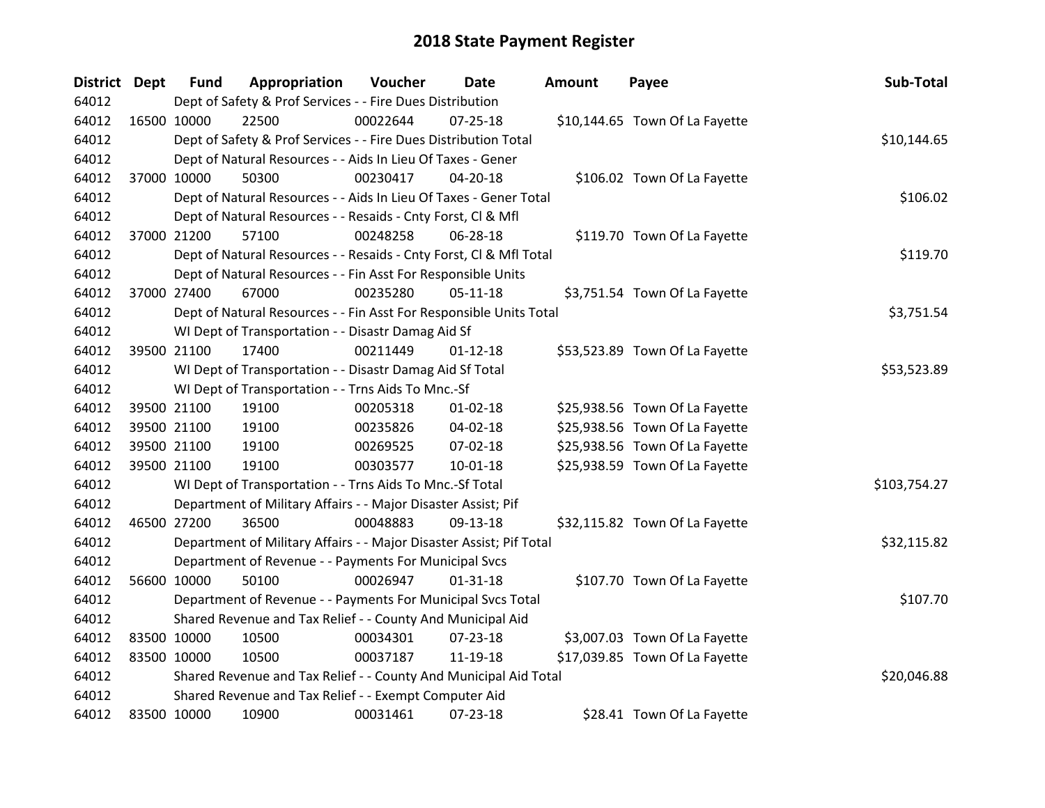| District Dept |             | <b>Fund</b> | Appropriation                                                       | Voucher  | Date           | Amount | Payee                          | Sub-Total    |  |  |
|---------------|-------------|-------------|---------------------------------------------------------------------|----------|----------------|--------|--------------------------------|--------------|--|--|
| 64012         |             |             | Dept of Safety & Prof Services - - Fire Dues Distribution           |          |                |        |                                |              |  |  |
| 64012         | 16500 10000 |             | 22500                                                               | 00022644 | $07 - 25 - 18$ |        | \$10,144.65 Town Of La Fayette |              |  |  |
| 64012         |             |             | Dept of Safety & Prof Services - - Fire Dues Distribution Total     |          |                |        |                                | \$10,144.65  |  |  |
| 64012         |             |             | Dept of Natural Resources - - Aids In Lieu Of Taxes - Gener         |          |                |        |                                |              |  |  |
| 64012         | 37000 10000 |             | 50300                                                               | 00230417 | 04-20-18       |        | \$106.02 Town Of La Fayette    |              |  |  |
| 64012         |             |             | Dept of Natural Resources - - Aids In Lieu Of Taxes - Gener Total   |          |                |        |                                | \$106.02     |  |  |
| 64012         |             |             | Dept of Natural Resources - - Resaids - Cnty Forst, Cl & Mfl        |          |                |        |                                |              |  |  |
| 64012         | 37000 21200 |             | 57100                                                               | 00248258 | 06-28-18       |        | \$119.70 Town Of La Fayette    |              |  |  |
| 64012         |             |             | Dept of Natural Resources - - Resaids - Cnty Forst, CI & Mfl Total  |          |                |        |                                | \$119.70     |  |  |
| 64012         |             |             | Dept of Natural Resources - - Fin Asst For Responsible Units        |          |                |        |                                |              |  |  |
| 64012         |             | 37000 27400 | 67000                                                               | 00235280 | $05-11-18$     |        | \$3,751.54 Town Of La Fayette  |              |  |  |
| 64012         |             |             | Dept of Natural Resources - - Fin Asst For Responsible Units Total  |          |                |        |                                | \$3,751.54   |  |  |
| 64012         |             |             | WI Dept of Transportation - - Disastr Damag Aid Sf                  |          |                |        |                                |              |  |  |
| 64012         | 39500 21100 |             | 17400                                                               | 00211449 | $01 - 12 - 18$ |        | \$53,523.89 Town Of La Fayette |              |  |  |
| 64012         |             |             | WI Dept of Transportation - - Disastr Damag Aid Sf Total            |          |                |        |                                |              |  |  |
| 64012         |             |             | WI Dept of Transportation - - Trns Aids To Mnc.-Sf                  |          |                |        |                                |              |  |  |
| 64012         | 39500 21100 |             | 19100                                                               | 00205318 | $01 - 02 - 18$ |        | \$25,938.56 Town Of La Fayette |              |  |  |
| 64012         |             | 39500 21100 | 19100                                                               | 00235826 | 04-02-18       |        | \$25,938.56 Town Of La Fayette |              |  |  |
| 64012         | 39500 21100 |             | 19100                                                               | 00269525 | 07-02-18       |        | \$25,938.56 Town Of La Fayette |              |  |  |
| 64012         | 39500 21100 |             | 19100                                                               | 00303577 | $10 - 01 - 18$ |        | \$25,938.59 Town Of La Fayette |              |  |  |
| 64012         |             |             | WI Dept of Transportation - - Trns Aids To Mnc.-Sf Total            |          |                |        |                                | \$103,754.27 |  |  |
| 64012         |             |             | Department of Military Affairs - - Major Disaster Assist; Pif       |          |                |        |                                |              |  |  |
| 64012         | 46500 27200 |             | 36500                                                               | 00048883 | 09-13-18       |        | \$32,115.82 Town Of La Fayette |              |  |  |
| 64012         |             |             | Department of Military Affairs - - Major Disaster Assist; Pif Total |          |                |        |                                | \$32,115.82  |  |  |
| 64012         |             |             | Department of Revenue - - Payments For Municipal Svcs               |          |                |        |                                |              |  |  |
| 64012         | 56600 10000 |             | 50100                                                               | 00026947 | $01 - 31 - 18$ |        | \$107.70 Town Of La Fayette    |              |  |  |
| 64012         |             |             | Department of Revenue - - Payments For Municipal Svcs Total         |          |                |        |                                | \$107.70     |  |  |
| 64012         |             |             | Shared Revenue and Tax Relief - - County And Municipal Aid          |          |                |        |                                |              |  |  |
| 64012         | 83500 10000 |             | 10500                                                               | 00034301 | 07-23-18       |        | \$3,007.03 Town Of La Fayette  |              |  |  |
| 64012         | 83500 10000 |             | 10500                                                               | 00037187 | 11-19-18       |        | \$17,039.85 Town Of La Fayette |              |  |  |
| 64012         |             |             | Shared Revenue and Tax Relief - - County And Municipal Aid Total    |          |                |        |                                | \$20,046.88  |  |  |
| 64012         |             |             | Shared Revenue and Tax Relief - - Exempt Computer Aid               |          |                |        |                                |              |  |  |
| 64012         | 83500 10000 |             | 10900                                                               | 00031461 | 07-23-18       |        | \$28.41 Town Of La Fayette     |              |  |  |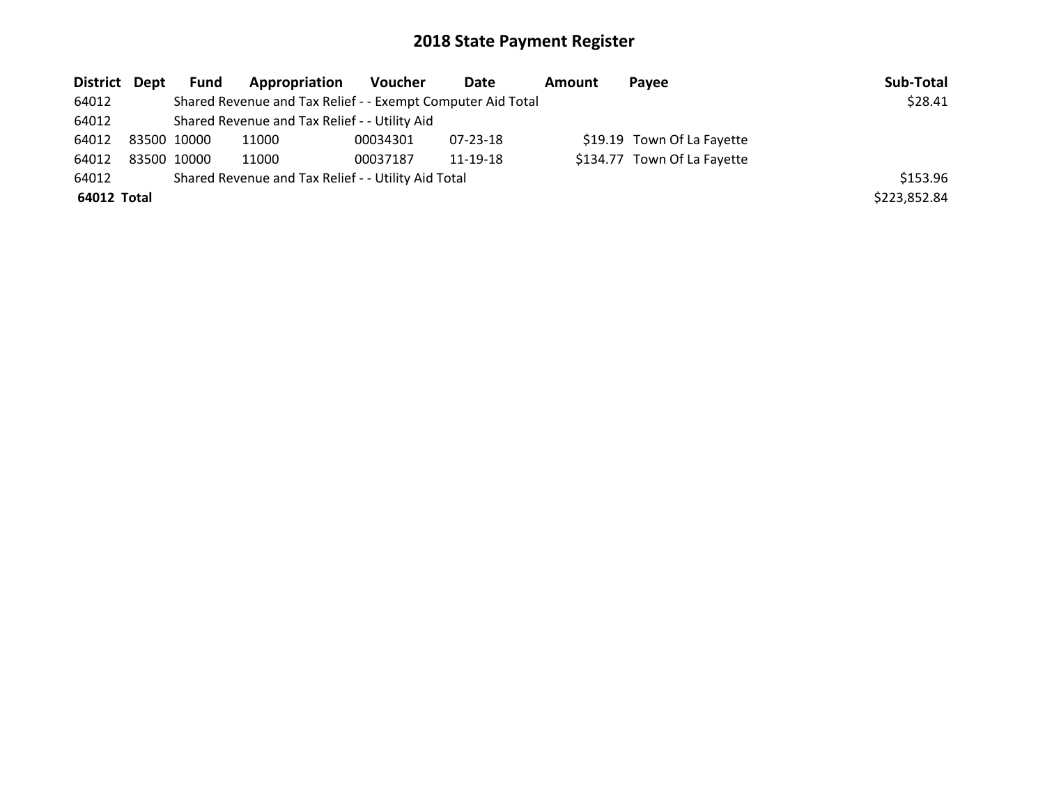| District Dept |             | Fund | <b>Appropriation</b>                                        | Voucher  | Date     | <b>Amount</b> | Pavee                       | Sub-Total    |
|---------------|-------------|------|-------------------------------------------------------------|----------|----------|---------------|-----------------------------|--------------|
| 64012         |             |      | Shared Revenue and Tax Relief - - Exempt Computer Aid Total |          |          |               |                             | \$28.41      |
| 64012         |             |      | Shared Revenue and Tax Relief - - Utility Aid               |          |          |               |                             |              |
| 64012         | 83500 10000 |      | 11000                                                       | 00034301 | 07-23-18 |               | \$19.19 Town Of La Fayette  |              |
| 64012         | 83500 10000 |      | 11000                                                       | 00037187 | 11-19-18 |               | \$134.77 Town Of La Fayette |              |
| 64012         |             |      | Shared Revenue and Tax Relief - - Utility Aid Total         |          |          |               |                             | \$153.96     |
| 64012 Total   |             |      |                                                             |          |          |               |                             | \$223,852.84 |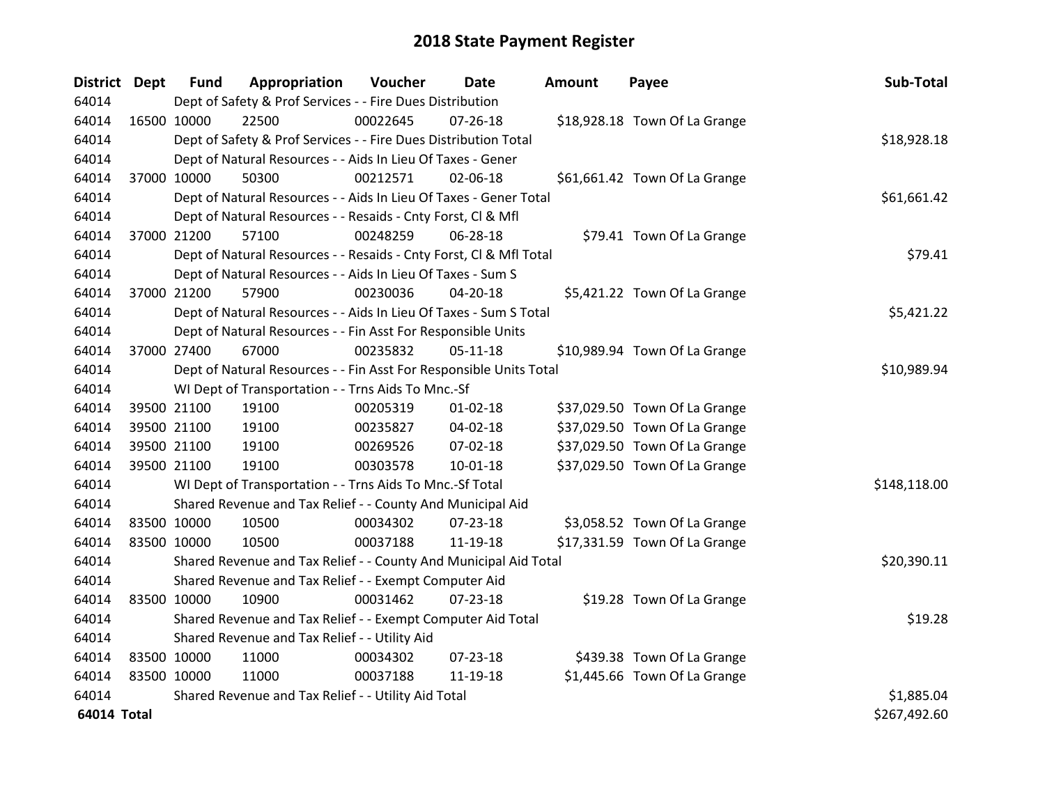| District Dept |             | <b>Fund</b> | Appropriation                                                      | Voucher     | <b>Date</b>    | <b>Amount</b> | Payee                         | Sub-Total    |
|---------------|-------------|-------------|--------------------------------------------------------------------|-------------|----------------|---------------|-------------------------------|--------------|
| 64014         |             |             | Dept of Safety & Prof Services - - Fire Dues Distribution          |             |                |               |                               |              |
| 64014         | 16500 10000 |             | 22500                                                              | 00022645    | $07 - 26 - 18$ |               | \$18,928.18 Town Of La Grange |              |
| 64014         |             |             | Dept of Safety & Prof Services - - Fire Dues Distribution Total    |             |                |               |                               | \$18,928.18  |
| 64014         |             |             | Dept of Natural Resources - - Aids In Lieu Of Taxes - Gener        |             |                |               |                               |              |
| 64014         | 37000 10000 |             | 50300                                                              | 00212571    | 02-06-18       |               | \$61,661.42 Town Of La Grange |              |
| 64014         |             |             | Dept of Natural Resources - - Aids In Lieu Of Taxes - Gener Total  |             |                |               |                               | \$61,661.42  |
| 64014         |             |             | Dept of Natural Resources - - Resaids - Cnty Forst, Cl & Mfl       |             |                |               |                               |              |
| 64014         | 37000 21200 |             | 57100                                                              | 00248259    | 06-28-18       |               | \$79.41 Town Of La Grange     |              |
| 64014         |             |             | Dept of Natural Resources - - Resaids - Cnty Forst, CI & Mfl Total |             |                |               |                               | \$79.41      |
| 64014         |             |             | Dept of Natural Resources - - Aids In Lieu Of Taxes - Sum S        |             |                |               |                               |              |
| 64014         | 37000 21200 |             | 57900                                                              | 00230036    | $04 - 20 - 18$ |               | \$5,421.22 Town Of La Grange  |              |
| 64014         |             |             | Dept of Natural Resources - - Aids In Lieu Of Taxes - Sum S Total  |             |                |               |                               | \$5,421.22   |
| 64014         |             |             | Dept of Natural Resources - - Fin Asst For Responsible Units       |             |                |               |                               |              |
| 64014         | 37000 27400 |             | 67000                                                              | 00235832    | 05-11-18       |               | \$10,989.94 Town Of La Grange |              |
| 64014         |             |             | Dept of Natural Resources - - Fin Asst For Responsible Units Total | \$10,989.94 |                |               |                               |              |
| 64014         |             |             | WI Dept of Transportation - - Trns Aids To Mnc.-Sf                 |             |                |               |                               |              |
| 64014         | 39500 21100 |             | 19100                                                              | 00205319    | $01 - 02 - 18$ |               | \$37,029.50 Town Of La Grange |              |
| 64014         | 39500 21100 |             | 19100                                                              | 00235827    | 04-02-18       |               | \$37,029.50 Town Of La Grange |              |
| 64014         |             | 39500 21100 | 19100                                                              | 00269526    | 07-02-18       |               | \$37,029.50 Town Of La Grange |              |
| 64014         | 39500 21100 |             | 19100                                                              | 00303578    | 10-01-18       |               | \$37,029.50 Town Of La Grange |              |
| 64014         |             |             | WI Dept of Transportation - - Trns Aids To Mnc.-Sf Total           |             |                |               |                               | \$148,118.00 |
| 64014         |             |             | Shared Revenue and Tax Relief - - County And Municipal Aid         |             |                |               |                               |              |
| 64014         | 83500 10000 |             | 10500                                                              | 00034302    | $07 - 23 - 18$ |               | \$3,058.52 Town Of La Grange  |              |
| 64014         | 83500 10000 |             | 10500                                                              | 00037188    | 11-19-18       |               | \$17,331.59 Town Of La Grange |              |
| 64014         |             |             | Shared Revenue and Tax Relief - - County And Municipal Aid Total   |             |                |               |                               | \$20,390.11  |
| 64014         |             |             | Shared Revenue and Tax Relief - - Exempt Computer Aid              |             |                |               |                               |              |
| 64014         | 83500 10000 |             | 10900                                                              | 00031462    | 07-23-18       |               | \$19.28 Town Of La Grange     |              |
| 64014         |             |             | Shared Revenue and Tax Relief - - Exempt Computer Aid Total        |             |                |               |                               | \$19.28      |
| 64014         |             |             | Shared Revenue and Tax Relief - - Utility Aid                      |             |                |               |                               |              |
| 64014         | 83500 10000 |             | 11000                                                              | 00034302    | $07 - 23 - 18$ |               | \$439.38 Town Of La Grange    |              |
| 64014         | 83500 10000 |             | 11000                                                              | 00037188    | 11-19-18       |               | \$1,445.66 Town Of La Grange  |              |
| 64014         |             |             | Shared Revenue and Tax Relief - - Utility Aid Total                |             |                |               |                               | \$1,885.04   |
| 64014 Total   |             |             |                                                                    |             |                |               |                               | \$267,492.60 |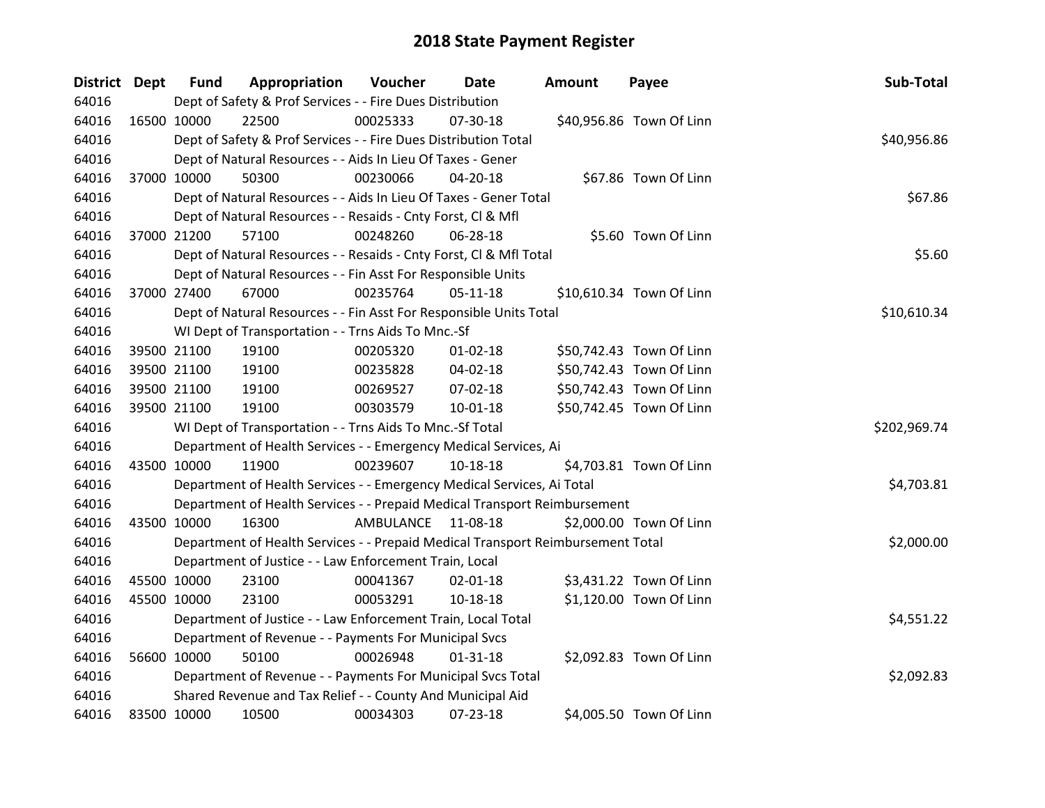| District Dept |             | <b>Fund</b> | Appropriation                                                                   | Voucher     | <b>Date</b>    | <b>Amount</b> | Payee                    | Sub-Total    |
|---------------|-------------|-------------|---------------------------------------------------------------------------------|-------------|----------------|---------------|--------------------------|--------------|
| 64016         |             |             | Dept of Safety & Prof Services - - Fire Dues Distribution                       |             |                |               |                          |              |
| 64016         |             | 16500 10000 | 22500                                                                           | 00025333    | 07-30-18       |               | \$40,956.86 Town Of Linn |              |
| 64016         |             |             | Dept of Safety & Prof Services - - Fire Dues Distribution Total                 | \$40,956.86 |                |               |                          |              |
| 64016         |             |             | Dept of Natural Resources - - Aids In Lieu Of Taxes - Gener                     |             |                |               |                          |              |
| 64016         |             | 37000 10000 | 50300                                                                           | 00230066    | 04-20-18       |               | \$67.86 Town Of Linn     |              |
| 64016         |             |             | Dept of Natural Resources - - Aids In Lieu Of Taxes - Gener Total               |             |                |               |                          | \$67.86      |
| 64016         |             |             | Dept of Natural Resources - - Resaids - Cnty Forst, Cl & Mfl                    |             |                |               |                          |              |
| 64016         |             | 37000 21200 | 57100                                                                           | 00248260    | 06-28-18       |               | \$5.60 Town Of Linn      |              |
| 64016         |             |             | Dept of Natural Resources - - Resaids - Cnty Forst, Cl & Mfl Total              |             |                |               |                          | \$5.60       |
| 64016         |             |             | Dept of Natural Resources - - Fin Asst For Responsible Units                    |             |                |               |                          |              |
| 64016         |             | 37000 27400 | 67000                                                                           | 00235764    | $05-11-18$     |               | \$10,610.34 Town Of Linn |              |
| 64016         |             |             | Dept of Natural Resources - - Fin Asst For Responsible Units Total              |             |                |               |                          | \$10,610.34  |
| 64016         |             |             | WI Dept of Transportation - - Trns Aids To Mnc.-Sf                              |             |                |               |                          |              |
| 64016         |             | 39500 21100 | 19100                                                                           | 00205320    | $01 - 02 - 18$ |               | \$50,742.43 Town Of Linn |              |
| 64016         |             | 39500 21100 | 19100                                                                           | 00235828    | 04-02-18       |               | \$50,742.43 Town Of Linn |              |
| 64016         |             | 39500 21100 | 19100                                                                           | 00269527    | 07-02-18       |               | \$50,742.43 Town Of Linn |              |
| 64016         |             | 39500 21100 | 19100                                                                           | 00303579    | 10-01-18       |               | \$50,742.45 Town Of Linn |              |
| 64016         |             |             | WI Dept of Transportation - - Trns Aids To Mnc.-Sf Total                        |             |                |               |                          | \$202,969.74 |
| 64016         |             |             | Department of Health Services - - Emergency Medical Services, Ai                |             |                |               |                          |              |
| 64016         |             | 43500 10000 | 11900                                                                           | 00239607    | 10-18-18       |               | \$4,703.81 Town Of Linn  |              |
| 64016         |             |             | Department of Health Services - - Emergency Medical Services, Ai Total          |             |                |               |                          | \$4,703.81   |
| 64016         |             |             | Department of Health Services - - Prepaid Medical Transport Reimbursement       |             |                |               |                          |              |
| 64016         |             | 43500 10000 | 16300                                                                           | AMBULANCE   | 11-08-18       |               | \$2,000.00 Town Of Linn  |              |
| 64016         |             |             | Department of Health Services - - Prepaid Medical Transport Reimbursement Total |             |                |               |                          | \$2,000.00   |
| 64016         |             |             | Department of Justice - - Law Enforcement Train, Local                          |             |                |               |                          |              |
| 64016         |             | 45500 10000 | 23100                                                                           | 00041367    | $02 - 01 - 18$ |               | \$3,431.22 Town Of Linn  |              |
| 64016         |             | 45500 10000 | 23100                                                                           | 00053291    | 10-18-18       |               | \$1,120.00 Town Of Linn  |              |
| 64016         |             |             | Department of Justice - - Law Enforcement Train, Local Total                    |             |                |               |                          | \$4,551.22   |
| 64016         |             |             | Department of Revenue - - Payments For Municipal Svcs                           |             |                |               |                          |              |
| 64016         |             | 56600 10000 | 50100                                                                           | 00026948    | $01 - 31 - 18$ |               | \$2,092.83 Town Of Linn  |              |
| 64016         |             |             | Department of Revenue - - Payments For Municipal Svcs Total                     |             |                |               |                          | \$2,092.83   |
| 64016         |             |             | Shared Revenue and Tax Relief - - County And Municipal Aid                      |             |                |               |                          |              |
| 64016         | 83500 10000 |             | 10500                                                                           | 00034303    | 07-23-18       |               | \$4,005.50 Town Of Linn  |              |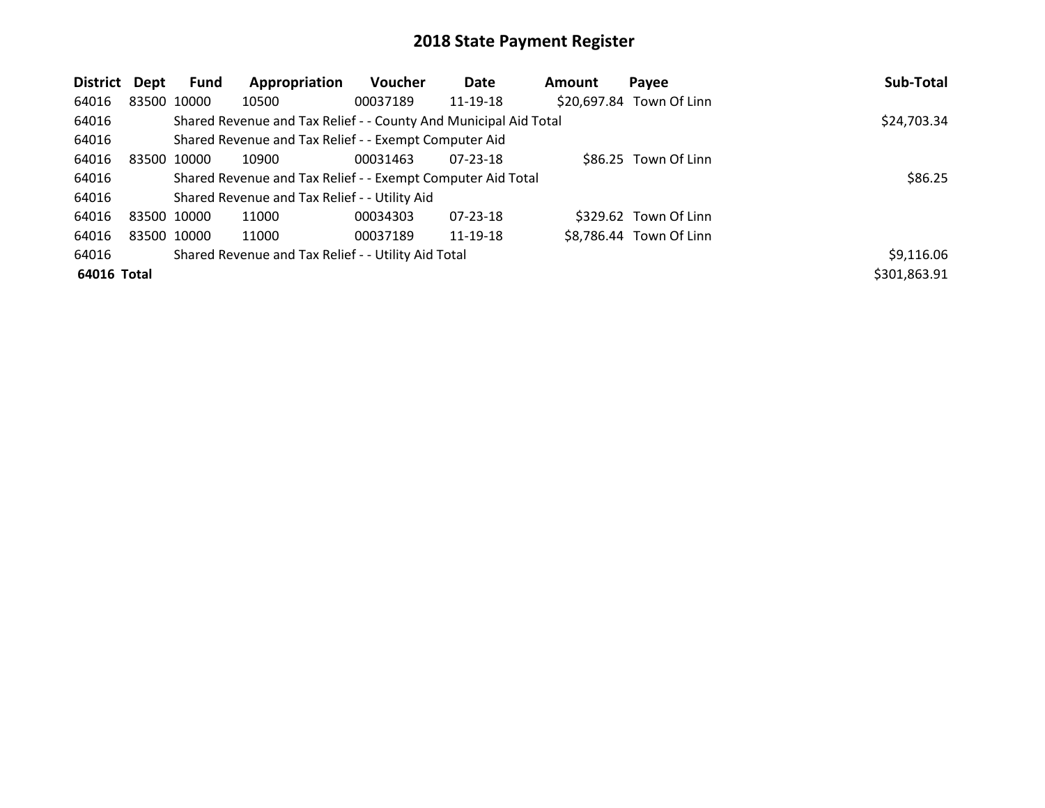| <b>District</b> | Dept        | Fund | Appropriation                                                    | Voucher  | Date     | Amount | Payee                    | Sub-Total    |
|-----------------|-------------|------|------------------------------------------------------------------|----------|----------|--------|--------------------------|--------------|
| 64016           | 83500 10000 |      | 10500                                                            | 00037189 | 11-19-18 |        | \$20,697.84 Town Of Linn |              |
| 64016           |             |      | Shared Revenue and Tax Relief - - County And Municipal Aid Total |          |          |        |                          | \$24,703.34  |
| 64016           |             |      | Shared Revenue and Tax Relief - - Exempt Computer Aid            |          |          |        |                          |              |
| 64016           | 83500 10000 |      | 10900                                                            | 00031463 | 07-23-18 |        | \$86.25 Town Of Linn     |              |
| 64016           |             |      | Shared Revenue and Tax Relief - - Exempt Computer Aid Total      |          |          |        |                          | \$86.25      |
| 64016           |             |      | Shared Revenue and Tax Relief - - Utility Aid                    |          |          |        |                          |              |
| 64016           | 83500 10000 |      | 11000                                                            | 00034303 | 07-23-18 |        | \$329.62 Town Of Linn    |              |
| 64016           | 83500 10000 |      | 11000                                                            | 00037189 | 11-19-18 |        | \$8,786.44 Town Of Linn  |              |
| 64016           |             |      | Shared Revenue and Tax Relief - - Utility Aid Total              |          |          |        |                          | \$9,116.06   |
| 64016 Total     |             |      |                                                                  |          |          |        |                          | \$301,863.91 |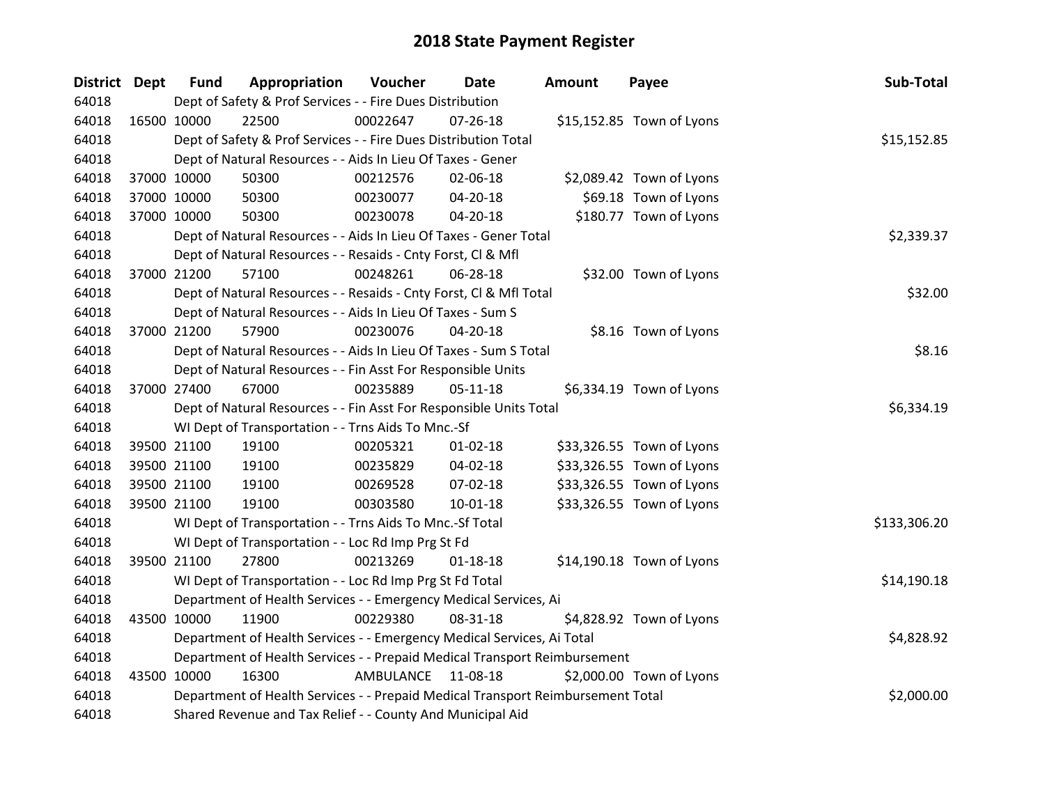| District Dept |             | <b>Fund</b>                                                                     | Appropriation                                                             | Voucher    | <b>Date</b>    | <b>Amount</b> | Payee                     | Sub-Total    |
|---------------|-------------|---------------------------------------------------------------------------------|---------------------------------------------------------------------------|------------|----------------|---------------|---------------------------|--------------|
| 64018         |             |                                                                                 | Dept of Safety & Prof Services - - Fire Dues Distribution                 |            |                |               |                           |              |
| 64018         | 16500 10000 |                                                                                 | 22500                                                                     | 00022647   | $07 - 26 - 18$ |               | \$15,152.85 Town of Lyons |              |
| 64018         |             |                                                                                 | Dept of Safety & Prof Services - - Fire Dues Distribution Total           |            |                |               |                           | \$15,152.85  |
| 64018         |             |                                                                                 | Dept of Natural Resources - - Aids In Lieu Of Taxes - Gener               |            |                |               |                           |              |
| 64018         |             | 37000 10000                                                                     | 50300                                                                     | 00212576   | 02-06-18       |               | \$2,089.42 Town of Lyons  |              |
| 64018         |             | 37000 10000                                                                     | 50300                                                                     | 00230077   | 04-20-18       |               | \$69.18 Town of Lyons     |              |
| 64018         |             | 37000 10000                                                                     | 50300                                                                     | 00230078   | 04-20-18       |               | \$180.77 Town of Lyons    |              |
| 64018         |             |                                                                                 | Dept of Natural Resources - - Aids In Lieu Of Taxes - Gener Total         | \$2,339.37 |                |               |                           |              |
| 64018         |             |                                                                                 | Dept of Natural Resources - - Resaids - Cnty Forst, Cl & Mfl              |            |                |               |                           |              |
| 64018         |             | 37000 21200                                                                     | 57100                                                                     | 00248261   | 06-28-18       |               | \$32.00 Town of Lyons     |              |
| 64018         |             |                                                                                 | Dept of Natural Resources - - Resaids - Cnty Forst, Cl & Mfl Total        |            |                |               |                           | \$32.00      |
| 64018         |             |                                                                                 | Dept of Natural Resources - - Aids In Lieu Of Taxes - Sum S               |            |                |               |                           |              |
| 64018         |             | 37000 21200                                                                     | 57900                                                                     | 00230076   | $04 - 20 - 18$ |               | \$8.16 Town of Lyons      |              |
| 64018         |             |                                                                                 | Dept of Natural Resources - - Aids In Lieu Of Taxes - Sum S Total         |            |                |               |                           | \$8.16       |
| 64018         |             |                                                                                 | Dept of Natural Resources - - Fin Asst For Responsible Units              |            |                |               |                           |              |
| 64018         |             | 37000 27400                                                                     | 67000                                                                     | 00235889   | $05 - 11 - 18$ |               | \$6,334.19 Town of Lyons  |              |
| 64018         |             |                                                                                 | Dept of Natural Resources - - Fin Asst For Responsible Units Total        |            |                |               |                           | \$6,334.19   |
| 64018         |             |                                                                                 | WI Dept of Transportation - - Trns Aids To Mnc.-Sf                        |            |                |               |                           |              |
| 64018         |             | 39500 21100                                                                     | 19100                                                                     | 00205321   | $01 - 02 - 18$ |               | \$33,326.55 Town of Lyons |              |
| 64018         |             | 39500 21100                                                                     | 19100                                                                     | 00235829   | 04-02-18       |               | \$33,326.55 Town of Lyons |              |
| 64018         |             | 39500 21100                                                                     | 19100                                                                     | 00269528   | 07-02-18       |               | \$33,326.55 Town of Lyons |              |
| 64018         |             | 39500 21100                                                                     | 19100                                                                     | 00303580   | 10-01-18       |               | \$33,326.55 Town of Lyons |              |
| 64018         |             |                                                                                 | WI Dept of Transportation - - Trns Aids To Mnc.-Sf Total                  |            |                |               |                           | \$133,306.20 |
| 64018         |             |                                                                                 | WI Dept of Transportation - - Loc Rd Imp Prg St Fd                        |            |                |               |                           |              |
| 64018         |             | 39500 21100                                                                     | 27800                                                                     | 00213269   | $01 - 18 - 18$ |               | \$14,190.18 Town of Lyons |              |
| 64018         |             |                                                                                 | WI Dept of Transportation - - Loc Rd Imp Prg St Fd Total                  |            |                |               |                           | \$14,190.18  |
| 64018         |             |                                                                                 | Department of Health Services - - Emergency Medical Services, Ai          |            |                |               |                           |              |
| 64018         | 43500 10000 |                                                                                 | 11900                                                                     | 00229380   | 08-31-18       |               | \$4,828.92 Town of Lyons  |              |
| 64018         |             |                                                                                 | Department of Health Services - - Emergency Medical Services, Ai Total    |            |                |               |                           | \$4,828.92   |
| 64018         |             |                                                                                 | Department of Health Services - - Prepaid Medical Transport Reimbursement |            |                |               |                           |              |
| 64018         |             | 43500 10000                                                                     | 16300                                                                     | AMBULANCE  | 11-08-18       |               | \$2,000.00 Town of Lyons  |              |
| 64018         |             | Department of Health Services - - Prepaid Medical Transport Reimbursement Total |                                                                           |            |                |               |                           | \$2,000.00   |
| 64018         |             |                                                                                 | Shared Revenue and Tax Relief - - County And Municipal Aid                |            |                |               |                           |              |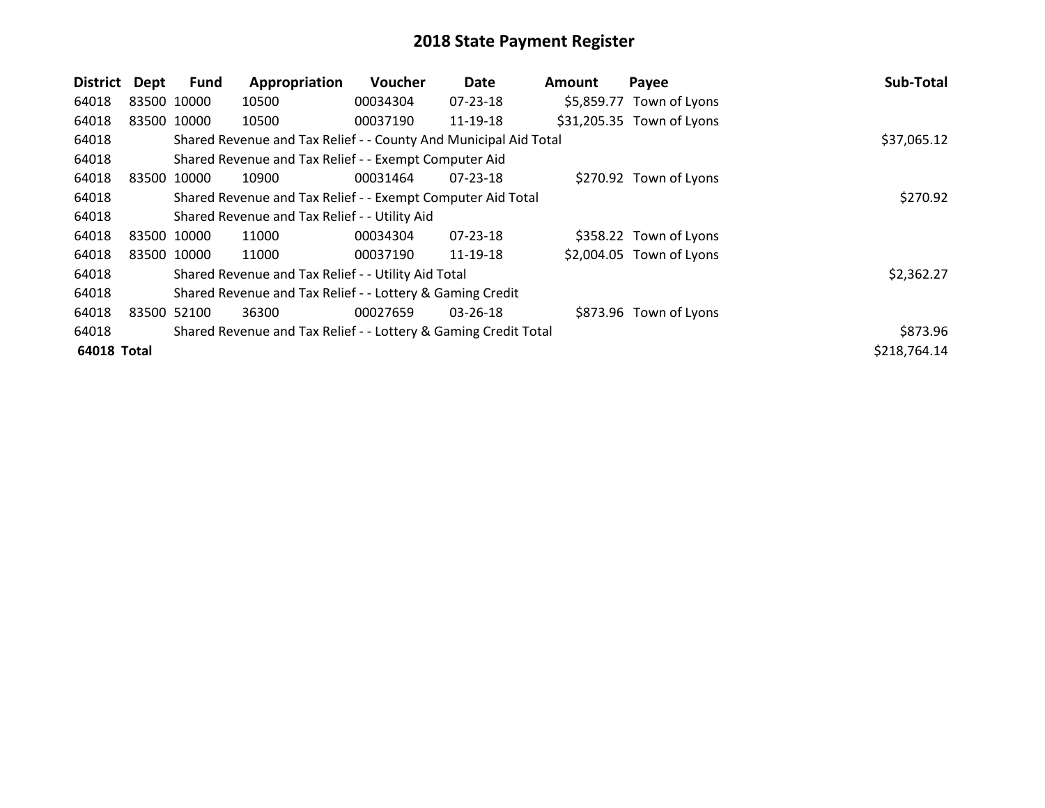| District    | Dept        | <b>Fund</b> | Appropriation                                                    | Voucher  | Date           | <b>Amount</b> | Payee                     | Sub-Total    |
|-------------|-------------|-------------|------------------------------------------------------------------|----------|----------------|---------------|---------------------------|--------------|
| 64018       | 83500 10000 |             | 10500                                                            | 00034304 | 07-23-18       |               | \$5,859.77 Town of Lyons  |              |
| 64018       | 83500 10000 |             | 10500                                                            | 00037190 | 11-19-18       |               | \$31,205.35 Town of Lyons |              |
| 64018       |             |             | Shared Revenue and Tax Relief - - County And Municipal Aid Total |          |                |               |                           | \$37,065.12  |
| 64018       |             |             | Shared Revenue and Tax Relief - - Exempt Computer Aid            |          |                |               |                           |              |
| 64018       |             | 83500 10000 | 10900                                                            | 00031464 | $07 - 23 - 18$ |               | \$270.92 Town of Lyons    |              |
| 64018       |             |             | Shared Revenue and Tax Relief - - Exempt Computer Aid Total      |          |                |               |                           | \$270.92     |
| 64018       |             |             | Shared Revenue and Tax Relief - - Utility Aid                    |          |                |               |                           |              |
| 64018       |             | 83500 10000 | 11000                                                            | 00034304 | $07 - 23 - 18$ |               | \$358.22 Town of Lyons    |              |
| 64018       |             | 83500 10000 | 11000                                                            | 00037190 | 11-19-18       |               | \$2,004.05 Town of Lyons  |              |
| 64018       |             |             | Shared Revenue and Tax Relief - - Utility Aid Total              |          |                |               |                           | \$2,362.27   |
| 64018       |             |             | Shared Revenue and Tax Relief - - Lottery & Gaming Credit        |          |                |               |                           |              |
| 64018       | 83500       | 52100       | 36300                                                            | 00027659 | 03-26-18       |               | \$873.96 Town of Lyons    |              |
| 64018       |             |             | Shared Revenue and Tax Relief - - Lottery & Gaming Credit Total  |          |                |               |                           | \$873.96     |
| 64018 Total |             |             |                                                                  |          |                |               |                           | \$218,764.14 |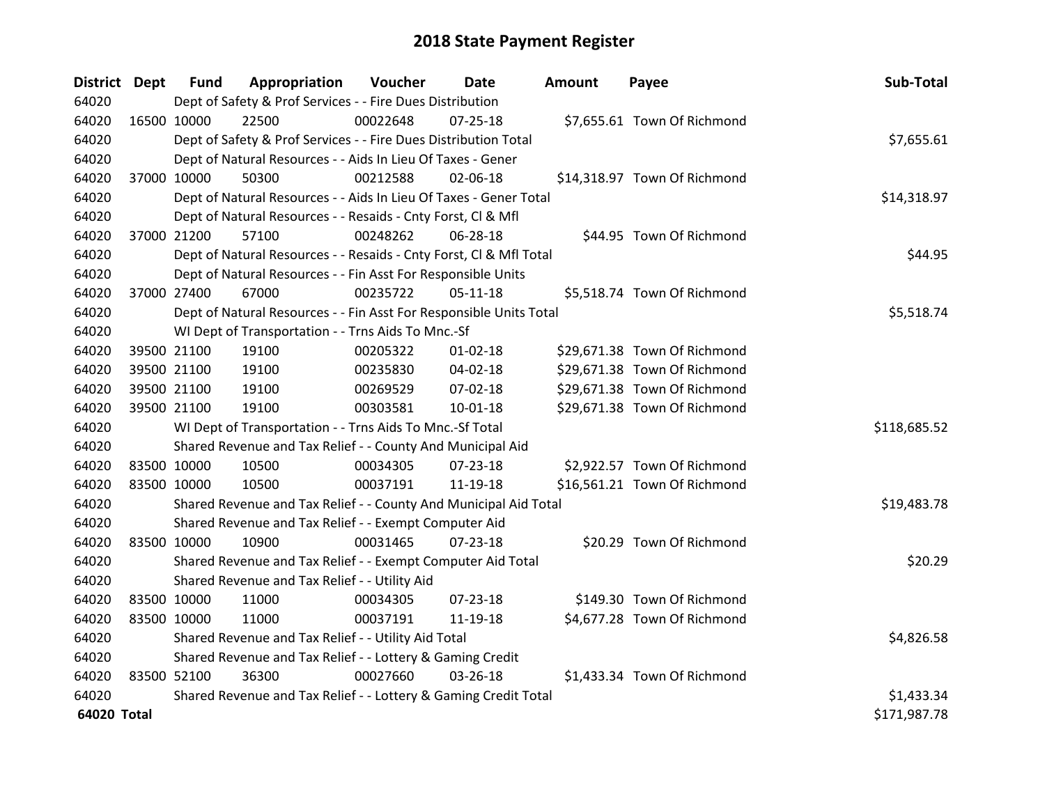| District Dept |             | <b>Fund</b>                                               | Appropriation                                                      | Voucher  | <b>Date</b>    | <b>Amount</b> | Payee                        | Sub-Total    |
|---------------|-------------|-----------------------------------------------------------|--------------------------------------------------------------------|----------|----------------|---------------|------------------------------|--------------|
| 64020         |             |                                                           | Dept of Safety & Prof Services - - Fire Dues Distribution          |          |                |               |                              |              |
| 64020         | 16500 10000 |                                                           | 22500                                                              | 00022648 | $07 - 25 - 18$ |               | \$7,655.61 Town Of Richmond  |              |
| 64020         |             |                                                           | Dept of Safety & Prof Services - - Fire Dues Distribution Total    |          |                |               |                              | \$7,655.61   |
| 64020         |             |                                                           | Dept of Natural Resources - - Aids In Lieu Of Taxes - Gener        |          |                |               |                              |              |
| 64020         |             | 37000 10000                                               | 50300                                                              | 00212588 | 02-06-18       |               | \$14,318.97 Town Of Richmond |              |
| 64020         |             |                                                           | Dept of Natural Resources - - Aids In Lieu Of Taxes - Gener Total  |          |                |               |                              | \$14,318.97  |
| 64020         |             |                                                           | Dept of Natural Resources - - Resaids - Cnty Forst, Cl & Mfl       |          |                |               |                              |              |
| 64020         | 37000 21200 |                                                           | 57100                                                              | 00248262 | 06-28-18       |               | \$44.95 Town Of Richmond     |              |
| 64020         |             |                                                           | Dept of Natural Resources - - Resaids - Cnty Forst, CI & Mfl Total |          |                |               |                              | \$44.95      |
| 64020         |             |                                                           | Dept of Natural Resources - - Fin Asst For Responsible Units       |          |                |               |                              |              |
| 64020         | 37000 27400 |                                                           | 67000                                                              | 00235722 | $05-11-18$     |               | \$5,518.74 Town Of Richmond  |              |
| 64020         |             |                                                           | Dept of Natural Resources - - Fin Asst For Responsible Units Total |          |                |               |                              | \$5,518.74   |
| 64020         |             |                                                           | WI Dept of Transportation - - Trns Aids To Mnc.-Sf                 |          |                |               |                              |              |
| 64020         |             | 39500 21100                                               | 19100                                                              | 00205322 | $01 - 02 - 18$ |               | \$29,671.38 Town Of Richmond |              |
| 64020         |             | 39500 21100                                               | 19100                                                              | 00235830 | 04-02-18       |               | \$29,671.38 Town Of Richmond |              |
| 64020         |             | 39500 21100                                               | 19100                                                              | 00269529 | 07-02-18       |               | \$29,671.38 Town Of Richmond |              |
| 64020         |             | 39500 21100                                               | 19100                                                              | 00303581 | $10 - 01 - 18$ |               | \$29,671.38 Town Of Richmond |              |
| 64020         |             |                                                           | WI Dept of Transportation - - Trns Aids To Mnc.-Sf Total           |          |                |               |                              | \$118,685.52 |
| 64020         |             |                                                           | Shared Revenue and Tax Relief - - County And Municipal Aid         |          |                |               |                              |              |
| 64020         | 83500 10000 |                                                           | 10500                                                              | 00034305 | 07-23-18       |               | \$2,922.57 Town Of Richmond  |              |
| 64020         | 83500 10000 |                                                           | 10500                                                              | 00037191 | 11-19-18       |               | \$16,561.21 Town Of Richmond |              |
| 64020         |             |                                                           | Shared Revenue and Tax Relief - - County And Municipal Aid Total   |          |                |               |                              | \$19,483.78  |
| 64020         |             |                                                           | Shared Revenue and Tax Relief - - Exempt Computer Aid              |          |                |               |                              |              |
| 64020         | 83500 10000 |                                                           | 10900                                                              | 00031465 | $07 - 23 - 18$ |               | \$20.29 Town Of Richmond     |              |
| 64020         |             |                                                           | Shared Revenue and Tax Relief - - Exempt Computer Aid Total        |          |                |               |                              | \$20.29      |
| 64020         |             |                                                           | Shared Revenue and Tax Relief - - Utility Aid                      |          |                |               |                              |              |
| 64020         | 83500 10000 |                                                           | 11000                                                              | 00034305 | 07-23-18       |               | \$149.30 Town Of Richmond    |              |
| 64020         | 83500 10000 |                                                           | 11000                                                              | 00037191 | 11-19-18       |               | \$4,677.28 Town Of Richmond  |              |
| 64020         |             |                                                           | Shared Revenue and Tax Relief - - Utility Aid Total                |          |                |               |                              | \$4,826.58   |
| 64020         |             | Shared Revenue and Tax Relief - - Lottery & Gaming Credit |                                                                    |          |                |               |                              |              |
| 64020         | 83500 52100 |                                                           | 36300                                                              | 00027660 | 03-26-18       |               | \$1,433.34 Town Of Richmond  |              |
| 64020         |             |                                                           | Shared Revenue and Tax Relief - - Lottery & Gaming Credit Total    |          |                |               |                              | \$1,433.34   |
| 64020 Total   |             |                                                           |                                                                    |          |                |               |                              | \$171,987.78 |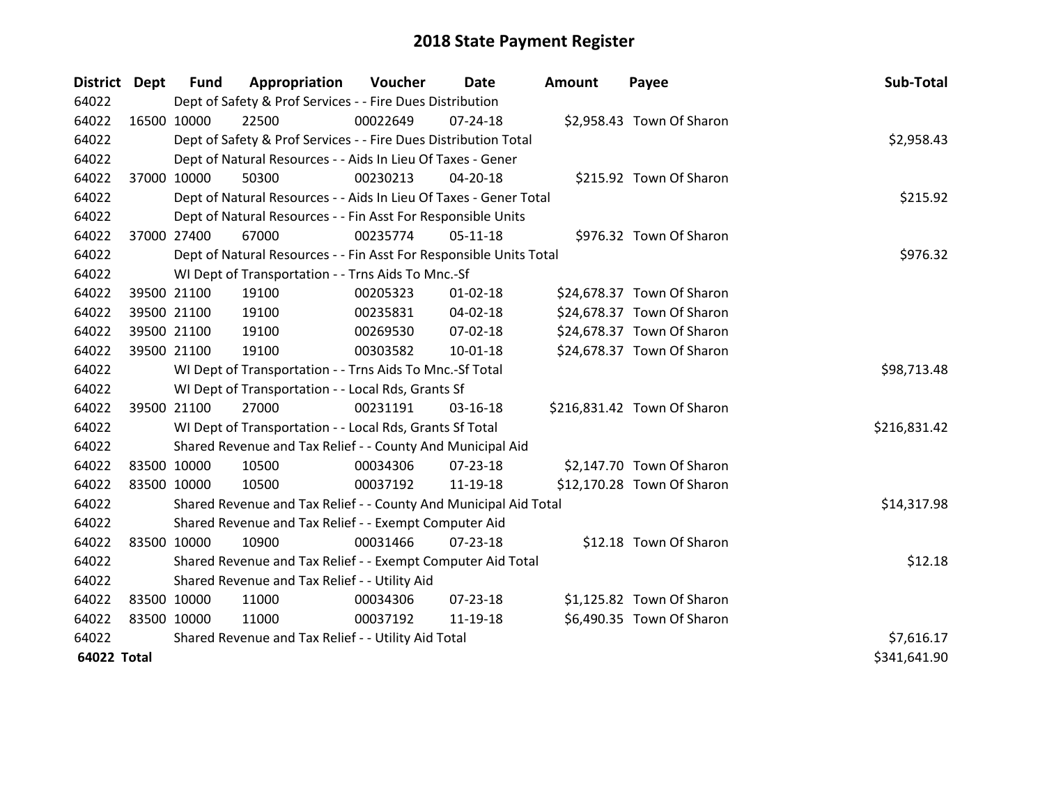| <b>District Dept</b> |             | <b>Fund</b> | Appropriation                                                      | Voucher     | Date           | <b>Amount</b> | Payee                       | Sub-Total    |
|----------------------|-------------|-------------|--------------------------------------------------------------------|-------------|----------------|---------------|-----------------------------|--------------|
| 64022                |             |             | Dept of Safety & Prof Services - - Fire Dues Distribution          |             |                |               |                             |              |
| 64022                | 16500 10000 |             | 22500                                                              | 00022649    | $07 - 24 - 18$ |               | \$2,958.43 Town Of Sharon   |              |
| 64022                |             |             | Dept of Safety & Prof Services - - Fire Dues Distribution Total    |             |                |               |                             | \$2,958.43   |
| 64022                |             |             | Dept of Natural Resources - - Aids In Lieu Of Taxes - Gener        |             |                |               |                             |              |
| 64022                |             | 37000 10000 | 50300                                                              | 00230213    | 04-20-18       |               | \$215.92 Town Of Sharon     |              |
| 64022                |             |             | Dept of Natural Resources - - Aids In Lieu Of Taxes - Gener Total  |             | \$215.92       |               |                             |              |
| 64022                |             |             | Dept of Natural Resources - - Fin Asst For Responsible Units       |             |                |               |                             |              |
| 64022                |             | 37000 27400 | 67000                                                              | 00235774    | $05-11-18$     |               | \$976.32 Town Of Sharon     |              |
| 64022                |             |             | Dept of Natural Resources - - Fin Asst For Responsible Units Total |             |                |               |                             | \$976.32     |
| 64022                |             |             | WI Dept of Transportation - - Trns Aids To Mnc.-Sf                 |             |                |               |                             |              |
| 64022                |             | 39500 21100 | 19100                                                              | 00205323    | $01 - 02 - 18$ |               | \$24,678.37 Town Of Sharon  |              |
| 64022                |             | 39500 21100 | 19100                                                              | 00235831    | 04-02-18       |               | \$24,678.37 Town Of Sharon  |              |
| 64022                |             | 39500 21100 | 19100                                                              | 00269530    | 07-02-18       |               | \$24,678.37 Town Of Sharon  |              |
| 64022                |             | 39500 21100 | 19100                                                              | 00303582    | $10 - 01 - 18$ |               | \$24,678.37 Town Of Sharon  |              |
| 64022                |             |             | WI Dept of Transportation - - Trns Aids To Mnc.-Sf Total           | \$98,713.48 |                |               |                             |              |
| 64022                |             |             | WI Dept of Transportation - - Local Rds, Grants Sf                 |             |                |               |                             |              |
| 64022                |             | 39500 21100 | 27000                                                              | 00231191    | $03-16-18$     |               | \$216,831.42 Town Of Sharon |              |
| 64022                |             |             | WI Dept of Transportation - - Local Rds, Grants Sf Total           |             |                |               |                             | \$216,831.42 |
| 64022                |             |             | Shared Revenue and Tax Relief - - County And Municipal Aid         |             |                |               |                             |              |
| 64022                | 83500 10000 |             | 10500                                                              | 00034306    | 07-23-18       |               | \$2,147.70 Town Of Sharon   |              |
| 64022                | 83500 10000 |             | 10500                                                              | 00037192    | 11-19-18       |               | \$12,170.28 Town Of Sharon  |              |
| 64022                |             |             | Shared Revenue and Tax Relief - - County And Municipal Aid Total   |             |                |               |                             | \$14,317.98  |
| 64022                |             |             | Shared Revenue and Tax Relief - - Exempt Computer Aid              |             |                |               |                             |              |
| 64022                | 83500 10000 |             | 10900                                                              | 00031466    | $07 - 23 - 18$ |               | \$12.18 Town Of Sharon      |              |
| 64022                |             |             | Shared Revenue and Tax Relief - - Exempt Computer Aid Total        |             |                |               |                             | \$12.18      |
| 64022                |             |             | Shared Revenue and Tax Relief - - Utility Aid                      |             |                |               |                             |              |
| 64022                | 83500 10000 |             | 11000                                                              | 00034306    | 07-23-18       |               | \$1,125.82 Town Of Sharon   |              |
| 64022                | 83500 10000 |             | 11000                                                              | 00037192    | 11-19-18       |               | \$6,490.35 Town Of Sharon   |              |
| 64022                |             |             | Shared Revenue and Tax Relief - - Utility Aid Total                |             |                |               |                             | \$7,616.17   |
| 64022 Total          |             |             |                                                                    |             |                |               |                             | \$341,641.90 |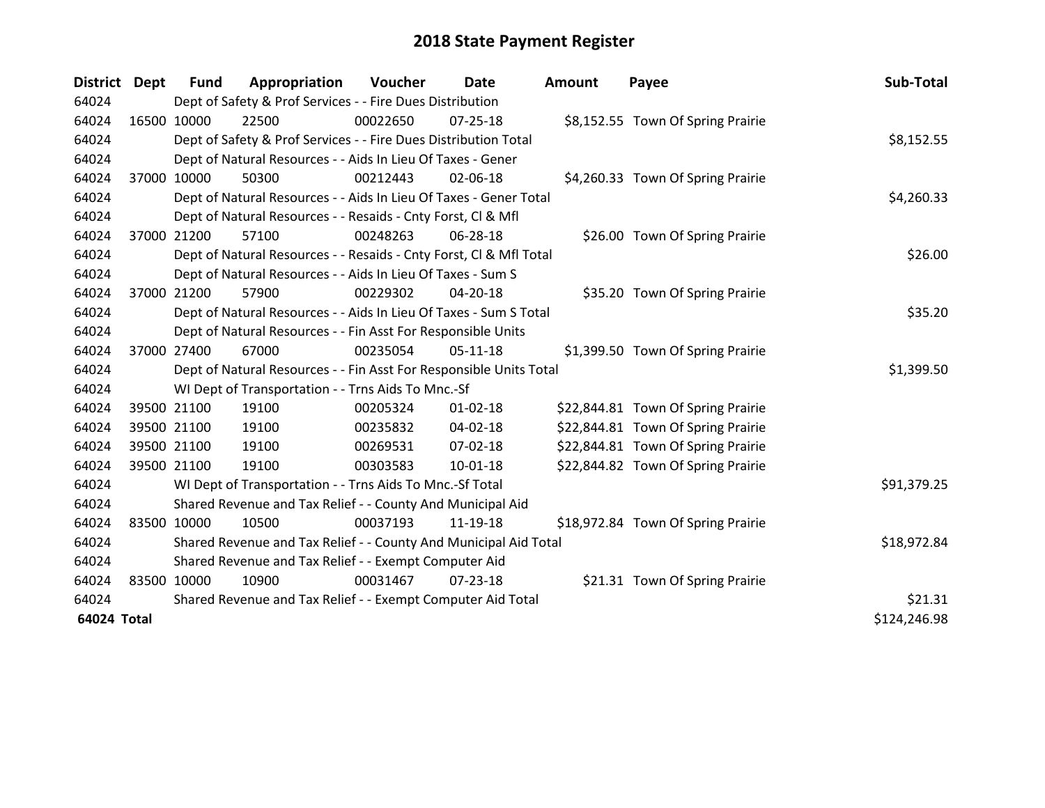| <b>District</b> | <b>Dept</b> | <b>Fund</b> | Appropriation                                                      | Voucher  | Date           | <b>Amount</b> | Payee                              | Sub-Total    |
|-----------------|-------------|-------------|--------------------------------------------------------------------|----------|----------------|---------------|------------------------------------|--------------|
| 64024           |             |             | Dept of Safety & Prof Services - - Fire Dues Distribution          |          |                |               |                                    |              |
| 64024           |             | 16500 10000 | 22500                                                              | 00022650 | 07-25-18       |               | \$8,152.55 Town Of Spring Prairie  |              |
| 64024           |             |             | Dept of Safety & Prof Services - - Fire Dues Distribution Total    |          |                |               |                                    | \$8,152.55   |
| 64024           |             |             | Dept of Natural Resources - - Aids In Lieu Of Taxes - Gener        |          |                |               |                                    |              |
| 64024           | 37000       | 10000       | 50300                                                              | 00212443 | 02-06-18       |               | \$4,260.33 Town Of Spring Prairie  |              |
| 64024           |             |             | Dept of Natural Resources - - Aids In Lieu Of Taxes - Gener Total  |          |                |               |                                    | \$4,260.33   |
| 64024           |             |             | Dept of Natural Resources - - Resaids - Cnty Forst, Cl & Mfl       |          |                |               |                                    |              |
| 64024           | 37000       | 21200       | 57100                                                              | 00248263 | 06-28-18       |               | \$26.00 Town Of Spring Prairie     |              |
| 64024           |             |             | Dept of Natural Resources - - Resaids - Cnty Forst, Cl & Mfl Total |          |                |               |                                    | \$26.00      |
| 64024           |             |             | Dept of Natural Resources - - Aids In Lieu Of Taxes - Sum S        |          |                |               |                                    |              |
| 64024           |             | 37000 21200 | 57900                                                              | 00229302 | $04 - 20 - 18$ |               | \$35.20 Town Of Spring Prairie     |              |
| 64024           |             |             | Dept of Natural Resources - - Aids In Lieu Of Taxes - Sum S Total  |          |                |               |                                    | \$35.20      |
| 64024           |             |             | Dept of Natural Resources - - Fin Asst For Responsible Units       |          |                |               |                                    |              |
| 64024           |             | 37000 27400 | 67000                                                              | 00235054 | 05-11-18       |               | \$1,399.50 Town Of Spring Prairie  |              |
| 64024           |             |             | Dept of Natural Resources - - Fin Asst For Responsible Units Total |          |                |               |                                    | \$1,399.50   |
| 64024           |             |             | WI Dept of Transportation - - Trns Aids To Mnc.-Sf                 |          |                |               |                                    |              |
| 64024           |             | 39500 21100 | 19100                                                              | 00205324 | $01 - 02 - 18$ |               | \$22,844.81 Town Of Spring Prairie |              |
| 64024           |             | 39500 21100 | 19100                                                              | 00235832 | 04-02-18       |               | \$22,844.81 Town Of Spring Prairie |              |
| 64024           |             | 39500 21100 | 19100                                                              | 00269531 | 07-02-18       |               | \$22,844.81 Town Of Spring Prairie |              |
| 64024           |             | 39500 21100 | 19100                                                              | 00303583 | $10-01-18$     |               | \$22,844.82 Town Of Spring Prairie |              |
| 64024           |             |             | WI Dept of Transportation - - Trns Aids To Mnc.-Sf Total           |          |                |               |                                    | \$91,379.25  |
| 64024           |             |             | Shared Revenue and Tax Relief - - County And Municipal Aid         |          |                |               |                                    |              |
| 64024           |             | 83500 10000 | 10500                                                              | 00037193 | 11-19-18       |               | \$18,972.84 Town Of Spring Prairie |              |
| 64024           |             |             | Shared Revenue and Tax Relief - - County And Municipal Aid Total   |          |                |               |                                    | \$18,972.84  |
| 64024           |             |             | Shared Revenue and Tax Relief - - Exempt Computer Aid              |          |                |               |                                    |              |
| 64024           |             | 83500 10000 | 10900                                                              | 00031467 | $07 - 23 - 18$ |               | \$21.31 Town Of Spring Prairie     |              |
| 64024           |             |             | Shared Revenue and Tax Relief - - Exempt Computer Aid Total        | \$21.31  |                |               |                                    |              |
| 64024 Total     |             |             |                                                                    |          |                |               |                                    | \$124,246.98 |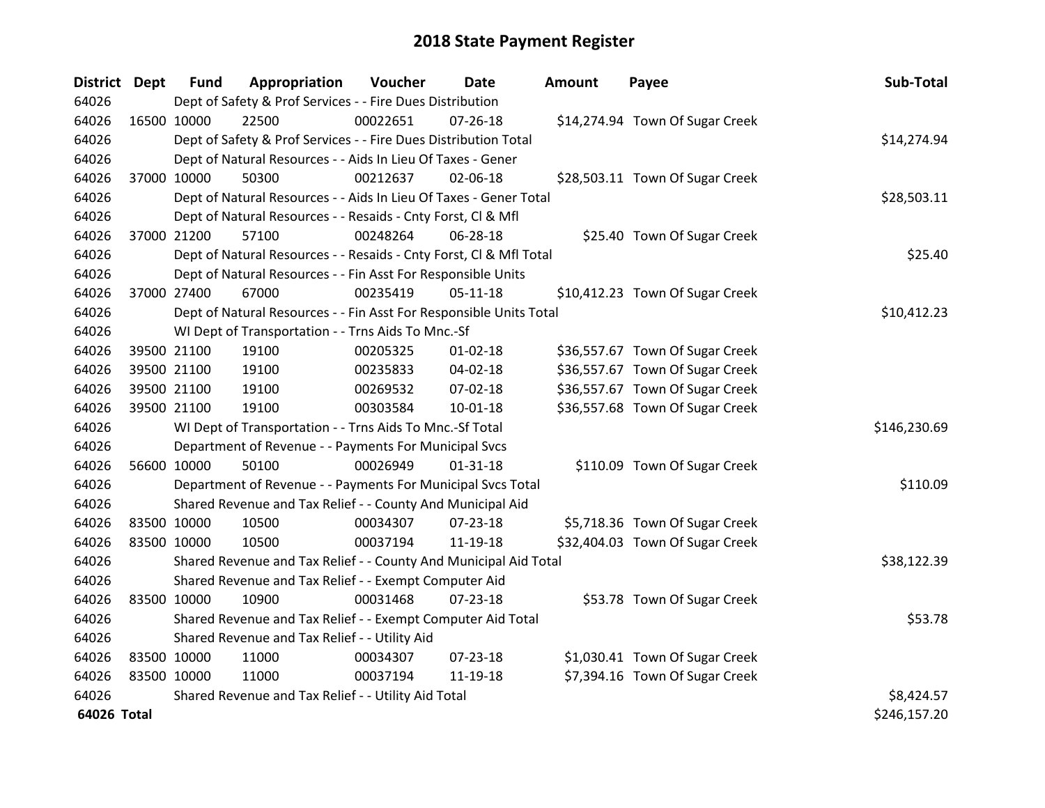| District Dept |             | <b>Fund</b>                                         | Appropriation                                                      | Voucher  | Date           | Amount | Payee                           | Sub-Total    |
|---------------|-------------|-----------------------------------------------------|--------------------------------------------------------------------|----------|----------------|--------|---------------------------------|--------------|
| 64026         |             |                                                     | Dept of Safety & Prof Services - - Fire Dues Distribution          |          |                |        |                                 |              |
| 64026         | 16500 10000 |                                                     | 22500                                                              | 00022651 | $07 - 26 - 18$ |        | \$14,274.94 Town Of Sugar Creek |              |
| 64026         |             |                                                     | Dept of Safety & Prof Services - - Fire Dues Distribution Total    |          |                |        |                                 | \$14,274.94  |
| 64026         |             |                                                     | Dept of Natural Resources - - Aids In Lieu Of Taxes - Gener        |          |                |        |                                 |              |
| 64026         |             | 37000 10000                                         | 50300                                                              | 00212637 | 02-06-18       |        | \$28,503.11 Town Of Sugar Creek |              |
| 64026         |             |                                                     | Dept of Natural Resources - - Aids In Lieu Of Taxes - Gener Total  |          |                |        |                                 | \$28,503.11  |
| 64026         |             |                                                     | Dept of Natural Resources - - Resaids - Cnty Forst, Cl & Mfl       |          |                |        |                                 |              |
| 64026         |             | 37000 21200                                         | 57100                                                              | 00248264 | 06-28-18       |        | \$25.40 Town Of Sugar Creek     |              |
| 64026         |             |                                                     | Dept of Natural Resources - - Resaids - Cnty Forst, CI & Mfl Total |          |                |        |                                 | \$25.40      |
| 64026         |             |                                                     | Dept of Natural Resources - - Fin Asst For Responsible Units       |          |                |        |                                 |              |
| 64026         |             | 37000 27400                                         | 67000                                                              | 00235419 | $05-11-18$     |        | \$10,412.23 Town Of Sugar Creek |              |
| 64026         |             |                                                     | Dept of Natural Resources - - Fin Asst For Responsible Units Total |          |                |        |                                 | \$10,412.23  |
| 64026         |             |                                                     | WI Dept of Transportation - - Trns Aids To Mnc.-Sf                 |          |                |        |                                 |              |
| 64026         |             | 39500 21100                                         | 19100                                                              | 00205325 | 01-02-18       |        | \$36,557.67 Town Of Sugar Creek |              |
| 64026         |             | 39500 21100                                         | 19100                                                              | 00235833 | 04-02-18       |        | \$36,557.67 Town Of Sugar Creek |              |
| 64026         |             | 39500 21100                                         | 19100                                                              | 00269532 | 07-02-18       |        | \$36,557.67 Town Of Sugar Creek |              |
| 64026         |             | 39500 21100                                         | 19100                                                              | 00303584 | $10 - 01 - 18$ |        | \$36,557.68 Town Of Sugar Creek |              |
| 64026         |             |                                                     | WI Dept of Transportation - - Trns Aids To Mnc.-Sf Total           |          |                |        |                                 | \$146,230.69 |
| 64026         |             |                                                     | Department of Revenue - - Payments For Municipal Svcs              |          |                |        |                                 |              |
| 64026         | 56600 10000 |                                                     | 50100                                                              | 00026949 | $01 - 31 - 18$ |        | \$110.09 Town Of Sugar Creek    |              |
| 64026         |             |                                                     | Department of Revenue - - Payments For Municipal Svcs Total        |          |                |        |                                 | \$110.09     |
| 64026         |             |                                                     | Shared Revenue and Tax Relief - - County And Municipal Aid         |          |                |        |                                 |              |
| 64026         | 83500 10000 |                                                     | 10500                                                              | 00034307 | $07 - 23 - 18$ |        | \$5,718.36 Town Of Sugar Creek  |              |
| 64026         | 83500 10000 |                                                     | 10500                                                              | 00037194 | 11-19-18       |        | \$32,404.03 Town Of Sugar Creek |              |
| 64026         |             |                                                     | Shared Revenue and Tax Relief - - County And Municipal Aid Total   |          |                |        |                                 | \$38,122.39  |
| 64026         |             |                                                     | Shared Revenue and Tax Relief - - Exempt Computer Aid              |          |                |        |                                 |              |
| 64026         | 83500 10000 |                                                     | 10900                                                              | 00031468 | $07 - 23 - 18$ |        | \$53.78 Town Of Sugar Creek     |              |
| 64026         |             |                                                     | Shared Revenue and Tax Relief - - Exempt Computer Aid Total        |          |                |        |                                 | \$53.78      |
| 64026         |             | Shared Revenue and Tax Relief - - Utility Aid       |                                                                    |          |                |        |                                 |              |
| 64026         | 83500 10000 |                                                     | 11000                                                              | 00034307 | $07 - 23 - 18$ |        | \$1,030.41 Town Of Sugar Creek  |              |
| 64026         | 83500 10000 |                                                     | 11000                                                              | 00037194 | 11-19-18       |        | \$7,394.16 Town Of Sugar Creek  |              |
| 64026         |             | Shared Revenue and Tax Relief - - Utility Aid Total | \$8,424.57                                                         |          |                |        |                                 |              |
| 64026 Total   |             |                                                     |                                                                    |          |                |        |                                 | \$246,157.20 |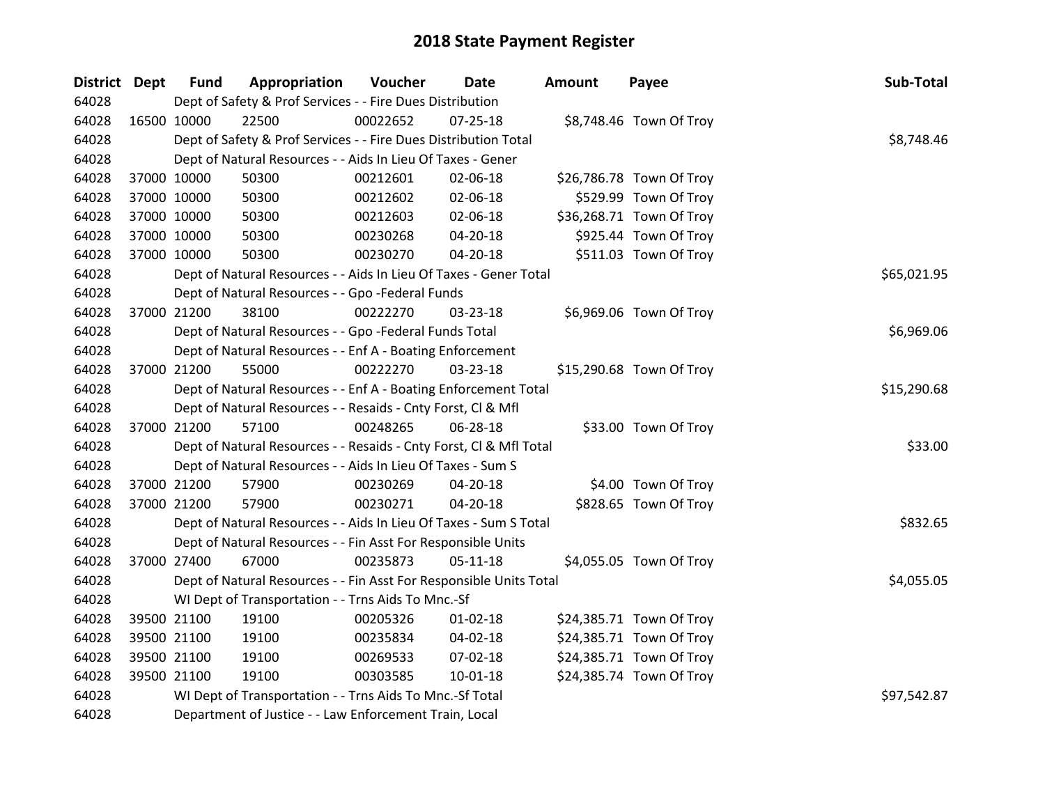| District Dept | <b>Fund</b>                                        | Appropriation                                                      | Voucher     | <b>Date</b>    | Amount | Payee                    | Sub-Total   |
|---------------|----------------------------------------------------|--------------------------------------------------------------------|-------------|----------------|--------|--------------------------|-------------|
| 64028         |                                                    | Dept of Safety & Prof Services - - Fire Dues Distribution          |             |                |        |                          |             |
| 64028         | 16500 10000                                        | 22500                                                              | 00022652    | $07 - 25 - 18$ |        | \$8,748.46 Town Of Troy  |             |
| 64028         |                                                    | Dept of Safety & Prof Services - - Fire Dues Distribution Total    |             |                |        |                          | \$8,748.46  |
| 64028         |                                                    | Dept of Natural Resources - - Aids In Lieu Of Taxes - Gener        |             |                |        |                          |             |
| 64028         | 37000 10000                                        | 50300                                                              | 00212601    | 02-06-18       |        | \$26,786.78 Town Of Troy |             |
| 64028         | 37000 10000                                        | 50300                                                              | 00212602    | 02-06-18       |        | \$529.99 Town Of Troy    |             |
| 64028         | 37000 10000                                        | 50300                                                              | 00212603    | 02-06-18       |        | \$36,268.71 Town Of Troy |             |
| 64028         | 37000 10000                                        | 50300                                                              | 00230268    | 04-20-18       |        | \$925.44 Town Of Troy    |             |
| 64028         | 37000 10000                                        | 50300                                                              | 00230270    | $04 - 20 - 18$ |        | \$511.03 Town Of Troy    |             |
| 64028         |                                                    | Dept of Natural Resources - - Aids In Lieu Of Taxes - Gener Total  |             |                |        |                          | \$65,021.95 |
| 64028         |                                                    | Dept of Natural Resources - - Gpo -Federal Funds                   |             |                |        |                          |             |
| 64028         | 37000 21200                                        | 38100                                                              | 00222270    | 03-23-18       |        | \$6,969.06 Town Of Troy  |             |
| 64028         |                                                    | Dept of Natural Resources - - Gpo -Federal Funds Total             |             |                |        |                          | \$6,969.06  |
| 64028         |                                                    | Dept of Natural Resources - - Enf A - Boating Enforcement          |             |                |        |                          |             |
| 64028         | 37000 21200                                        | 55000                                                              | 00222270    | 03-23-18       |        | \$15,290.68 Town Of Troy |             |
| 64028         |                                                    | Dept of Natural Resources - - Enf A - Boating Enforcement Total    | \$15,290.68 |                |        |                          |             |
| 64028         |                                                    | Dept of Natural Resources - - Resaids - Cnty Forst, Cl & Mfl       |             |                |        |                          |             |
| 64028         | 37000 21200                                        | 57100                                                              | 00248265    | 06-28-18       |        | \$33.00 Town Of Troy     |             |
| 64028         |                                                    | Dept of Natural Resources - - Resaids - Cnty Forst, Cl & Mfl Total |             |                |        |                          | \$33.00     |
| 64028         |                                                    | Dept of Natural Resources - - Aids In Lieu Of Taxes - Sum S        |             |                |        |                          |             |
| 64028         | 37000 21200                                        | 57900                                                              | 00230269    | 04-20-18       |        | \$4.00 Town Of Troy      |             |
| 64028         | 37000 21200                                        | 57900                                                              | 00230271    | 04-20-18       |        | \$828.65 Town Of Troy    |             |
| 64028         |                                                    | Dept of Natural Resources - - Aids In Lieu Of Taxes - Sum S Total  |             |                |        |                          | \$832.65    |
| 64028         |                                                    | Dept of Natural Resources - - Fin Asst For Responsible Units       |             |                |        |                          |             |
| 64028         | 37000 27400                                        | 67000                                                              | 00235873    | $05 - 11 - 18$ |        | \$4,055.05 Town Of Troy  |             |
| 64028         |                                                    | Dept of Natural Resources - - Fin Asst For Responsible Units Total |             |                |        |                          | \$4,055.05  |
| 64028         | WI Dept of Transportation - - Trns Aids To Mnc.-Sf |                                                                    |             |                |        |                          |             |
| 64028         | 39500 21100                                        | 19100                                                              | 00205326    | $01 - 02 - 18$ |        | \$24,385.71 Town Of Troy |             |
| 64028         | 39500 21100                                        | 19100                                                              | 00235834    | 04-02-18       |        | \$24,385.71 Town Of Troy |             |
| 64028         | 39500 21100                                        | 19100                                                              | 00269533    | 07-02-18       |        | \$24,385.71 Town Of Troy |             |
| 64028         | 39500 21100                                        | 19100                                                              | 00303585    | $10 - 01 - 18$ |        | \$24,385.74 Town Of Troy |             |
| 64028         |                                                    | WI Dept of Transportation - - Trns Aids To Mnc.-Sf Total           |             |                |        |                          | \$97,542.87 |
| 64028         |                                                    | Department of Justice - - Law Enforcement Train, Local             |             |                |        |                          |             |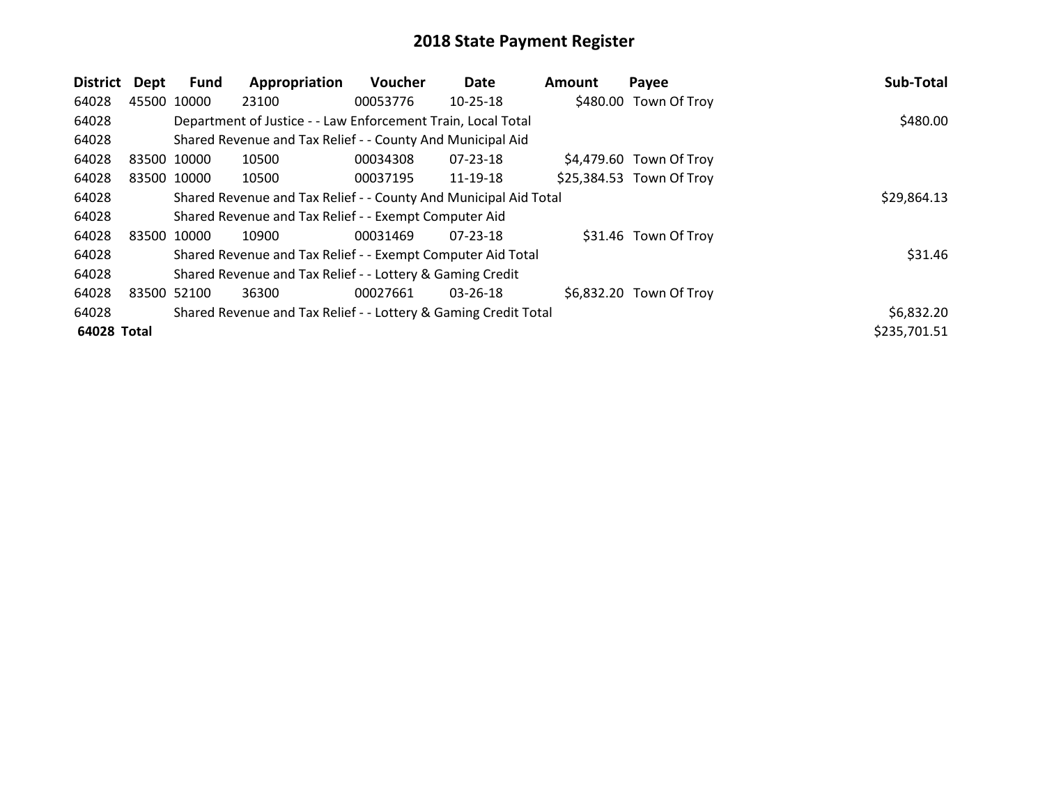| District    | Dept        | <b>Fund</b> | Appropriation                                                    | <b>Voucher</b> | Date           | <b>Amount</b> | Payee                    | Sub-Total    |
|-------------|-------------|-------------|------------------------------------------------------------------|----------------|----------------|---------------|--------------------------|--------------|
| 64028       | 45500 10000 |             | 23100                                                            | 00053776       | 10-25-18       |               | \$480.00 Town Of Troy    |              |
| 64028       |             |             | Department of Justice - - Law Enforcement Train, Local Total     |                |                |               |                          | \$480.00     |
| 64028       |             |             | Shared Revenue and Tax Relief - - County And Municipal Aid       |                |                |               |                          |              |
| 64028       | 83500 10000 |             | 10500                                                            | 00034308       | 07-23-18       |               | \$4,479.60 Town Of Troy  |              |
| 64028       |             | 83500 10000 | 10500                                                            | 00037195       | 11-19-18       |               | \$25,384.53 Town Of Troy |              |
| 64028       |             |             | Shared Revenue and Tax Relief - - County And Municipal Aid Total |                |                |               |                          | \$29,864.13  |
| 64028       |             |             | Shared Revenue and Tax Relief - - Exempt Computer Aid            |                |                |               |                          |              |
| 64028       | 83500 10000 |             | 10900                                                            | 00031469       | $07 - 23 - 18$ |               | \$31.46 Town Of Troy     |              |
| 64028       |             |             | Shared Revenue and Tax Relief - - Exempt Computer Aid Total      |                |                |               |                          | \$31.46      |
| 64028       |             |             | Shared Revenue and Tax Relief - - Lottery & Gaming Credit        |                |                |               |                          |              |
| 64028       |             | 83500 52100 | 36300                                                            | 00027661       | 03-26-18       |               | \$6,832.20 Town Of Troy  |              |
| 64028       |             |             | Shared Revenue and Tax Relief - - Lottery & Gaming Credit Total  |                |                |               |                          | \$6,832.20   |
| 64028 Total |             |             |                                                                  |                |                |               |                          | \$235,701.51 |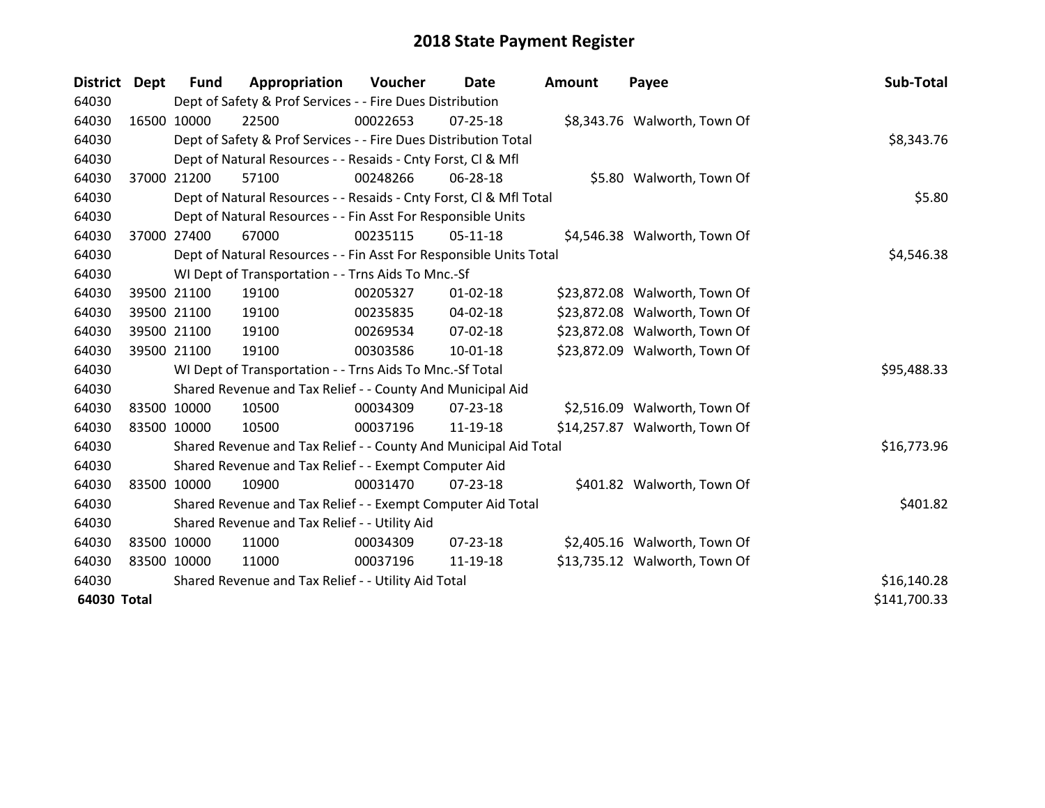| District Dept |             | <b>Fund</b>                                         | Appropriation                                                      | Voucher  | Date           | <b>Amount</b> | Payee                         | Sub-Total   |  |
|---------------|-------------|-----------------------------------------------------|--------------------------------------------------------------------|----------|----------------|---------------|-------------------------------|-------------|--|
| 64030         |             |                                                     | Dept of Safety & Prof Services - - Fire Dues Distribution          |          |                |               |                               |             |  |
| 64030         |             | 16500 10000                                         | 22500                                                              | 00022653 | $07 - 25 - 18$ |               | \$8,343.76 Walworth, Town Of  |             |  |
| 64030         |             |                                                     | Dept of Safety & Prof Services - - Fire Dues Distribution Total    |          |                |               |                               | \$8,343.76  |  |
| 64030         |             |                                                     | Dept of Natural Resources - - Resaids - Cnty Forst, CI & Mfl       |          |                |               |                               |             |  |
| 64030         |             | 37000 21200                                         | 57100                                                              | 00248266 | 06-28-18       |               | \$5.80 Walworth, Town Of      |             |  |
| 64030         |             |                                                     | Dept of Natural Resources - - Resaids - Cnty Forst, Cl & Mfl Total | \$5.80   |                |               |                               |             |  |
| 64030         |             |                                                     | Dept of Natural Resources - - Fin Asst For Responsible Units       |          |                |               |                               |             |  |
| 64030         |             | 37000 27400                                         | 67000                                                              | 00235115 | $05-11-18$     |               | \$4,546.38 Walworth, Town Of  |             |  |
| 64030         |             |                                                     | Dept of Natural Resources - - Fin Asst For Responsible Units Total |          | \$4,546.38     |               |                               |             |  |
| 64030         |             |                                                     | WI Dept of Transportation - - Trns Aids To Mnc.-Sf                 |          |                |               |                               |             |  |
| 64030         |             | 39500 21100                                         | 19100                                                              | 00205327 | $01 - 02 - 18$ |               | \$23,872.08 Walworth, Town Of |             |  |
| 64030         |             | 39500 21100                                         | 19100                                                              | 00235835 | 04-02-18       |               | \$23,872.08 Walworth, Town Of |             |  |
| 64030         |             | 39500 21100                                         | 19100                                                              | 00269534 | $07 - 02 - 18$ |               | \$23,872.08 Walworth, Town Of |             |  |
| 64030         |             | 39500 21100                                         | 19100                                                              | 00303586 | $10 - 01 - 18$ |               | \$23,872.09 Walworth, Town Of |             |  |
| 64030         |             |                                                     | WI Dept of Transportation - - Trns Aids To Mnc.-Sf Total           |          |                |               |                               | \$95,488.33 |  |
| 64030         |             |                                                     | Shared Revenue and Tax Relief - - County And Municipal Aid         |          |                |               |                               |             |  |
| 64030         |             | 83500 10000                                         | 10500                                                              | 00034309 | $07 - 23 - 18$ |               | \$2,516.09 Walworth, Town Of  |             |  |
| 64030         |             | 83500 10000                                         | 10500                                                              | 00037196 | 11-19-18       |               | \$14,257.87 Walworth, Town Of |             |  |
| 64030         |             |                                                     | Shared Revenue and Tax Relief - - County And Municipal Aid Total   |          |                |               |                               | \$16,773.96 |  |
| 64030         |             |                                                     | Shared Revenue and Tax Relief - - Exempt Computer Aid              |          |                |               |                               |             |  |
| 64030         |             | 83500 10000                                         | 10900                                                              | 00031470 | $07 - 23 - 18$ |               | \$401.82 Walworth, Town Of    |             |  |
| 64030         |             |                                                     | Shared Revenue and Tax Relief - - Exempt Computer Aid Total        |          |                |               |                               | \$401.82    |  |
| 64030         |             |                                                     | Shared Revenue and Tax Relief - - Utility Aid                      |          |                |               |                               |             |  |
| 64030         |             | 83500 10000                                         | 11000                                                              | 00034309 | $07 - 23 - 18$ |               | \$2,405.16 Walworth, Town Of  |             |  |
| 64030         |             | 83500 10000                                         | 11000                                                              | 00037196 | 11-19-18       |               | \$13,735.12 Walworth, Town Of |             |  |
| 64030         |             | Shared Revenue and Tax Relief - - Utility Aid Total | \$16,140.28                                                        |          |                |               |                               |             |  |
|               | 64030 Total |                                                     |                                                                    |          |                |               |                               |             |  |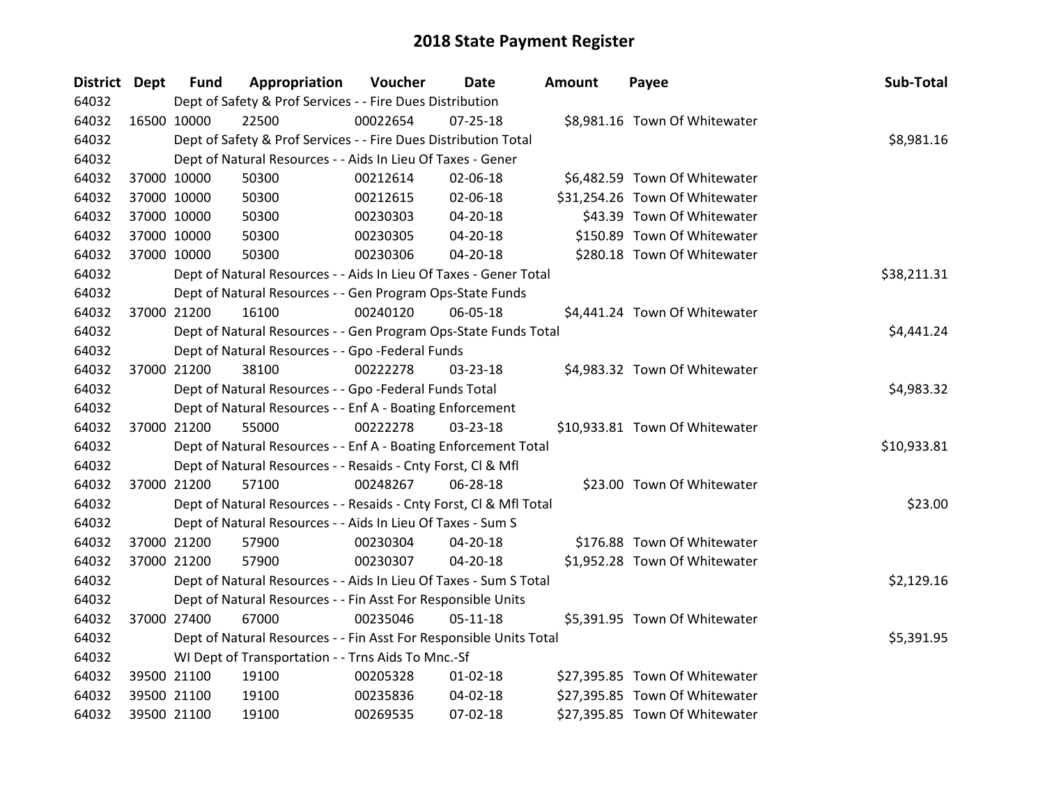| District Dept |             | <b>Fund</b> | Appropriation                                                      | Voucher  | <b>Date</b>    | <b>Amount</b> | Payee                          | Sub-Total   |
|---------------|-------------|-------------|--------------------------------------------------------------------|----------|----------------|---------------|--------------------------------|-------------|
| 64032         |             |             | Dept of Safety & Prof Services - - Fire Dues Distribution          |          |                |               |                                |             |
| 64032         | 16500 10000 |             | 22500                                                              | 00022654 | $07 - 25 - 18$ |               | \$8,981.16 Town Of Whitewater  |             |
| 64032         |             |             | Dept of Safety & Prof Services - - Fire Dues Distribution Total    |          |                |               |                                | \$8,981.16  |
| 64032         |             |             | Dept of Natural Resources - - Aids In Lieu Of Taxes - Gener        |          |                |               |                                |             |
| 64032         |             | 37000 10000 | 50300                                                              | 00212614 | 02-06-18       |               | \$6,482.59 Town Of Whitewater  |             |
| 64032         |             | 37000 10000 | 50300                                                              | 00212615 | 02-06-18       |               | \$31,254.26 Town Of Whitewater |             |
| 64032         |             | 37000 10000 | 50300                                                              | 00230303 | 04-20-18       |               | \$43.39 Town Of Whitewater     |             |
| 64032         | 37000 10000 |             | 50300                                                              | 00230305 | 04-20-18       |               | \$150.89 Town Of Whitewater    |             |
| 64032         | 37000 10000 |             | 50300                                                              | 00230306 | 04-20-18       |               | \$280.18 Town Of Whitewater    |             |
| 64032         |             |             | Dept of Natural Resources - - Aids In Lieu Of Taxes - Gener Total  |          |                |               |                                | \$38,211.31 |
| 64032         |             |             | Dept of Natural Resources - - Gen Program Ops-State Funds          |          |                |               |                                |             |
| 64032         |             | 37000 21200 | 16100                                                              | 00240120 | 06-05-18       |               | \$4,441.24 Town Of Whitewater  |             |
| 64032         |             |             | Dept of Natural Resources - - Gen Program Ops-State Funds Total    |          |                |               |                                | \$4,441.24  |
| 64032         |             |             | Dept of Natural Resources - - Gpo -Federal Funds                   |          |                |               |                                |             |
| 64032         |             | 37000 21200 | 38100                                                              | 00222278 | 03-23-18       |               | \$4,983.32 Town Of Whitewater  |             |
| 64032         |             |             | Dept of Natural Resources - - Gpo -Federal Funds Total             |          |                |               |                                | \$4,983.32  |
| 64032         |             |             | Dept of Natural Resources - - Enf A - Boating Enforcement          |          |                |               |                                |             |
| 64032         |             | 37000 21200 | 55000                                                              | 00222278 | 03-23-18       |               | \$10,933.81 Town Of Whitewater |             |
| 64032         |             |             | Dept of Natural Resources - - Enf A - Boating Enforcement Total    |          |                |               |                                | \$10,933.81 |
| 64032         |             |             | Dept of Natural Resources - - Resaids - Cnty Forst, Cl & Mfl       |          |                |               |                                |             |
| 64032         |             | 37000 21200 | 57100                                                              | 00248267 | 06-28-18       |               | \$23.00 Town Of Whitewater     |             |
| 64032         |             |             | Dept of Natural Resources - - Resaids - Cnty Forst, CI & Mfl Total |          |                |               |                                | \$23.00     |
| 64032         |             |             | Dept of Natural Resources - - Aids In Lieu Of Taxes - Sum S        |          |                |               |                                |             |
| 64032         |             | 37000 21200 | 57900                                                              | 00230304 | 04-20-18       |               | \$176.88 Town Of Whitewater    |             |
| 64032         |             | 37000 21200 | 57900                                                              | 00230307 | 04-20-18       |               | \$1,952.28 Town Of Whitewater  |             |
| 64032         |             |             | Dept of Natural Resources - - Aids In Lieu Of Taxes - Sum S Total  |          |                |               |                                | \$2,129.16  |
| 64032         |             |             | Dept of Natural Resources - - Fin Asst For Responsible Units       |          |                |               |                                |             |
| 64032         |             | 37000 27400 | 67000                                                              | 00235046 | $05 - 11 - 18$ |               | \$5,391.95 Town Of Whitewater  |             |
| 64032         |             |             | Dept of Natural Resources - - Fin Asst For Responsible Units Total |          |                |               |                                | \$5,391.95  |
| 64032         |             |             | WI Dept of Transportation - - Trns Aids To Mnc.-Sf                 |          |                |               |                                |             |
| 64032         | 39500 21100 |             | 19100                                                              | 00205328 | $01 - 02 - 18$ |               | \$27,395.85 Town Of Whitewater |             |
| 64032         |             | 39500 21100 | 19100                                                              | 00235836 | 04-02-18       |               | \$27,395.85 Town Of Whitewater |             |
| 64032         | 39500 21100 |             | 19100                                                              | 00269535 | 07-02-18       |               | \$27,395.85 Town Of Whitewater |             |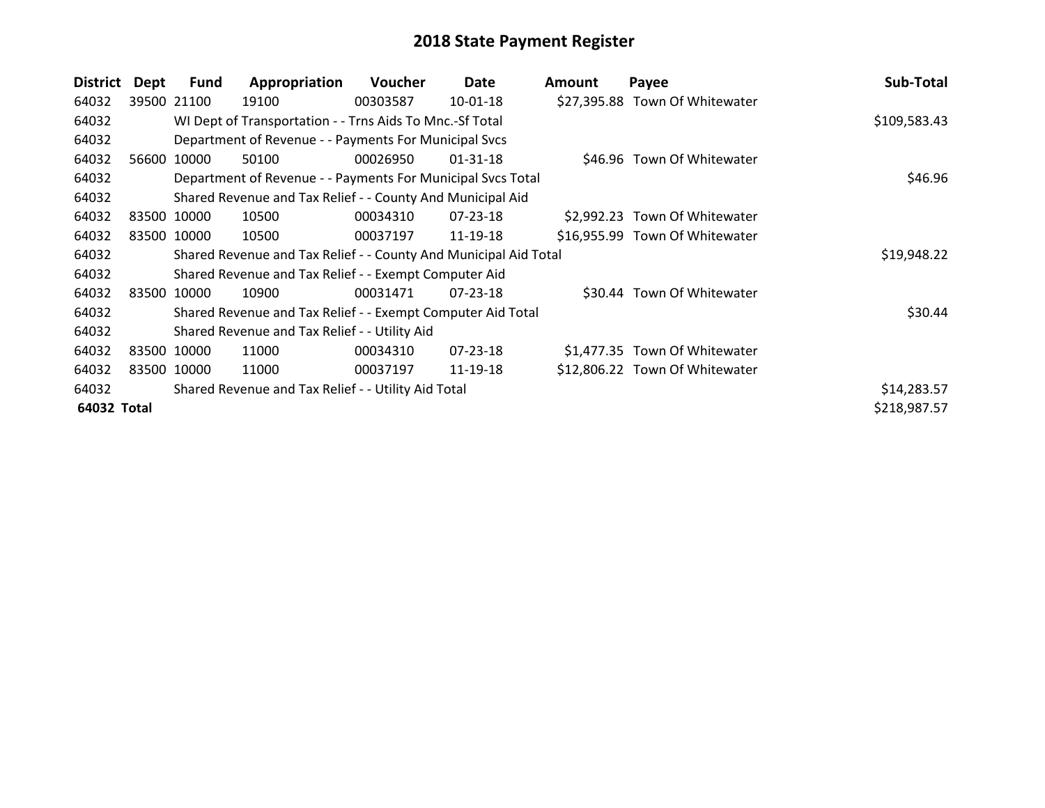| <b>District</b> | Dept | <b>Fund</b> | Appropriation                                                    | Voucher  | Date           | <b>Amount</b> | Payee                          | Sub-Total    |
|-----------------|------|-------------|------------------------------------------------------------------|----------|----------------|---------------|--------------------------------|--------------|
| 64032           |      | 39500 21100 | 19100                                                            | 00303587 | 10-01-18       |               | \$27,395.88 Town Of Whitewater |              |
| 64032           |      |             | WI Dept of Transportation - - Trns Aids To Mnc.-Sf Total         |          |                |               |                                | \$109,583.43 |
| 64032           |      |             | Department of Revenue - - Payments For Municipal Svcs            |          |                |               |                                |              |
| 64032           |      | 56600 10000 | 50100                                                            | 00026950 | $01 - 31 - 18$ |               | \$46.96 Town Of Whitewater     |              |
| 64032           |      |             | Department of Revenue - - Payments For Municipal Svcs Total      |          |                |               |                                | \$46.96      |
| 64032           |      |             | Shared Revenue and Tax Relief - - County And Municipal Aid       |          |                |               |                                |              |
| 64032           |      | 83500 10000 | 10500                                                            | 00034310 | $07 - 23 - 18$ |               | \$2,992.23 Town Of Whitewater  |              |
| 64032           |      | 83500 10000 | 10500                                                            | 00037197 | 11-19-18       |               | \$16,955.99 Town Of Whitewater |              |
| 64032           |      |             | Shared Revenue and Tax Relief - - County And Municipal Aid Total |          |                |               |                                | \$19,948.22  |
| 64032           |      |             | Shared Revenue and Tax Relief - - Exempt Computer Aid            |          |                |               |                                |              |
| 64032           |      | 83500 10000 | 10900                                                            | 00031471 | $07 - 23 - 18$ |               | \$30.44 Town Of Whitewater     |              |
| 64032           |      |             | Shared Revenue and Tax Relief - - Exempt Computer Aid Total      |          |                |               |                                | \$30.44      |
| 64032           |      |             | Shared Revenue and Tax Relief - - Utility Aid                    |          |                |               |                                |              |
| 64032           |      | 83500 10000 | 11000                                                            | 00034310 | $07 - 23 - 18$ |               | \$1,477.35 Town Of Whitewater  |              |
| 64032           |      | 83500 10000 | 11000                                                            | 00037197 | 11-19-18       |               | \$12,806.22 Town Of Whitewater |              |
| 64032           |      |             | Shared Revenue and Tax Relief - - Utility Aid Total              |          |                |               |                                | \$14,283.57  |
| 64032 Total     |      |             |                                                                  |          |                |               |                                | \$218,987.57 |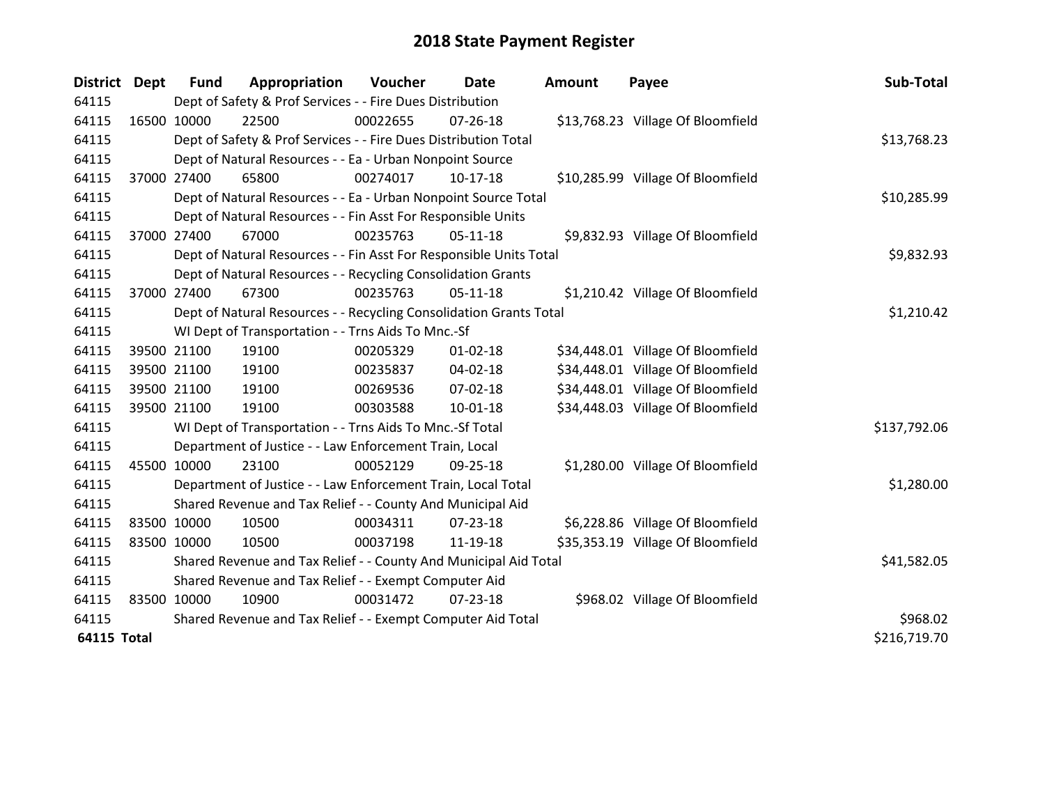| <b>District</b>    | <b>Dept</b> | <b>Fund</b>                                                 | Appropriation                                                      | Voucher  | <b>Date</b>    | <b>Amount</b> | Payee                             | Sub-Total    |
|--------------------|-------------|-------------------------------------------------------------|--------------------------------------------------------------------|----------|----------------|---------------|-----------------------------------|--------------|
| 64115              |             |                                                             | Dept of Safety & Prof Services - - Fire Dues Distribution          |          |                |               |                                   |              |
| 64115              |             | 16500 10000                                                 | 22500                                                              | 00022655 | $07 - 26 - 18$ |               | \$13,768.23 Village Of Bloomfield |              |
| 64115              |             |                                                             | Dept of Safety & Prof Services - - Fire Dues Distribution Total    |          |                |               |                                   | \$13,768.23  |
| 64115              |             |                                                             | Dept of Natural Resources - - Ea - Urban Nonpoint Source           |          |                |               |                                   |              |
| 64115              | 37000 27400 |                                                             | 65800                                                              | 00274017 | $10-17-18$     |               | \$10,285.99 Village Of Bloomfield |              |
| 64115              |             |                                                             | Dept of Natural Resources - - Ea - Urban Nonpoint Source Total     |          |                |               |                                   | \$10,285.99  |
| 64115              |             |                                                             | Dept of Natural Resources - - Fin Asst For Responsible Units       |          |                |               |                                   |              |
| 64115              | 37000 27400 |                                                             | 67000                                                              | 00235763 | $05-11-18$     |               | \$9,832.93 Village Of Bloomfield  |              |
| 64115              |             |                                                             | Dept of Natural Resources - - Fin Asst For Responsible Units Total |          |                |               |                                   | \$9,832.93   |
| 64115              |             |                                                             | Dept of Natural Resources - - Recycling Consolidation Grants       |          |                |               |                                   |              |
| 64115              |             | 37000 27400                                                 | 67300                                                              | 00235763 | $05-11-18$     |               | \$1,210.42 Village Of Bloomfield  |              |
| 64115              |             |                                                             | Dept of Natural Resources - - Recycling Consolidation Grants Total |          |                |               |                                   | \$1,210.42   |
| 64115              |             |                                                             | WI Dept of Transportation - - Trns Aids To Mnc.-Sf                 |          |                |               |                                   |              |
| 64115              |             | 39500 21100                                                 | 19100                                                              | 00205329 | $01 - 02 - 18$ |               | \$34,448.01 Village Of Bloomfield |              |
| 64115              |             | 39500 21100                                                 | 19100                                                              | 00235837 | 04-02-18       |               | \$34,448.01 Village Of Bloomfield |              |
| 64115              |             | 39500 21100                                                 | 19100                                                              | 00269536 | $07 - 02 - 18$ |               | \$34,448.01 Village Of Bloomfield |              |
| 64115              |             | 39500 21100                                                 | 19100                                                              | 00303588 | $10 - 01 - 18$ |               | \$34,448.03 Village Of Bloomfield |              |
| 64115              |             |                                                             | WI Dept of Transportation - - Trns Aids To Mnc.-Sf Total           |          |                |               |                                   | \$137,792.06 |
| 64115              |             |                                                             | Department of Justice - - Law Enforcement Train, Local             |          |                |               |                                   |              |
| 64115              | 45500 10000 |                                                             | 23100                                                              | 00052129 | 09-25-18       |               | \$1,280.00 Village Of Bloomfield  |              |
| 64115              |             |                                                             | Department of Justice - - Law Enforcement Train, Local Total       |          |                |               |                                   | \$1,280.00   |
| 64115              |             |                                                             | Shared Revenue and Tax Relief - - County And Municipal Aid         |          |                |               |                                   |              |
| 64115              | 83500 10000 |                                                             | 10500                                                              | 00034311 | 07-23-18       |               | \$6,228.86 Village Of Bloomfield  |              |
| 64115              | 83500 10000 |                                                             | 10500                                                              | 00037198 | 11-19-18       |               | \$35,353.19 Village Of Bloomfield |              |
| 64115              |             |                                                             | Shared Revenue and Tax Relief - - County And Municipal Aid Total   |          |                |               |                                   | \$41,582.05  |
| 64115              |             | Shared Revenue and Tax Relief - - Exempt Computer Aid       |                                                                    |          |                |               |                                   |              |
| 64115              | 83500 10000 |                                                             | 10900                                                              | 00031472 | $07 - 23 - 18$ |               | \$968.02 Village Of Bloomfield    |              |
| 64115              |             | Shared Revenue and Tax Relief - - Exempt Computer Aid Total | \$968.02                                                           |          |                |               |                                   |              |
| <b>64115 Total</b> |             |                                                             |                                                                    |          |                |               |                                   | \$216,719.70 |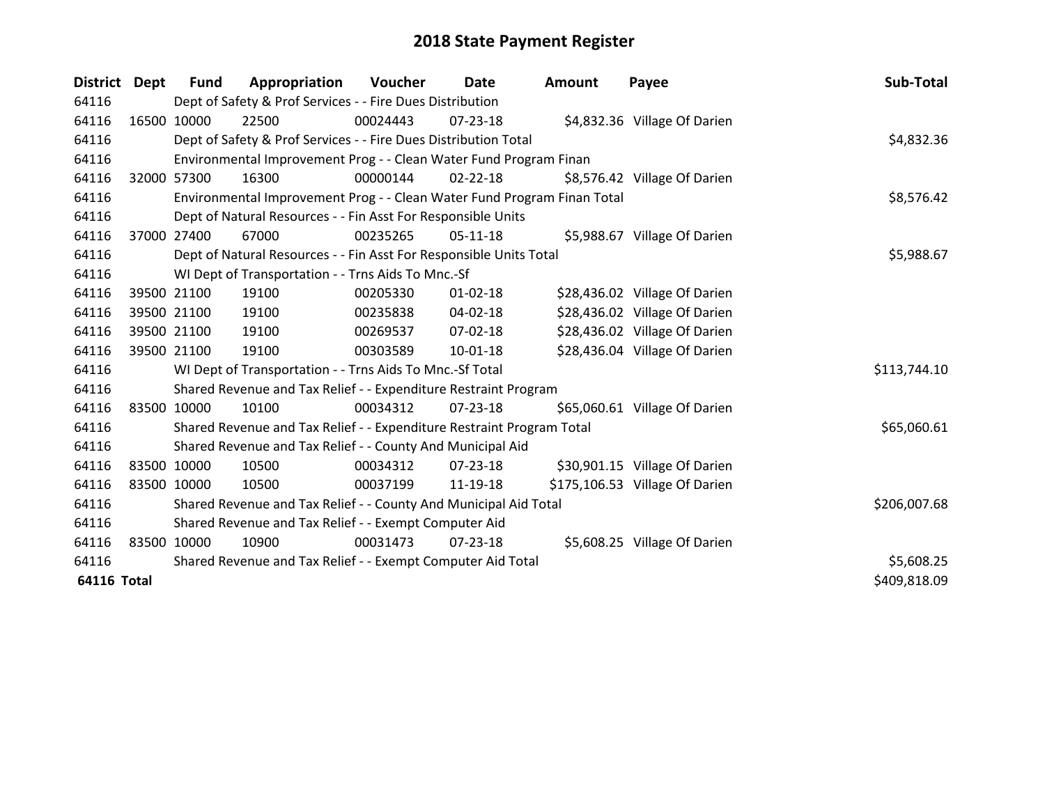| District Dept      |             | <b>Fund</b> | Appropriation                                                           | Voucher  | Date           | <b>Amount</b> | Payee                          | Sub-Total    |
|--------------------|-------------|-------------|-------------------------------------------------------------------------|----------|----------------|---------------|--------------------------------|--------------|
| 64116              |             |             | Dept of Safety & Prof Services - - Fire Dues Distribution               |          |                |               |                                |              |
| 64116              | 16500 10000 |             | 22500                                                                   | 00024443 | $07 - 23 - 18$ |               | \$4,832.36 Village Of Darien   |              |
| 64116              |             |             | Dept of Safety & Prof Services - - Fire Dues Distribution Total         |          |                |               |                                | \$4,832.36   |
| 64116              |             |             | Environmental Improvement Prog - - Clean Water Fund Program Finan       |          |                |               |                                |              |
| 64116              | 32000 57300 |             | 16300                                                                   | 00000144 | $02 - 22 - 18$ |               | \$8,576.42 Village Of Darien   |              |
| 64116              |             |             | Environmental Improvement Prog - - Clean Water Fund Program Finan Total |          | \$8,576.42     |               |                                |              |
| 64116              |             |             | Dept of Natural Resources - - Fin Asst For Responsible Units            |          |                |               |                                |              |
| 64116              | 37000       | 27400       | 67000                                                                   | 00235265 | 05-11-18       |               | \$5,988.67 Village Of Darien   |              |
| 64116              |             |             | Dept of Natural Resources - - Fin Asst For Responsible Units Total      |          | \$5,988.67     |               |                                |              |
| 64116              |             |             | WI Dept of Transportation - - Trns Aids To Mnc.-Sf                      |          |                |               |                                |              |
| 64116              |             | 39500 21100 | 19100                                                                   | 00205330 | $01 - 02 - 18$ |               | \$28,436.02 Village Of Darien  |              |
| 64116              |             | 39500 21100 | 19100                                                                   | 00235838 | 04-02-18       |               | \$28,436.02 Village Of Darien  |              |
| 64116              |             | 39500 21100 | 19100                                                                   | 00269537 | 07-02-18       |               | \$28,436.02 Village Of Darien  |              |
| 64116              | 39500 21100 |             | 19100                                                                   | 00303589 | 10-01-18       |               | \$28,436.04 Village Of Darien  |              |
| 64116              |             |             | WI Dept of Transportation - - Trns Aids To Mnc.-Sf Total                |          |                |               |                                | \$113,744.10 |
| 64116              |             |             | Shared Revenue and Tax Relief - - Expenditure Restraint Program         |          |                |               |                                |              |
| 64116              | 83500 10000 |             | 10100                                                                   | 00034312 | $07 - 23 - 18$ |               | \$65,060.61 Village Of Darien  |              |
| 64116              |             |             | Shared Revenue and Tax Relief - - Expenditure Restraint Program Total   |          |                |               |                                | \$65,060.61  |
| 64116              |             |             | Shared Revenue and Tax Relief - - County And Municipal Aid              |          |                |               |                                |              |
| 64116              | 83500 10000 |             | 10500                                                                   | 00034312 | $07 - 23 - 18$ |               | \$30,901.15 Village Of Darien  |              |
| 64116              | 83500 10000 |             | 10500                                                                   | 00037199 | 11-19-18       |               | \$175,106.53 Village Of Darien |              |
| 64116              |             |             | Shared Revenue and Tax Relief - - County And Municipal Aid Total        |          | \$206,007.68   |               |                                |              |
| 64116              |             |             | Shared Revenue and Tax Relief - - Exempt Computer Aid                   |          |                |               |                                |              |
| 64116              | 83500 10000 |             | 10900                                                                   | 00031473 | 07-23-18       |               | \$5,608.25 Village Of Darien   |              |
| 64116              |             |             | Shared Revenue and Tax Relief - - Exempt Computer Aid Total             |          |                |               |                                | \$5,608.25   |
| <b>64116 Total</b> |             |             |                                                                         |          |                |               |                                | \$409,818.09 |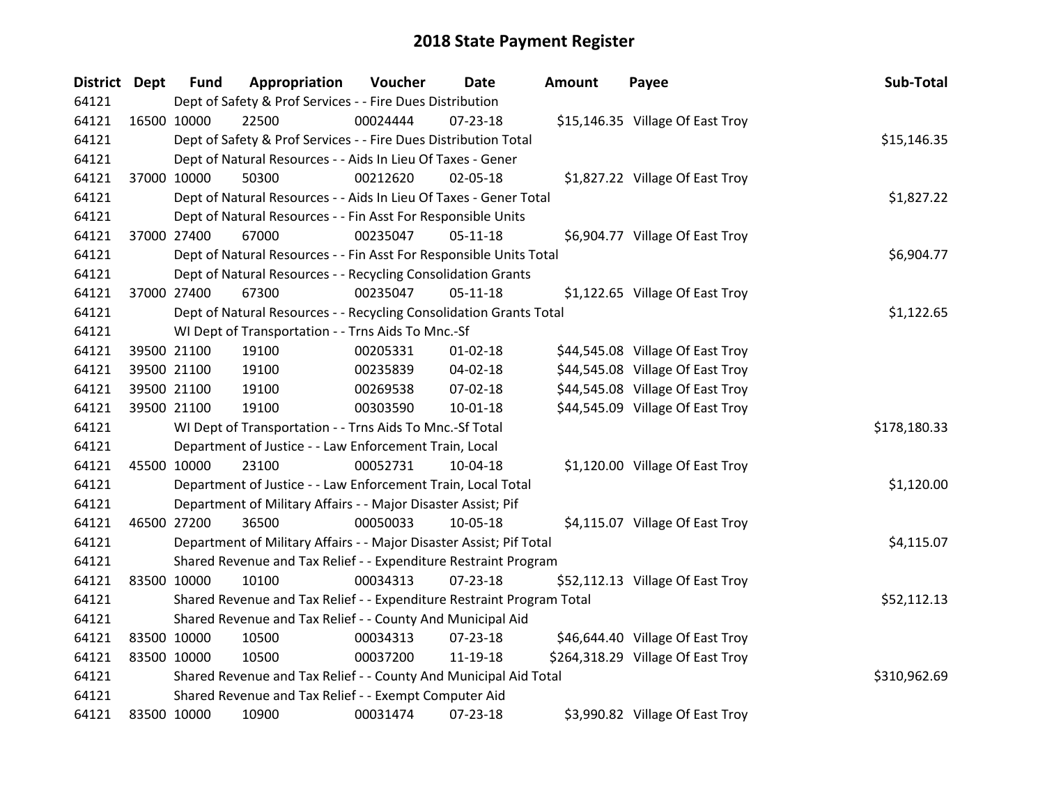| <b>District Dept</b> |             | <b>Fund</b> | Appropriation                                                         | Voucher  | Date           | Amount | Payee                             | Sub-Total    |
|----------------------|-------------|-------------|-----------------------------------------------------------------------|----------|----------------|--------|-----------------------------------|--------------|
| 64121                |             |             | Dept of Safety & Prof Services - - Fire Dues Distribution             |          |                |        |                                   |              |
| 64121                |             | 16500 10000 | 22500                                                                 | 00024444 | 07-23-18       |        | \$15,146.35 Village Of East Troy  |              |
| 64121                |             |             | Dept of Safety & Prof Services - - Fire Dues Distribution Total       |          |                |        |                                   | \$15,146.35  |
| 64121                |             |             | Dept of Natural Resources - - Aids In Lieu Of Taxes - Gener           |          |                |        |                                   |              |
| 64121                |             | 37000 10000 | 50300                                                                 | 00212620 | $02 - 05 - 18$ |        | \$1,827.22 Village Of East Troy   |              |
| 64121                |             |             | Dept of Natural Resources - - Aids In Lieu Of Taxes - Gener Total     |          |                |        |                                   | \$1,827.22   |
| 64121                |             |             | Dept of Natural Resources - - Fin Asst For Responsible Units          |          |                |        |                                   |              |
| 64121                |             | 37000 27400 | 67000                                                                 | 00235047 | $05 - 11 - 18$ |        | \$6,904.77 Village Of East Troy   |              |
| 64121                |             |             | Dept of Natural Resources - - Fin Asst For Responsible Units Total    |          |                |        |                                   | \$6,904.77   |
| 64121                |             |             | Dept of Natural Resources - - Recycling Consolidation Grants          |          |                |        |                                   |              |
| 64121                |             | 37000 27400 | 67300                                                                 | 00235047 | $05 - 11 - 18$ |        | \$1,122.65 Village Of East Troy   |              |
| 64121                |             |             | Dept of Natural Resources - - Recycling Consolidation Grants Total    |          |                |        |                                   | \$1,122.65   |
| 64121                |             |             | WI Dept of Transportation - - Trns Aids To Mnc.-Sf                    |          |                |        |                                   |              |
| 64121                |             | 39500 21100 | 19100                                                                 | 00205331 | $01 - 02 - 18$ |        | \$44,545.08 Village Of East Troy  |              |
| 64121                |             | 39500 21100 | 19100                                                                 | 00235839 | 04-02-18       |        | \$44,545.08 Village Of East Troy  |              |
| 64121                |             | 39500 21100 | 19100                                                                 | 00269538 | 07-02-18       |        | \$44,545.08 Village Of East Troy  |              |
| 64121                |             | 39500 21100 | 19100                                                                 | 00303590 | 10-01-18       |        | \$44,545.09 Village Of East Troy  |              |
| 64121                |             |             | WI Dept of Transportation - - Trns Aids To Mnc.-Sf Total              |          |                |        |                                   | \$178,180.33 |
| 64121                |             |             | Department of Justice - - Law Enforcement Train, Local                |          |                |        |                                   |              |
| 64121                |             | 45500 10000 | 23100                                                                 | 00052731 | 10-04-18       |        | \$1,120.00 Village Of East Troy   |              |
| 64121                |             |             | Department of Justice - - Law Enforcement Train, Local Total          |          |                |        |                                   | \$1,120.00   |
| 64121                |             |             | Department of Military Affairs - - Major Disaster Assist; Pif         |          |                |        |                                   |              |
| 64121                |             | 46500 27200 | 36500                                                                 | 00050033 | 10-05-18       |        | \$4,115.07 Village Of East Troy   |              |
| 64121                |             |             | Department of Military Affairs - - Major Disaster Assist; Pif Total   |          |                |        |                                   | \$4,115.07   |
| 64121                |             |             | Shared Revenue and Tax Relief - - Expenditure Restraint Program       |          |                |        |                                   |              |
| 64121                | 83500 10000 |             | 10100                                                                 | 00034313 | 07-23-18       |        | \$52,112.13 Village Of East Troy  |              |
| 64121                |             |             | Shared Revenue and Tax Relief - - Expenditure Restraint Program Total |          |                |        |                                   | \$52,112.13  |
| 64121                |             |             | Shared Revenue and Tax Relief - - County And Municipal Aid            |          |                |        |                                   |              |
| 64121                |             | 83500 10000 | 10500                                                                 | 00034313 | 07-23-18       |        | \$46,644.40 Village Of East Troy  |              |
| 64121                | 83500 10000 |             | 10500                                                                 | 00037200 | 11-19-18       |        | \$264,318.29 Village Of East Troy |              |
| 64121                |             |             | Shared Revenue and Tax Relief - - County And Municipal Aid Total      |          |                |        |                                   | \$310,962.69 |
| 64121                |             |             | Shared Revenue and Tax Relief - - Exempt Computer Aid                 |          |                |        |                                   |              |
| 64121                | 83500 10000 |             | 10900                                                                 | 00031474 | 07-23-18       |        | \$3,990.82 Village Of East Troy   |              |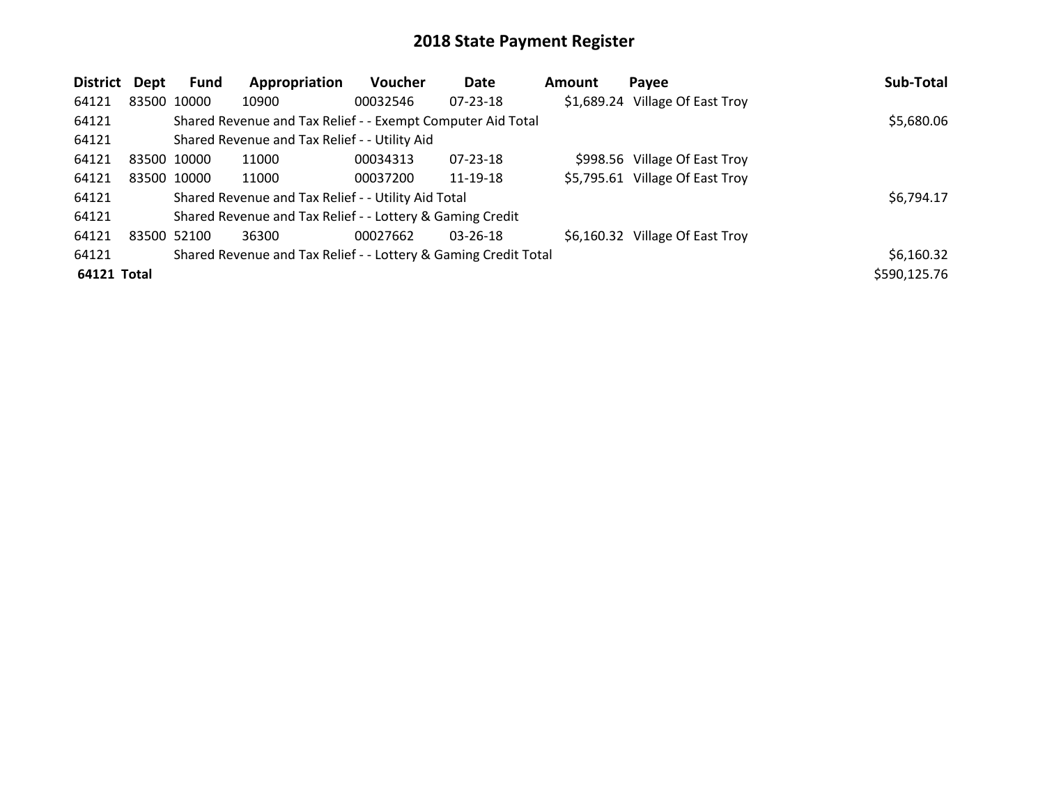| <b>District</b> | Dept        | Fund        | Appropriation                                                   | Voucher  | Date           | Amount | Payee                           | Sub-Total    |
|-----------------|-------------|-------------|-----------------------------------------------------------------|----------|----------------|--------|---------------------------------|--------------|
| 64121           |             | 83500 10000 | 10900                                                           | 00032546 | $07 - 23 - 18$ |        | \$1,689.24 Village Of East Troy |              |
| 64121           |             |             | Shared Revenue and Tax Relief - - Exempt Computer Aid Total     |          |                |        |                                 | \$5,680.06   |
| 64121           |             |             | Shared Revenue and Tax Relief - - Utility Aid                   |          |                |        |                                 |              |
| 64121           | 83500 10000 |             | 11000                                                           | 00034313 | $07 - 23 - 18$ |        | \$998.56 Village Of East Troy   |              |
| 64121           |             | 83500 10000 | 11000                                                           | 00037200 | 11-19-18       |        | \$5,795.61 Village Of East Troy |              |
| 64121           |             |             | Shared Revenue and Tax Relief - - Utility Aid Total             |          |                |        |                                 | \$6,794.17   |
| 64121           |             |             | Shared Revenue and Tax Relief - - Lottery & Gaming Credit       |          |                |        |                                 |              |
| 64121           | 83500 52100 |             | 36300                                                           | 00027662 | $03 - 26 - 18$ |        | \$6,160.32 Village Of East Troy |              |
| 64121           |             |             | Shared Revenue and Tax Relief - - Lottery & Gaming Credit Total |          |                |        |                                 | \$6,160.32   |
| 64121 Total     |             |             |                                                                 |          |                |        |                                 | \$590,125.76 |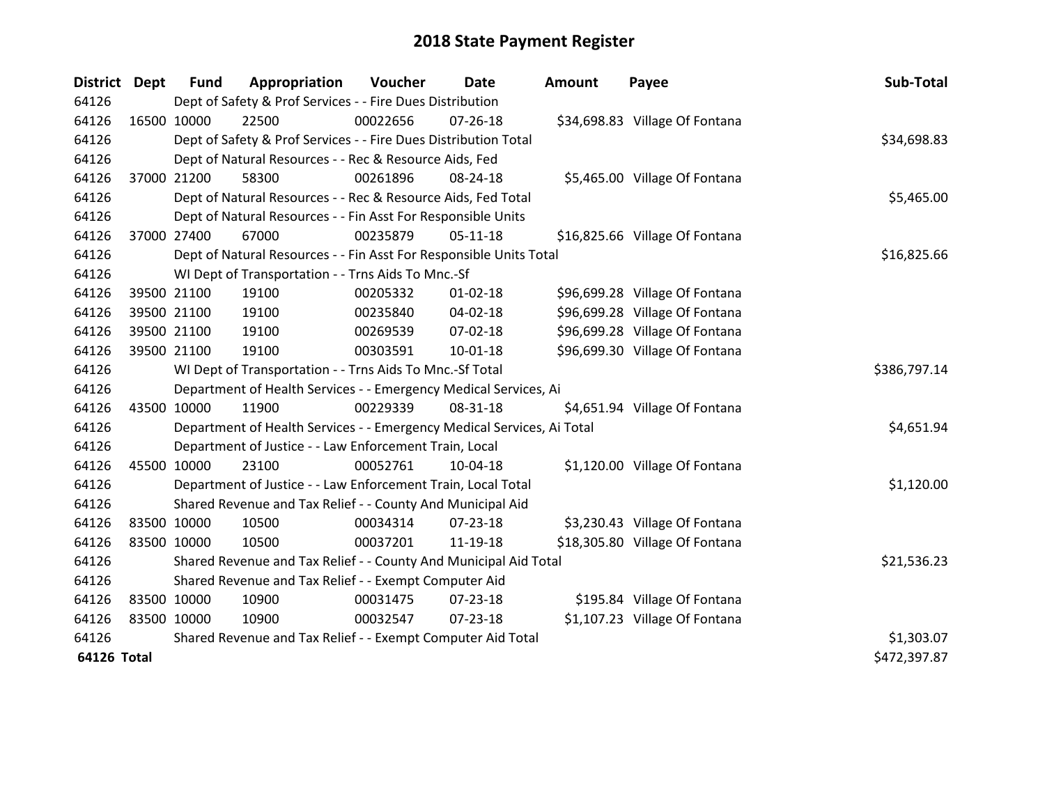| <b>District Dept</b> |             | <b>Fund</b> | Appropriation                                                          | Voucher      | Date           | <b>Amount</b> | Payee                          | Sub-Total    |
|----------------------|-------------|-------------|------------------------------------------------------------------------|--------------|----------------|---------------|--------------------------------|--------------|
| 64126                |             |             | Dept of Safety & Prof Services - - Fire Dues Distribution              |              |                |               |                                |              |
| 64126                | 16500 10000 |             | 22500                                                                  | 00022656     | $07 - 26 - 18$ |               | \$34,698.83 Village Of Fontana |              |
| 64126                |             |             | Dept of Safety & Prof Services - - Fire Dues Distribution Total        |              |                |               |                                | \$34,698.83  |
| 64126                |             |             | Dept of Natural Resources - - Rec & Resource Aids, Fed                 |              |                |               |                                |              |
| 64126                |             | 37000 21200 | 58300                                                                  | 00261896     | 08-24-18       |               | \$5,465.00 Village Of Fontana  |              |
| 64126                |             |             | Dept of Natural Resources - - Rec & Resource Aids, Fed Total           |              |                |               |                                | \$5,465.00   |
| 64126                |             |             | Dept of Natural Resources - - Fin Asst For Responsible Units           |              |                |               |                                |              |
| 64126                |             | 37000 27400 | 67000                                                                  | 00235879     | $05-11-18$     |               | \$16,825.66 Village Of Fontana |              |
| 64126                |             |             | Dept of Natural Resources - - Fin Asst For Responsible Units Total     |              |                |               |                                | \$16,825.66  |
| 64126                |             |             | WI Dept of Transportation - - Trns Aids To Mnc.-Sf                     |              |                |               |                                |              |
| 64126                |             | 39500 21100 | 19100                                                                  | 00205332     | $01 - 02 - 18$ |               | \$96,699.28 Village Of Fontana |              |
| 64126                |             | 39500 21100 | 19100                                                                  | 00235840     | 04-02-18       |               | \$96,699.28 Village Of Fontana |              |
| 64126                |             | 39500 21100 | 19100                                                                  | 00269539     | 07-02-18       |               | \$96,699.28 Village Of Fontana |              |
| 64126                |             | 39500 21100 | 19100                                                                  | 00303591     | $10 - 01 - 18$ |               | \$96,699.30 Village Of Fontana |              |
| 64126                |             |             | WI Dept of Transportation - - Trns Aids To Mnc.-Sf Total               | \$386,797.14 |                |               |                                |              |
| 64126                |             |             | Department of Health Services - - Emergency Medical Services, Ai       |              |                |               |                                |              |
| 64126                | 43500 10000 |             | 11900                                                                  | 00229339     | 08-31-18       |               | \$4,651.94 Village Of Fontana  |              |
| 64126                |             |             | Department of Health Services - - Emergency Medical Services, Ai Total |              |                |               |                                | \$4,651.94   |
| 64126                |             |             | Department of Justice - - Law Enforcement Train, Local                 |              |                |               |                                |              |
| 64126                | 45500 10000 |             | 23100                                                                  | 00052761     | 10-04-18       |               | \$1,120.00 Village Of Fontana  |              |
| 64126                |             |             | Department of Justice - - Law Enforcement Train, Local Total           |              |                |               |                                | \$1,120.00   |
| 64126                |             |             | Shared Revenue and Tax Relief - - County And Municipal Aid             |              |                |               |                                |              |
| 64126                | 83500 10000 |             | 10500                                                                  | 00034314     | 07-23-18       |               | \$3,230.43 Village Of Fontana  |              |
| 64126                | 83500 10000 |             | 10500                                                                  | 00037201     | 11-19-18       |               | \$18,305.80 Village Of Fontana |              |
| 64126                |             |             | Shared Revenue and Tax Relief - - County And Municipal Aid Total       |              |                |               |                                | \$21,536.23  |
| 64126                |             |             | Shared Revenue and Tax Relief - - Exempt Computer Aid                  |              |                |               |                                |              |
| 64126                | 83500 10000 |             | 10900                                                                  | 00031475     | $07 - 23 - 18$ |               | \$195.84 Village Of Fontana    |              |
| 64126                | 83500 10000 |             | 10900                                                                  | 00032547     | 07-23-18       |               | \$1,107.23 Village Of Fontana  |              |
| 64126                |             |             | Shared Revenue and Tax Relief - - Exempt Computer Aid Total            |              |                |               |                                | \$1,303.07   |
| <b>64126 Total</b>   |             |             |                                                                        |              |                |               |                                | \$472,397.87 |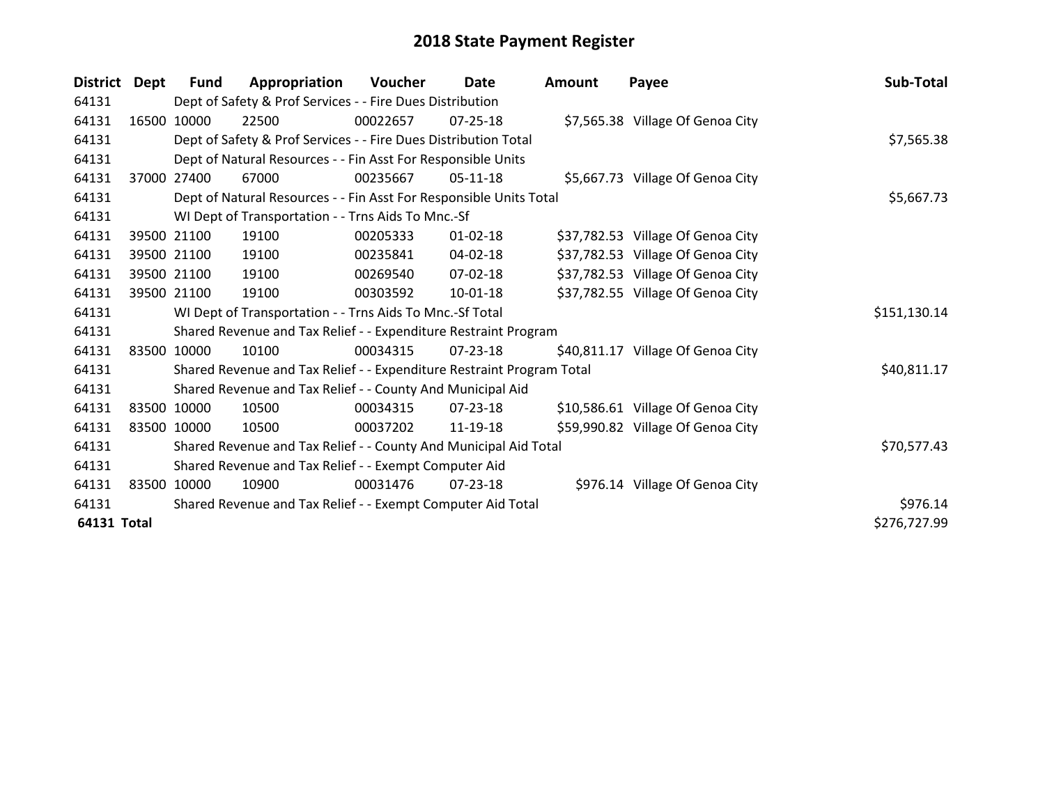| <b>District</b>    | Dept | <b>Fund</b> | Appropriation                                                         | Voucher  | Date           | <b>Amount</b> | Payee                             | Sub-Total    |
|--------------------|------|-------------|-----------------------------------------------------------------------|----------|----------------|---------------|-----------------------------------|--------------|
| 64131              |      |             | Dept of Safety & Prof Services - - Fire Dues Distribution             |          |                |               |                                   |              |
| 64131              |      | 16500 10000 | 22500                                                                 | 00022657 | $07 - 25 - 18$ |               | \$7,565.38 Village Of Genoa City  |              |
| 64131              |      |             | Dept of Safety & Prof Services - - Fire Dues Distribution Total       |          | \$7,565.38     |               |                                   |              |
| 64131              |      |             | Dept of Natural Resources - - Fin Asst For Responsible Units          |          |                |               |                                   |              |
| 64131              |      | 37000 27400 | 67000                                                                 | 00235667 | $05-11-18$     |               | \$5,667.73 Village Of Genoa City  |              |
| 64131              |      |             | Dept of Natural Resources - - Fin Asst For Responsible Units Total    |          |                |               |                                   | \$5,667.73   |
| 64131              |      |             | WI Dept of Transportation - - Trns Aids To Mnc.-Sf                    |          |                |               |                                   |              |
| 64131              |      | 39500 21100 | 19100                                                                 | 00205333 | $01 - 02 - 18$ |               | \$37,782.53 Village Of Genoa City |              |
| 64131              |      | 39500 21100 | 19100                                                                 | 00235841 | 04-02-18       |               | \$37,782.53 Village Of Genoa City |              |
| 64131              |      | 39500 21100 | 19100                                                                 | 00269540 | $07 - 02 - 18$ |               | \$37,782.53 Village Of Genoa City |              |
| 64131              |      | 39500 21100 | 19100                                                                 | 00303592 | $10 - 01 - 18$ |               | \$37,782.55 Village Of Genoa City |              |
| 64131              |      |             | WI Dept of Transportation - - Trns Aids To Mnc.-Sf Total              |          |                |               |                                   | \$151,130.14 |
| 64131              |      |             | Shared Revenue and Tax Relief - - Expenditure Restraint Program       |          |                |               |                                   |              |
| 64131              |      | 83500 10000 | 10100                                                                 | 00034315 | 07-23-18       |               | \$40,811.17 Village Of Genoa City |              |
| 64131              |      |             | Shared Revenue and Tax Relief - - Expenditure Restraint Program Total |          |                |               |                                   | \$40,811.17  |
| 64131              |      |             | Shared Revenue and Tax Relief - - County And Municipal Aid            |          |                |               |                                   |              |
| 64131              |      | 83500 10000 | 10500                                                                 | 00034315 | 07-23-18       |               | \$10,586.61 Village Of Genoa City |              |
| 64131              |      | 83500 10000 | 10500                                                                 | 00037202 | 11-19-18       |               | \$59,990.82 Village Of Genoa City |              |
| 64131              |      |             | Shared Revenue and Tax Relief - - County And Municipal Aid Total      |          |                |               |                                   | \$70,577.43  |
| 64131              |      |             | Shared Revenue and Tax Relief - - Exempt Computer Aid                 |          |                |               |                                   |              |
| 64131              |      | 83500 10000 | 10900                                                                 | 00031476 | $07 - 23 - 18$ |               | \$976.14 Village Of Genoa City    |              |
| 64131              |      |             | Shared Revenue and Tax Relief - - Exempt Computer Aid Total           |          |                |               |                                   | \$976.14     |
| <b>64131 Total</b> |      |             |                                                                       |          |                |               |                                   | \$276,727.99 |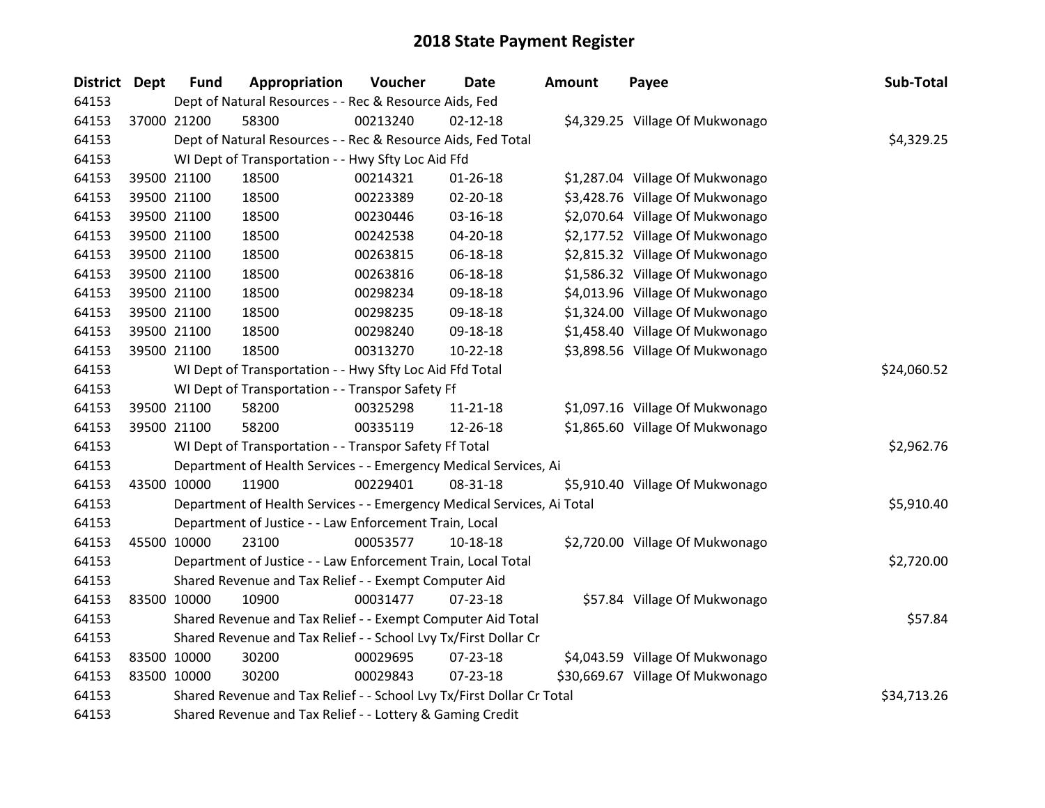| <b>District Dept</b> | <b>Fund</b> | Appropriation                                                          | Voucher     | <b>Date</b>    | <b>Amount</b> | Payee                            | Sub-Total   |
|----------------------|-------------|------------------------------------------------------------------------|-------------|----------------|---------------|----------------------------------|-------------|
| 64153                |             | Dept of Natural Resources - - Rec & Resource Aids, Fed                 |             |                |               |                                  |             |
| 64153                | 37000 21200 | 58300                                                                  | 00213240    | $02 - 12 - 18$ |               | \$4,329.25 Village Of Mukwonago  |             |
| 64153                |             | Dept of Natural Resources - - Rec & Resource Aids, Fed Total           |             |                |               |                                  | \$4,329.25  |
| 64153                |             | WI Dept of Transportation - - Hwy Sfty Loc Aid Ffd                     |             |                |               |                                  |             |
| 64153                | 39500 21100 | 18500                                                                  | 00214321    | $01 - 26 - 18$ |               | \$1,287.04 Village Of Mukwonago  |             |
| 64153                | 39500 21100 | 18500                                                                  | 00223389    | 02-20-18       |               | \$3,428.76 Village Of Mukwonago  |             |
| 64153                | 39500 21100 | 18500                                                                  | 00230446    | 03-16-18       |               | \$2,070.64 Village Of Mukwonago  |             |
| 64153                | 39500 21100 | 18500                                                                  | 00242538    | 04-20-18       |               | \$2,177.52 Village Of Mukwonago  |             |
| 64153                | 39500 21100 | 18500                                                                  | 00263815    | 06-18-18       |               | \$2,815.32 Village Of Mukwonago  |             |
| 64153                | 39500 21100 | 18500                                                                  | 00263816    | 06-18-18       |               | \$1,586.32 Village Of Mukwonago  |             |
| 64153                | 39500 21100 | 18500                                                                  | 00298234    | 09-18-18       |               | \$4,013.96 Village Of Mukwonago  |             |
| 64153                | 39500 21100 | 18500                                                                  | 00298235    | 09-18-18       |               | \$1,324.00 Village Of Mukwonago  |             |
| 64153                | 39500 21100 | 18500                                                                  | 00298240    | 09-18-18       |               | \$1,458.40 Village Of Mukwonago  |             |
| 64153                | 39500 21100 | 18500                                                                  | 00313270    | 10-22-18       |               | \$3,898.56 Village Of Mukwonago  |             |
| 64153                |             | WI Dept of Transportation - - Hwy Sfty Loc Aid Ffd Total               | \$24,060.52 |                |               |                                  |             |
| 64153                |             | WI Dept of Transportation - - Transpor Safety Ff                       |             |                |               |                                  |             |
| 64153                | 39500 21100 | 58200                                                                  | 00325298    | $11 - 21 - 18$ |               | \$1,097.16 Village Of Mukwonago  |             |
| 64153                | 39500 21100 | 58200                                                                  | 00335119    | 12-26-18       |               | \$1,865.60 Village Of Mukwonago  |             |
| 64153                |             | WI Dept of Transportation - - Transpor Safety Ff Total                 |             |                |               |                                  | \$2,962.76  |
| 64153                |             | Department of Health Services - - Emergency Medical Services, Ai       |             |                |               |                                  |             |
| 64153                | 43500 10000 | 11900                                                                  | 00229401    | 08-31-18       |               | \$5,910.40 Village Of Mukwonago  |             |
| 64153                |             | Department of Health Services - - Emergency Medical Services, Ai Total |             |                |               |                                  | \$5,910.40  |
| 64153                |             | Department of Justice - - Law Enforcement Train, Local                 |             |                |               |                                  |             |
| 64153                | 45500 10000 | 23100                                                                  | 00053577    | 10-18-18       |               | \$2,720.00 Village Of Mukwonago  |             |
| 64153                |             | Department of Justice - - Law Enforcement Train, Local Total           |             |                |               |                                  | \$2,720.00  |
| 64153                |             | Shared Revenue and Tax Relief - - Exempt Computer Aid                  |             |                |               |                                  |             |
| 64153                | 83500 10000 | 10900                                                                  | 00031477    | $07 - 23 - 18$ |               | \$57.84 Village Of Mukwonago     |             |
| 64153                |             | Shared Revenue and Tax Relief - - Exempt Computer Aid Total            |             |                |               |                                  | \$57.84     |
| 64153                |             | Shared Revenue and Tax Relief - - School Lvy Tx/First Dollar Cr        |             |                |               |                                  |             |
| 64153                | 83500 10000 | 30200                                                                  | 00029695    | 07-23-18       |               | \$4,043.59 Village Of Mukwonago  |             |
| 64153                | 83500 10000 | 30200                                                                  | 00029843    | $07 - 23 - 18$ |               | \$30,669.67 Village Of Mukwonago |             |
| 64153                |             | Shared Revenue and Tax Relief - - School Lvy Tx/First Dollar Cr Total  |             |                |               |                                  | \$34,713.26 |
| 64153                |             | Shared Revenue and Tax Relief - - Lottery & Gaming Credit              |             |                |               |                                  |             |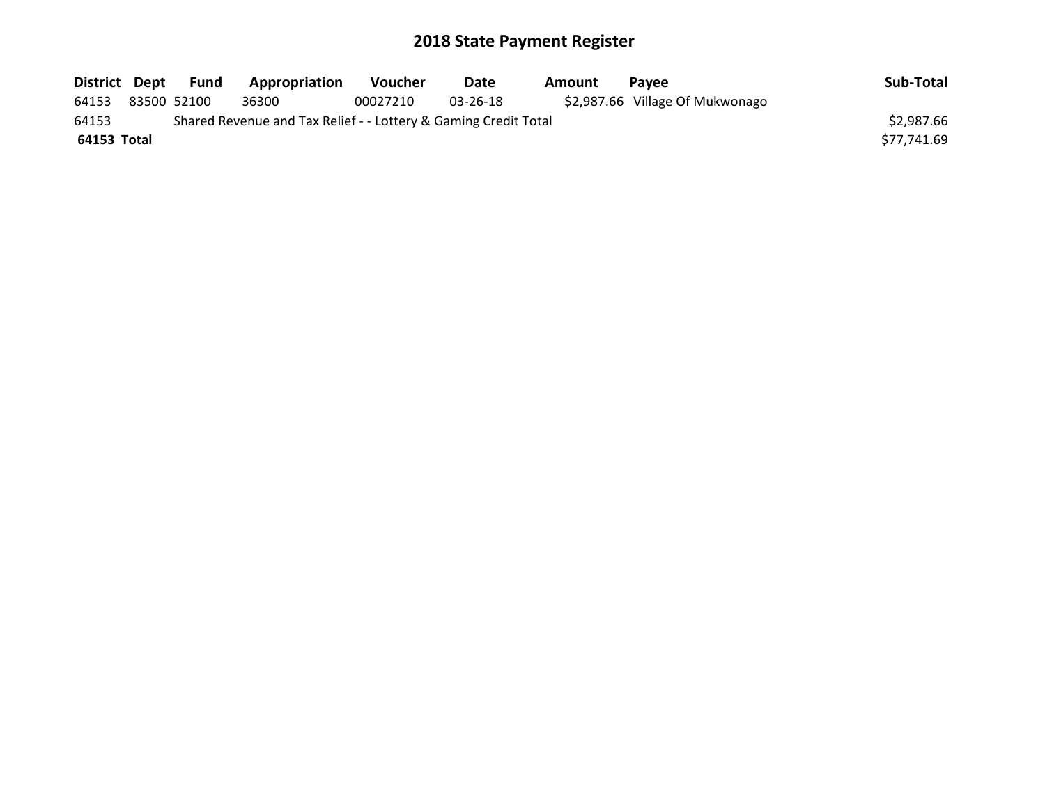| District Dept | Fund        | <b>Appropriation</b>                                            | <b>Voucher</b> | Date     | Amount | <b>Pavee</b>                    | Sub-Total   |
|---------------|-------------|-----------------------------------------------------------------|----------------|----------|--------|---------------------------------|-------------|
| 64153         | 83500 52100 | 36300                                                           | 00027210       | 03-26-18 |        | \$2,987.66 Village Of Mukwonago |             |
| 64153         |             | Shared Revenue and Tax Relief - - Lottery & Gaming Credit Total |                |          |        |                                 | \$2,987.66  |
| 64153 Total   |             |                                                                 |                |          |        |                                 | \$77,741.69 |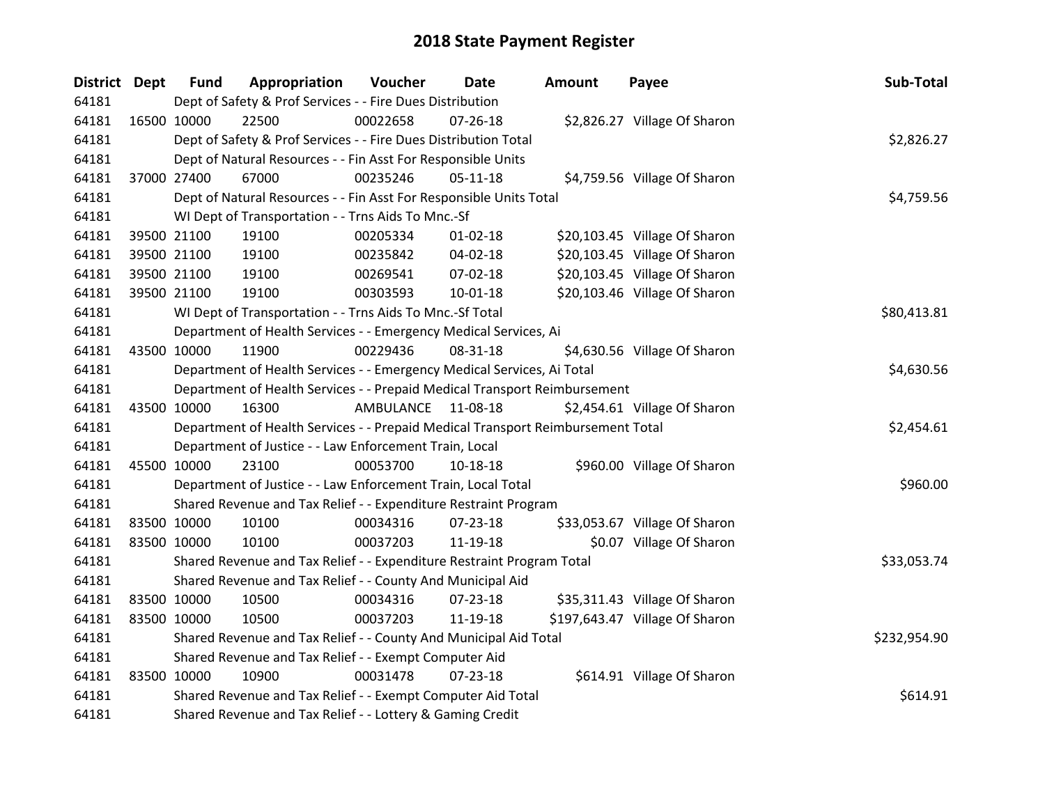| <b>District Dept</b> |             | <b>Fund</b> | Appropriation                                                                   | Voucher    | <b>Date</b>    | <b>Amount</b> | Payee                          | Sub-Total    |
|----------------------|-------------|-------------|---------------------------------------------------------------------------------|------------|----------------|---------------|--------------------------------|--------------|
| 64181                |             |             | Dept of Safety & Prof Services - - Fire Dues Distribution                       |            |                |               |                                |              |
| 64181                | 16500 10000 |             | 22500                                                                           | 00022658   | 07-26-18       |               | \$2,826.27 Village Of Sharon   |              |
| 64181                |             |             | Dept of Safety & Prof Services - - Fire Dues Distribution Total                 |            |                |               |                                | \$2,826.27   |
| 64181                |             |             | Dept of Natural Resources - - Fin Asst For Responsible Units                    |            |                |               |                                |              |
| 64181                | 37000 27400 |             | 67000                                                                           | 00235246   | $05 - 11 - 18$ |               | \$4,759.56 Village Of Sharon   |              |
| 64181                |             |             | Dept of Natural Resources - - Fin Asst For Responsible Units Total              |            |                |               |                                | \$4,759.56   |
| 64181                |             |             | WI Dept of Transportation - - Trns Aids To Mnc.-Sf                              |            |                |               |                                |              |
| 64181                |             | 39500 21100 | 19100                                                                           | 00205334   | $01 - 02 - 18$ |               | \$20,103.45 Village Of Sharon  |              |
| 64181                |             | 39500 21100 | 19100                                                                           | 00235842   | 04-02-18       |               | \$20,103.45 Village Of Sharon  |              |
| 64181                |             | 39500 21100 | 19100                                                                           | 00269541   | 07-02-18       |               | \$20,103.45 Village Of Sharon  |              |
| 64181                |             | 39500 21100 | 19100                                                                           | 00303593   | $10 - 01 - 18$ |               | \$20,103.46 Village Of Sharon  |              |
| 64181                |             |             | WI Dept of Transportation - - Trns Aids To Mnc.-Sf Total                        |            |                |               |                                | \$80,413.81  |
| 64181                |             |             | Department of Health Services - - Emergency Medical Services, Ai                |            |                |               |                                |              |
| 64181                | 43500 10000 |             | 11900                                                                           | 00229436   | 08-31-18       |               | \$4,630.56 Village Of Sharon   |              |
| 64181                |             |             | Department of Health Services - - Emergency Medical Services, Ai Total          | \$4,630.56 |                |               |                                |              |
| 64181                |             |             | Department of Health Services - - Prepaid Medical Transport Reimbursement       |            |                |               |                                |              |
| 64181                | 43500 10000 |             | 16300                                                                           | AMBULANCE  | 11-08-18       |               | \$2,454.61 Village Of Sharon   |              |
| 64181                |             |             | Department of Health Services - - Prepaid Medical Transport Reimbursement Total |            |                |               |                                | \$2,454.61   |
| 64181                |             |             | Department of Justice - - Law Enforcement Train, Local                          |            |                |               |                                |              |
| 64181                | 45500 10000 |             | 23100                                                                           | 00053700   | 10-18-18       |               | \$960.00 Village Of Sharon     |              |
| 64181                |             |             | Department of Justice - - Law Enforcement Train, Local Total                    |            |                |               |                                | \$960.00     |
| 64181                |             |             | Shared Revenue and Tax Relief - - Expenditure Restraint Program                 |            |                |               |                                |              |
| 64181                |             | 83500 10000 | 10100                                                                           | 00034316   | 07-23-18       |               | \$33,053.67 Village Of Sharon  |              |
| 64181                |             | 83500 10000 | 10100                                                                           | 00037203   | 11-19-18       |               | \$0.07 Village Of Sharon       |              |
| 64181                |             |             | Shared Revenue and Tax Relief - - Expenditure Restraint Program Total           |            |                |               |                                | \$33,053.74  |
| 64181                |             |             | Shared Revenue and Tax Relief - - County And Municipal Aid                      |            |                |               |                                |              |
| 64181                | 83500 10000 |             | 10500                                                                           | 00034316   | 07-23-18       |               | \$35,311.43 Village Of Sharon  |              |
| 64181                | 83500 10000 |             | 10500                                                                           | 00037203   | 11-19-18       |               | \$197,643.47 Village Of Sharon |              |
| 64181                |             |             | Shared Revenue and Tax Relief - - County And Municipal Aid Total                |            |                |               |                                | \$232,954.90 |
| 64181                |             |             | Shared Revenue and Tax Relief - - Exempt Computer Aid                           |            |                |               |                                |              |
| 64181                | 83500 10000 |             | 10900                                                                           | 00031478   | $07 - 23 - 18$ |               | \$614.91 Village Of Sharon     |              |
| 64181                |             |             | Shared Revenue and Tax Relief - - Exempt Computer Aid Total                     |            |                |               |                                | \$614.91     |
| 64181                |             |             | Shared Revenue and Tax Relief - - Lottery & Gaming Credit                       |            |                |               |                                |              |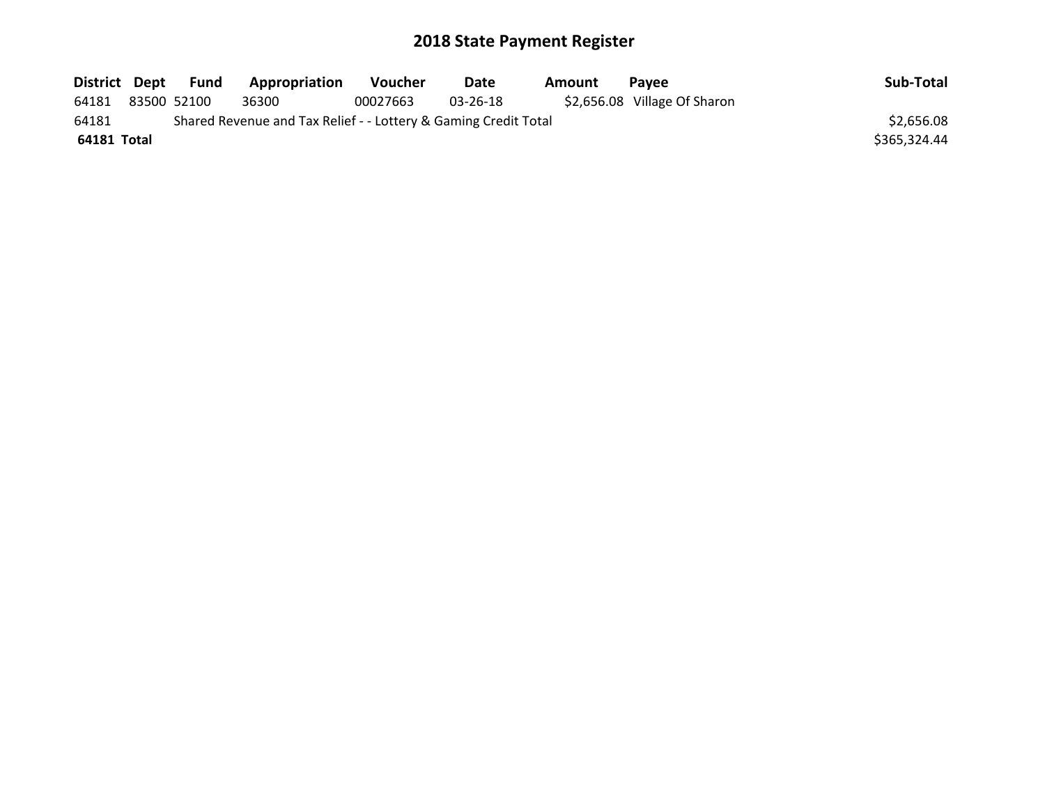| District Dept |             | Fund | Appropriation                                                   | <b>Voucher</b> | Date     | Amount | <b>Pavee</b>                 | Sub-Total    |
|---------------|-------------|------|-----------------------------------------------------------------|----------------|----------|--------|------------------------------|--------------|
| 64181         | 83500 52100 |      | 36300                                                           | 00027663       | 03-26-18 |        | \$2,656.08 Village Of Sharon |              |
| 64181         |             |      | Shared Revenue and Tax Relief - - Lottery & Gaming Credit Total |                |          |        |                              | \$2,656.08   |
| 64181 Total   |             |      |                                                                 |                |          |        |                              | \$365,324.44 |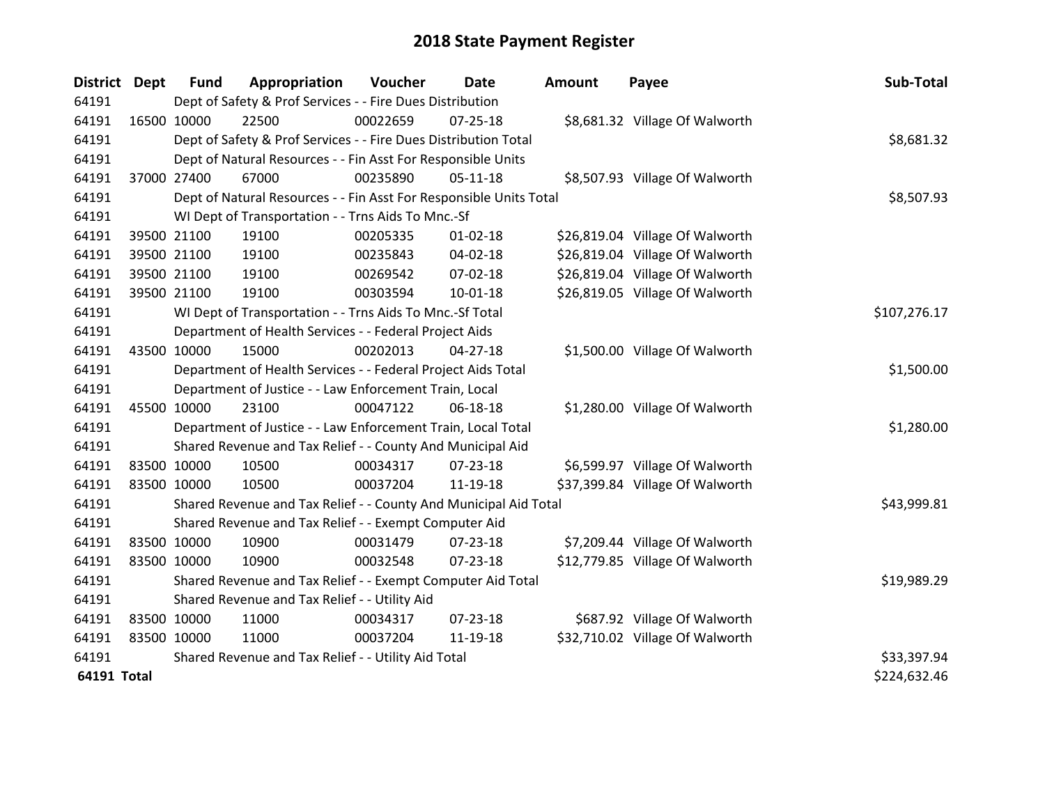| District Dept      |             | <b>Fund</b>                                                 | Appropriation                                                      | Voucher  | <b>Date</b>    | <b>Amount</b> | Payee                           | Sub-Total    |
|--------------------|-------------|-------------------------------------------------------------|--------------------------------------------------------------------|----------|----------------|---------------|---------------------------------|--------------|
| 64191              |             |                                                             | Dept of Safety & Prof Services - - Fire Dues Distribution          |          |                |               |                                 |              |
| 64191              | 16500 10000 |                                                             | 22500                                                              | 00022659 | $07 - 25 - 18$ |               | \$8,681.32 Village Of Walworth  |              |
| 64191              |             |                                                             | Dept of Safety & Prof Services - - Fire Dues Distribution Total    |          |                |               |                                 | \$8,681.32   |
| 64191              |             |                                                             | Dept of Natural Resources - - Fin Asst For Responsible Units       |          |                |               |                                 |              |
| 64191              | 37000 27400 |                                                             | 67000                                                              | 00235890 | $05 - 11 - 18$ |               | \$8,507.93 Village Of Walworth  |              |
| 64191              |             |                                                             | Dept of Natural Resources - - Fin Asst For Responsible Units Total |          | \$8,507.93     |               |                                 |              |
| 64191              |             |                                                             | WI Dept of Transportation - - Trns Aids To Mnc.-Sf                 |          |                |               |                                 |              |
| 64191              |             | 39500 21100                                                 | 19100                                                              | 00205335 | $01 - 02 - 18$ |               | \$26,819.04 Village Of Walworth |              |
| 64191              |             | 39500 21100                                                 | 19100                                                              | 00235843 | 04-02-18       |               | \$26,819.04 Village Of Walworth |              |
| 64191              |             | 39500 21100                                                 | 19100                                                              | 00269542 | 07-02-18       |               | \$26,819.04 Village Of Walworth |              |
| 64191              |             | 39500 21100                                                 | 19100                                                              | 00303594 | $10 - 01 - 18$ |               | \$26,819.05 Village Of Walworth |              |
| 64191              |             |                                                             | WI Dept of Transportation - - Trns Aids To Mnc.-Sf Total           |          |                |               |                                 | \$107,276.17 |
| 64191              |             |                                                             | Department of Health Services - - Federal Project Aids             |          |                |               |                                 |              |
| 64191              | 43500 10000 |                                                             | 15000                                                              | 00202013 | $04 - 27 - 18$ |               | \$1,500.00 Village Of Walworth  |              |
| 64191              |             |                                                             | Department of Health Services - - Federal Project Aids Total       |          |                |               |                                 | \$1,500.00   |
| 64191              |             |                                                             | Department of Justice - - Law Enforcement Train, Local             |          |                |               |                                 |              |
| 64191              | 45500 10000 |                                                             | 23100                                                              | 00047122 | 06-18-18       |               | \$1,280.00 Village Of Walworth  |              |
| 64191              |             |                                                             | Department of Justice - - Law Enforcement Train, Local Total       |          |                |               |                                 | \$1,280.00   |
| 64191              |             |                                                             | Shared Revenue and Tax Relief - - County And Municipal Aid         |          |                |               |                                 |              |
| 64191              |             | 83500 10000                                                 | 10500                                                              | 00034317 | 07-23-18       |               | \$6,599.97 Village Of Walworth  |              |
| 64191              | 83500 10000 |                                                             | 10500                                                              | 00037204 | 11-19-18       |               | \$37,399.84 Village Of Walworth |              |
| 64191              |             |                                                             | Shared Revenue and Tax Relief - - County And Municipal Aid Total   |          |                |               |                                 | \$43,999.81  |
| 64191              |             |                                                             | Shared Revenue and Tax Relief - - Exempt Computer Aid              |          |                |               |                                 |              |
| 64191              | 83500 10000 |                                                             | 10900                                                              | 00031479 | 07-23-18       |               | \$7,209.44 Village Of Walworth  |              |
| 64191              | 83500 10000 |                                                             | 10900                                                              | 00032548 | $07 - 23 - 18$ |               | \$12,779.85 Village Of Walworth |              |
| 64191              |             | Shared Revenue and Tax Relief - - Exempt Computer Aid Total |                                                                    |          |                |               |                                 | \$19,989.29  |
| 64191              |             |                                                             | Shared Revenue and Tax Relief - - Utility Aid                      |          |                |               |                                 |              |
| 64191              | 83500 10000 |                                                             | 11000                                                              | 00034317 | 07-23-18       |               | \$687.92 Village Of Walworth    |              |
| 64191              | 83500 10000 |                                                             | 11000                                                              | 00037204 | 11-19-18       |               | \$32,710.02 Village Of Walworth |              |
| 64191              |             |                                                             | Shared Revenue and Tax Relief - - Utility Aid Total                |          |                |               |                                 | \$33,397.94  |
| <b>64191 Total</b> |             |                                                             |                                                                    |          |                |               |                                 | \$224,632.46 |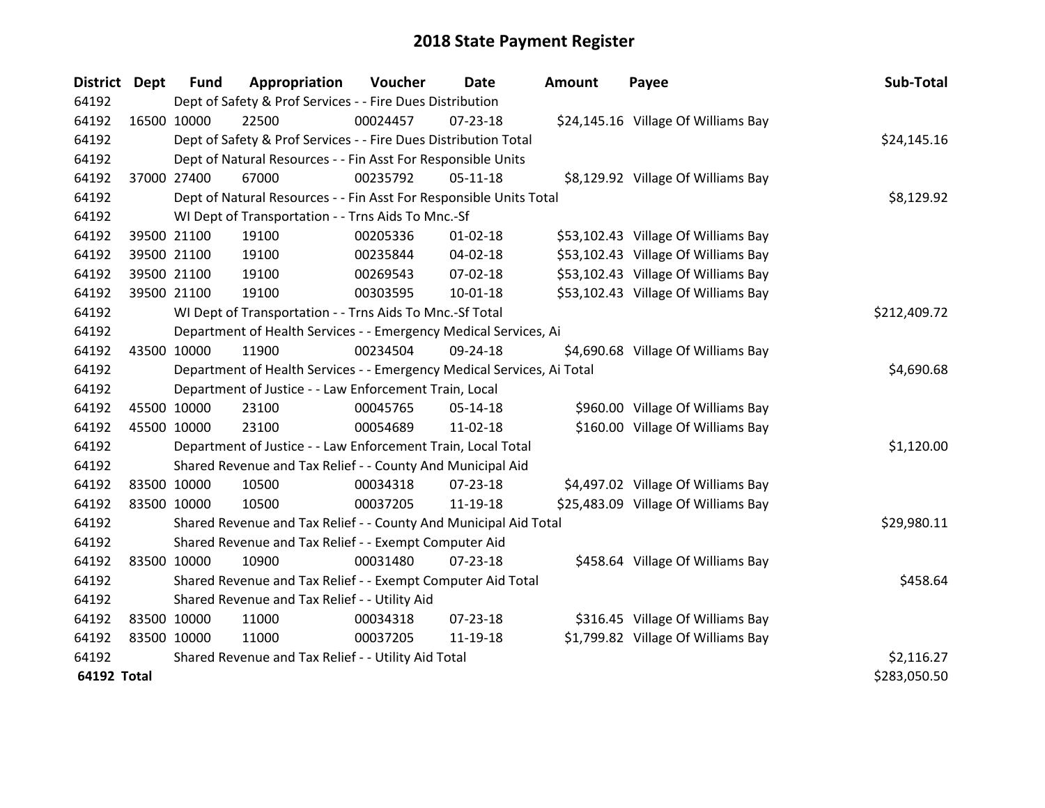| District Dept      |             | <b>Fund</b> | Appropriation                                                          | Voucher    | <b>Date</b>    | <b>Amount</b> | Payee                               | Sub-Total    |
|--------------------|-------------|-------------|------------------------------------------------------------------------|------------|----------------|---------------|-------------------------------------|--------------|
| 64192              |             |             | Dept of Safety & Prof Services - - Fire Dues Distribution              |            |                |               |                                     |              |
| 64192              |             | 16500 10000 | 22500                                                                  | 00024457   | 07-23-18       |               | \$24,145.16 Village Of Williams Bay |              |
| 64192              |             |             | Dept of Safety & Prof Services - - Fire Dues Distribution Total        |            |                |               |                                     | \$24,145.16  |
| 64192              |             |             | Dept of Natural Resources - - Fin Asst For Responsible Units           |            |                |               |                                     |              |
| 64192              |             | 37000 27400 | 67000                                                                  | 00235792   | $05-11-18$     |               | \$8,129.92 Village Of Williams Bay  |              |
| 64192              |             |             | Dept of Natural Resources - - Fin Asst For Responsible Units Total     | \$8,129.92 |                |               |                                     |              |
| 64192              |             |             | WI Dept of Transportation - - Trns Aids To Mnc.-Sf                     |            |                |               |                                     |              |
| 64192              |             | 39500 21100 | 19100                                                                  | 00205336   | $01 - 02 - 18$ |               | \$53,102.43 Village Of Williams Bay |              |
| 64192              |             | 39500 21100 | 19100                                                                  | 00235844   | 04-02-18       |               | \$53,102.43 Village Of Williams Bay |              |
| 64192              |             | 39500 21100 | 19100                                                                  | 00269543   | $07-02-18$     |               | \$53,102.43 Village Of Williams Bay |              |
| 64192              |             | 39500 21100 | 19100                                                                  | 00303595   | 10-01-18       |               | \$53,102.43 Village Of Williams Bay |              |
| 64192              |             |             | WI Dept of Transportation - - Trns Aids To Mnc.-Sf Total               |            |                |               |                                     | \$212,409.72 |
| 64192              |             |             | Department of Health Services - - Emergency Medical Services, Ai       |            |                |               |                                     |              |
| 64192              | 43500 10000 |             | 11900                                                                  | 00234504   | 09-24-18       |               | \$4,690.68 Village Of Williams Bay  |              |
| 64192              |             |             | Department of Health Services - - Emergency Medical Services, Ai Total |            |                |               |                                     | \$4,690.68   |
| 64192              |             |             | Department of Justice - - Law Enforcement Train, Local                 |            |                |               |                                     |              |
| 64192              |             | 45500 10000 | 23100                                                                  | 00045765   | $05-14-18$     |               | \$960.00 Village Of Williams Bay    |              |
| 64192              |             | 45500 10000 | 23100                                                                  | 00054689   | 11-02-18       |               | \$160.00 Village Of Williams Bay    |              |
| 64192              |             |             | Department of Justice - - Law Enforcement Train, Local Total           |            |                |               |                                     | \$1,120.00   |
| 64192              |             |             | Shared Revenue and Tax Relief - - County And Municipal Aid             |            |                |               |                                     |              |
| 64192              | 83500 10000 |             | 10500                                                                  | 00034318   | 07-23-18       |               | \$4,497.02 Village Of Williams Bay  |              |
| 64192              | 83500 10000 |             | 10500                                                                  | 00037205   | 11-19-18       |               | \$25,483.09 Village Of Williams Bay |              |
| 64192              |             |             | Shared Revenue and Tax Relief - - County And Municipal Aid Total       |            |                |               |                                     | \$29,980.11  |
| 64192              |             |             | Shared Revenue and Tax Relief - - Exempt Computer Aid                  |            |                |               |                                     |              |
| 64192              | 83500 10000 |             | 10900                                                                  | 00031480   | $07 - 23 - 18$ |               | \$458.64 Village Of Williams Bay    |              |
| 64192              |             |             | Shared Revenue and Tax Relief - - Exempt Computer Aid Total            |            |                |               |                                     | \$458.64     |
| 64192              |             |             | Shared Revenue and Tax Relief - - Utility Aid                          |            |                |               |                                     |              |
| 64192              | 83500 10000 |             | 11000                                                                  | 00034318   | 07-23-18       |               | \$316.45 Village Of Williams Bay    |              |
| 64192              | 83500 10000 |             | 11000                                                                  | 00037205   | 11-19-18       |               | \$1,799.82 Village Of Williams Bay  |              |
| 64192              |             |             | Shared Revenue and Tax Relief - - Utility Aid Total                    |            |                |               |                                     | \$2,116.27   |
| <b>64192 Total</b> |             |             |                                                                        |            |                |               |                                     | \$283,050.50 |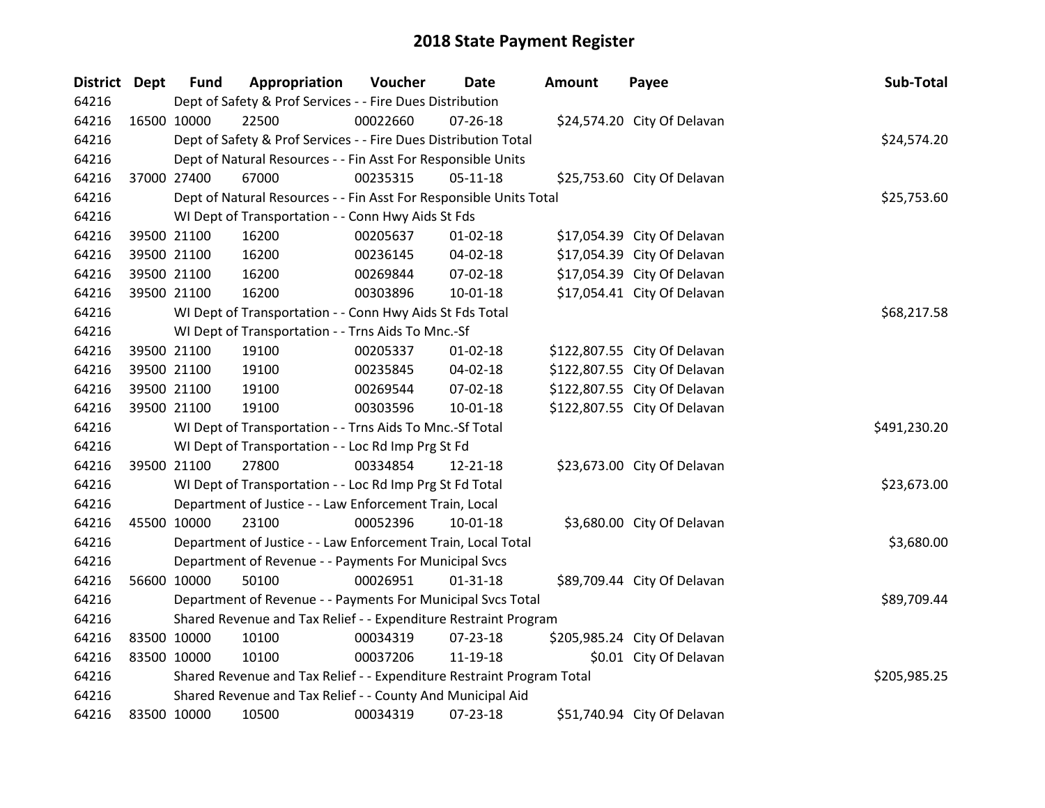| District Dept | <b>Fund</b>                                                | Appropriation                                                         | Voucher  | Date           | <b>Amount</b> | Payee                        | Sub-Total    |
|---------------|------------------------------------------------------------|-----------------------------------------------------------------------|----------|----------------|---------------|------------------------------|--------------|
| 64216         |                                                            | Dept of Safety & Prof Services - - Fire Dues Distribution             |          |                |               |                              |              |
| 64216         | 16500 10000                                                | 22500                                                                 | 00022660 | $07 - 26 - 18$ |               | \$24,574.20 City Of Delavan  |              |
| 64216         |                                                            | Dept of Safety & Prof Services - - Fire Dues Distribution Total       |          |                |               |                              | \$24,574.20  |
| 64216         |                                                            | Dept of Natural Resources - - Fin Asst For Responsible Units          |          |                |               |                              |              |
| 64216         | 37000 27400                                                | 67000                                                                 | 00235315 | $05-11-18$     |               | \$25,753.60 City Of Delavan  |              |
| 64216         |                                                            | Dept of Natural Resources - - Fin Asst For Responsible Units Total    |          |                |               |                              | \$25,753.60  |
| 64216         |                                                            | WI Dept of Transportation - - Conn Hwy Aids St Fds                    |          |                |               |                              |              |
| 64216         | 39500 21100                                                | 16200                                                                 | 00205637 | $01 - 02 - 18$ |               | \$17,054.39 City Of Delavan  |              |
| 64216         | 39500 21100                                                | 16200                                                                 | 00236145 | 04-02-18       |               | \$17,054.39 City Of Delavan  |              |
| 64216         | 39500 21100                                                | 16200                                                                 | 00269844 | 07-02-18       |               | \$17,054.39 City Of Delavan  |              |
| 64216         | 39500 21100                                                | 16200                                                                 | 00303896 | $10 - 01 - 18$ |               | \$17,054.41 City Of Delavan  |              |
| 64216         |                                                            | WI Dept of Transportation - - Conn Hwy Aids St Fds Total              |          |                |               |                              | \$68,217.58  |
| 64216         |                                                            | WI Dept of Transportation - - Trns Aids To Mnc.-Sf                    |          |                |               |                              |              |
| 64216         | 39500 21100                                                | 19100                                                                 | 00205337 | $01 - 02 - 18$ |               | \$122,807.55 City Of Delavan |              |
| 64216         | 39500 21100                                                | 19100                                                                 | 00235845 | 04-02-18       |               | \$122,807.55 City Of Delavan |              |
| 64216         | 39500 21100                                                | 19100                                                                 | 00269544 | 07-02-18       |               | \$122,807.55 City Of Delavan |              |
| 64216         | 39500 21100                                                | 19100                                                                 | 00303596 | 10-01-18       |               | \$122,807.55 City Of Delavan |              |
| 64216         |                                                            | WI Dept of Transportation - - Trns Aids To Mnc.-Sf Total              |          |                |               |                              | \$491,230.20 |
| 64216         |                                                            | WI Dept of Transportation - - Loc Rd Imp Prg St Fd                    |          |                |               |                              |              |
| 64216         | 39500 21100                                                | 27800                                                                 | 00334854 | 12-21-18       |               | \$23,673.00 City Of Delavan  |              |
| 64216         |                                                            | WI Dept of Transportation - - Loc Rd Imp Prg St Fd Total              |          |                |               |                              | \$23,673.00  |
| 64216         |                                                            | Department of Justice - - Law Enforcement Train, Local                |          |                |               |                              |              |
| 64216         | 45500 10000                                                | 23100                                                                 | 00052396 | $10 - 01 - 18$ |               | \$3,680.00 City Of Delavan   |              |
| 64216         |                                                            | Department of Justice - - Law Enforcement Train, Local Total          |          |                |               |                              | \$3,680.00   |
| 64216         |                                                            | Department of Revenue - - Payments For Municipal Svcs                 |          |                |               |                              |              |
| 64216         | 56600 10000                                                | 50100                                                                 | 00026951 | $01 - 31 - 18$ |               | \$89,709.44 City Of Delavan  |              |
| 64216         |                                                            | Department of Revenue - - Payments For Municipal Svcs Total           |          |                |               |                              | \$89,709.44  |
| 64216         |                                                            | Shared Revenue and Tax Relief - - Expenditure Restraint Program       |          |                |               |                              |              |
| 64216         | 83500 10000                                                | 10100                                                                 | 00034319 | 07-23-18       |               | \$205,985.24 City Of Delavan |              |
| 64216         | 83500 10000                                                | 10100                                                                 | 00037206 | 11-19-18       |               | \$0.01 City Of Delavan       |              |
| 64216         |                                                            | Shared Revenue and Tax Relief - - Expenditure Restraint Program Total |          |                |               |                              | \$205,985.25 |
| 64216         | Shared Revenue and Tax Relief - - County And Municipal Aid |                                                                       |          |                |               |                              |              |
| 64216         | 83500 10000                                                | 10500                                                                 | 00034319 | 07-23-18       |               | \$51,740.94 City Of Delavan  |              |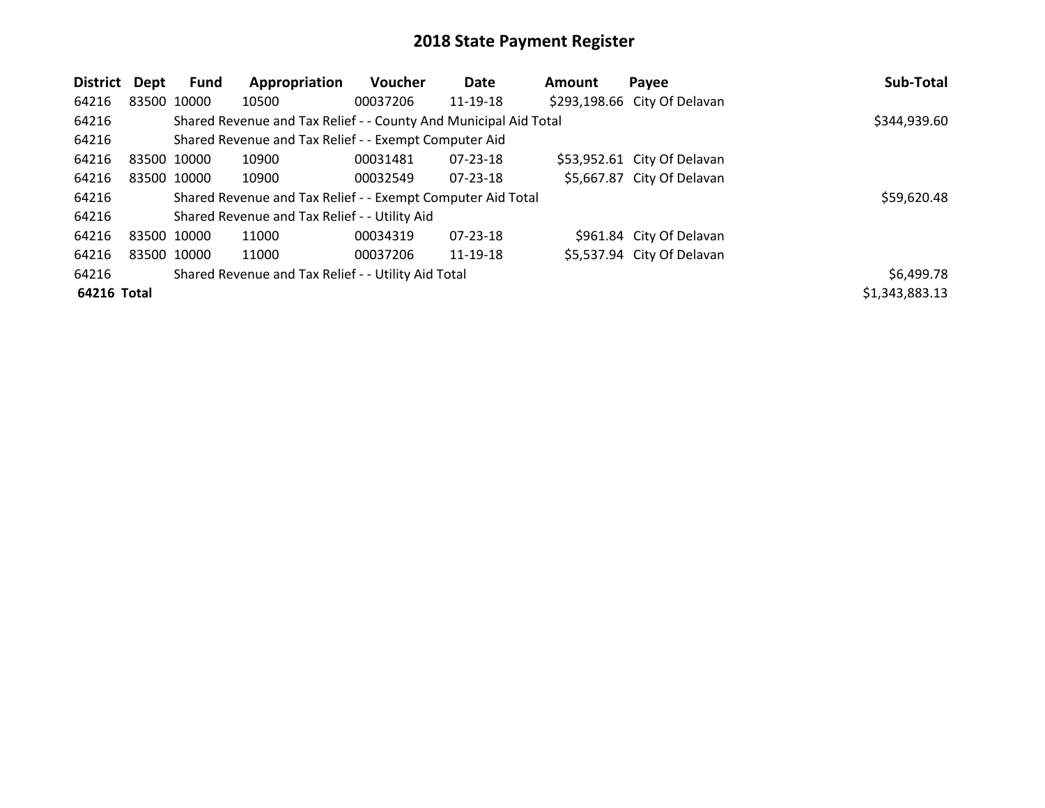| District Dept |             | <b>Fund</b> | Appropriation                                                    | Voucher  | Date           | <b>Amount</b> | Payee                        | Sub-Total      |
|---------------|-------------|-------------|------------------------------------------------------------------|----------|----------------|---------------|------------------------------|----------------|
| 64216         |             | 83500 10000 | 10500                                                            | 00037206 | 11-19-18       |               | \$293,198.66 City Of Delavan |                |
| 64216         |             |             | Shared Revenue and Tax Relief - - County And Municipal Aid Total |          |                |               |                              | \$344,939.60   |
| 64216         |             |             | Shared Revenue and Tax Relief - - Exempt Computer Aid            |          |                |               |                              |                |
| 64216         | 83500 10000 |             | 10900                                                            | 00031481 | $07 - 23 - 18$ |               | \$53,952.61 City Of Delavan  |                |
| 64216         |             | 83500 10000 | 10900                                                            | 00032549 | $07 - 23 - 18$ |               | \$5,667.87 City Of Delavan   |                |
| 64216         |             |             | Shared Revenue and Tax Relief - - Exempt Computer Aid Total      |          |                |               |                              | \$59,620.48    |
| 64216         |             |             | Shared Revenue and Tax Relief - - Utility Aid                    |          |                |               |                              |                |
| 64216         | 83500 10000 |             | 11000                                                            | 00034319 | 07-23-18       |               | \$961.84 City Of Delavan     |                |
| 64216         |             | 83500 10000 | 11000                                                            | 00037206 | 11-19-18       |               | \$5,537.94 City Of Delavan   |                |
| 64216         |             |             | Shared Revenue and Tax Relief - - Utility Aid Total              |          |                |               |                              | \$6,499.78     |
| 64216 Total   |             |             |                                                                  |          |                |               |                              | \$1,343,883.13 |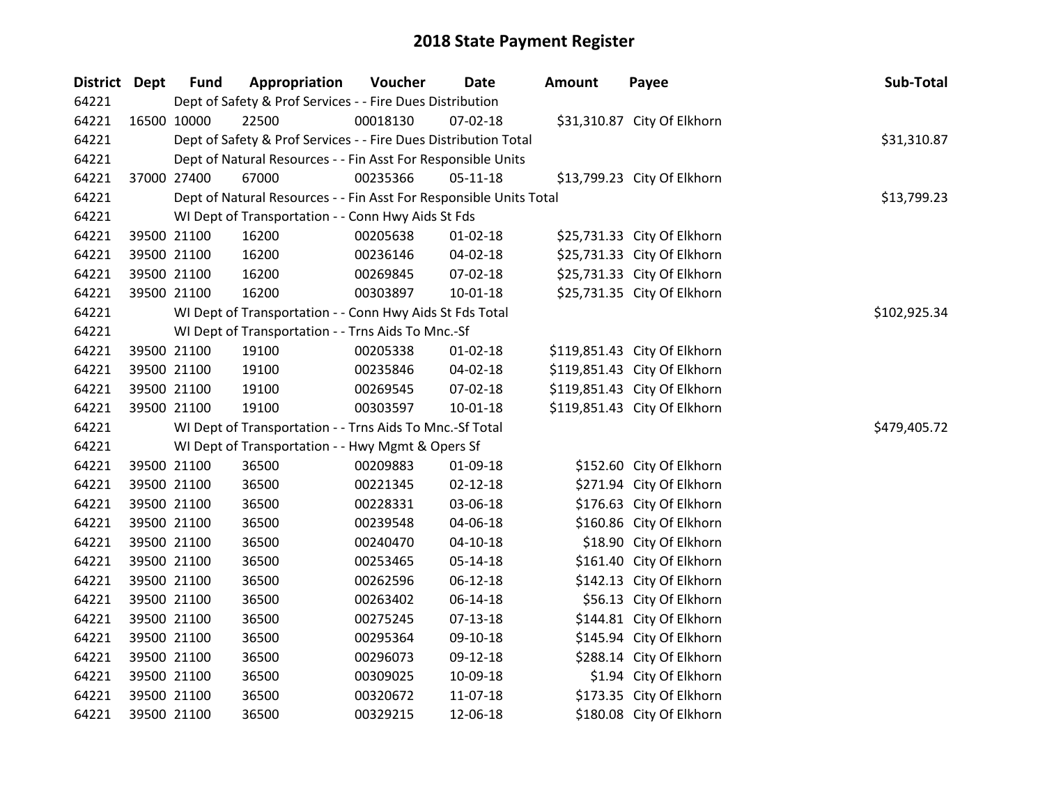| District Dept | <b>Fund</b> | Appropriation                                                      | Voucher  | <b>Date</b>    | Amount | Payee                        | Sub-Total    |
|---------------|-------------|--------------------------------------------------------------------|----------|----------------|--------|------------------------------|--------------|
| 64221         |             | Dept of Safety & Prof Services - - Fire Dues Distribution          |          |                |        |                              |              |
| 64221         | 16500 10000 | 22500                                                              | 00018130 | 07-02-18       |        | \$31,310.87 City Of Elkhorn  |              |
| 64221         |             | Dept of Safety & Prof Services - - Fire Dues Distribution Total    |          |                |        |                              | \$31,310.87  |
| 64221         |             | Dept of Natural Resources - - Fin Asst For Responsible Units       |          |                |        |                              |              |
| 64221         | 37000 27400 | 67000                                                              | 00235366 | $05 - 11 - 18$ |        | \$13,799.23 City Of Elkhorn  |              |
| 64221         |             | Dept of Natural Resources - - Fin Asst For Responsible Units Total |          |                |        |                              | \$13,799.23  |
| 64221         |             | WI Dept of Transportation - - Conn Hwy Aids St Fds                 |          |                |        |                              |              |
| 64221         | 39500 21100 | 16200                                                              | 00205638 | $01 - 02 - 18$ |        | \$25,731.33 City Of Elkhorn  |              |
| 64221         | 39500 21100 | 16200                                                              | 00236146 | 04-02-18       |        | \$25,731.33 City Of Elkhorn  |              |
| 64221         | 39500 21100 | 16200                                                              | 00269845 | 07-02-18       |        | \$25,731.33 City Of Elkhorn  |              |
| 64221         | 39500 21100 | 16200                                                              | 00303897 | 10-01-18       |        | \$25,731.35 City Of Elkhorn  |              |
| 64221         |             | WI Dept of Transportation - - Conn Hwy Aids St Fds Total           |          |                |        |                              | \$102,925.34 |
| 64221         |             | WI Dept of Transportation - - Trns Aids To Mnc.-Sf                 |          |                |        |                              |              |
| 64221         | 39500 21100 | 19100                                                              | 00205338 | $01 - 02 - 18$ |        | \$119,851.43 City Of Elkhorn |              |
| 64221         | 39500 21100 | 19100                                                              | 00235846 | 04-02-18       |        | \$119,851.43 City Of Elkhorn |              |
| 64221         | 39500 21100 | 19100                                                              | 00269545 | 07-02-18       |        | \$119,851.43 City Of Elkhorn |              |
| 64221         | 39500 21100 | 19100                                                              | 00303597 | $10 - 01 - 18$ |        | \$119,851.43 City Of Elkhorn |              |
| 64221         |             | WI Dept of Transportation - - Trns Aids To Mnc.-Sf Total           |          |                |        |                              | \$479,405.72 |
| 64221         |             | WI Dept of Transportation - - Hwy Mgmt & Opers Sf                  |          |                |        |                              |              |
| 64221         | 39500 21100 | 36500                                                              | 00209883 | 01-09-18       |        | \$152.60 City Of Elkhorn     |              |
| 64221         | 39500 21100 | 36500                                                              | 00221345 | $02 - 12 - 18$ |        | \$271.94 City Of Elkhorn     |              |
| 64221         | 39500 21100 | 36500                                                              | 00228331 | 03-06-18       |        | \$176.63 City Of Elkhorn     |              |
| 64221         | 39500 21100 | 36500                                                              | 00239548 | 04-06-18       |        | \$160.86 City Of Elkhorn     |              |
| 64221         | 39500 21100 | 36500                                                              | 00240470 | $04 - 10 - 18$ |        | \$18.90 City Of Elkhorn      |              |
| 64221         | 39500 21100 | 36500                                                              | 00253465 | 05-14-18       |        | \$161.40 City Of Elkhorn     |              |
| 64221         | 39500 21100 | 36500                                                              | 00262596 | 06-12-18       |        | \$142.13 City Of Elkhorn     |              |
| 64221         | 39500 21100 | 36500                                                              | 00263402 | 06-14-18       |        | \$56.13 City Of Elkhorn      |              |
| 64221         | 39500 21100 | 36500                                                              | 00275245 | $07 - 13 - 18$ |        | \$144.81 City Of Elkhorn     |              |
| 64221         | 39500 21100 | 36500                                                              | 00295364 | 09-10-18       |        | \$145.94 City Of Elkhorn     |              |
| 64221         | 39500 21100 | 36500                                                              | 00296073 | 09-12-18       |        | \$288.14 City Of Elkhorn     |              |
| 64221         | 39500 21100 | 36500                                                              | 00309025 | 10-09-18       |        | \$1.94 City Of Elkhorn       |              |
| 64221         | 39500 21100 | 36500                                                              | 00320672 | 11-07-18       |        | \$173.35 City Of Elkhorn     |              |
| 64221         | 39500 21100 | 36500                                                              | 00329215 | 12-06-18       |        | \$180.08 City Of Elkhorn     |              |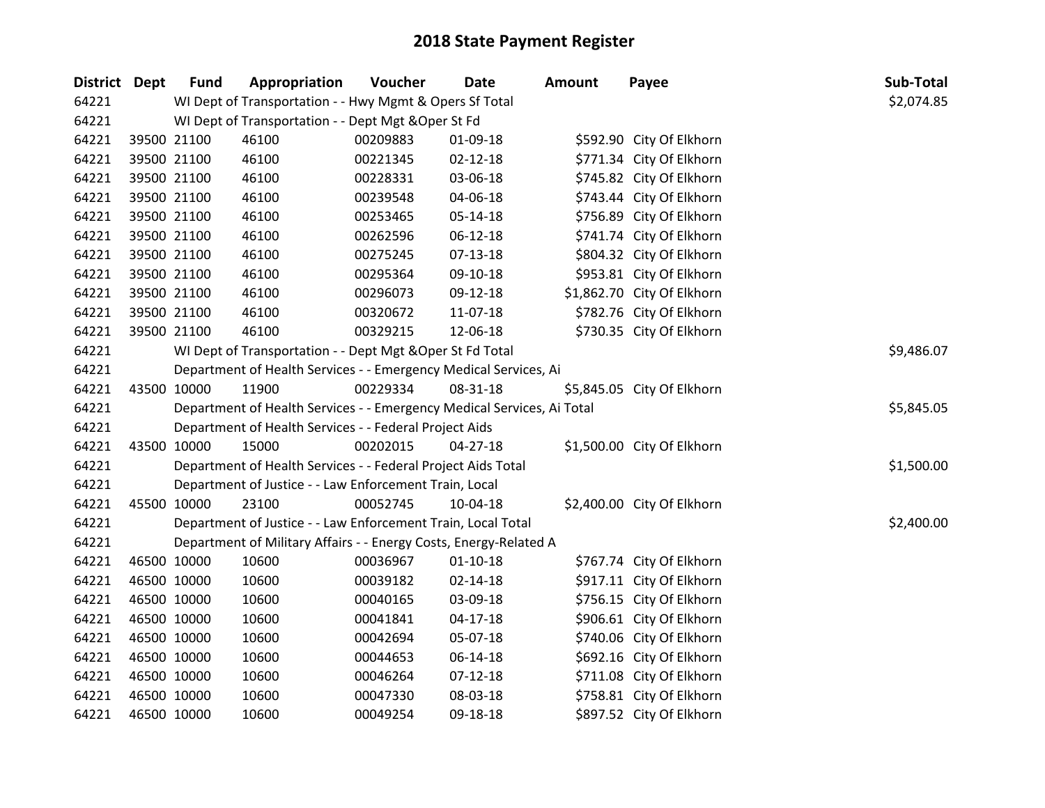| District Dept |             | <b>Fund</b> | Appropriation                                                          | Voucher  | <b>Date</b>    | Amount | Payee                      | Sub-Total  |
|---------------|-------------|-------------|------------------------------------------------------------------------|----------|----------------|--------|----------------------------|------------|
| 64221         |             |             | WI Dept of Transportation - - Hwy Mgmt & Opers Sf Total                |          |                |        |                            | \$2,074.85 |
| 64221         |             |             | WI Dept of Transportation - - Dept Mgt & Oper St Fd                    |          |                |        |                            |            |
| 64221         |             | 39500 21100 | 46100                                                                  | 00209883 | 01-09-18       |        | \$592.90 City Of Elkhorn   |            |
| 64221         |             | 39500 21100 | 46100                                                                  | 00221345 | 02-12-18       |        | \$771.34 City Of Elkhorn   |            |
| 64221         |             | 39500 21100 | 46100                                                                  | 00228331 | 03-06-18       |        | \$745.82 City Of Elkhorn   |            |
| 64221         |             | 39500 21100 | 46100                                                                  | 00239548 | 04-06-18       |        | \$743.44 City Of Elkhorn   |            |
| 64221         |             | 39500 21100 | 46100                                                                  | 00253465 | 05-14-18       |        | \$756.89 City Of Elkhorn   |            |
| 64221         |             | 39500 21100 | 46100                                                                  | 00262596 | 06-12-18       |        | \$741.74 City Of Elkhorn   |            |
| 64221         |             | 39500 21100 | 46100                                                                  | 00275245 | $07 - 13 - 18$ |        | \$804.32 City Of Elkhorn   |            |
| 64221         |             | 39500 21100 | 46100                                                                  | 00295364 | 09-10-18       |        | \$953.81 City Of Elkhorn   |            |
| 64221         |             | 39500 21100 | 46100                                                                  | 00296073 | 09-12-18       |        | \$1,862.70 City Of Elkhorn |            |
| 64221         |             | 39500 21100 | 46100                                                                  | 00320672 | 11-07-18       |        | \$782.76 City Of Elkhorn   |            |
| 64221         |             | 39500 21100 | 46100                                                                  | 00329215 | 12-06-18       |        | \$730.35 City Of Elkhorn   |            |
| 64221         |             |             | WI Dept of Transportation - - Dept Mgt & Oper St Fd Total              |          |                |        |                            | \$9,486.07 |
| 64221         |             |             | Department of Health Services - - Emergency Medical Services, Ai       |          |                |        |                            |            |
| 64221         |             | 43500 10000 | 11900                                                                  | 00229334 | 08-31-18       |        | \$5,845.05 City Of Elkhorn |            |
| 64221         |             |             | Department of Health Services - - Emergency Medical Services, Ai Total |          |                |        |                            | \$5,845.05 |
| 64221         |             |             | Department of Health Services - - Federal Project Aids                 |          |                |        |                            |            |
| 64221         |             | 43500 10000 | 15000                                                                  | 00202015 | 04-27-18       |        | \$1,500.00 City Of Elkhorn |            |
| 64221         |             |             | Department of Health Services - - Federal Project Aids Total           |          |                |        |                            | \$1,500.00 |
| 64221         |             |             | Department of Justice - - Law Enforcement Train, Local                 |          |                |        |                            |            |
| 64221         |             | 45500 10000 | 23100                                                                  | 00052745 | 10-04-18       |        | \$2,400.00 City Of Elkhorn |            |
| 64221         |             |             | Department of Justice - - Law Enforcement Train, Local Total           |          |                |        |                            | \$2,400.00 |
| 64221         |             |             | Department of Military Affairs - - Energy Costs, Energy-Related A      |          |                |        |                            |            |
| 64221         |             | 46500 10000 | 10600                                                                  | 00036967 | $01 - 10 - 18$ |        | \$767.74 City Of Elkhorn   |            |
| 64221         |             | 46500 10000 | 10600                                                                  | 00039182 | 02-14-18       |        | \$917.11 City Of Elkhorn   |            |
| 64221         |             | 46500 10000 | 10600                                                                  | 00040165 | 03-09-18       |        | \$756.15 City Of Elkhorn   |            |
| 64221         |             | 46500 10000 | 10600                                                                  | 00041841 | $04 - 17 - 18$ |        | \$906.61 City Of Elkhorn   |            |
| 64221         |             | 46500 10000 | 10600                                                                  | 00042694 | 05-07-18       |        | \$740.06 City Of Elkhorn   |            |
| 64221         |             | 46500 10000 | 10600                                                                  | 00044653 | 06-14-18       |        | \$692.16 City Of Elkhorn   |            |
| 64221         |             | 46500 10000 | 10600                                                                  | 00046264 | 07-12-18       |        | \$711.08 City Of Elkhorn   |            |
| 64221         |             | 46500 10000 | 10600                                                                  | 00047330 | 08-03-18       |        | \$758.81 City Of Elkhorn   |            |
| 64221         | 46500 10000 |             | 10600                                                                  | 00049254 | 09-18-18       |        | \$897.52 City Of Elkhorn   |            |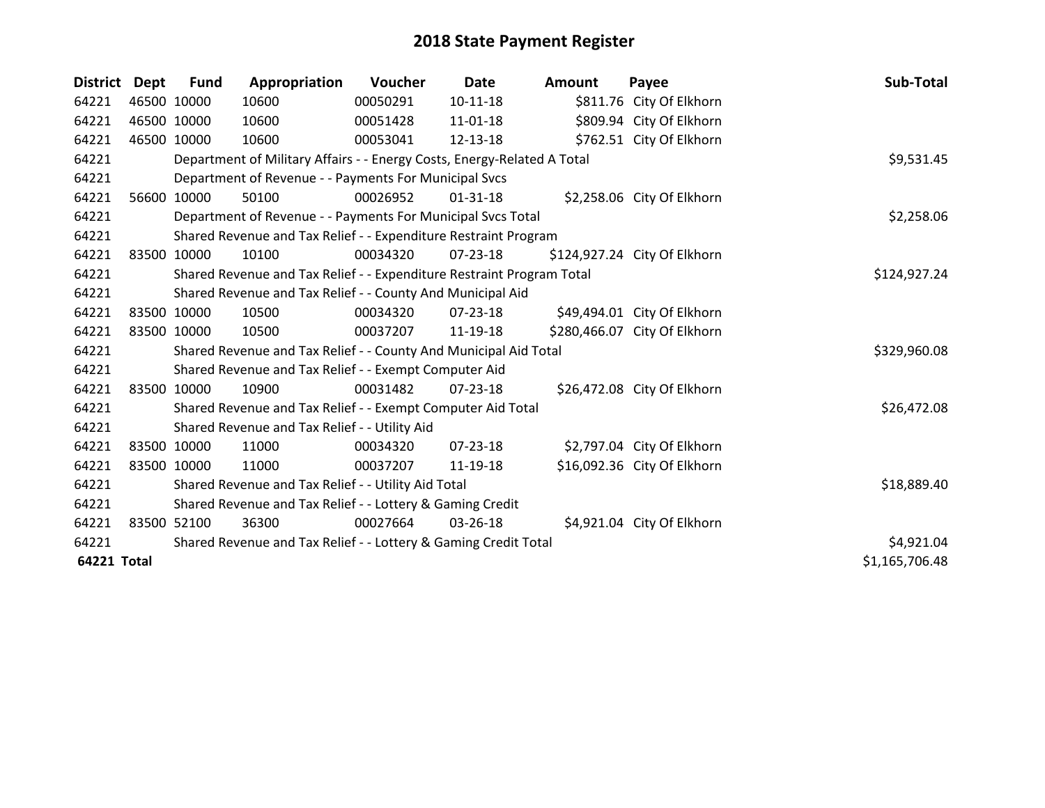| <b>District</b>    | Dept  | <b>Fund</b> | Appropriation                                                           | Voucher  | <b>Date</b>    | <b>Amount</b> | Payee                        | Sub-Total      |
|--------------------|-------|-------------|-------------------------------------------------------------------------|----------|----------------|---------------|------------------------------|----------------|
| 64221              |       | 46500 10000 | 10600                                                                   | 00050291 | $10 - 11 - 18$ |               | \$811.76 City Of Elkhorn     |                |
| 64221              |       | 46500 10000 | 10600                                                                   | 00051428 | 11-01-18       |               | \$809.94 City Of Elkhorn     |                |
| 64221              |       | 46500 10000 | 10600                                                                   | 00053041 | 12-13-18       |               | \$762.51 City Of Elkhorn     |                |
| 64221              |       |             | Department of Military Affairs - - Energy Costs, Energy-Related A Total |          |                |               |                              | \$9,531.45     |
| 64221              |       |             | Department of Revenue - - Payments For Municipal Svcs                   |          |                |               |                              |                |
| 64221              | 56600 | 10000       | 50100                                                                   | 00026952 | 01-31-18       |               | \$2,258.06 City Of Elkhorn   |                |
| 64221              |       |             | Department of Revenue - - Payments For Municipal Svcs Total             |          |                |               |                              | \$2,258.06     |
| 64221              |       |             | Shared Revenue and Tax Relief - - Expenditure Restraint Program         |          |                |               |                              |                |
| 64221              |       | 83500 10000 | 10100                                                                   | 00034320 | $07 - 23 - 18$ |               | \$124,927.24 City Of Elkhorn |                |
| 64221              |       |             | Shared Revenue and Tax Relief - - Expenditure Restraint Program Total   |          |                |               |                              | \$124,927.24   |
| 64221              |       |             | Shared Revenue and Tax Relief - - County And Municipal Aid              |          |                |               |                              |                |
| 64221              |       | 83500 10000 | 10500                                                                   | 00034320 | $07 - 23 - 18$ |               | \$49,494.01 City Of Elkhorn  |                |
| 64221              |       | 83500 10000 | 10500                                                                   | 00037207 | 11-19-18       |               | \$280,466.07 City Of Elkhorn |                |
| 64221              |       |             | Shared Revenue and Tax Relief - - County And Municipal Aid Total        |          |                |               |                              | \$329,960.08   |
| 64221              |       |             | Shared Revenue and Tax Relief - - Exempt Computer Aid                   |          |                |               |                              |                |
| 64221              |       | 83500 10000 | 10900                                                                   | 00031482 | 07-23-18       |               | \$26,472.08 City Of Elkhorn  |                |
| 64221              |       |             | Shared Revenue and Tax Relief - - Exempt Computer Aid Total             |          |                |               |                              | \$26,472.08    |
| 64221              |       |             | Shared Revenue and Tax Relief - - Utility Aid                           |          |                |               |                              |                |
| 64221              |       | 83500 10000 | 11000                                                                   | 00034320 | $07 - 23 - 18$ |               | \$2,797.04 City Of Elkhorn   |                |
| 64221              |       | 83500 10000 | 11000                                                                   | 00037207 | 11-19-18       |               | \$16,092.36 City Of Elkhorn  |                |
| 64221              |       |             | Shared Revenue and Tax Relief - - Utility Aid Total                     |          |                |               |                              | \$18,889.40    |
| 64221              |       |             | Shared Revenue and Tax Relief - - Lottery & Gaming Credit               |          |                |               |                              |                |
| 64221              |       | 83500 52100 | 36300                                                                   | 00027664 | $03 - 26 - 18$ |               | \$4,921.04 City Of Elkhorn   |                |
| 64221              |       |             | Shared Revenue and Tax Relief - - Lottery & Gaming Credit Total         |          |                |               |                              | \$4,921.04     |
| <b>64221 Total</b> |       |             |                                                                         |          |                |               |                              | \$1,165,706.48 |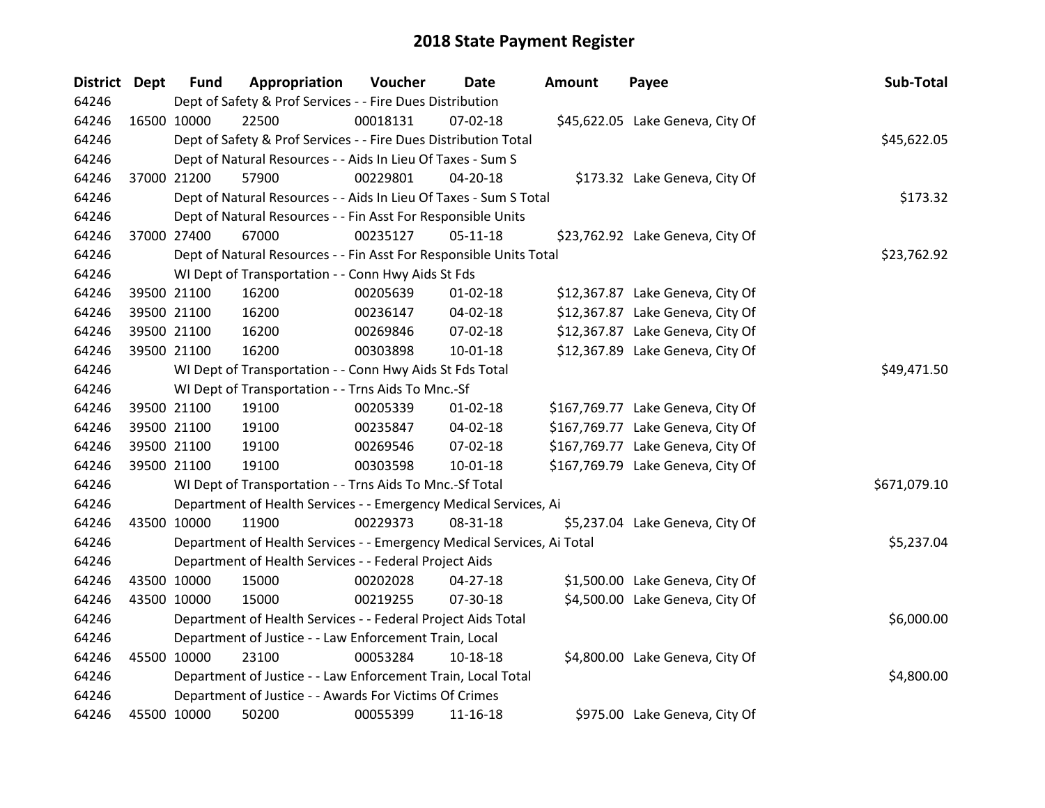| <b>District Dept</b> |             | <b>Fund</b>                                                     | Appropriation                                                          | Voucher  | Date           | <b>Amount</b> | Payee                             | Sub-Total    |
|----------------------|-------------|-----------------------------------------------------------------|------------------------------------------------------------------------|----------|----------------|---------------|-----------------------------------|--------------|
| 64246                |             | Dept of Safety & Prof Services - - Fire Dues Distribution       |                                                                        |          |                |               |                                   |              |
| 64246                | 16500 10000 |                                                                 | 22500                                                                  | 00018131 | $07 - 02 - 18$ |               | \$45,622.05 Lake Geneva, City Of  |              |
| 64246                |             | Dept of Safety & Prof Services - - Fire Dues Distribution Total | \$45,622.05                                                            |          |                |               |                                   |              |
| 64246                |             |                                                                 | Dept of Natural Resources - - Aids In Lieu Of Taxes - Sum S            |          |                |               |                                   |              |
| 64246                | 37000 21200 |                                                                 | 57900                                                                  | 00229801 | 04-20-18       |               | \$173.32 Lake Geneva, City Of     |              |
| 64246                |             |                                                                 | Dept of Natural Resources - - Aids In Lieu Of Taxes - Sum S Total      |          |                |               |                                   | \$173.32     |
| 64246                |             |                                                                 | Dept of Natural Resources - - Fin Asst For Responsible Units           |          |                |               |                                   |              |
| 64246                | 37000 27400 |                                                                 | 67000                                                                  | 00235127 | $05 - 11 - 18$ |               | \$23,762.92 Lake Geneva, City Of  |              |
| 64246                |             |                                                                 | Dept of Natural Resources - - Fin Asst For Responsible Units Total     |          |                |               |                                   | \$23,762.92  |
| 64246                |             |                                                                 | WI Dept of Transportation - - Conn Hwy Aids St Fds                     |          |                |               |                                   |              |
| 64246                |             | 39500 21100                                                     | 16200                                                                  | 00205639 | $01 - 02 - 18$ |               | \$12,367.87 Lake Geneva, City Of  |              |
| 64246                | 39500 21100 |                                                                 | 16200                                                                  | 00236147 | 04-02-18       |               | \$12,367.87 Lake Geneva, City Of  |              |
| 64246                | 39500 21100 |                                                                 | 16200                                                                  | 00269846 | 07-02-18       |               | \$12,367.87 Lake Geneva, City Of  |              |
| 64246                | 39500 21100 |                                                                 | 16200                                                                  | 00303898 | $10 - 01 - 18$ |               | \$12,367.89 Lake Geneva, City Of  |              |
| 64246                |             | WI Dept of Transportation - - Conn Hwy Aids St Fds Total        | \$49,471.50                                                            |          |                |               |                                   |              |
| 64246                |             |                                                                 | WI Dept of Transportation - - Trns Aids To Mnc.-Sf                     |          |                |               |                                   |              |
| 64246                | 39500 21100 |                                                                 | 19100                                                                  | 00205339 | $01 - 02 - 18$ |               | \$167,769.77 Lake Geneva, City Of |              |
| 64246                |             | 39500 21100                                                     | 19100                                                                  | 00235847 | 04-02-18       |               | \$167,769.77 Lake Geneva, City Of |              |
| 64246                |             | 39500 21100                                                     | 19100                                                                  | 00269546 | 07-02-18       |               | \$167,769.77 Lake Geneva, City Of |              |
| 64246                | 39500 21100 |                                                                 | 19100                                                                  | 00303598 | $10 - 01 - 18$ |               | \$167,769.79 Lake Geneva, City Of |              |
| 64246                |             |                                                                 | WI Dept of Transportation - - Trns Aids To Mnc.-Sf Total               |          |                |               |                                   | \$671,079.10 |
| 64246                |             |                                                                 | Department of Health Services - - Emergency Medical Services, Ai       |          |                |               |                                   |              |
| 64246                | 43500 10000 |                                                                 | 11900                                                                  | 00229373 | 08-31-18       |               | \$5,237.04 Lake Geneva, City Of   |              |
| 64246                |             |                                                                 | Department of Health Services - - Emergency Medical Services, Ai Total |          |                |               |                                   | \$5,237.04   |
| 64246                |             |                                                                 | Department of Health Services - - Federal Project Aids                 |          |                |               |                                   |              |
| 64246                | 43500 10000 |                                                                 | 15000                                                                  | 00202028 | 04-27-18       |               | \$1,500.00 Lake Geneva, City Of   |              |
| 64246                | 43500 10000 |                                                                 | 15000                                                                  | 00219255 | 07-30-18       |               | \$4,500.00 Lake Geneva, City Of   |              |
| 64246                |             |                                                                 | Department of Health Services - - Federal Project Aids Total           |          |                |               |                                   | \$6,000.00   |
| 64246                |             |                                                                 | Department of Justice - - Law Enforcement Train, Local                 |          |                |               |                                   |              |
| 64246                | 45500 10000 |                                                                 | 23100                                                                  | 00053284 | 10-18-18       |               | \$4,800.00 Lake Geneva, City Of   |              |
| 64246                |             |                                                                 | Department of Justice - - Law Enforcement Train, Local Total           |          |                |               |                                   | \$4,800.00   |
| 64246                |             |                                                                 | Department of Justice - - Awards For Victims Of Crimes                 |          |                |               |                                   |              |
| 64246                | 45500 10000 |                                                                 | 50200                                                                  | 00055399 | 11-16-18       |               | \$975.00 Lake Geneva, City Of     |              |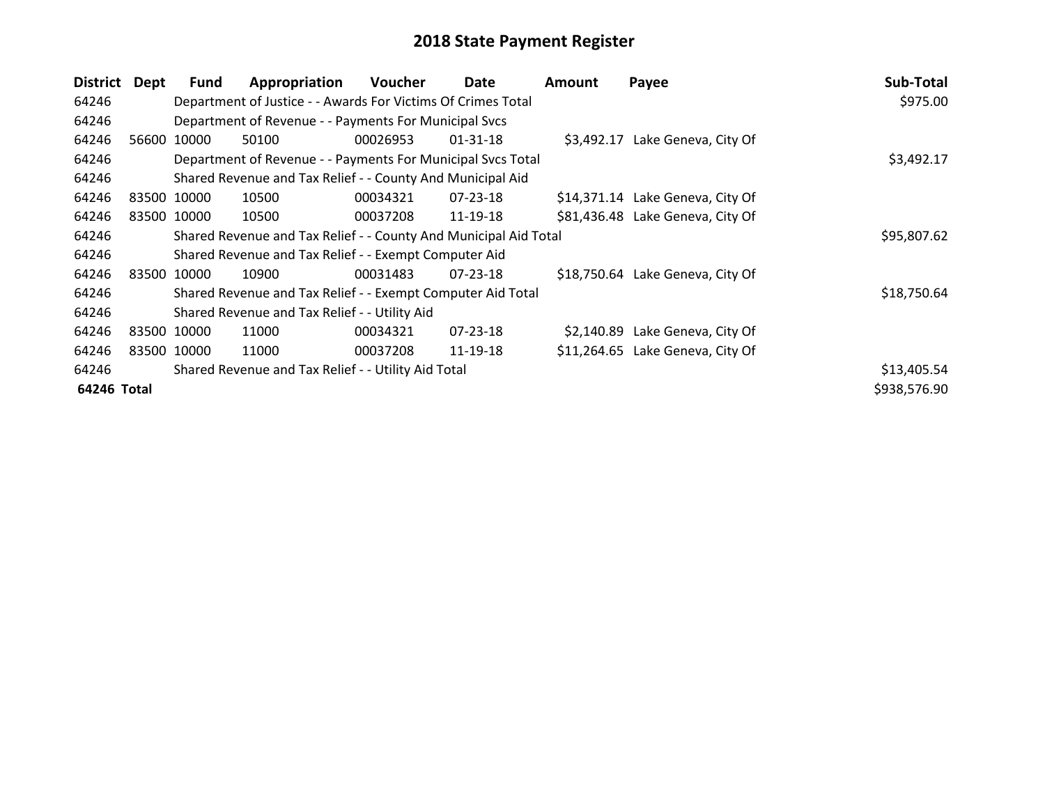| District    | Dept         | <b>Fund</b>                                                  | Appropriation                                                    | <b>Voucher</b> | Date           | <b>Amount</b> | Payee                            | Sub-Total   |
|-------------|--------------|--------------------------------------------------------------|------------------------------------------------------------------|----------------|----------------|---------------|----------------------------------|-------------|
| 64246       |              | Department of Justice - - Awards For Victims Of Crimes Total | \$975.00                                                         |                |                |               |                                  |             |
| 64246       |              |                                                              | Department of Revenue - - Payments For Municipal Svcs            |                |                |               |                                  |             |
| 64246       |              | 56600 10000                                                  | 50100                                                            | 00026953       | $01 - 31 - 18$ |               | \$3,492.17 Lake Geneva, City Of  |             |
| 64246       |              |                                                              | Department of Revenue - - Payments For Municipal Svcs Total      |                |                |               |                                  | \$3,492.17  |
| 64246       |              |                                                              | Shared Revenue and Tax Relief - - County And Municipal Aid       |                |                |               |                                  |             |
| 64246       |              | 83500 10000                                                  | 10500                                                            | 00034321       | 07-23-18       |               | \$14,371.14 Lake Geneva, City Of |             |
| 64246       |              | 83500 10000                                                  | 10500                                                            | 00037208       | 11-19-18       |               | \$81,436.48 Lake Geneva, City Of |             |
| 64246       |              |                                                              | Shared Revenue and Tax Relief - - County And Municipal Aid Total |                |                |               |                                  | \$95,807.62 |
| 64246       |              |                                                              | Shared Revenue and Tax Relief - - Exempt Computer Aid            |                |                |               |                                  |             |
| 64246       | 83500 10000  |                                                              | 10900                                                            | 00031483       | $07 - 23 - 18$ |               | \$18,750.64 Lake Geneva, City Of |             |
| 64246       |              |                                                              | Shared Revenue and Tax Relief - - Exempt Computer Aid Total      |                |                |               |                                  | \$18,750.64 |
| 64246       |              | Shared Revenue and Tax Relief - - Utility Aid                |                                                                  |                |                |               |                                  |             |
| 64246       |              | 83500 10000                                                  | 11000                                                            | 00034321       | 07-23-18       |               | \$2,140.89 Lake Geneva, City Of  |             |
| 64246       |              | 83500 10000                                                  | 11000                                                            | 00037208       | 11-19-18       |               | \$11,264.65 Lake Geneva, City Of |             |
| 64246       |              |                                                              | Shared Revenue and Tax Relief - - Utility Aid Total              |                |                |               |                                  | \$13,405.54 |
| 64246 Total | \$938,576.90 |                                                              |                                                                  |                |                |               |                                  |             |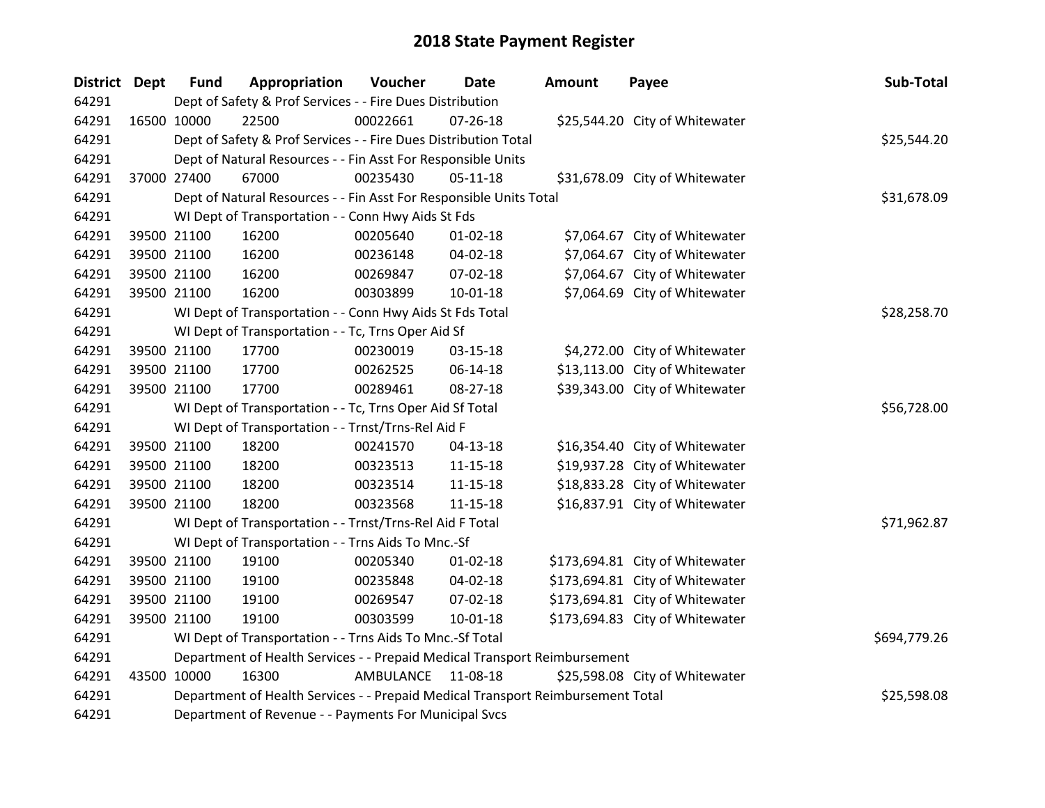| <b>District</b> | <b>Dept</b> | <b>Fund</b> | Appropriation                                                                   | Voucher            | <b>Date</b>    | <b>Amount</b> | Payee                           | Sub-Total    |
|-----------------|-------------|-------------|---------------------------------------------------------------------------------|--------------------|----------------|---------------|---------------------------------|--------------|
| 64291           |             |             | Dept of Safety & Prof Services - - Fire Dues Distribution                       |                    |                |               |                                 |              |
| 64291           | 16500 10000 |             | 22500                                                                           | 00022661           | $07 - 26 - 18$ |               | \$25,544.20 City of Whitewater  |              |
| 64291           |             |             | Dept of Safety & Prof Services - - Fire Dues Distribution Total                 |                    | \$25,544.20    |               |                                 |              |
| 64291           |             |             | Dept of Natural Resources - - Fin Asst For Responsible Units                    |                    |                |               |                                 |              |
| 64291           |             | 37000 27400 | 67000                                                                           | 00235430           | $05 - 11 - 18$ |               | \$31,678.09 City of Whitewater  |              |
| 64291           |             |             | Dept of Natural Resources - - Fin Asst For Responsible Units Total              |                    |                |               |                                 | \$31,678.09  |
| 64291           |             |             | WI Dept of Transportation - - Conn Hwy Aids St Fds                              |                    |                |               |                                 |              |
| 64291           |             | 39500 21100 | 16200                                                                           | 00205640           | $01 - 02 - 18$ |               | \$7,064.67 City of Whitewater   |              |
| 64291           |             | 39500 21100 | 16200                                                                           | 00236148           | 04-02-18       |               | \$7,064.67 City of Whitewater   |              |
| 64291           |             | 39500 21100 | 16200                                                                           | 00269847           | 07-02-18       |               | \$7,064.67 City of Whitewater   |              |
| 64291           |             | 39500 21100 | 16200                                                                           | 00303899           | $10 - 01 - 18$ |               | \$7,064.69 City of Whitewater   |              |
| 64291           |             |             | WI Dept of Transportation - - Conn Hwy Aids St Fds Total                        |                    |                |               |                                 | \$28,258.70  |
| 64291           |             |             | WI Dept of Transportation - - Tc, Trns Oper Aid Sf                              |                    |                |               |                                 |              |
| 64291           |             | 39500 21100 | 17700                                                                           | 00230019           | 03-15-18       |               | \$4,272.00 City of Whitewater   |              |
| 64291           |             | 39500 21100 | 17700                                                                           | 00262525           | 06-14-18       |               | \$13,113.00 City of Whitewater  |              |
| 64291           |             | 39500 21100 | 17700                                                                           | 00289461           | 08-27-18       |               | \$39,343.00 City of Whitewater  |              |
| 64291           |             |             | WI Dept of Transportation - - Tc, Trns Oper Aid Sf Total                        |                    |                |               |                                 | \$56,728.00  |
| 64291           |             |             | WI Dept of Transportation - - Trnst/Trns-Rel Aid F                              |                    |                |               |                                 |              |
| 64291           |             | 39500 21100 | 18200                                                                           | 00241570           | $04 - 13 - 18$ |               | \$16,354.40 City of Whitewater  |              |
| 64291           |             | 39500 21100 | 18200                                                                           | 00323513           | $11 - 15 - 18$ |               | \$19,937.28 City of Whitewater  |              |
| 64291           |             | 39500 21100 | 18200                                                                           | 00323514           | 11-15-18       |               | \$18,833.28 City of Whitewater  |              |
| 64291           |             | 39500 21100 | 18200                                                                           | 00323568           | $11 - 15 - 18$ |               | \$16,837.91 City of Whitewater  |              |
| 64291           |             |             | WI Dept of Transportation - - Trnst/Trns-Rel Aid F Total                        |                    |                |               |                                 | \$71,962.87  |
| 64291           |             |             | WI Dept of Transportation - - Trns Aids To Mnc.-Sf                              |                    |                |               |                                 |              |
| 64291           |             | 39500 21100 | 19100                                                                           | 00205340           | $01 - 02 - 18$ |               | \$173,694.81 City of Whitewater |              |
| 64291           |             | 39500 21100 | 19100                                                                           | 00235848           | 04-02-18       |               | \$173,694.81 City of Whitewater |              |
| 64291           |             | 39500 21100 | 19100                                                                           | 00269547           | 07-02-18       |               | \$173,694.81 City of Whitewater |              |
| 64291           |             | 39500 21100 | 19100                                                                           | 00303599           | $10 - 01 - 18$ |               | \$173,694.83 City of Whitewater |              |
| 64291           |             |             | WI Dept of Transportation - - Trns Aids To Mnc.-Sf Total                        |                    |                |               |                                 | \$694,779.26 |
| 64291           |             |             | Department of Health Services - - Prepaid Medical Transport Reimbursement       |                    |                |               |                                 |              |
| 64291           |             | 43500 10000 | 16300                                                                           | AMBULANCE 11-08-18 |                |               | \$25,598.08 City of Whitewater  |              |
| 64291           |             |             | Department of Health Services - - Prepaid Medical Transport Reimbursement Total |                    |                |               |                                 | \$25,598.08  |
| 64291           |             |             | Department of Revenue - - Payments For Municipal Svcs                           |                    |                |               |                                 |              |